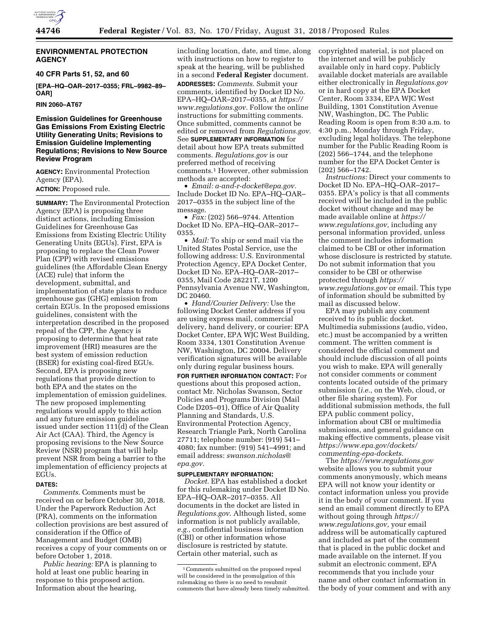

### **ENVIRONMENTAL PROTECTION AGENCY**

**40 CFR Parts 51, 52, and 60** 

**[EPA–HQ–OAR–2017–0355; FRL–9982–89– OAR]** 

**RIN 2060–AT67** 

### **Emission Guidelines for Greenhouse Gas Emissions From Existing Electric Utility Generating Units; Revisions to Emission Guideline Implementing Regulations; Revisions to New Source Review Program**

**AGENCY:** Environmental Protection Agency (EPA). **ACTION:** Proposed rule.

**SUMMARY:** The Environmental Protection Agency (EPA) is proposing three distinct actions, including Emission Guidelines for Greenhouse Gas Emissions from Existing Electric Utility Generating Units (EGUs). First, EPA is proposing to replace the Clean Power Plan (CPP) with revised emissions guidelines (the Affordable Clean Energy (ACE) rule) that inform the development, submittal, and implementation of state plans to reduce greenhouse gas (GHG) emission from certain EGUs. In the proposed emissions guidelines, consistent with the interpretation described in the proposed repeal of the CPP, the Agency is proposing to determine that heat rate improvement (HRI) measures are the best system of emission reduction (BSER) for existing coal-fired EGUs. Second, EPA is proposing new regulations that provide direction to both EPA and the states on the implementation of emission guidelines. The new proposed implementing regulations would apply to this action and any future emission guideline issued under section 111(d) of the Clean Air Act (CAA). Third, the Agency is proposing revisions to the New Source Review (NSR) program that will help prevent NSR from being a barrier to the implementation of efficiency projects at EGUs.

### **DATES:**

*Comments.* Comments must be received on or before October 30, 2018. Under the Paperwork Reduction Act (PRA), comments on the information collection provisions are best assured of consideration if the Office of Management and Budget (OMB) receives a copy of your comments on or before October 1, 2018.

*Public hearing:* EPA is planning to hold at least one public hearing in response to this proposed action. Information about the hearing,

including location, date, and time, along with instructions on how to register to speak at the hearing, will be published in a second **Federal Register** document. **ADDRESSES:** *Comments.* Submit your comments, identified by Docket ID No. EPA–HQ–OAR–2017–0355, at *[https://](https://www.regulations.gov) [www.regulations.gov.](https://www.regulations.gov)* Follow the online instructions for submitting comments. Once submitted, comments cannot be edited or removed from *Regulations.gov*. See **SUPPLEMENTARY INFORMATION** for detail about how EPA treats submitted comments. *Regulations.gov* is our preferred method of receiving comments.1 However, other submission methods are accepted:

• *Email: [a-and-r-docket@epa.gov.](mailto:a-and-r-docket@epa.gov)*  Include Docket ID No. EPA–HQ–OAR– 2017–0355 in the subject line of the message.

• *Fax:* (202) 566–9744. Attention Docket ID No. EPA–HQ–OAR–2017– 0355.

• *Mail:* To ship or send mail via the United States Postal Service, use the following address: U.S. Environmental Protection Agency, EPA Docket Center, Docket ID No. EPA–HQ–OAR–2017– 0355, Mail Code 28221T, 1200 Pennsylvania Avenue NW, Washington, DC 20460.

• *Hand/Courier Delivery:* Use the following Docket Center address if you are using express mail, commercial delivery, hand delivery, or courier: EPA Docket Center, EPA WJC West Building, Room 3334, 1301 Constitution Avenue NW, Washington, DC 20004. Delivery verification signatures will be available only during regular business hours.

**FOR FURTHER INFORMATION CONTACT:** For questions about this proposed action, contact Mr. Nicholas Swanson, Sector Policies and Programs Division (Mail Code D205–01), Office of Air Quality Planning and Standards, U.S. Environmental Protection Agency, Research Triangle Park, North Carolina 27711; telephone number: (919) 541– 4080; fax number: (919) 541–4991; and email address: *[swanson.nicholas@](mailto:swanson.nicholas@epa.gov) [epa.gov.](mailto:swanson.nicholas@epa.gov)* 

#### **SUPPLEMENTARY INFORMATION:**

*Docket.* EPA has established a docket for this rulemaking under Docket ID No. EPA–HQ–OAR–2017–0355. All documents in the docket are listed in *Regulations.gov*. Although listed, some information is not publicly available, *e.g.,* confidential business information (CBI) or other information whose disclosure is restricted by statute. Certain other material, such as

copyrighted material, is not placed on the internet and will be publicly available only in hard copy. Publicly available docket materials are available either electronically in *Regulations.gov*  or in hard copy at the EPA Docket Center, Room 3334, EPA WJC West Building, 1301 Constitution Avenue NW, Washington, DC. The Public Reading Room is open from 8:30 a.m. to 4:30 p.m., Monday through Friday, excluding legal holidays. The telephone number for the Public Reading Room is (202) 566–1744, and the telephone number for the EPA Docket Center is (202) 566–1742.

*Instructions:* Direct your comments to Docket ID No. EPA–HQ–OAR–2017– 0355. EPA's policy is that all comments received will be included in the public docket without change and may be made available online at *[https://](https://www.regulations.gov) [www.regulations.gov,](https://www.regulations.gov)* including any personal information provided, unless the comment includes information claimed to be CBI or other information whose disclosure is restricted by statute. Do not submit information that you consider to be CBI or otherwise protected through *[https://](https://www.regulations.gov) [www.regulations.gov](https://www.regulations.gov)* or email. This type of information should be submitted by mail as discussed below.

EPA may publish any comment received to its public docket. Multimedia submissions (audio, video, etc.) must be accompanied by a written comment. The written comment is considered the official comment and should include discussion of all points you wish to make. EPA will generally not consider comments or comment contents located outside of the primary submission (*i.e.,* on the Web, cloud, or other file sharing system). For additional submission methods, the full EPA public comment policy, information about CBI or multimedia submissions, and general guidance on making effective comments, please visit *[https://www.epa.gov/dockets/](https://www.epa.gov/dockets/commenting-epa-dockets)  [commenting-epa-dockets.](https://www.epa.gov/dockets/commenting-epa-dockets)* 

The *<https://www.regulations.gov>* website allows you to submit your comments anonymously, which means EPA will not know your identity or contact information unless you provide it in the body of your comment. If you send an email comment directly to EPA without going through *[https://](https://www.regulations.gov) [www.regulations.gov,](https://www.regulations.gov)* your email address will be automatically captured and included as part of the comment that is placed in the public docket and made available on the internet. If you submit an electronic comment, EPA recommends that you include your name and other contact information in the body of your comment and with any

<sup>1</sup>Comments submitted on the proposed repeal will be considered in the promulgation of this rulemaking so there is no need to resubmit comments that have already been timely submitted.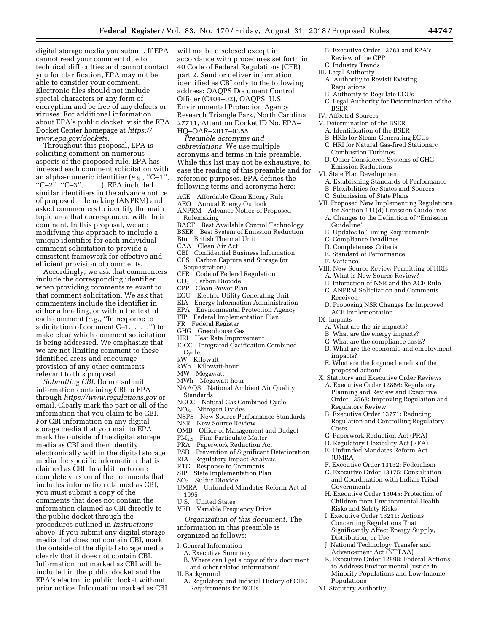digital storage media you submit. If EPA cannot read your comment due to technical difficulties and cannot contact you for clarification, EPA may not be able to consider your comment. Electronic files should not include special characters or any form of encryption and be free of any defects or viruses. For additional information about EPA's public docket, visit the EPA Docket Center homepage at *[https://](https://www.epa.gov/dockets) [www.epa.gov/dockets.](https://www.epa.gov/dockets)* 

Throughout this proposal, EPA is soliciting comment on numerous aspects of the proposed rule. EPA has indexed each comment solicitation with an alpha-numeric identifier (*e.g.,* ''C–1'', " $C-2$ ", " $C-3$ ", . . .). EPA included similar identifiers in the advance notice of proposed rulemaking (ANPRM) and asked commenters to identify the main topic area that corresponded with their comment. In this proposal, we are modifying this approach to include a unique identifier for each individual comment solicitation to provide a consistent framework for effective and efficient provision of comments.

Accordingly, we ask that commenters include the corresponding identifier when providing comments relevant to that comment solicitation. We ask that commenters include the identifier in either a heading, or within the text of each comment (*e.g.,* ''In response to solicitation of comment  $C-1$ , ...") to make clear which comment solicitation is being addressed. We emphasize that we are not limiting comment to these identified areas and encourage provision of any other comments relevant to this proposal.

*Submitting CBI.* Do not submit information containing CBI to EPA through *<https://www.regulations.gov>* or email. Clearly mark the part or all of the information that you claim to be CBI. For CBI information on any digital storage media that you mail to EPA, mark the outside of the digital storage media as CBI and then identify electronically within the digital storage media the specific information that is claimed as CBI. In addition to one complete version of the comments that includes information claimed as CBI, you must submit a copy of the comments that does not contain the information claimed as CBI directly to the public docket through the procedures outlined in *Instructions*  above. If you submit any digital storage media that does not contain CBI, mark the outside of the digital storage media clearly that it does not contain CBI. Information not marked as CBI will be included in the public docket and the EPA's electronic public docket without prior notice. Information marked as CBI will not be disclosed except in accordance with procedures set forth in 40 Code of Federal Regulations (CFR) part 2. Send or deliver information identified as CBI only to the following address: OAQPS Document Control Officer (C404–02), OAQPS, U.S. Environmental Protection Agency, Research Triangle Park, North Carolina 27711, Attention Docket ID No. EPA– HQ–OAR–2017–0355.

*Preamble acronyms and abbreviations.* We use multiple acronyms and terms in this preamble. While this list may not be exhaustive, to ease the reading of this preamble and for reference purposes, EPA defines the following terms and acronyms here:

- ACE Affordable Clean Energy Rule
- AEO Annual Energy Outlook

ANPRM Advance Notice of Proposed Rulemaking

- BACT Best Available Control Technology
- BSER Best System of Emission Reduction
- Btu British Thermal Unit
- CAA Clean Air Act
- CBI Confidential Business Information
- CCS Carbon Capture and Storage (or
- Sequestration)<br>CFR Code of Fe
- Code of Federal Regulation
- CO<sub>2</sub> Carbon Dioxide<br>CPP Clean Power Pla
- CPP Clean Power Plan
- Electric Utility Generating Unit
- EIA Energy Information Administration<br>EPA Environmental Protection Agency
- EPA Environmental Protection Agency<br>FIP Federal Implementation Plan Federal Implementation Plan
- FR Federal Register
- 
- GHG Greenhouse Gas
- HRI Heat Rate Improvement
- IGCC Integrated Gasification Combined Cycle
- kW Kilowatt<br>kWh Kilowat
- Kilowatt-hour
- MW Megawatt
- MWh Megawatt-hour
- NAAQS National Ambient Air Quality Standards
- NGCC Natural Gas Combined Cycle
- 
- NO<sub>X</sub> Nitrogen Oxides<br>NSPS New Source Per New Source Performance Standards
- NSR New Source Review<br>OMB Office of Manageme
- Office of Management and Budget
- PM2.5 Fine Particulate Matter
- PRA Paperwork Reduction Act
- Prevention of Significant Deterioration
- RIA Regulatory Impact Analysis
- RTC Response to Comments
- SIP State Implementation Plan
- SO2 Sulfur Dioxide
- UMRA Unfunded Mandates Reform Act of 1995<br>U.S. U
- United States
- VFD Variable Frequency Drive

*Organization of this document.* The information in this preamble is organized as follows:

- I. General Information
	- A. Executive Summary
	- B. Where can I get a copy of this document and other related information?
- II. Background
	- A. Regulatory and Judicial History of GHG Requirements for EGUs
- B. Executive Order 13783 and EPA's
- Review of the CPP C. Industry Trends
- III. Legal Authority
- A. Authority to Revisit Existing Regulations
- B. Authority to Regulate EGUs
- C. Legal Authority for Determination of the BSER
- IV. Affected Sources
- V. Determination of the BSER
	- A. Identification of the BSER
	- B. HRIs for Steam-Generating EGUs
	- C. HRI for Natural Gas-fired Stationary Combustion Turbines
	- D. Other Considered Systems of GHG Emission Reductions
- VI. State Plan Development
	- A. Establishing Standards of Performance
	- B. Flexibilities for States and Sources
- C. Submission of State Plans
- VII. Proposed New Implementing Regulations for Section 111(d) Emission Guidelines
	- A. Changes to the Definition of ''Emission Guideline''
	- B. Updates to Timing Requirements
	- C. Compliance Deadlines
	- D. Completeness Criteria
	- E. Standard of Performance
- F. Variance
- VIII. New Source Review Permitting of HRIs A. What is New Source Review?
	- B. Interaction of NSR and the ACE Rule
	- C. ANPRM Solicitation and Comments Received
	- D. Proposing NSR Changes for Improved ACE Implementation
- IX. Impacts
	- A. What are the air impacts?
	- B. What are the energy impacts?
	- C. What are the compliance costs?
	- D. What are the economic and employment impacts?
	- E. What are the forgone benefits of the proposed action?
- X. Statutory and Executive Order Reviews
	- A. Executive Order 12866: Regulatory Planning and Review and Executive Order 13563: Improving Regulation and Regulatory Review
	- B. Executive Order 13771: Reducing Regulation and Controlling Regulatory Costs
	- C. Paperwork Reduction Act (PRA)
	- D. Regulatory Flexibility Act (RFA)
	- E. Unfunded Mandates Reform Act (UMRA)
	- F. Executive Order 13132: Federalism
	- G. Executive Order 13175: Consultation and Coordination with Indian Tribal Governments
	- H. Executive Order 13045: Protection of Children from Environmental Health Risks and Safety Risks
	- I. Executive Order 13211: Actions Concerning Regulations That Significantly Affect Energy Supply, Distribution, or Use
	- J. National Technology Transfer and Advancement Act (NTTAA)
	- K. Executive Order 12898: Federal Actions to Address Environmental Justice in Minority Populations and Low-Income Populations
- XI. Statutory Authority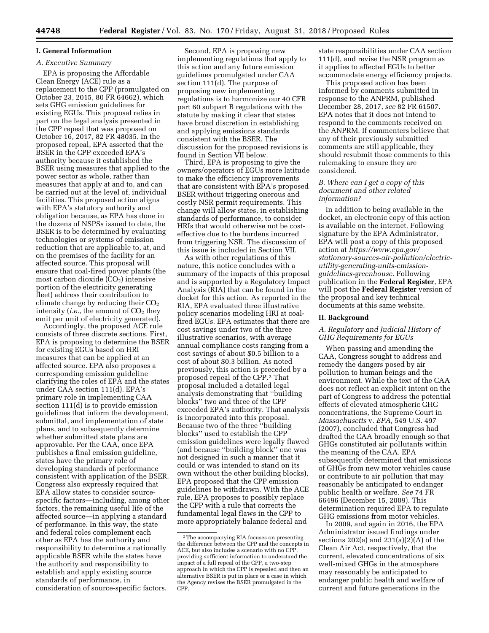# **I. General Information**

### *A. Executive Summary*

EPA is proposing the Affordable Clean Energy (ACE) rule as a replacement to the CPP (promulgated on October 23, 2015, 80 FR 64662), which sets GHG emission guidelines for existing EGUs. This proposal relies in part on the legal analysis presented in the CPP repeal that was proposed on October 16, 2017, 82 FR 48035. In the proposed repeal, EPA asserted that the BSER in the CPP exceeded EPA's authority because it established the BSER using measures that applied to the power sector as whole, rather than measures that apply at and to, and can be carried out at the level of, individual facilities. This proposed action aligns with EPA's statutory authority and obligation because, as EPA has done in the dozens of NSPSs issued to date, the BSER is to be determined by evaluating technologies or systems of emission reduction that are applicable to, at, and on the premises of the facility for an affected source. This proposal will ensure that coal-fired power plants (the most carbon dioxide  $(CO<sub>2</sub>)$  intensive portion of the electricity generating fleet) address their contribution to climate change by reducing their  $CO<sub>2</sub>$ intensity (*i.e.*, the amount of CO<sub>2</sub> they emit per unit of electricity generated).

Accordingly, the proposed ACE rule consists of three discrete sections. First, EPA is proposing to determine the BSER for existing EGUs based on HRI measures that can be applied at an affected source. EPA also proposes a corresponding emission guideline clarifying the roles of EPA and the states under CAA section 111(d). EPA's primary role in implementing CAA section 111(d) is to provide emission guidelines that inform the development, submittal, and implementation of state plans, and to subsequently determine whether submitted state plans are approvable. Per the CAA, once EPA publishes a final emission guideline, states have the primary role of developing standards of performance consistent with application of the BSER. Congress also expressly required that EPA allow states to consider sourcespecific factors—including, among other factors, the remaining useful life of the affected source—in applying a standard of performance. In this way, the state and federal roles complement each other as EPA has the authority and responsibility to determine a nationally applicable BSER while the states have the authority and responsibility to establish and apply existing source standards of performance, in consideration of source-specific factors.

Second, EPA is proposing new implementing regulations that apply to this action and any future emission guidelines promulgated under CAA section 111(d). The purpose of proposing new implementing regulations is to harmonize our 40 CFR part 60 subpart B regulations with the statute by making it clear that states have broad discretion in establishing and applying emissions standards consistent with the BSER. The discussion for the proposed revisions is found in Section VII below.

Third, EPA is proposing to give the owners/operators of EGUs more latitude to make the efficiency improvements that are consistent with EPA's proposed BSER without triggering onerous and costly NSR permit requirements. This change will allow states, in establishing standards of performance, to consider HRIs that would otherwise not be costeffective due to the burdens incurred from triggering NSR. The discussion of this issue is included in Section VII.

As with other regulations of this nature, this notice concludes with a summary of the impacts of this proposal and is supported by a Regulatory Impact Analysis (RIA) that can be found in the docket for this action. As reported in the RIA, EPA evaluated three illustrative policy scenarios modeling HRI at coalfired EGUs. EPA estimates that there are cost savings under two of the three illustrative scenarios, with average annual compliance costs ranging from a cost savings of about \$0.5 billion to a cost of about \$0.3 billion. As noted previously, this action is preceded by a proposed repeal of the CPP.2 That proposal included a detailed legal analysis demonstrating that ''building blocks'' two and three of the CPP exceeded EPA's authority. That analysis is incorporated into this proposal. Because two of the three ''building blocks'' used to establish the CPP emission guidelines were legally flawed (and because ''building block'' one was not designed in such a manner that it could or was intended to stand on its own without the other building blocks), EPA proposed that the CPP emission guidelines be withdrawn. With the ACE rule, EPA proposes to possibly replace the CPP with a rule that corrects the fundamental legal flaws in the CPP to more appropriately balance federal and

state responsibilities under CAA section 111(d), and revise the NSR program as it applies to affected EGUs to better accommodate energy efficiency projects.

This proposed action has been informed by comments submitted in response to the ANPRM, published December 28, 2017, *see* 82 FR 61507. EPA notes that it does not intend to respond to the comments received on the ANPRM. If commenters believe that any of their previously submitted comments are still applicable, they should resubmit those comments to this rulemaking to ensure they are considered.

### *B. Where can I get a copy of this document and other related information?*

In addition to being available in the docket, an electronic copy of this action is available on the internet. Following signature by the EPA Administrator, EPA will post a copy of this proposed action at *[https://www.epa.gov/](https://www.epa.gov/stationary-sources-air-pollution/electric-utility-generating-units-emission-guidelines-greenhouse)  [stationary-sources-air-pollution/electric](https://www.epa.gov/stationary-sources-air-pollution/electric-utility-generating-units-emission-guidelines-greenhouse)[utility-generating-units-emission](https://www.epa.gov/stationary-sources-air-pollution/electric-utility-generating-units-emission-guidelines-greenhouse)[guidelines-greenhouse.](https://www.epa.gov/stationary-sources-air-pollution/electric-utility-generating-units-emission-guidelines-greenhouse)* Following publication in the **Federal Register**, EPA will post the **Federal Register** version of the proposal and key technical documents at this same website.

#### **II. Background**

### *A. Regulatory and Judicial History of GHG Requirements for EGUs*

When passing and amending the CAA, Congress sought to address and remedy the dangers posed by air pollution to human beings and the environment. While the text of the CAA does not reflect an explicit intent on the part of Congress to address the potential effects of elevated atmospheric GHG concentrations, the Supreme Court in *Massachusetts* v. *EPA,* 549 U.S. 497 (2007), concluded that Congress had drafted the CAA broadly enough so that GHGs constituted air pollutants within the meaning of the CAA. EPA subsequently determined that emissions of GHGs from new motor vehicles cause or contribute to air pollution that may reasonably be anticipated to endanger public health or welfare. *See* 74 FR 66496 (December 15, 2009). This determination required EPA to regulate GHG emissions from motor vehicles.

In 2009, and again in 2016, the EPA Administrator issued findings under sections  $202(a)$  and  $231(a)(2)(A)$  of the Clean Air Act, respectively, that the current, elevated concentrations of six well-mixed GHGs in the atmosphere may reasonably be anticipated to endanger public health and welfare of current and future generations in the

<sup>2</sup>The accompanying RIA focuses on presenting the difference between the CPP and the concepts in ACE, but also includes a scenario with no CPP providing sufficient information to understand the impact of a full repeal of the CPP, a two-step approach in which the CPP is repealed and then an alternative BSER is put in place or a case in which the Agency revises the BSER promulgated in the CPP.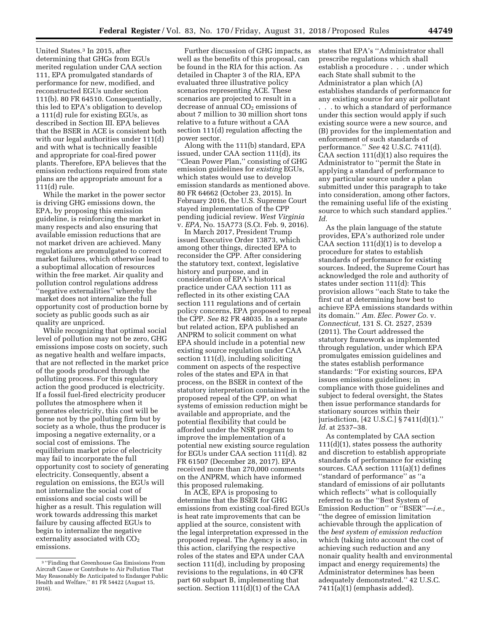United States.3 In 2015, after determining that GHGs from EGUs merited regulation under CAA section 111, EPA promulgated standards of performance for new, modified, and reconstructed EGUs under section 111(b). 80 FR 64510. Consequentially, this led to EPA's obligation to develop a 111(d) rule for existing EGUs, as described in Section III. EPA believes that the BSER in ACE is consistent both with our legal authorities under 111(d) and with what is technically feasible and appropriate for coal-fired power plants. Therefore, EPA believes that the emission reductions required from state plans are the appropriate amount for a 111(d) rule.

While the market in the power sector is driving GHG emissions down, the EPA, by proposing this emission guideline, is reinforcing the market in many respects and also ensuring that available emission reductions that are not market driven are achieved. Many regulations are promulgated to correct market failures, which otherwise lead to a suboptimal allocation of resources within the free market. Air quality and pollution control regulations address ''negative externalities'' whereby the market does not internalize the full opportunity cost of production borne by society as public goods such as air quality are unpriced.

While recognizing that optimal social level of pollution may not be zero, GHG emissions impose costs on society, such as negative health and welfare impacts, that are not reflected in the market price of the goods produced through the polluting process. For this regulatory action the good produced is electricity. If a fossil fuel-fired electricity producer pollutes the atmosphere when it generates electricity, this cost will be borne not by the polluting firm but by society as a whole, thus the producer is imposing a negative externality, or a social cost of emissions. The equilibrium market price of electricity may fail to incorporate the full opportunity cost to society of generating electricity. Consequently, absent a regulation on emissions, the EGUs will not internalize the social cost of emissions and social costs will be higher as a result. This regulation will work towards addressing this market failure by causing affected EGUs to begin to internalize the negative externality associated with  $CO<sub>2</sub>$ emissions.

Further discussion of GHG impacts, as well as the benefits of this proposal, can be found in the RIA for this action. As detailed in Chapter 3 of the RIA, EPA evaluated three illustrative policy scenarios representing ACE. These scenarios are projected to result in a decrease of annual  $CO<sub>2</sub>$  emissions of about 7 million to 30 million short tons relative to a future without a CAA section 111(d) regulation affecting the power sector.

Along with the 111(b) standard, EPA issued, under CAA section 111(d), its ''Clean Power Plan,'' consisting of GHG emission guidelines for *existing* EGUs, which states would use to develop emission standards as mentioned above. 80 FR 64662 (October 23, 2015). In February 2016, the U.S. Supreme Court stayed implementation of the CPP pending judicial review. *West Virginia*  v. *EPA,* No. 15A773 (S.Ct. Feb. 9, 2016).

In March 2017, President Trump issued Executive Order 13873, which among other things, directed EPA to reconsider the CPP. After considering the statutory text, context, legislative history and purpose, and in consideration of EPA's historical practice under CAA section 111 as reflected in its other existing CAA section 111 regulations and of certain policy concerns, EPA proposed to repeal the CPP. *See* 82 FR 48035. In a separate but related action, EPA published an ANPRM to solicit comment on what EPA should include in a potential new existing source regulation under CAA section 111(d), including soliciting comment on aspects of the respective roles of the states and EPA in that process, on the BSER in context of the statutory interpretation contained in the proposed repeal of the CPP, on what systems of emission reduction might be available and appropriate, and the potential flexibility that could be afforded under the NSR program to improve the implementation of a potential new existing source regulation for EGUs under CAA section 111(d). 82 FR 61507 (December 28, 2017). EPA received more than 270,000 comments on the ANPRM, which have informed this proposed rulemaking.

In ACE, EPA is proposing to determine that the BSER for GHG emissions from existing coal-fired EGUs is heat rate improvements that can be applied at the source, consistent with the legal interpretation expressed in the proposed repeal. The Agency is also, in this action, clarifying the respective roles of the states and EPA under CAA section 111(d), including by proposing revisions to the regulations, in 40 CFR part 60 subpart B, implementing that section. Section 111(d)(1) of the CAA

states that EPA's ''Administrator shall prescribe regulations which shall establish a procedure . . . under which each State shall submit to the Administrator a plan which (A) establishes standards of performance for any existing source for any air pollutant . . . to which a standard of performance under this section would apply if such existing source were a new source, and (B) provides for the implementation and enforcement of such standards of performance.'' *See* 42 U.S.C. 7411(d). CAA section 111(d)(1) also requires the Administrator to ''permit the State in applying a standard of performance to

any particular source under a plan submitted under this paragraph to take into consideration, among other factors, the remaining useful life of the existing source to which such standard applies.'' *Id.* 

As the plain language of the statute provides, EPA's authorized role under CAA section 111(d)(1) is to develop a procedure for states to establish standards of performance for existing sources. Indeed, the Supreme Court has acknowledged the role and authority of states under section 111(d): This provision allows ''each State to take the first cut at determining how best to achieve EPA emissions standards within its domain.'' *Am. Elec. Power Co.* v. *Connecticut,* 131 S. Ct. 2527, 2539 (2011). The Court addressed the statutory framework as implemented through regulation, under which EPA promulgates emission guidelines and the states establish performance standards: ''For existing sources, EPA issues emissions guidelines; in compliance with those guidelines and subject to federal oversight, the States then issue performance standards for stationary sources within their jurisdiction, [42 U.S.C.] § 7411(d)(1).'' *Id.* at 2537–38.

As contemplated by CAA section 111(d)(1), states possess the authority and discretion to establish appropriate standards of performance for existing sources. CAA section 111(a)(1) defines ''standard of performance'' as ''a standard of emissions of air pollutants which reflects'' what is colloquially referred to as the ''Best System of Emission Reduction'' or ''BSER''—*i.e.,*  ''the degree of emission limitation achievable through the application of the *best system of emission reduction*  which (taking into account the cost of achieving such reduction and any nonair quality health and environmental impact and energy requirements) the Administrator determines has been adequately demonstrated.'' 42 U.S.C. 7411(a)(1) (emphasis added).

<sup>3</sup> ''Finding that Greenhouse Gas Emissions From Aircraft Cause or Contribute to Air Pollution That May Reasonably Be Anticipated to Endanger Public Health and Welfare,'' 81 FR 54422 (August 15, 2016).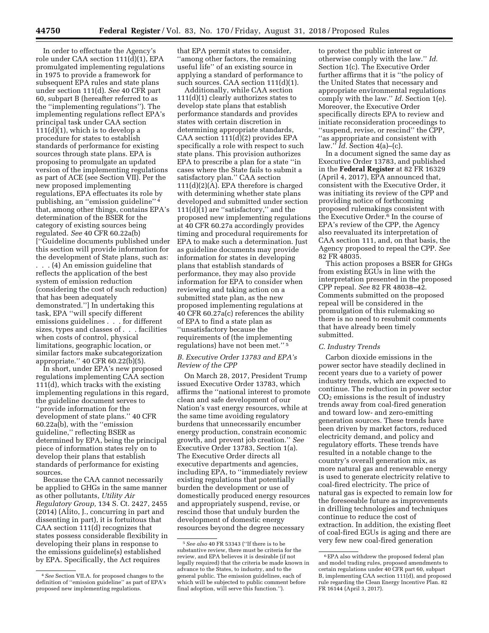In order to effectuate the Agency's role under CAA section 111(d)(1), EPA promulgated implementing regulations in 1975 to provide a framework for subsequent EPA rules and state plans under section 111(d). *See* 40 CFR part 60, subpart B (hereafter referred to as the ''implementing regulations''). The implementing regulations reflect EPA's principal task under CAA section  $111(d)(1)$ , which is to develop a procedure for states to establish standards of performance for existing sources through state plans. EPA is proposing to promulgate an updated version of the implementing regulations as part of ACE (see Section VII). Per the new proposed implementing regulations, EPA effectuates its role by publishing, an ''emission guideline'' 4 that, among other things, contains EPA's determination of the BSER for the category of existing sources being regulated. *See* 40 CFR 60.22a(b) [''Guideline documents published under this section will provide information for the development of State plans, such as:

. . . (4) An emission guideline that reflects the application of the best system of emission reduction (considering the cost of such reduction) that has been adequately demonstrated.''] In undertaking this task, EPA ''will specify different emissions guidelines . . . for different sizes, types and classes of . . . facilities when costs of control, physical limitations, geographic location, or similar factors make subcategorization appropriate.'' 40 CFR 60.22(b)(5).

In short, under EPA's new proposed regulations implementing CAA section 111(d), which tracks with the existing implementing regulations in this regard, the guideline document serves to ''provide information for the development of state plans.'' 40 CFR 60.22a(b), with the ''emission guideline,'' reflecting BSER as determined by EPA, being the principal piece of information states rely on to develop their plans that establish standards of performance for existing sources.

Because the CAA cannot necessarily be applied to GHGs in the same manner as other pollutants, *Utility Air Regulatory Group,* 134 S. Ct. 2427, 2455 (2014) (Alito, J., concurring in part and dissenting in part), it is fortuitous that CAA section 111(d) recognizes that states possess considerable flexibility in developing their plans in response to the emissions guideline(s) established by EPA. Specifically, the Act requires

that EPA permit states to consider, ''among other factors, the remaining useful life'' of an existing source in applying a standard of performance to such sources. CAA section 111(d)(1).

Additionally, while CAA section 111(d)(1) clearly authorizes states to develop state plans that establish performance standards and provides states with certain discretion in determining appropriate standards, CAA section 111(d)(2) provides EPA specifically a role with respect to such state plans. This provision authorizes EPA to prescribe a plan for a state ''in cases where the State fails to submit a satisfactory plan.'' CAA section  $111(d)(2)(A)$ . EPA therefore is charged with determining whether state plans developed and submitted under section  $111(d)(1)$  are "satisfactory," and the proposed new implementing regulations at 40 CFR 60.27a accordingly provides timing and procedural requirements for EPA to make such a determination. Just as guideline documents may provide information for states in developing plans that establish standards of performance, they may also provide information for EPA to consider when reviewing and taking action on a submitted state plan, as the new proposed implementing regulations at 40 CFR 60.27a(c) references the ability of EPA to find a state plan as ''unsatisfactory because the requirements of (the implementing regulations) have not been met.'' 5

### *B. Executive Order 13783 and EPA's Review of the CPP*

On March 28, 2017, President Trump issued Executive Order 13783, which affirms the ''national interest to promote clean and safe development of our Nation's vast energy resources, while at the same time avoiding regulatory burdens that unnecessarily encumber energy production, constrain economic growth, and prevent job creation.'' *See*  Executive Order 13783, Section 1(a). The Executive Order directs all executive departments and agencies, including EPA, to ''immediately review existing regulations that potentially burden the development or use of domestically produced energy resources and appropriately suspend, revise, or rescind those that unduly burden the development of domestic energy resources beyond the degree necessary

to protect the public interest or otherwise comply with the law.'' *Id.*  Section 1(c). The Executive Order further affirms that it is ''the policy of the United States that necessary and appropriate environmental regulations comply with the law.'' *Id.* Section 1(e). Moreover, the Executive Order specifically directs EPA to review and initiate reconsideration proceedings to ''suspend, revise, or rescind'' the CPP, ''as appropriate and consistent with law.'' *Id.* Section 4(a)–(c).

In a document signed the same day as Executive Order 13783, and published in the **Federal Register** at 82 FR 16329 (April 4, 2017), EPA announced that, consistent with the Executive Order, it was initiating its review of the CPP and providing notice of forthcoming proposed rulemakings consistent with the Executive Order.6 In the course of EPA's review of the CPP, the Agency also reevaluated its interpretation of CAA section 111, and, on that basis, the Agency proposed to repeal the CPP. *See*  82 FR 48035.

This action proposes a BSER for GHGs from existing EGUs in line with the interpretation presented in the proposed CPP repeal. *See* 82 FR 48038–42. Comments submitted on the proposed repeal will be considered in the promulgation of this rulemaking so there is no need to resubmit comments that have already been timely submitted.

#### *C. Industry Trends*

Carbon dioxide emissions in the power sector have steadily declined in recent years due to a variety of power industry trends, which are expected to continue. The reduction in power sector  $CO<sub>2</sub>$  emissions is the result of industry trends away from coal-fired generation and toward low- and zero-emitting generation sources. These trends have been driven by market factors, reduced electricity demand, and policy and regulatory efforts. These trends have resulted in a notable change to the country's overall generation mix, as more natural gas and renewable energy is used to generate electricity relative to coal-fired electricity. The price of natural gas is expected to remain low for the foreseeable future as improvements in drilling technologies and techniques continue to reduce the cost of extraction. In addition, the existing fleet of coal-fired EGUs is aging and there are very few new coal-fired generation

<sup>4</sup>*See* Section VII.A. for proposed changes to the definition of ''emission guideline'' as part of EPA's proposed new implementing regulations.

<sup>5</sup>*See also* 40 FR 53343 (''If there is to be substantive review, there must be criteria for the review, and EPA believes it is desirable (if not legally required) that the criteria be made known in advance to the States, to industry, and to the general public. The emission guidelines, each of which will be subjected to public comment before final adoption, will serve this function.'').

<sup>6</sup>EPA also withdrew the proposed federal plan and model trading rules, proposed amendments to certain regulations under 40 CFR part 60, subpart B, implementing CAA section 111(d), and proposed rule regarding the Clean Energy Incentive Plan. 82 FR 16144 (April 3, 2017).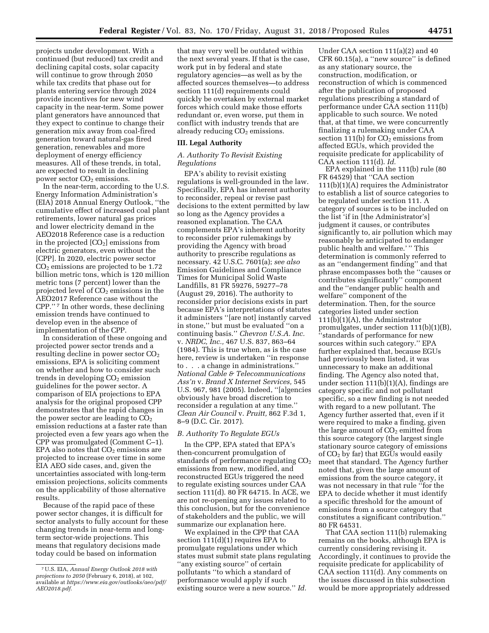projects under development. With a continued (but reduced) tax credit and declining capital costs, solar capacity will continue to grow through 2050 while tax credits that phase out for plants entering service through 2024 provide incentives for new wind capacity in the near-term. Some power plant generators have announced that they expect to continue to change their generation mix away from coal-fired generation toward natural-gas fired generation, renewables and more deployment of energy efficiency measures. All of these trends, in total, are expected to result in declining power sector CO<sub>2</sub> emissions.

In the near-term, according to the U.S. Energy Information Administration's (EIA) 2018 Annual Energy Outlook, ''the cumulative effect of increased coal plant retirements, lower natural gas prices and lower electricity demand in the AEO2018 Reference case is a reduction in the projected  $[CO<sub>2</sub>]$  emissions from electric generators, even without the [CPP]. In 2020, electric power sector  $CO<sub>2</sub>$  emissions are projected to be 1.72 billion metric tons, which is 120 million metric tons (7 percent) lower than the projected level of  $CO<sub>2</sub>$  emissions in the AEO2017 Reference case without the CPP.'' 7 In other words, these declining emission trends have continued to develop even in the absence of implementation of the CPP.

In consideration of these ongoing and projected power sector trends and a resulting decline in power sector  $CO<sub>2</sub>$ emissions, EPA is soliciting comment on whether and how to consider such trends in developing  $CO<sub>2</sub>$  emission guidelines for the power sector. A comparison of EIA projections to EPA analysis for the original proposed CPP demonstrates that the rapid changes in the power sector are leading to  $CO<sub>2</sub>$ emission reductions at a faster rate than projected even a few years ago when the CPP was promulgated (Comment C–1). EPA also notes that  $CO<sub>2</sub>$  emissions are projected to increase over time in some EIA AEO side cases, and, given the uncertainties associated with long-term emission projections, solicits comments on the applicability of those alternative results.

Because of the rapid pace of these power sector changes, it is difficult for sector analysts to fully account for these changing trends in near-term and longterm sector-wide projections. This means that regulatory decisions made today could be based on information

that may very well be outdated within the next several years. If that is the case, work put in by federal and state regulatory agencies—as well as by the affected sources themselves—to address section 111(d) requirements could quickly be overtaken by external market forces which could make those efforts redundant or, even worse, put them in conflict with industry trends that are already reducing  $CO<sub>2</sub>$  emissions.

### **III. Legal Authority**

### *A. Authority To Revisit Existing Regulations*

EPA's ability to revisit existing regulations is well-grounded in the law. Specifically, EPA has inherent authority to reconsider, repeal or revise past decisions to the extent permitted by law so long as the Agency provides a reasoned explanation. The CAA complements EPA's inherent authority to reconsider prior rulemakings by providing the Agency with broad authority to prescribe regulations as necessary. 42 U.S.C. 7601(a); *see also*  Emission Guidelines and Compliance Times for Municipal Solid Waste Landfills, 81 FR 59276, 59277–78 (August 29, 2016). The authority to reconsider prior decisions exists in part because EPA's interpretations of statutes it administers ''[are not] instantly carved in stone,'' but must be evaluated ''on a continuing basis.'' *Chevron U.S.A. Inc.*  v. *NRDC, Inc.,* 467 U.S. 837, 863–64 (1984). This is true when, as is the case here, review is undertaken ''in response to . . . a change in administrations.'' *National Cable & Telecommunications Ass'n* v. *Brand X Internet Services,* 545 U.S. 967, 981 (2005). Indeed, ''[a]gencies obviously have broad discretion to reconsider a regulation at any time.'' *Clean Air Council* v. *Pruitt,* 862 F.3d 1, 8–9 (D.C. Cir. 2017).

### *B. Authority To Regulate EGUs*

In the CPP, EPA stated that EPA's then-concurrent promulgation of standards of performance regulating  $CO<sub>2</sub>$ emissions from new, modified, and reconstructed EGUs triggered the need to regulate existing sources under CAA section 111(d). 80 FR 64715. In ACE, we are not re-opening any issues related to this conclusion, but for the convenience of stakeholders and the public, we will summarize our explanation here.

We explained in the CPP that CAA section 111(d)(1) requires EPA to promulgate regulations under which states must submit state plans regulating ''any existing source'' of certain pollutants ''to which a standard of performance would apply if such existing source were a new source.'' *Id.* 

Under CAA section 111(a)(2) and 40 CFR 60.15(a), a ''new source'' is defined as any stationary source, the construction, modification, or reconstruction of which is commenced after the publication of proposed regulations prescribing a standard of performance under CAA section 111(b) applicable to such source. We noted that, at that time, we were concurrently finalizing a rulemaking under CAA section 111(b) for  $CO<sub>2</sub>$  emissions from affected EGUs, which provided the requisite predicate for applicability of CAA section 111(d). *Id.* 

EPA explained in the 111(b) rule (80 FR 64529) that ''CAA section 111(b)(1)(A) requires the Administrator to establish a list of source categories to be regulated under section 111. A category of sources is to be included on the list 'if in [the Administrator's] judgment it causes, or contributes significantly to, air pollution which may reasonably be anticipated to endanger public health and welfare.' '' This determination is commonly referred to as an ''endangerment finding'' and that phrase encompasses both the ''causes or contributes significantly'' component and the ''endanger public health and welfare'' component of the determination. Then, for the source categories listed under section 111(b)(1)(A), the Administrator promulgates, under section 111(b)(1)(B), ''standards of performance for new sources within such category.'' EPA further explained that, because EGUs had previously been listed, it was unnecessary to make an additional finding. The Agency also noted that, under section  $111(b)(1)(A)$ , findings are category specific and not pollutant specific, so a new finding is not needed with regard to a new pollutant. The Agency further asserted that, even if it were required to make a finding, given the large amount of  $CO<sub>2</sub>$  emitted from this source category (the largest single stationary source category of emissions of  $CO<sub>2</sub>$  by far) that EGUs would easily meet that standard. The Agency further noted that, given the large amount of emissions from the source category, it was not necessary in that rule ''for the EPA to decide whether it must identify a specific threshold for the amount of emissions from a source category that constitutes a significant contribution.'' 80 FR 64531.

That CAA section 111(b) rulemaking remains on the books, although EPA is currently considering revising it. Accordingly, it continues to provide the requisite predicate for applicability of CAA section 111(d). Any comments on the issues discussed in this subsection would be more appropriately addressed

<sup>7</sup>U.S. EIA, *Annual Energy Outlook 2018 with projections to 2050* (February 6, 2018), at 102, available at *[https://www.eia.gov/outlooks/aeo/pdf/](https://www.eia.gov/outlooks/aeo/pdf/AEO2018.pdf) [AEO2018.pdf.](https://www.eia.gov/outlooks/aeo/pdf/AEO2018.pdf)*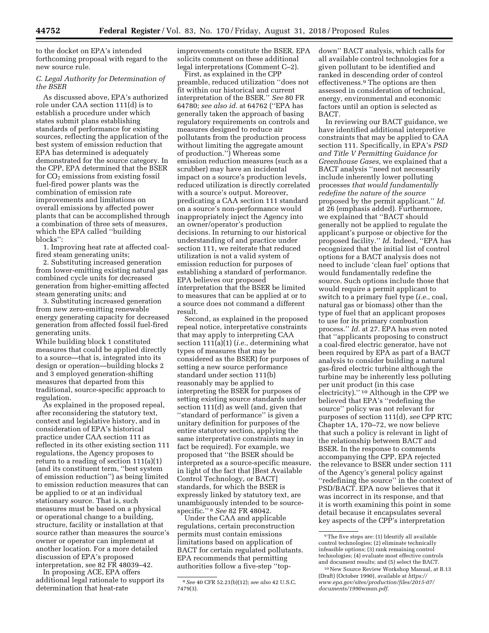to the docket on EPA's intended forthcoming proposal with regard to the new source rule.

### *C. Legal Authority for Determination of the BSER*

As discussed above, EPA's authorized role under CAA section 111(d) is to establish a procedure under which states submit plans establishing standards of performance for existing sources, reflecting the application of the best system of emission reduction that EPA has determined is adequately demonstrated for the source category. In the CPP, EPA determined that the BSER for  $CO<sub>2</sub>$  emissions from existing fossil fuel-fired power plants was the combination of emission rate improvements and limitations on overall emissions by affected power plants that can be accomplished through a combination of three sets of measures, which the EPA called ''building blocks'':

1. Improving heat rate at affected coalfired steam generating units;

2. Substituting increased generation from lower-emitting existing natural gas combined cycle units for decreased generation from higher-emitting affected steam generating units; and

3. Substituting increased generation from new zero-emitting renewable energy generating capacity for decreased generation from affected fossil fuel-fired generating units.

While building block 1 constituted measures that could be applied directly to a source—that is, integrated into its design or operation—building blocks 2 and 3 employed generation-shifting measures that departed from this traditional, source-specific approach to regulation.

As explained in the proposed repeal, after reconsidering the statutory text, context and legislative history, and in consideration of EPA's historical practice under CAA section 111 as reflected in its other existing section 111 regulations, the Agency proposes to return to a reading of section 111(a)(1) (and its constituent term, ''best system of emission reduction'') as being limited to emission reduction measures that can be applied to or at an individual stationary source. That is, such measures must be based on a physical or operational change to a building, structure, facility or installation at that source rather than measures the source's owner or operator can implement at another location. For a more detailed discussion of EPA's proposed interpretation, see 82 FR 48039–42.

In proposing ACE, EPA offers additional legal rationale to support its determination that heat-rate

improvements constitute the BSER. EPA solicits comment on these additional legal interpretations (Comment C–2).

First, as explained in the CPP preamble, reduced utilization ''does not fit within our historical and current interpretation of the BSER.'' *See* 80 FR 64780; *see also id.* at 64762 (''EPA has generally taken the approach of basing regulatory requirements on controls and measures designed to reduce air pollutants from the production process without limiting the aggregate amount of production.'') Whereas some emission reduction measures (such as a scrubber) may have an incidental impact on a source's production levels, reduced utilization is directly correlated with a source's output. Moreover, predicating a CAA section 111 standard on a source's non-performance would inappropriately inject the Agency into an owner/operator's production decisions. In returning to our historical understanding of and practice under section 111, we reiterate that reduced utilization is not a valid system of emission reduction for purposes of establishing a standard of performance. EPA believes our proposed interpretation that the BSER be limited to measures that can be applied at or to a source does not command a different result.

Second, as explained in the proposed repeal notice, interpretative constraints that may apply to interpreting CAA section 111(a)(1) (*i.e.,* determining what types of measures that may be considered as the BSER) for purposes of setting a new source performance standard under section 111(b) reasonably may be applied to interpreting the BSER for purposes of setting existing source standards under section 111(d) as well (and, given that ''standard of performance'' is given a unitary definition for purposes of the entire statutory section, applying the same interpretative constraints may in fact be required). For example, we proposed that ''the BSER should be interpreted as a source-specific measure, in light of the fact that [Best Available Control Technology, or BACT] standards, for which the BSER is expressly linked by statutory text, are unambiguously intended to be sourcespecific.'' 8 *See* 82 FR 48042.

Under the CAA and applicable regulations, certain preconstruction permits must contain emissions limitations based on application of BACT for certain regulated pollutants. EPA recommends that permitting authorities follow a five-step ''topdown'' BACT analysis, which calls for all available control technologies for a given pollutant to be identified and ranked in descending order of control effectiveness.9 The options are then assessed in consideration of technical, energy, environmental and economic factors until an option is selected as BACT.

In reviewing our BACT guidance, we have identified additional interpretive constraints that may be applied to CAA section 111. Specifically, in EPA's *PSD and Title V Permitting Guidance for Greenhouse Gases,* we explained that a BACT analysis ''need not necessarily include inherently lower polluting processes *that would fundamentally redefine the nature of the source*  proposed by the permit applicant.'' *Id.*  at 26 (emphasis added). Furthermore, we explained that ''BACT should generally not be applied to regulate the applicant's purpose or objective for the proposed facility.'' *Id.* Indeed, ''EPA has recognized that the initial list of control options for a BACT analysis does not need to include 'clean fuel' options that would fundamentally redefine the source. Such options include those that would require a permit applicant to switch to a primary fuel type (*i.e.,* coal, natural gas or biomass) other than the type of fuel that an applicant proposes to use for its primary combustion process.'' *Id.* at 27. EPA has even noted that ''applicants proposing to construct a coal-fired electric generator, have not been required by EPA as part of a BACT analysis to consider building a natural gas-fired electric turbine although the turbine may be inherently less polluting per unit product (in this case electricity).'' 10 Although in the CPP we believed that EPA's ''redefining the source'' policy was not relevant for purposes of section 111(d), *see* CPP RTC Chapter 1A, 170–72, we now believe that such a policy is relevant in light of the relationship between BACT and BSER. In the response to comments accompanying the CPP, EPA rejected the relevance to BSER under section 111 of the Agency's general policy against ''redefining the source'' in the context of PSD/BACT. EPA now believes that it was incorrect in its response, and that it is worth examining this point in some detail because it encapsulates several key aspects of the CPP's interpretation

<sup>8</sup>*See* 40 CFR 52.21(b)(12); *see also* 42 U.S.C. 7479(3).

 $^{\rm 9}\rm{The}$  five steps are: (1) Identify all available control technologies; (2) eliminate technically infeasible options; (3) rank remaining control technologies; (4) evaluate most effective controls and document results; and (5) select the BACT.

<sup>10</sup>New Source Review Workshop Manual, at B.13 (Draft) (October 1990), available at *[https://](https://www.epa.gov/sites/production/files/2015-07/documents/1990wman.pdf) [www.epa.gov/sites/production/files/2015-07/](https://www.epa.gov/sites/production/files/2015-07/documents/1990wman.pdf) [documents/1990wman.pdf.](https://www.epa.gov/sites/production/files/2015-07/documents/1990wman.pdf)*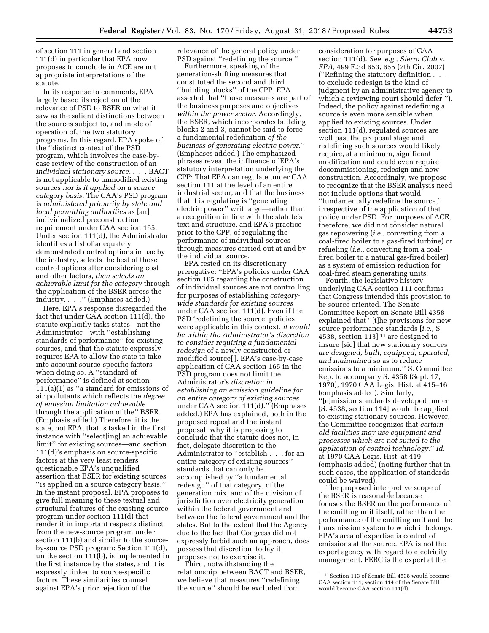of section 111 in general and section 111(d) in particular that EPA now proposes to conclude in ACE are not appropriate interpretations of the statute.

In its response to comments, EPA largely based its rejection of the relevance of PSD to BSER on what it saw as the salient distinctions between the sources subject to, and mode of operation of, the two statutory programs. In this regard, EPA spoke of the ''distinct context of the PSD program, which involves the case-bycase review of the construction of an *individual stationary source.* . . . BACT is not applicable to unmodified existing sources *nor is it applied on a source category basis.* The CAA's PSD program is *administered primarily by state and local permitting authorities* as [an] individualized preconstruction requirement under CAA section 165. Under section 111(d), the Administrator identifies a list of adequately demonstrated control options in use by the industry, selects the best of those control options after considering cost and other factors, *then selects an achievable limit for the category* through the application of the BSER across the industry. . . .'' (Emphases added.)

Here, EPA's response disregarded the fact that under CAA section 111(d), the statute explicitly tasks states—not the Administrator—with ''establishing standards of performance'' for existing sources, and that the statute expressly requires EPA to allow the state to take into account source-specific factors when doing so. A ''standard of performance'' is defined at section 111(a)(1) as ''a standard for emissions of air pollutants which reflects the *degree of emission limitation achievable*  through the application of the'' BSER. (Emphasis added.) Therefore, it is the state, not EPA, that is tasked in the first instance with ''select[ing] an achievable limit'' for existing sources—and section 111(d)'s emphasis on source-specific factors at the very least renders questionable EPA's unqualified assertion that BSER for existing sources ''is applied on a source category basis.'' In the instant proposal, EPA proposes to give full meaning to these textual and structural features of the existing-source program under section 111(d) that render it in important respects distinct from the new-source program under section 111(b) and similar to the sourceby-source PSD program: Section 111(d), unlike section 111(b), is implemented in the first instance by the states, and it is expressly linked to source-specific factors. These similarities counsel against EPA's prior rejection of the

relevance of the general policy under PSD against ''redefining the source.''

Furthermore, speaking of the generation-shifting measures that constituted the second and third ''building blocks'' of the CPP, EPA asserted that ''those measures are part of the business purposes and objectives *within the power sector.* Accordingly, the BSER, which incorporates building blocks 2 and 3, cannot be said to force a fundamental redefinition *of the business of generating electric power.*'' (Emphases added.) The emphasized phrases reveal the influence of EPA's statutory interpretation underlying the CPP: That EPA can regulate under CAA section 111 at the level of an entire industrial sector, and that the business that it is regulating is ''generating electric power'' writ large—rather than a recognition in line with the statute's text and structure, and EPA's practice prior to the CPP, of regulating the performance of individual sources through measures carried out at and by the individual source.

EPA rested on its discretionary prerogative: ''EPA's policies under CAA section 165 regarding the construction of individual sources are not controlling for purposes of establishing *categorywide standards for existing sources*  under CAA section 111(d). Even if the PSD 'redefining the source' policies were applicable in this context, *it would be within the Administrator's discretion to consider requiring a fundamental redesign* of a newly constructed or modified source[ ]. EPA's case-by-case application of CAA section 165 in the PSD program does not limit the Administrator's *discretion in establishing an emission guideline for an entire category of existing sources*  under CAA section 111(d).'' (Emphases added.) EPA has explained, both in the proposed repeal and the instant proposal, why it is proposing to conclude that the statute does not, in fact, delegate discretion to the Administrator to ''establish . . . for an entire category of existing sources'' standards that can only be accomplished by ''a fundamental redesign'' of that category, of the generation mix, and of the division of jurisdiction over electricity generation within the federal government and between the federal government and the states. But to the extent that the Agency, due to the fact that Congress did not expressly forbid such an approach, does possess that discretion, today it proposes not to exercise it.

Third, notwithstanding the relationship between BACT and BSER, we believe that measures ''redefining the source'' should be excluded from

consideration for purposes of CAA section 111(d). *See, e.g., Sierra Club* v. *EPA,* 499 F.3d 653, 655 (7th Cir. 2007) (''Refining the statutory definition . . . to exclude redesign is the kind of judgment by an administrative agency to which a reviewing court should defer.''). Indeed, the policy against redefining a source is even more sensible when applied to existing sources. Under section 111(d), regulated sources are well past the proposal stage and redefining such sources would likely require, at a minimum, significant modification and could even require decommissioning, redesign and new construction. Accordingly, we propose to recognize that the BSER analysis need not include options that would ''fundamentally redefine the source,'' irrespective of the application of that policy under PSD. For purposes of ACE, therefore, we did not consider natural gas repowering (*i.e.,* converting from a coal-fired boiler to a gas-fired turbine) or refueling (*i.e.,* converting from a coalfired boiler to a natural gas-fired boiler) as a system of emission reduction for coal-fired steam generating units.

Fourth, the legislative history underlying CAA section 111 confirms that Congress intended this provision to be source oriented. The Senate Committee Report on Senate Bill 4358 explained that ''[t]he provisions for new source performance standards [*i.e.,* S. 4538, section 113]  $11$  are designed to insure [sic] that new stationary sources *are designed, built, equipped, operated, and maintained* so as to reduce emissions to a minimum.'' S. Committee Rep. to accompany S. 4358 (Sept. 17, 1970), 1970 CAA Legis. Hist. at 415–16 (emphasis added). Similarly, ''[e]mission standards developed under [S. 4538, section 114] would be applied to existing stationary sources. However, the Committee recognizes that *certain old facilities may use equipment and processes which are not suited to the application of control technology.*'' *Id.*  at 1970 CAA Legis. Hist. at 419 (emphasis added) (noting further that in such cases, the application of standards could be waived).

The proposed interpretive scope of the BSER is reasonable because it focuses the BSER on the performance of the emitting unit itself, rather than the performance of the emitting unit and the transmission system to which it belongs. EPA's area of expertise is control of emissions at the source. EPA is not the expert agency with regard to electricity management. FERC is the expert at the

<sup>11</sup>Section 113 of Senate Bill 4538 would become CAA section 111; section 114 of the Senate Bill would become CAA section 111(d).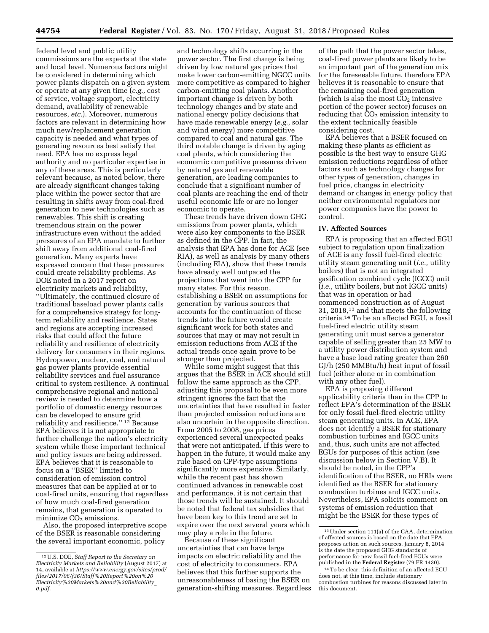federal level and public utility commissions are the experts at the state and local level. Numerous factors might be considered in determining which power plants dispatch on a given system or operate at any given time (*e.g.,* cost of service, voltage support, electricity demand, availability of renewable resources, *etc.*). Moreover, numerous factors are relevant in determining how much new/replacement generation capacity is needed and what types of generating resources best satisfy that need. EPA has no express legal authority and no particular expertise in any of these areas. This is particularly relevant because, as noted below, there are already significant changes taking place within the power sector that are resulting in shifts away from coal-fired generation to new technologies such as renewables. This shift is creating tremendous strain on the power infrastructure even without the added pressures of an EPA mandate to further shift away from additional coal-fired generation. Many experts have expressed concern that these pressures could create reliability problems. As DOE noted in a 2017 report on electricity markets and reliability, ''Ultimately, the continued closure of traditional baseload power plants calls for a comprehensive strategy for longterm reliability and resilience. States and regions are accepting increased risks that could affect the future reliability and resilience of electricity delivery for consumers in their regions. Hydropower, nuclear, coal, and natural gas power plants provide essential reliability services and fuel assurance critical to system resilience. A continual comprehensive regional and national review is needed to determine how a portfolio of domestic energy resources can be developed to ensure grid reliability and resilience.'' 12 Because EPA believes it is not appropriate to further challenge the nation's electricity system while these important technical and policy issues are being addressed. EPA believes that it is reasonable to focus on a ''BSER'' limited to consideration of emission control measures that can be applied at or to coal-fired units, ensuring that regardless of how much coal-fired generation remains, that generation is operated to minimize  $CO<sub>2</sub>$  emissions.

Also, the proposed interpretive scope of the BSER is reasonable considering the several important economic, policy

and technology shifts occurring in the power sector. The first change is being driven by low natural gas prices that make lower carbon-emitting NGCC units more competitive as compared to higher carbon-emitting coal plants. Another important change is driven by both technology changes and by state and national energy policy decisions that have made renewable energy (*e.g.,* solar and wind energy) more competitive compared to coal and natural gas. The third notable change is driven by aging coal plants, which considering the economic competitive pressures driven by natural gas and renewable generation, are leading companies to conclude that a significant number of coal plants are reaching the end of their useful economic life or are no longer economic to operate.

These trends have driven down GHG emissions from power plants, which were also key components to the BSER as defined in the CPP. In fact, the analysis that EPA has done for ACE (see RIA), as well as analysis by many others (including EIA), show that these trends have already well outpaced the projections that went into the CPP for many states. For this reason, establishing a BSER on assumptions for generation by various sources that accounts for the continuation of these trends into the future would create significant work for both states and sources that may or may not result in emission reductions from ACE if the actual trends once again prove to be stronger than projected.

While some might suggest that this argues that the BSER in ACE should still follow the same approach as the CPP, adjusting this proposal to be even more stringent ignores the fact that the uncertainties that have resulted in faster than projected emission reductions are also uncertain in the opposite direction. From 2005 to 2008, gas prices experienced several unexpected peaks that were not anticipated. If this were to happen in the future, it would make any rule based on CPP-type assumptions significantly more expensive. Similarly, while the recent past has shown continued advances in renewable cost and performance, it is not certain that those trends will be sustained. It should be noted that federal tax subsidies that have been key to this trend are set to expire over the next several years which may play a role in the future.

Because of these significant uncertainties that can have large impacts on electric reliability and the cost of electricity to consumers, EPA believes that this further supports the unreasonableness of basing the BSER on generation-shifting measures. Regardless

of the path that the power sector takes, coal-fired power plants are likely to be an important part of the generation mix for the foreseeable future, therefore EPA believes it is reasonable to ensure that the remaining coal-fired generation (which is also the most  $CO<sub>2</sub>$  intensive portion of the power sector) focuses on reducing that  $CO<sub>2</sub>$  emission intensity to the extent technically feasible considering cost.

EPA believes that a BSER focused on making these plants as efficient as possible is the best way to ensure GHG emission reductions regardless of other factors such as technology changes for other types of generation, changes in fuel price, changes in electricity demand or changes in energy policy that neither environmental regulators nor power companies have the power to control.

### **IV. Affected Sources**

EPA is proposing that an affected EGU subject to regulation upon finalization of ACE is any fossil fuel-fired electric utility steam generating unit (*i.e.,* utility boilers) that is not an integrated gasification combined cycle (IGCC) unit (*i.e.,* utility boilers, but not IGCC units) that was in operation or had commenced construction as of August 31, 2018,13 and that meets the following criteria.14 To be an affected EGU, a fossil fuel-fired electric utility steam generating unit must serve a generator capable of selling greater than 25 MW to a utility power distribution system and have a base load rating greater than 260 GJ/h (250 MMBtu/h) heat input of fossil fuel (either alone or in combination with any other fuel).

EPA is proposing different applicability criteria than in the CPP to reflect EPA's determination of the BSER for only fossil fuel-fired electric utility steam generating units. In ACE, EPA does not identify a BSER for stationary combustion turbines and IGCC units and, thus, such units are not affected EGUs for purposes of this action (see discussion below in Section V.B). It should be noted, in the CPP's identification of the BSER, no HRIs were identified as the BSER for stationary combustion turbines and IGCC units. Nevertheless, EPA solicits comment on systems of emission reduction that might be the BSER for these types of

<sup>12</sup>U.S. DOE, *Staff Report to the Secretary on Electricity Markets and Reliability* (August 2017) at 14, available at *[https://www.energy.gov/sites/prod/](https://www.energy.gov/sites/prod/files/2017/08/f36/Staff%20Report%20on%20Electricity%20Markets%20and%20Reliability_0.pdf) [files/2017/08/f36/Staff%20Report%20on%20](https://www.energy.gov/sites/prod/files/2017/08/f36/Staff%20Report%20on%20Electricity%20Markets%20and%20Reliability_0.pdf) [Electricity%20Markets%20and%20Reliability](https://www.energy.gov/sites/prod/files/2017/08/f36/Staff%20Report%20on%20Electricity%20Markets%20and%20Reliability_0.pdf)*\_ *[0.pdf.](https://www.energy.gov/sites/prod/files/2017/08/f36/Staff%20Report%20on%20Electricity%20Markets%20and%20Reliability_0.pdf)* 

<sup>13</sup>Under section 111(a) of the CAA, determination of affected sources is based on the date that EPA proposes action on such sources. January 8, 2014 is the date the proposed GHG standards of performance for new fossil fuel-fired EGUs were<br>published in the **Federal Register** (79 FR 1430).

<sup>&</sup>lt;sup>14</sup> To be clear, this definition of an affected EGU does not, at this time, include stationary combustion turbines for reasons discussed later in this document.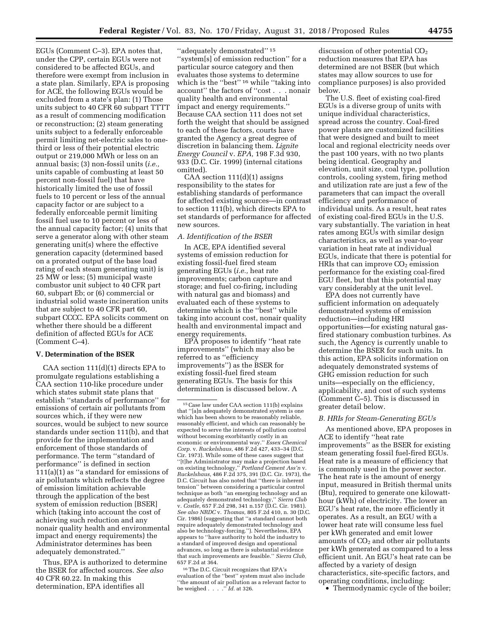EGUs (Comment C–3). EPA notes that, under the CPP, certain EGUs were not considered to be affected EGUs, and therefore were exempt from inclusion in a state plan. Similarly, EPA is proposing for ACE, the following EGUs would be excluded from a state's plan: (1) Those units subject to 40 CFR 60 subpart TTTT as a result of commencing modification or reconstruction; (2) steam generating units subject to a federally enforceable permit limiting net-electric sales to onethird or less of their potential electric output or 219,000 MWh or less on an annual basis; (3) non-fossil units (*i.e.,*  units capable of combusting at least 50 percent non-fossil fuel) that have historically limited the use of fossil fuels to 10 percent or less of the annual capacity factor or are subject to a federally enforceable permit limiting fossil fuel use to 10 percent or less of the annual capacity factor; (4) units that serve a generator along with other steam generating unit(s) where the effective generation capacity (determined based on a prorated output of the base load rating of each steam generating unit) is 25 MW or less; (5) municipal waste combustor unit subject to 40 CFR part 60, subpart Eb; or (6) commercial or industrial solid waste incineration units that are subject to 40 CFR part 60, subpart CCCC. EPA solicits comment on whether there should be a different definition of affected EGUs for ACE (Comment C–4).

### **V. Determination of the BSER**

CAA section 111(d)(1) directs EPA to promulgate regulations establishing a CAA section 110-like procedure under which states submit state plans that establish ''standards of performance'' for emissions of certain air pollutants from sources which, if they were new sources, would be subject to new source standards under section 111(b), and that provide for the implementation and enforcement of those standards of performance. The term ''standard of performance'' is defined in section 111(a)(1) as ''a standard for emissions of air pollutants which reflects the degree of emission limitation achievable through the application of the best system of emission reduction [BSER] which (taking into account the cost of achieving such reduction and any nonair quality health and environmental impact and energy requirements) the Administrator determines has been adequately demonstrated.''

Thus, EPA is authorized to determine the BSER for affected sources. *See also*  40 CFR 60.22. In making this determination, EPA identifies all

''adequately demonstrated'' 15 ''system[s] of emission reduction'' for a particular source category and then evaluates those systems to determine which is the "best"<sup>16</sup> while "taking into account'' the factors of ''cost . . . nonair quality health and environmental impact and energy requirements.'' Because CAA section 111 does not set forth the weight that should be assigned to each of these factors, courts have granted the Agency a great degree of discretion in balancing them. *Lignite Energy Council* v. *EPA,* 198 F.3d 930, 933 (D.C. Cir. 1999) (internal citations omitted).

CAA section  $111(d)(1)$  assigns responsibility to the states for establishing standards of performance for affected existing sources—in contrast to section 111(b), which directs EPA to set standards of performance for affected new sources.

### *A. Identification of the BSER*

In ACE, EPA identified several systems of emission reduction for existing fossil-fuel fired steam generating EGUs (*i.e.,* heat rate improvements; carbon capture and storage; and fuel co-firing, including with natural gas and biomass) and evaluated each of these systems to determine which is the ''best'' while taking into account cost, nonair quality health and environmental impact and energy requirements.

EPA proposes to identify ''heat rate improvements'' (which may also be referred to as ''efficiency improvements'') as the BSER for existing fossil-fuel fired steam generating EGUs. The basis for this determination is discussed below. A

16The D.C. Circuit recognizes that EPA's evaluation of the ''best'' system must also include ''the amount of air pollution as a relevant factor to be weighed . . . .'' *Id.* at 326.

discussion of other potential CO<sub>2</sub> reduction measures that EPA has determined are not BSER (but which states may allow sources to use for compliance purposes) is also provided below.

The U.S. fleet of existing coal-fired EGUs is a diverse group of units with unique individual characteristics, spread across the country. Coal-fired power plants are customized facilities that were designed and built to meet local and regional electricity needs over the past 100 years, with no two plants being identical. Geography and elevation, unit size, coal type, pollution controls, cooling system, firing method and utilization rate are just a few of the parameters that can impact the overall efficiency and performance of individual units. As a result, heat rates of existing coal-fired EGUs in the U.S. vary substantially. The variation in heat rates among EGUs with similar design characteristics, as well as year-to-year variation in heat rate at individual EGUs, indicate that there is potential for HRIs that can improve  $CO<sub>2</sub>$  emission performance for the existing coal-fired EGU fleet, but that this potential may vary considerably at the unit level.

EPA does not currently have sufficient information on adequately demonstrated systems of emission reduction—including HRI opportunities—for existing natural gasfired stationary combustion turbines. As such, the Agency is currently unable to determine the BSER for such units. In this action, EPA solicits information on adequately demonstrated systems of GHG emission reduction for such units—especially on the efficiency, applicability, and cost of such systems (Comment C–5). This is discussed in greater detail below.

### *B. HRIs for Steam-Generating EGUs*

As mentioned above, EPA proposes in ACE to identify ''heat rate improvements'' as the BSER for existing steam generating fossil fuel-fired EGUs. Heat rate is a measure of efficiency that is commonly used in the power sector. The heat rate is the amount of energy input, measured in British thermal units (Btu), required to generate one kilowatthour (kWh) of electricity. The lower an EGU's heat rate, the more efficiently it operates. As a result, an EGU with a lower heat rate will consume less fuel per kWh generated and emit lower amounts of  $CO<sub>2</sub>$  and other air pollutants per kWh generated as compared to a less efficient unit. An EGU's heat rate can be affected by a variety of design characteristics, site-specific factors, and operating conditions, including:

• Thermodynamic cycle of the boiler;

<sup>15</sup>Case law under CAA section 111(b) explains that ''[a]n adequately demonstrated system is one which has been shown to be reasonably reliable, reasonably efficient, and which can reasonably be expected to serve the interests of pollution control without becoming exorbitantly costly in an economic or environmental way.'' *Essex Chemical Corp.* v. *Ruckelshaus,* 486 F.2d 427, 433–34 (D.C. Cir. 1973). While some of these cases suggest that ''[t]he Administrator may make a projection based on existing technology,'' *Portland Cement Ass'n* v. *Ruckelshaus,* 486 F.2d 375, 391 (D.C. Cir. 1973), the D.C. Circuit has also noted that ''there is inherent tension'' between considering a particular control technique as both ''an emerging technology and an adequately demonstrated technology,'' *Sierra Club*  v. *Costle,* 657 F.2d 298, 341 n.157 (D.C. Cir. 1981). *See also NRDC* v. *Thomas,* 805 F.2d 410, n. 30 (D.C. Cir. 1986) (suggesting that ''a standard cannot both require adequately demonstrated technology and also be technology-forcing.''). Nevertheless, EPA appears to ''have authority to hold the industry to a standard of improved design and operational advances, so long as there is substantial evidence that such improvements are feasible.'' *Sierra Club,*  657 F.2d at 364.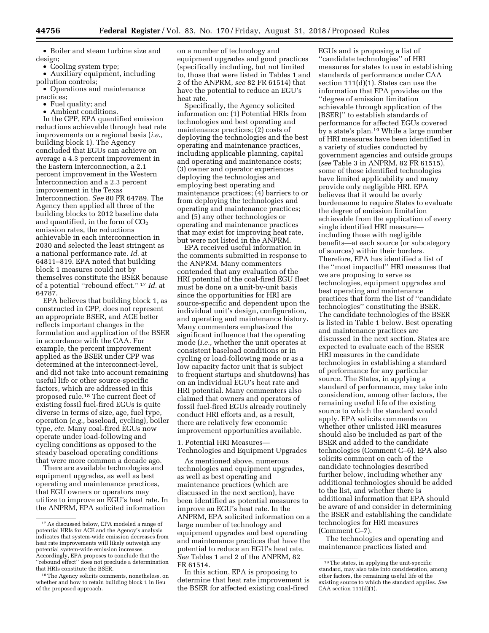• Boiler and steam turbine size and design;

• Cooling system type;

• Auxiliary equipment, including pollution controls;

• Operations and maintenance practices;

- Fuel quality; and
- Ambient conditions.

In the CPP, EPA quantified emission reductions achievable through heat rate improvements on a regional basis (*i.e.,*  building block 1). The Agency concluded that EGUs can achieve on average a 4.3 percent improvement in the Eastern Interconnection, a 2.1 percent improvement in the Western Interconnection and a 2.3 percent improvement in the Texas Interconnection. *See* 80 FR 64789. The Agency then applied all three of the building blocks to 2012 baseline data and quantified, in the form of  $CO<sub>2</sub>$ emission rates, the reductions achievable in each interconnection in 2030 and selected the least stringent as a national performance rate. *Id.* at 64811–819. EPA noted that building block 1 measures could not by themselves constitute the BSER because of a potential ''rebound effect.'' 17 *Id.* at 64787.

EPA believes that building block 1, as constructed in CPP, does not represent an appropriate BSER, and ACE better reflects important changes in the formulation and application of the BSER in accordance with the CAA. For example, the percent improvement applied as the BSER under CPP was determined at the interconnect-level, and did not take into account remaining useful life or other source-specific factors, which are addressed in this proposed rule.18 The current fleet of existing fossil fuel-fired EGUs is quite diverse in terms of size, age, fuel type, operation (*e.g.,* baseload, cycling), boiler type, *etc.* Many coal-fired EGUs now operate under load-following and cycling conditions as opposed to the steady baseload operating conditions that were more common a decade ago.

There are available technologies and equipment upgrades, as well as best operating and maintenance practices, that EGU owners or operators may utilize to improve an EGU's heat rate. In the ANPRM, EPA solicited information

on a number of technology and equipment upgrades and good practices (specifically including, but not limited to, those that were listed in Tables 1 and 2 of the ANPRM, *see* 82 FR 61514) that have the potential to reduce an EGU's heat rate.

Specifically, the Agency solicited information on: (1) Potential HRIs from technologies and best operating and maintenance practices; (2) costs of deploying the technologies and the best operating and maintenance practices, including applicable planning, capital and operating and maintenance costs; (3) owner and operator experiences deploying the technologies and employing best operating and maintenance practices; (4) barriers to or from deploying the technologies and operating and maintenance practices; and (5) any other technologies or operating and maintenance practices that may exist for improving heat rate, but were not listed in the ANPRM.

EPA received useful information in the comments submitted in response to the ANPRM. Many commenters contended that any evaluation of the HRI potential of the coal-fired EGU fleet must be done on a unit-by-unit basis since the opportunities for HRI are source-specific and dependent upon the individual unit's design, configuration, and operating and maintenance history. Many commenters emphasized the significant influence that the operating mode (*i.e.,* whether the unit operates at consistent baseload conditions or in cycling or load-following mode or as a low capacity factor unit that is subject to frequent startups and shutdowns) has on an individual EGU's heat rate and HRI potential. Many commenters also claimed that owners and operators of fossil fuel-fired EGUs already routinely conduct HRI efforts and, as a result, there are relatively few economic improvement opportunities available.

1. Potential HRI Measures— Technologies and Equipment Upgrades

As mentioned above, numerous technologies and equipment upgrades, as well as best operating and maintenance practices (which are discussed in the next section), have been identified as potential measures to improve an EGU's heat rate. In the ANPRM, EPA solicited information on a large number of technology and equipment upgrades and best operating and maintenance practices that have the potential to reduce an EGU's heat rate. *See* Tables 1 and 2 of the ANPRM, 82 FR 61514.

In this action, EPA is proposing to determine that heat rate improvement is the BSER for affected existing coal-fired

EGUs and is proposing a list of ''candidate technologies'' of HRI measures for states to use in establishing standards of performance under CAA section 111(d)(1). States can use the information that EPA provides on the ''degree of emission limitation achievable through application of the [BSER]'' to establish standards of performance for affected EGUs covered by a state's plan.19 While a large number of HRI measures have been identified in a variety of studies conducted by government agencies and outside groups (*see* Table 3 in ANPRM, 82 FR 61515), some of those identified technologies have limited applicability and many provide only negligible HRI. EPA believes that it would be overly burdensome to require States to evaluate the degree of emission limitation achievable from the application of every single identified HRI measure including those with negligible benefits—at each source (or subcategory of sources) within their borders. Therefore, EPA has identified a list of the ''most impactful'' HRI measures that we are proposing to serve as technologies, equipment upgrades and best operating and maintenance practices that form the list of ''candidate technologies'' constituting the BSER. The candidate technologies of the BSER is listed in Table 1 below. Best operating and maintenance practices are discussed in the next section. States are expected to evaluate each of the BSER HRI measures in the candidate technologies in establishing a standard of performance for any particular source. The States, in applying a standard of performance, may take into consideration, among other factors, the remaining useful life of the existing source to which the standard would apply. EPA solicits comments on whether other unlisted HRI measures should also be included as part of the BSER and added to the candidate technologies (Comment C–6). EPA also solicits comment on each of the candidate technologies described further below, including whether any additional technologies should be added to the list, and whether there is additional information that EPA should be aware of and consider in determining the BSER and establishing the candidate technologies for HRI measures (Comment C–7).

The technologies and operating and maintenance practices listed and

<sup>17</sup>As discussed below, EPA modeled a range of potential HRIs for ACE and the Agency's analysis indicates that system-wide emission decreases from heat rate improvements will likely outweigh any potential system-wide emission increases. Accordingly, EPA proposes to conclude that the ''rebound effect'' does not preclude a determination that HRIs constitute the BSER.

<sup>&</sup>lt;sup>18</sup>The Agency solicits comments, nonetheless, on whether and how to retain building block 1 in lieu of the proposed approach.

<sup>19</sup>The states, in applying the unit-specific standard, may also take into consideration, among other factors, the remaining useful life of the existing source to which the standard applies. *See*  CAA section 111(d)(1).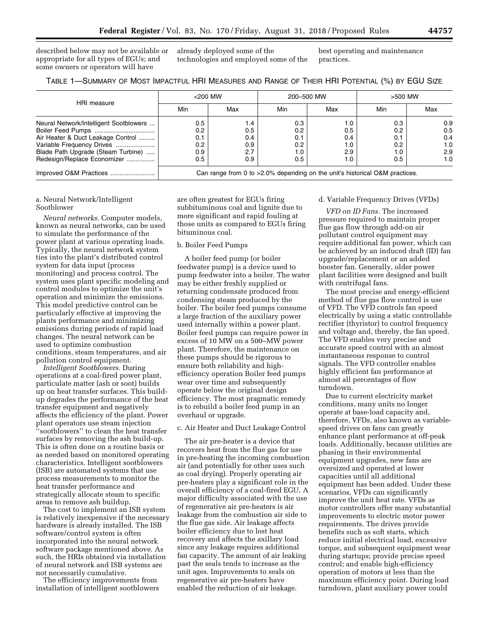described below may not be available or appropriate for all types of EGUs; and some owners or operators will have

already deployed some of the technologies and employed some of the best operating and maintenance practices.

| TABLE 1—SUMMARY OF MOST IMPACTFUL HRI MEASURES AND RANGE OF THEIR HRI POTENTIAL (%) BY EGU SIZE |  |  |  |
|-------------------------------------------------------------------------------------------------|--|--|--|
|-------------------------------------------------------------------------------------------------|--|--|--|

|                                        | $<$ 200 MW |     | 200-500 MW |     | >500 MW                                                                     |     |  |
|----------------------------------------|------------|-----|------------|-----|-----------------------------------------------------------------------------|-----|--|
| HRI measure                            | Min        | Max | Min        | Max | Min                                                                         | Max |  |
| Neural Network/Intelligent Sootblowers | 0.5        | 1.4 | 0.3        | 1.0 | 0.3                                                                         | 0.9 |  |
|                                        | 0.2        | 0.5 | 0.2        | 0.5 | 0.2                                                                         | 0.5 |  |
| Air Heater & Duct Leakage Control      | 0.1        | 0.4 | 0.7        | 0.4 | 0.1                                                                         | 0.4 |  |
| Variable Frequency Drives              | 0.2        | 0.9 | 0.2        | 1.0 | 0.2                                                                         | 1.0 |  |
| Blade Path Upgrade (Steam Turbine)     | 0.9        | 2.7 | l.O        | 2.9 | 1.0                                                                         | 2.9 |  |
| Redesign/Replace Economizer            | 0.5        | 0.9 | 0.5        | 1.0 | 0.5                                                                         | 1.0 |  |
|                                        |            |     |            |     | Can range from 0 to >2.0% depending on the unit's historical O&M practices. |     |  |

#### a. Neural Network/Intelligent Sootblower

*Neural networks.* Computer models, known as neural networks, can be used to simulate the performance of the power plant at various operating loads. Typically, the neural network system ties into the plant's distributed control system for data input (process monitoring) and process control. The system uses plant specific modeling and control modules to optimize the unit's operation and minimize the emissions. This model predictive control can be particularly effective at improving the plants performance and minimizing emissions during periods of rapid load changes. The neural network can be used to optimize combustion conditions, steam temperatures, and air pollution control equipment.

*Intelligent Sootblowers.* During operations at a coal-fired power plant, particulate matter (ash or soot) builds up on heat transfer surfaces. This buildup degrades the performance of the heat transfer equipment and negatively affects the efficiency of the plant. Power plant operators use steam injection 'sootblowers'' to clean the heat transfer surfaces by removing the ash build-up. This is often done on a routine basis or as needed based on monitored operating characteristics. Intelligent sootblowers (ISB) are automated systems that use process measurements to monitor the heat transfer performance and strategically allocate steam to specific areas to remove ash buildup.

The cost to implement an ISB system is relatively inexpensive if the necessary hardware is already installed. The ISB software/control system is often incorporated into the neural network software package mentioned above. As such, the HRIs obtained via installation of neural network and ISB systems are not necessarily cumulative.

The efficiency improvements from installation of intelligent sootblowers

are often greatest for EGUs firing subbituminous coal and lignite due to more significant and rapid fouling at those units as compared to EGUs firing bituminous coal.

### b. Boiler Feed Pumps

A boiler feed pump (or boiler feedwater pump) is a device used to pump feedwater into a boiler. The water may be either freshly supplied or returning condensate produced from condensing steam produced by the boiler. The boiler feed pumps consume a large fraction of the auxiliary power used internally within a power plant. Boiler feed pumps can require power in excess of 10 MW on a 500–MW power plant. Therefore, the maintenance on these pumps should be rigorous to ensure both reliability and highefficiency operation Boiler feed pumps wear over time and subsequently operate below the original design efficiency. The most pragmatic remedy is to rebuild a boiler feed pump in an overhaul or upgrade.

#### c. Air Heater and Duct Leakage Control

The air pre-heater is a device that recovers heat from the flue gas for use in pre-heating the incoming combustion air (and potentially for other uses such as coal drying). Properly operating air pre-heaters play a significant role in the overall efficiency of a coal-fired EGU. A major difficulty associated with the use of regenerative air pre-heaters is air leakage from the combustion air side to the flue gas side. Air leakage affects boiler efficiency due to lost heat recovery and affects the axillary load since any leakage requires additional fan capacity. The amount of air leaking past the seals tends to increase as the unit ages. Improvements to seals on regenerative air pre-heaters have enabled the reduction of air leakage.

#### d. Variable Frequency Drives (VFDs)

*VFD on ID Fans.* The increased pressure required to maintain proper flue gas flow through add-on air pollutant control equipment may require additional fan power, which can be achieved by an induced draft (ID) fan upgrade/replacement or an added booster fan. Generally, older power plant facilities were designed and built with centrifugal fans.

The most precise and energy-efficient method of flue gas flow control is use of VFD. The VFD controls fan speed electrically by using a static controllable rectifier (thyristor) to control frequency and voltage and, thereby, the fan speed. The VFD enables very precise and accurate speed control with an almost instantaneous response to control signals. The VFD controller enables highly efficient fan performance at almost all percentages of flow turndown.

Due to current electricity market conditions, many units no longer operate at base-load capacity and, therefore, VFDs, also known as variablespeed drives on fans can greatly enhance plant performance at off-peak loads. Additionally, because utilities are phasing in their environmental equipment upgrades, new fans are oversized and operated at lower capacities until all additional equipment has been added. Under these scenarios, VFDs can significantly improve the unit heat rate. VFDs as motor controllers offer many substantial improvements to electric motor power requirements. The drives provide benefits such as soft starts, which reduce initial electrical load, excessive torque, and subsequent equipment wear during startups; provide precise speed control; and enable high-efficiency operation of motors at less than the maximum efficiency point. During load turndown, plant auxiliary power could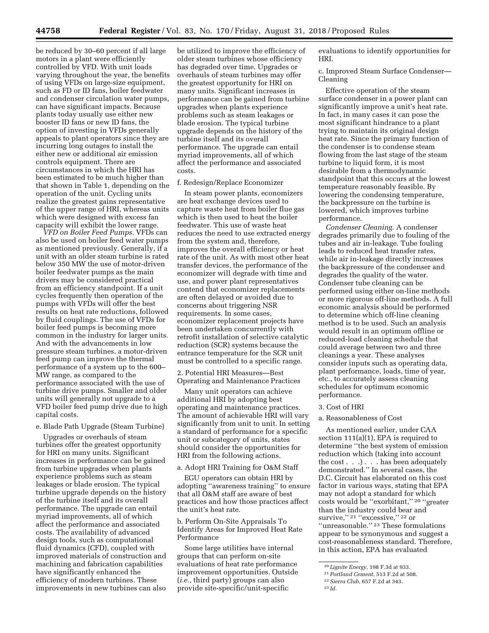be reduced by 30–60 percent if all large motors in a plant were efficiently controlled by VFD. With unit loads varying throughout the year, the benefits of using VFDs on large-size equipment, such as FD or ID fans, boiler feedwater and condenser circulation water pumps, can have significant impacts. Because plants today usually use either new booster ID fans or new ID fans, the option of investing in VFDs generally appeals to plant operators since they are incurring long outages to install the either new or additional air emission controls equipment. There are circumstances in which the HRI has been estimated to be much higher than that shown in Table 1, depending on the operation of the unit. Cycling units realize the greatest gains representative of the upper range of HRI, whereas units which were designed with excess fan capacity will exhibit the lower range.

*VFD on Boiler Feed Pumps.* VFDs can also be used on boiler feed water pumps as mentioned previously. Generally, if a unit with an older steam turbine is rated below 350 MW the use of motor-driven boiler feedwater pumps as the main drivers may be considered practical from an efficiency standpoint. If a unit cycles frequently then operation of the pumps with VFDs will offer the best results on heat rate reductions, followed by fluid couplings. The use of VFDs for boiler feed pumps is becoming more common in the industry for larger units. And with the advancements in low pressure steam turbines, a motor-driven feed pump can improve the thermal performance of a system up to the 600– MW range, as compared to the performance associated with the use of turbine drive pumps. Smaller and older units will generally not upgrade to a VFD boiler feed pump drive due to high capital costs.

#### e. Blade Path Upgrade (Steam Turbine)

Upgrades or overhauls of steam turbines offer the greatest opportunity for HRI on many units. Significant increases in performance can be gained from turbine upgrades when plants experience problems such as steam leakages or blade erosion. The typical turbine upgrade depends on the history of the turbine itself and its overall performance. The upgrade can entail myriad improvements, all of which affect the performance and associated costs. The availability of advanced design tools, such as computational fluid dynamics (CFD), coupled with improved materials of construction and machining and fabrication capabilities have significantly enhanced the efficiency of modern turbines. These improvements in new turbines can also

be utilized to improve the efficiency of older steam turbines whose efficiency has degraded over time. Upgrades or overhauls of steam turbines may offer the greatest opportunity for HRI on many units. Significant increases in performance can be gained from turbine upgrades when plants experience problems such as steam leakages or blade erosion. The typical turbine upgrade depends on the history of the turbine itself and its overall performance. The upgrade can entail myriad improvements, all of which affect the performance and associated costs.

### f. Redesign/Replace Economizer

In steam power plants, economizers are heat exchange devices used to capture waste heat from boiler flue gas which is then used to heat the boiler feedwater. This use of waste heat reduces the need to use extracted energy from the system and, therefore, improves the overall efficiency or heat rate of the unit. As with most other heat transfer devices, the performance of the economizer will degrade with time and use, and power plant representatives contend that economizer replacements are often delayed or avoided due to concerns about triggering NSR requirements. In some cases, economizer replacement projects have been undertaken concurrently with retrofit installation of selective catalytic reduction (SCR) systems because the entrance temperature for the SCR unit must be controlled to a specific range.

2. Potential HRI Measures—Best Operating and Maintenance Practices

Many unit operators can achieve additional HRI by adopting best operating and maintenance practices. The amount of achievable HRI will vary significantly from unit to unit. In setting a standard of performance for a specific unit or subcategory of units, states should consider the opportunities for HRI from the following actions.

#### a. Adopt HRI Training for O&M Staff

EGU operators can obtain HRI by adopting ''awareness training'' to ensure that all O&M staff are aware of best practices and how those practices affect the unit's heat rate.

b. Perform On-Site Appraisals To Identify Areas for Improved Heat Rate Performance

Some large utilities have internal groups that can perform on-site evaluations of heat rate performance improvement opportunities. Outside (*i.e.,* third party) groups can also provide site-specific/unit-specific

evaluations to identify opportunities for HRI.

c. Improved Steam Surface Condenser— Cleaning

Effective operation of the steam surface condenser in a power plant can significantly improve a unit's heat rate. In fact, in many cases it can pose the most significant hindrance to a plant trying to maintain its original design heat rate. Since the primary function of the condenser is to condense steam flowing from the last stage of the steam turbine to liquid form, it is most desirable from a thermodynamic standpoint that this occurs at the lowest temperature reasonably feasible. By lowering the condensing temperature, the backpressure on the turbine is lowered, which improves turbine performance.

*Condenser Cleaning.* A condenser degrades primarily due to fouling of the tubes and air in-leakage. Tube fouling leads to reduced heat transfer rates, while air in-leakage directly increases the backpressure of the condenser and degrades the quality of the water. Condenser tube cleaning can be performed using either on-line methods or more rigorous off-line methods. A full economic analysis should be performed to determine which off-line cleaning method is to be used. Such an analysis would result in an optimum offline or reduced-load cleaning schedule that could average between two and three cleanings a year. These analyses consider inputs such as operating data, plant performance, loads, time of year, etc., to accurately assess cleaning schedules for optimum economic performance.

#### 3. Cost of HRI

### a. Reasonableness of Cost

As mentioned earlier, under CAA section 111(a)(1), EPA is required to determine ''the best system of emission reduction which (taking into account the cost . . .) . . . has been adequately demonstrated.'' In several cases, the D.C. Circuit has elaborated on this cost factor in various ways, stating that EPA may not adopt a standard for which costs would be ''exorbitant,'' 20 ''greater than the industry could bear and survive," <sup>21</sup> "excessive," <sup>22</sup> or ''unreasonable.'' 23 These formulations appear to be synonymous and suggest a cost-reasonableness standard. Therefore, in this action, EPA has evaluated

<sup>20</sup> *Lignite Energy,* 198 F.3d at 933.

<sup>21</sup>*Portland Cement,* 513 F.2d at 508.

<sup>22</sup>*Sierra Club,* 657 F.2d at 343.

<sup>23</sup> *Id.*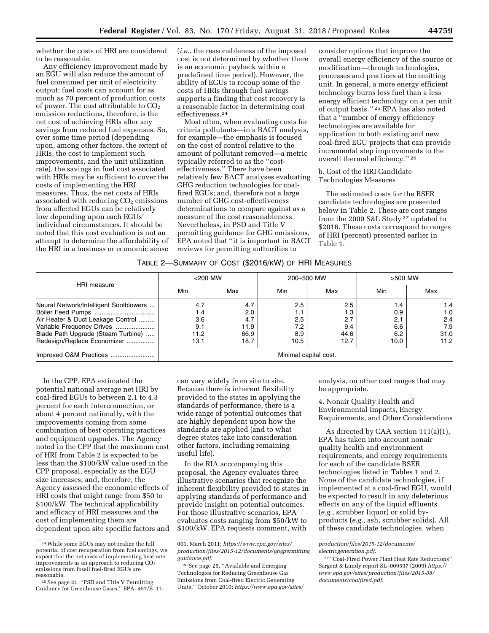whether the costs of HRI are considered to be reasonable.

Any efficiency improvement made by an EGU will also reduce the amount of fuel consumed per unit of electricity output; fuel costs can account for as much as 70 percent of production costs of power. The cost attributable to CO<sub>2</sub> emission reductions, therefore, is the net cost of achieving HRIs after any savings from reduced fuel expenses. So, over some time period (depending upon, among other factors, the extent of HRIs, the cost to implement such improvements, and the unit utilization rate), the savings in fuel cost associated with HRIs may be sufficient to cover the costs of implementing the HRI measures. Thus, the net costs of HRIs associated with reducing  $CO<sub>2</sub>$  emissions from affected EGUs can be relatively low depending upon each EGUs' individual circumstances. It should be noted that this cost evaluation is not an attempt to determine the affordability of the HRI in a business or economic sense

(*i.e.,* the reasonableness of the imposed cost is not determined by whether there is an economic payback within a predefined time period). However, the ability of EGUs to recoup some of the costs of HRIs through fuel savings supports a finding that cost recovery is a reasonable factor in determining cost effectiveness.24

Most often, when evaluating costs for criteria pollutants—in a BACT analysis, for example—the emphasis is focused on the cost of control relative to the amount of pollutant removed—a metric typically referred to as the ''costeffectiveness.'' There have been relatively few BACT analyses evaluating GHG reduction technologies for coalfired EGUs; and, therefore not a large number of GHG cost-effectiveness determinations to compare against as a measure of the cost reasonableness. Nevertheless, in PSD and Title V permitting guidance for GHG emissions, EPA noted that ''it is important in BACT reviews for permitting authorities to

consider options that improve the overall energy efficiency of the source or modification—through technologies, processes and practices at the emitting unit. In general, a more energy efficient technology burns less fuel than a less energy efficient technology on a per unit of output basis.'' 25 EPA has also noted that a ''number of energy efficiency technologies are available for application to both existing and new coal-fired EGU projects that can provide incremental step improvements to the overall thermal efficiency.'' 26

### b. Cost of the HRI Candidate Technologies Measures

The estimated costs for the BSER candidate technologies are presented below in Table 2. These are cost ranges from the 2009 S&L Study 27 updated to \$2016. These costs correspond to ranges of HRI (percent) presented earlier in Table 1.

| Table 2—Summary of Cost (\$2016/kW) of HRI Measures |  |  |  |
|-----------------------------------------------------|--|--|--|
|-----------------------------------------------------|--|--|--|

|                                        | $<$ 200 MW            |      | 200-500 MW |      | >500 MW |      |  |
|----------------------------------------|-----------------------|------|------------|------|---------|------|--|
| HRI measure                            | Min                   | Max  | Min        | Max  | Min     | Max  |  |
| Neural Network/Intelligent Sootblowers | 4.7                   | 4.7  | 2.5        | 2.5  | 1.4     | 1.4  |  |
|                                        | 1.4                   | 2.0  | 1.1        | 1.3  | 0.9     | 1.0  |  |
| Air Heater & Duct Leakage Control      | 3.6                   | 4.7  | 2.5        | 2.7  | 2.1     | 2.4  |  |
|                                        | 9.1                   | 11.9 | 7.2        | 9.4  | 6.6     | 7.9  |  |
| Blade Path Upgrade (Steam Turbine)     | 11.2                  | 66.9 | 8.9        | 44.6 | 6.2     | 31.0 |  |
| Redesign/Replace Economizer            | 13.1                  | 18.7 | 10.5       | 12.7 | 10.0    | 11.2 |  |
|                                        | Minimal capital cost. |      |            |      |         |      |  |

In the CPP, EPA estimated the potential national average net HRI by coal-fired EGUs to between 2.1 to 4.3 percent for each interconnection, or about 4 percent nationally, with the improvements coming from some combination of best operating practices and equipment upgrades. The Agency noted in the CPP that the maximum cost of HRI from Table 2 is expected to be less than the \$100/kW value used in the CPP proposal, especially as the EGU size increases; and, therefore, the Agency assessed the economic effects of HRI costs that might range from \$50 to \$100/kW. The technical applicability and efficacy of HRI measures and the cost of implementing them are dependent upon site specific factors and

can vary widely from site to site. Because there is inherent flexibility provided to the states in applying the standards of performance, there is a wide range of potential outcomes that are highly dependent upon how the standards are applied (and to what degree states take into consideration other factors, including remaining useful life).

In the RIA accompanying this proposal, the Agency evaluates three illustrative scenarios that recognize the inherent flexibility provided to states in applying standards of performance and provide insight on potential outcomes. For those illustrative scenarios, EPA evaluates costs ranging from \$50/kW to \$100/kW. EPA requests comment, with

analysis, on other cost ranges that may be appropriate.

4. Nonair Quality Health and Environmental Impacts, Energy Requirements, and Other Considerations

As directed by CAA section 111(a)(1), EPA has taken into account nonair quality health and environment requirements, and energy requirements for each of the candidate BSER technologies listed in Tables 1 and 2. None of the candidate technologies, if implemented at a coal-fired EGU, would be expected to result in any deleterious effects on any of the liquid effluents (*e.g.,* scrubber liquor) or solid byproducts (*e.g.,* ash, scrubber solids). All of these candidate technologies, when

<sup>24</sup>While some EGUs may not realize the full potential of cost recuperation from fuel savings, we expect that the net costs of implementing heat rate improvements as an approach to reducing  $CO<sub>2</sub>$ emissions from fossil fuel-fired EGUs are

<sup>&</sup>lt;sup>25</sup> See page 21, "PSD and Title V Permitting Guidance for Greenhouse Gases,'' EPA–457/B–11–

<sup>001,</sup> March 2011; *[https://www.epa.gov/sites/](https://www.epa.gov/sites/production/files/2015-12/documents/ghgpermittingguidance.pdf) [production/files/2015-12/documents/ghgpermitting](https://www.epa.gov/sites/production/files/2015-12/documents/ghgpermittingguidance.pdf) [guidance.pdf](https://www.epa.gov/sites/production/files/2015-12/documents/ghgpermittingguidance.pdf)*.

<sup>26</sup>See page 25, ''Available and Emerging Technologies for Reducing Greenhouse Gas Emissions from Coal-fired Electric Generating Units,'' October 2010; *[https://www.epa.gov/sites/](https://www.epa.gov/sites/production/files/2015-12/documents/electricgeneration.pdf)* 

*[production/files/2015-12/documents/](https://www.epa.gov/sites/production/files/2015-12/documents/electricgeneration.pdf)  [electricgeneration.pdf](https://www.epa.gov/sites/production/files/2015-12/documents/electricgeneration.pdf)*.

<sup>27</sup> ''Coal-Fired Power Plant Heat Rate Reductions'' Sargent & Lundy report SL–009597 (2009) *[https://](https://www.epa.gov/sites/production/files/2015-08/documents/coalfired.pdf)  [www.epa.gov/sites/production/files/2015-08/](https://www.epa.gov/sites/production/files/2015-08/documents/coalfired.pdf) [documents/coalfired.pdf](https://www.epa.gov/sites/production/files/2015-08/documents/coalfired.pdf)*.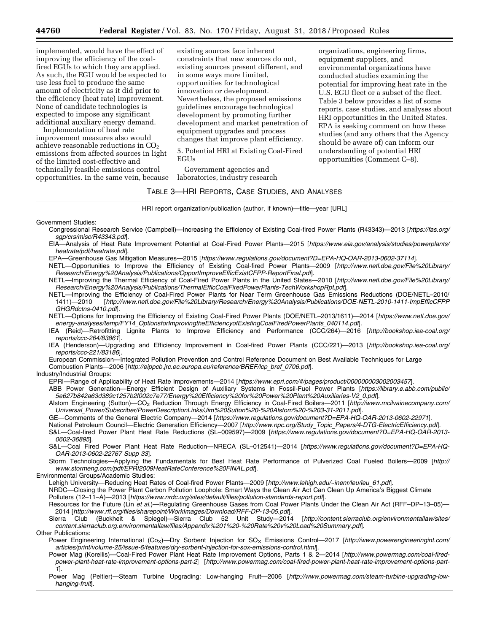implemented, would have the effect of improving the efficiency of the coalfired EGUs to which they are applied. As such, the EGU would be expected to use less fuel to produce the same amount of electricity as it did prior to the efficiency (heat rate) improvement. None of candidate technologies is expected to impose any significant additional auxiliary energy demand.

Implementation of heat rate improvement measures also would achieve reasonable reductions in  $CO<sub>2</sub>$ emissions from affected sources in light of the limited cost-effective and technically feasible emissions control opportunities. In the same vein, because

existing sources face inherent constraints that new sources do not, existing sources present different, and in some ways more limited, opportunities for technological innovation or development. Nevertheless, the proposed emissions guidelines encourage technological development by promoting further development and market penetration of equipment upgrades and process changes that improve plant efficiency.

5. Potential HRI at Existing Coal-Fired EGUs

Government agencies and laboratories, industry research

organizations, engineering firms, equipment suppliers, and environmental organizations have conducted studies examining the potential for improving heat rate in the U.S. EGU fleet or a subset of the fleet. Table 3 below provides a list of some reports, case studies, and analyses about HRI opportunities in the United States. EPA is seeking comment on how these studies (and any others that the Agency should be aware of) can inform our understanding of potential HRI opportunities (Comment C–8).

### TABLE 3—HRI REPORTS, CASE STUDIES, AND ANALYSES

HRI report organization/publication (author, if known)—title—year [URL]

- Congressional Research Service (Campbell)—Increasing the Efficiency of Existing Coal-fired Power Plants (R43343)—2013 [*[https://fas.org/](https://fas.org/sgp/crs/misc/R43343.pdf)  [sgp/crs/misc/R43343.pdf](https://fas.org/sgp/crs/misc/R43343.pdf)*].
- EIA—Analysis of Heat Rate Improvement Potential at Coal-Fired Power Plants—2015 [*[https://www.eia.gov/analysis/studies/powerplants/](https://www.eia.gov/analysis/studies/powerplants/heatrate/pdf/heatrate.pdf)  [heatrate/pdf/heatrate.pdf](https://www.eia.gov/analysis/studies/powerplants/heatrate/pdf/heatrate.pdf)*].
- EPA—Greenhouse Gas Mitigation Measures—2015 [*<https://www.regulations.gov/document?D=EPA-HQ-OAR-2013-0602-37114>*].
- NETL—Opportunities to Improve the Efficiency of Existing Coal-fired Power Plants—2009 [*[http://www.netl.doe.gov/File%20Library/](http://www.netl.doe.gov/File%20Library/Research/Energy%20Analysis/Publications/OpportImproveEfficExistCFPP-ReportFinal.pdf)  [Research/Energy%20Analysis/Publications/OpportImproveEfficExistCFPP-ReportFinal.pdf](http://www.netl.doe.gov/File%20Library/Research/Energy%20Analysis/Publications/OpportImproveEfficExistCFPP-ReportFinal.pdf)*].
- NETL—Improving the Thermal Efficiency of Coal-Fired Power Plants in the United States—2010 [*[http://www.netl.doe.gov/File%20Library/](http://www.netl.doe.gov/File%20Library/Research/Energy%20Analysis/Publications/ThermalEfficCoalFiredPowerPlants-TechWorkshopRpt.pdf)  [Research/Energy%20Analysis/Publications/ThermalEfficCoalFiredPowerPlants-TechWorkshopRpt.pdf](http://www.netl.doe.gov/File%20Library/Research/Energy%20Analysis/Publications/ThermalEfficCoalFiredPowerPlants-TechWorkshopRpt.pdf)*].

NETL—Improving the Efficiency of Coal-Fired Power Plants for Near Term Greenhouse Gas Emissions Reductions (DOE/NETL–2010/ 1411)—2010 [*[http://www.netl.doe.gov/File%20Library/Research/Energy%20Analysis/Publications/DOE-NETL-2010-1411-ImpEfficCFPP](http://www.netl.doe.gov/File%20Library/Research/Energy%20Analysis/Publications/DOE-NETL-2010-1411-ImpEfficCFPPGHGRdctns-0410.pdf) [GHGRdctns-0410.pdf](http://www.netl.doe.gov/File%20Library/Research/Energy%20Analysis/Publications/DOE-NETL-2010-1411-ImpEfficCFPPGHGRdctns-0410.pdf)*].

- NETL—Options for Improving the Efficiency of Existing Coal-Fired Power Plants (DOE/NETL–2013/1611)—2014 [*[https://www.netl.doe.gov/](https://www.netl.doe.gov/energy-analyses/temp/FY14_OptionsforImprovingtheEfficiencyofExistingCoalFiredPowerPlants_040114.pdf)  energy-analyses/temp/FY14*\_*[OptionsforImprovingtheEfficiencyofExistingCoalFiredPowerPlants](https://www.netl.doe.gov/energy-analyses/temp/FY14_OptionsforImprovingtheEfficiencyofExistingCoalFiredPowerPlants_040114.pdf)*\_*040114.pdf*].
- IEA (Reid)—Retrofitting Lignite Plants to Improve Efficiency and Performance (CCC/264)—2016 [*[http://bookshop.iea-coal.org/](http://bookshop.iea-coal.org/reports/ccc-264/83861)  [reports/ccc-264/83861](http://bookshop.iea-coal.org/reports/ccc-264/83861)*].
- IEA (Henderson)—Upgrading and Efficiency Improvement in Coal-fired Power Plants (CCC/221)—2013 [*[http://bookshop.iea-coal.org/](http://bookshop.iea-coal.org/reports/ccc-221/83186)  [reports/ccc-221/83186](http://bookshop.iea-coal.org/reports/ccc-221/83186)*].

European Commission—Integrated Pollution Prevention and Control Reference Document on Best Available Techniques for Large Combustion Plants—2006 [*[http://eippcb.jrc.ec.europa.eu/reference/BREF/lcp](http://eippcb.jrc.ec.europa.eu/reference/BREF/lcp_bref_0706.pdf)*\_*bref*\_*0706.pdf*].

#### Industry/Industrial Groups:

EPRI—Range of Applicability of Heat Rate Improvements—2014 [*<https://www.epri.com/#/pages/product/000000003002003457>*].

ABB Power Generation—Energy Efficient Design of Auxiliary Systems in Fossil-Fuel Power Plants [*[https://library.e.abb.com/public/](https://library.e.abb.com/public/5e627b842a63d389c1257b2f002c7e77/Energy%20Efficiency%20for%20Power%20Plant%20Auxiliaries-V2_0.pdf)  [5e627b842a63d389c1257b2f002c7e77/Energy%20Efficiency%20for%20Power%20Plant%20Auxiliaries-V2](https://library.e.abb.com/public/5e627b842a63d389c1257b2f002c7e77/Energy%20Efficiency%20for%20Power%20Plant%20Auxiliaries-V2_0.pdf)*\_*0.pdf*].

Alstom Engineering (Sutton)—CO2 Reduction Through Energy Efficiency in Coal-Fired Boilers—2011 [*[http://www.mcilvainecompany.com/](http://www.mcilvainecompany.com/Universal_Power/Subscriber/PowerDescriptionLinks/Jim%20Sutton%20-%20Alstom%20-%203-31-2011.pdf)  Universal*\_*[Power/Subscriber/PowerDescriptionLinks/Jim%20Sutton%20-%20Alstom%20-%203-31-2011.pdf](http://www.mcilvainecompany.com/Universal_Power/Subscriber/PowerDescriptionLinks/Jim%20Sutton%20-%20Alstom%20-%203-31-2011.pdf)*].

GE—Comments of the General Electric Company—2014 [*<https://www.regulations.gov/document?D=EPA-HQ-OAR-2013-0602-22971>*].

National Petroleum Council—Electric Generation Efficiency—2007 [*http://www.npc.org/Study*\_*Topic*\_*[Papers/4-DTG-ElectricEfficiency.pdf](http://www.npc.org/Study_Topic_Papers/4-DTG-ElectricEfficiency.pdf)*].

S&L—Coal-fired Power Plant Heat Rate Reductions (SL–009597)—2009 [*[https://www.regulations.gov/document?D=EPA-HQ-OAR-2013-](https://www.regulations.gov/document?D=EPA-HQ-OAR-2013-0602-36895)  [0602-36895](https://www.regulations.gov/document?D=EPA-HQ-OAR-2013-0602-36895)*].

S&L—Coal Fired Power Plant Heat Rate Reduction—NRECA (SL–012541)—2014 [*[https://www.regulations.gov/](https://www.regulations.gov)document?D=EPA-HQ-OAR-2013-0602-22767 Supp 33*].

Storm Technologies—Applying the Fundamentals for Best Heat Rate Performance of Pulverized Coal Fueled Boilers—2009 [*[http://](http://www.stormeng.com/pdf/EPRI2009HeatRateConference%20FINAL.pdf) [www.stormeng.com/pdf/EPRI2009HeatRateConference%20FINAL.pdf](http://www.stormeng.com/pdf/EPRI2009HeatRateConference%20FINAL.pdf)*].

Environmental Groups/Academic Studies:

Lehigh University—Reducing Heat Rates of Coal-fired Power Plants—2009 [*[http://www.lehigh.edu/](http://www.lehigh.edu/~inenr/leu/leu_61.pdf)*∼*inenr/leu/leu*\_*61.pdf*].

NRDC—Closing the Power Plant Carbon Pollution Loophole: Smart Ways the Clean Air Act Can Clean Up America's Biggest Climate Polluters (12–11–A)—2013 [*<https://www.nrdc.org/sites/default/files/pollution-standards-report.pdf>*].

Resources for the Future (Lin *et al.*)—Regulating Greenhouse Gases from Coal Power Plants Under the Clean Air Act (RFF–DP–13–05)— 2014 [*<http://www.rff.org/files/sharepoint/WorkImages/Download/RFF-DP-13-05.pdf>*].

Sierra Club (Buckheit & Spiegel)—Sierra Club 52 Unit Study—2014 [*[http://content.sierraclub.org/environmentallaw/sites/](http://content.sierraclub.org/environmentallaw/sites/content.sierraclub.org.environmentallaw/files/Appendix%201%20-%20Rate%20v%20Load%20Summary.pdf)  [content.sierraclub.org.environmentallaw/files/Appendix%201%20-%20Rate%20v%20Load%20Summary.pdf](http://content.sierraclub.org/environmentallaw/sites/content.sierraclub.org.environmentallaw/files/Appendix%201%20-%20Rate%20v%20Load%20Summary.pdf)*].

#### Other Publications:

Power Engineering International (Co<sub>x</sub>)—Dry Sorbent Injection for SO<sub>x</sub> Emissions Control—2017 [http://www.powerengineeringint.com/ *[articles/print/volume-25/issue-6/features/dry-sorbent-injection-for-sox-emissions-control.html](http://www.powerengineeringint.com/articles/print/volume-25/issue-6/features/dry-sorbent-injection-for-sox-emissions-control.html)*].

Power Mag (Korellis)—Coal-Fired Power Plant Heat Rate Improvement Options, Parts 1 & 2—2014 [*[http://www.powermag.com/coal-fired](http://www.powermag.com/coal-fired-power-plant-heat-rate-improvement-options-part-2)[power-plant-heat-rate-improvement-options-part-2](http://www.powermag.com/coal-fired-power-plant-heat-rate-improvement-options-part-2)*] [*[http://www.powermag.com/coal-fired-power-plant-heat-rate-improvement-options-part-](http://www.powermag.com/coal-fired-power-plant-heat-rate-improvement-options-part-1)[1](http://www.powermag.com/coal-fired-power-plant-heat-rate-improvement-options-part-1)*].

Power Mag (Peltier)—Steam Turbine Upgrading: Low-hanging Fruit—2006 [*[http://www.powermag.com/steam-turbine-upgrading-low](http://www.powermag.com/steam-turbine-upgrading-low-hanging-fruit)[hanging-fruit](http://www.powermag.com/steam-turbine-upgrading-low-hanging-fruit)*].

Government Studies: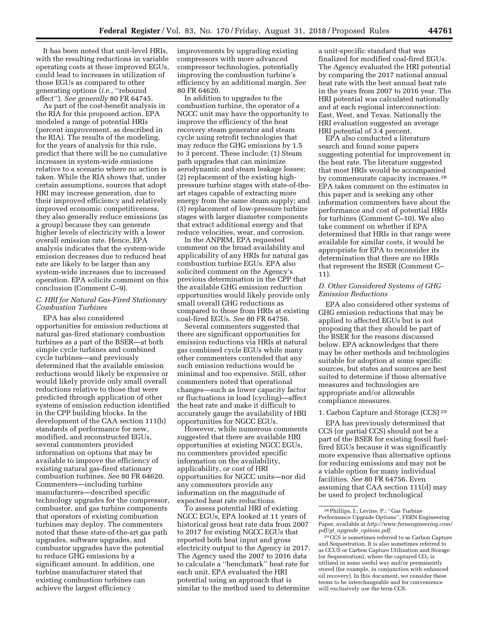It has been noted that unit-level HRIs, with the resulting reductions in variable operating costs at those improved EGUs,

could lead to increases in utilization of those EGUs as compared to other generating options (*i.e.,* ''rebound effect''). *See generally* 80 FR 64745.

As part of the cost-benefit analysis in the RIA for this proposed action, EPA modeled a range of potential HRIs (percent improvement, as described in the RIA). The results of the modeling, for the years of analysis for this rule, predict that there will be no cumulative increases in system-wide emissions relative to a scenario where no action is taken. While the RIA shows that, under certain assumptions, sources that adopt HRI may increase generation, due to their improved efficiency and relatively improved economic competitiveness, they also generally reduce emissions (as a group) because they can generate higher levels of electricity with a lower overall emission rate. Hence, EPA analysis indicates that the system-wide emission decreases due to reduced heat rate are likely to be larger than any system-wide increases due to increased operation. EPA solicits comment on this conclusion (Comment C–9).

### *C. HRI for Natural Gas-Fired Stationary Combustion Turbines*

EPA has also considered opportunities for emission reductions at natural gas-fired stationary combustion turbines as a part of the BSER—at both simple cycle turbines and combined cycle turbines—and previously determined that the available emission reductions would likely be expensive or would likely provide only small overall reductions relative to those that were predicted through application of other systems of emission reduction identified in the CPP building blocks. In the development of the CAA section 111(b) standards of performance for new, modified, and reconstructed EGUs, several commenters provided information on options that may be available to improve the efficiency of existing natural gas-fired stationary combustion turbines. *See* 80 FR 64620. Commenters—including turbine manufacturers—described specific technology upgrades for the compressor, combustor, and gas turbine components that operators of existing combustion turbines may deploy. The commenters noted that these state-of-the-art gas path upgrades, software upgrades, and combustor upgrades have the potential to reduce GHG emissions by a significant amount. In addition, one turbine manufacturer stated that existing combustion turbines can achieve the largest efficiency

improvements by upgrading existing compressors with more advanced compressor technologies, potentially improving the combustion turbine's efficiency by an additional margin. *See*  80 FR 64620.

In addition to upgrades to the combustion turbine, the operator of a NGCC unit may have the opportunity to improve the efficiency of the heat recovery steam generator and steam cycle using retrofit technologies that may reduce the GHG emissions by 1.5 to 3 percent. These include: (1) Steam path upgrades that can minimize aerodynamic and steam leakage losses; (2) replacement of the existing highpressure turbine stages with state-of-theart stages capable of extracting more energy from the same steam supply; and (3) replacement of low-pressure turbine stages with larger diameter components that extract additional energy and that reduce velocities, wear, and corrosion.

In the ANPRM, EPA requested comment on the broad availability and applicability of any HRIs for natural gas combustion turbine EGUs. EPA also solicited comment on the Agency's previous determination in the CPP that the available GHG emission reduction opportunities would likely provide only small overall GHG reductions as compared to those from HRIs at existing coal-fired EGUs. *See* 80 FR 64756.

Several commenters suggested that there are significant opportunities for emission reductions via HRIs at natural gas combined cycle EGUs while many other commenters contended that any such emission reductions would be minimal and too expensive. Still, other commenters noted that operational changes—such as lower capacity factor or fluctuations in load (cycling)—affect the heat rate and make it difficult to accurately gauge the availability of HRI opportunities for NGCC EGUs.

However, while numerous comments suggested that there are available HRI opportunities at existing NGCC EGUs, no commenters provided specific information on the availability, applicability, or cost of HRI opportunities for NGCC units—nor did any commenters provide any information on the magnitude of expected heat rate reductions.

To assess potential HRI of existing NGCC EGUs, EPA looked at 11 years of historical gross heat rate data from 2007 to 2017 for existing NGCC EGUs that reported both heat input and gross electricity output to the Agency in 2017. The Agency used the 2007 to 2016 data to calculate a ''benchmark'' heat rate for each unit. EPA evaluated the HRI potential using an approach that is similar to the method used to determine

a unit-specific standard that was finalized for modified coal-fired EGUs. The Agency evaluated the HRI potential by comparing the 2017 national annual heat rate with the best annual heat rate in the years from 2007 to 2016 year. The HRI potential was calculated nationally and at each regional interconnection: East, West, and Texas. Nationally the HRI evaluation suggested an average HRI potential of 3.4 percent.

EPA also conducted a literature search and found some papers suggesting potential for improvement in the heat rate. The literature suggested that most HRIs would be accompanied by commensurate capacity increases.28 EPA takes comment on the estimates in this paper and is seeking any other information commenters have about the performance and cost of potential HRIs for turbines (Comment C–10). We also take comment on whether if EPA determined that HRIs in that range were available for similar costs, it would be appropriate for EPA to reconsider its determination that there are no HRIs that represent the BSER (Comment C– 11).

### *D. Other Considered Systems of GHG Emission Reductions*

EPA also considered other systems of GHG emission reductions that may be applied to affected EGUs but is not proposing that they should be part of the BSER for the reasons discussed below. EPA acknowledges that there may be other methods and technologies suitable for adoption at some specific sources, but states and sources are best suited to determine if those alternative measures and technologies are appropriate and/or allowable compliance measures.

### 1. Carbon Capture and Storage (CCS) 29

EPA has previously determined that CCS (or partial CCS) should not be a part of the BSER for existing fossil fuelfired EGUs because it was significantly more expensive than alternative options for reducing emissions and may not be a viable option for many individual facilities. *See* 80 FR 64756. Even assuming that CAA section 111(d) may be used to project technological

<sup>28</sup>Phillips, J.; Levine, P.; ''Gas Turbine Performance Upgrade Options'', FERN Engineering Paper, available at *[http://www.fernengineering.com/](http://www.fernengineering.com/pdf/gt_upgrade_options.pdf)  pdf/gt*\_*upgrade*\_*[options.pdf.](http://www.fernengineering.com/pdf/gt_upgrade_options.pdf)* 

<sup>29</sup>CCS is sometimes referred to as Carbon Capture and Sequestration. It is also sometimes referred to as CCUS or Carbon Capture Utilization and Storage (or Sequestration), where the captured  $CO<sub>2</sub>$  is utilized in some useful way and/or permanently stored (for example, in conjunction with enhanced oil recovery). In this document, we consider these terms to be interchangeable and for convenience will exclusively use the term CCS.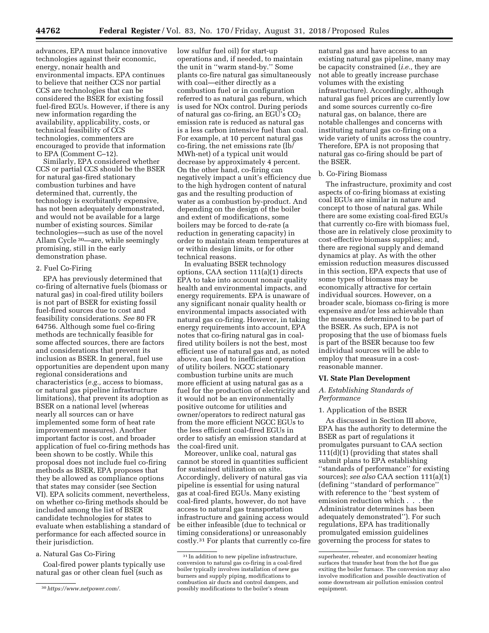advances, EPA must balance innovative technologies against their economic, energy, nonair health and environmental impacts. EPA continues to believe that neither CCS nor partial CCS are technologies that can be considered the BSER for existing fossil fuel-fired EGUs. However, if there is any new information regarding the availability, applicability, costs, or technical feasibility of CCS technologies, commenters are encouraged to provide that information to EPA (Comment C–12).

Similarly, EPA considered whether CCS or partial CCS should be the BSER for natural gas-fired stationary combustion turbines and have determined that, currently, the technology is exorbitantly expensive, has not been adequately demonstrated, and would not be available for a large number of existing sources. Similar technologies—such as use of the novel Allam Cycle 30—are, while seemingly promising, still in the early demonstration phase.

#### 2. Fuel Co-Firing

EPA has previously determined that co-firing of alternative fuels (biomass or natural gas) in coal-fired utility boilers is not part of BSER for existing fossil fuel-fired sources due to cost and feasibility considerations. *See* 80 FR 64756. Although some fuel co-firing methods are technically feasible for some affected sources, there are factors and considerations that prevent its inclusion as BSER. In general, fuel use opportunities are dependent upon many regional considerations and characteristics (*e.g.,* access to biomass, or natural gas pipeline infrastructure limitations), that prevent its adoption as BSER on a national level (whereas nearly all sources can or have implemented some form of heat rate improvement measures). Another important factor is cost, and broader application of fuel co-firing methods has been shown to be costly. While this proposal does not include fuel co-firing methods as BSER, EPA proposes that they be allowed as compliance options that states may consider (see Section VI). EPA solicits comment, nevertheless, on whether co-firing methods should be included among the list of BSER candidate technologies for states to evaluate when establishing a standard of performance for each affected source in their jurisdiction.

#### a. Natural Gas Co-Firing

Coal-fired power plants typically use natural gas or other clean fuel (such as

low sulfur fuel oil) for start-up operations and, if needed, to maintain the unit in ''warm stand-by.'' Some plants co-fire natural gas simultaneously with coal—either directly as a combustion fuel or in configuration referred to as natural gas reburn, which is used for NOx control. During periods of natural gas co-firing, an EGU's  $CO<sub>2</sub>$ emission rate is reduced as natural gas is a less carbon intensive fuel than coal. For example, at 10 percent natural gas co-firing, the net emissions rate (lb/ MWh-net) of a typical unit would decrease by approximately 4 percent. On the other hand, co-firing can negatively impact a unit's efficiency due to the high hydrogen content of natural gas and the resulting production of water as a combustion by-product. And depending on the design of the boiler and extent of modifications, some boilers may be forced to de-rate (a reduction in generating capacity) in order to maintain steam temperatures at or within design limits, or for other technical reasons.

In evaluating BSER technology options, CAA section 111(a)(1) directs EPA to take into account nonair quality health and environmental impacts, and energy requirements. EPA is unaware of any significant nonair quality health or environmental impacts associated with natural gas co-firing. However, in taking energy requirements into account, EPA notes that co-firing natural gas in coalfired utility boilers is not the best, most efficient use of natural gas and, as noted above, can lead to inefficient operation of utility boilers. NGCC stationary combustion turbine units are much more efficient at using natural gas as a fuel for the production of electricity and it would not be an environmentally positive outcome for utilities and owner/operators to redirect natural gas from the more efficient NGCC EGUs to the less efficient coal-fired EGUs in order to satisfy an emission standard at the coal-fired unit.

Moreover, unlike coal, natural gas cannot be stored in quantities sufficient for sustained utilization on site. Accordingly, delivery of natural gas via pipeline is essential for using natural gas at coal-fired EGUs. Many existing coal-fired plants, however, do not have access to natural gas transportation infrastructure and gaining access would be either infeasible (due to technical or timing considerations) or unreasonably costly.31 For plants that currently co-fire

natural gas and have access to an existing natural gas pipeline, many may be capacity constrained (*i.e.,* they are not able to greatly increase purchase volumes with the existing infrastructure). Accordingly, although natural gas fuel prices are currently low and some sources currently co-fire natural gas, on balance, there are notable challenges and concerns with instituting natural gas co-firing on a wide variety of units across the country. Therefore, EPA is not proposing that natural gas co-firing should be part of the BSER.

#### b. Co-Firing Biomass

The infrastructure, proximity and cost aspects of co-firing biomass at existing coal EGUs are similar in nature and concept to those of natural gas. While there are some existing coal-fired EGUs that currently co-fire with biomass fuel, those are in relatively close proximity to cost-effective biomass supplies; and, there are regional supply and demand dynamics at play. As with the other emission reduction measures discussed in this section, EPA expects that use of some types of biomass may be economically attractive for certain individual sources. However, on a broader scale, biomass co-firing is more expensive and/or less achievable than the measures determined to be part of the BSER. As such, EPA is not proposing that the use of biomass fuels is part of the BSER because too few individual sources will be able to employ that measure in a costreasonable manner.

#### **VI. State Plan Development**

### *A. Establishing Standards of Performance*

### 1. Application of the BSER

As discussed in Section III above, EPA has the authority to determine the BSER as part of regulations it promulgates pursuant to CAA section 111(d)(1) (providing that states shall submit plans to EPA establishing ''standards of performance'' for existing sources); *see also* CAA section 111(a)(1) (defining ''standard of performance'' with reference to the ''best system of emission reduction which . . . the Administrator determines has been adequately demonstrated''). For such regulations, EPA has traditionally promulgated emission guidelines governing the process for states to

<sup>30</sup>*[https://www.netpower.com/.](https://www.netpower.com/)* 

<sup>&</sup>lt;sup>31</sup> In addition to new pipeline infrastructure, conversion to natural gas co-firing in a coal-fired boiler typically involves installation of new gas burners and supply piping, modifications to combustion air ducts and control dampers, and possibly modifications to the boiler's steam

superheater, reheater, and economizer heating surfaces that transfer heat from the hot flue gas exiting the boiler furnace. The conversion may also involve modification and possible deactivation of some downstream air pollution emission control equipment.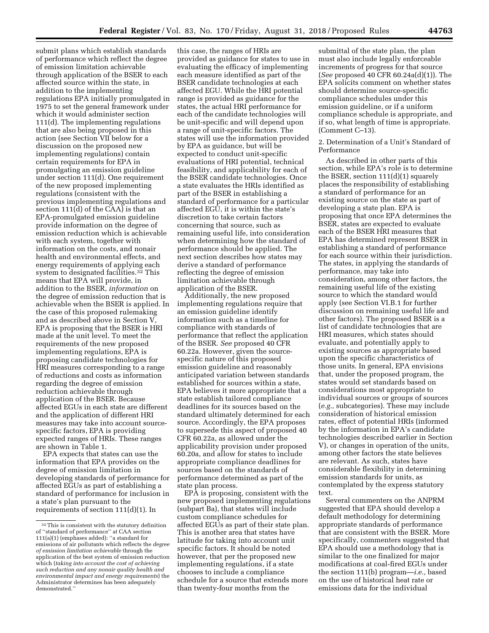submit plans which establish standards of performance which reflect the degree of emission limitation achievable through application of the BSER to each affected source within the state, in addition to the implementing regulations EPA initially promulgated in 1975 to set the general framework under which it would administer section 111(d). The implementing regulations that are also being proposed in this action (see Section VII below for a discussion on the proposed new implementing regulations) contain certain requirements for EPA in promulgating an emission guideline under section 111(d). One requirement of the new proposed implementing regulations (consistent with the previous implementing regulations and section 111(d) of the CAA) is that an EPA-promulgated emission guideline provide information on the degree of emission reduction which is achievable with each system, together with information on the costs, and nonair health and environmental effects, and energy requirements of applying each system to designated facilities.32 This means that EPA will provide, in addition to the BSER, *information* on the degree of emission reduction that is achievable when the BSER is applied. In the case of this proposed rulemaking and as described above in Section V, EPA is proposing that the BSER is HRI made at the unit level. To meet the requirements of the new proposed implementing regulations, EPA is proposing candidate technologies for HRI measures corresponding to a range of reductions and costs as information regarding the degree of emission reduction achievable through application of the BSER. Because affected EGUs in each state are different and the application of different HRI measures may take into account sourcespecific factors, EPA is providing expected ranges of HRIs. These ranges are shown in Table 1.

EPA expects that states can use the information that EPA provides on the degree of emission limitation in developing standards of performance for affected EGUs as part of establishing a standard of performance for inclusion in a state's plan pursuant to the requirements of section 111(d)(1). In

this case, the ranges of HRIs are provided as guidance for states to use in evaluating the efficacy of implementing each measure identified as part of the BSER candidate technologies at each affected EGU. While the HRI potential range is provided as guidance for the states, the actual HRI performance for each of the candidate technologies will be unit-specific and will depend upon a range of unit-specific factors. The states will use the information provided by EPA as guidance, but will be expected to conduct unit-specific evaluations of HRI potential, technical feasibility, and applicability for each of the BSER candidate technologies. Once a state evaluates the HRIs identified as part of the BSER in establishing a standard of performance for a particular affected EGU, it is within the state's discretion to take certain factors concerning that source, such as remaining useful life, into consideration when determining how the standard of performance should be applied. The next section describes how states may derive a standard of performance reflecting the degree of emission limitation achievable through application of the BSER.

Additionally, the new proposed implementing regulations require that an emission guideline identify information such as a timeline for compliance with standards of performance that reflect the application of the BSER. *See* proposed 40 CFR 60.22a. However, given the sourcespecific nature of this proposed emission guideline and reasonably anticipated variation between standards established for sources within a state, EPA believes it more appropriate that a state establish tailored compliance deadlines for its sources based on the standard ultimately determined for each source. Accordingly, the EPA proposes to supersede this aspect of proposed 40 CFR 60.22a, as allowed under the applicability provision under proposed 60.20a, and allow for states to include appropriate compliance deadlines for sources based on the standards of performance determined as part of the state plan process.

EPA is proposing, consistent with the new proposed implementing regulations (subpart Ba), that states will include custom compliance schedules for affected EGUs as part of their state plan. This is another area that states have latitude for taking into account unit specific factors. It should be noted however, that per the proposed new implementing regulations, if a state chooses to include a compliance schedule for a source that extends more than twenty-four months from the

submittal of the state plan, the plan must also include legally enforceable increments of progress for that source (*See* proposed 40 CFR 60.24a(d)(1)). The EPA solicits comment on whether states should determine source-specific compliance schedules under this emission guideline, or if a uniform compliance schedule is appropriate, and if so, what length of time is appropriate. (Comment C–13).

### 2. Determination of a Unit's Standard of Performance

As described in other parts of this section, while EPA's role is to determine the BSER, section 111(d)(1) squarely places the responsibility of establishing a standard of performance for an existing source on the state as part of developing a state plan. EPA is proposing that once EPA determines the BSER, states are expected to evaluate each of the BSER HRI measures that EPA has determined represent BSER in establishing a standard of performance for each source within their jurisdiction. The states, in applying the standards of performance, may take into consideration, among other factors, the remaining useful life of the existing source to which the standard would apply (see Section VI.B.1 for further discussion on remaining useful life and other factors). The proposed BSER is a list of candidate technologies that are HRI measures, which states should evaluate, and potentially apply to existing sources as appropriate based upon the specific characteristics of those units. In general, EPA envisions that, under the proposed program, the states would set standards based on considerations most appropriate to individual sources or groups of sources (*e.g.,* subcategories). These may include consideration of historical emission rates, effect of potential HRIs (informed by the information in EPA's candidate technologies described earlier in Section V), or changes in operation of the units, among other factors the state believes are relevant. As such, states have considerable flexibility in determining emission standards for units, as contemplated by the express statutory text.

Several commenters on the ANPRM suggested that EPA should develop a default methodology for determining appropriate standards of performance that are consistent with the BSER. More specifically, commenters suggested that EPA should use a methodology that is similar to the one finalized for major modifications at coal-fired EGUs under the section 111(b) program—*i.e.,* based on the use of historical heat rate or emissions data for the individual

<sup>32</sup>This is consistent with the statutory definition of ''standard of performance'' at CAA section 111(a)(1) (emphases added): ''a standard for emissions of air pollutants which reflects the *degree of emission limitation achievable* through the application of the best system of emission reduction which (*taking into account the cost of achieving such reduction and any nonair quality health and environmental impact and energy requirements*) the Administrator determines has been adequately demonstrated.''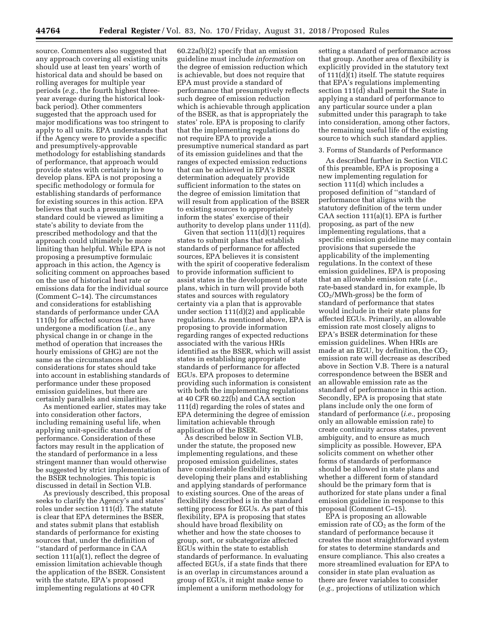source. Commenters also suggested that any approach covering all existing units should use at least ten years' worth of historical data and should be based on rolling averages for multiple year periods (*e.g.,* the fourth highest threeyear average during the historical lookback period). Other commenters suggested that the approach used for major modifications was too stringent to apply to all units. EPA understands that if the Agency were to provide a specific and presumptively-approvable methodology for establishing standards of performance, that approach would provide states with certainty in how to develop plans. EPA is not proposing a specific methodology or formula for establishing standards of performance for existing sources in this action. EPA believes that such a presumptive standard could be viewed as limiting a state's ability to deviate from the prescribed methodology and that the approach could ultimately be more limiting than helpful. While EPA is not proposing a presumptive formulaic approach in this action, the Agency is soliciting comment on approaches based on the use of historical heat rate or emissions data for the individual source (Comment C–14). The circumstances and considerations for establishing standards of performance under CAA 111(b) for affected sources that have undergone a modification (*i.e.,* any physical change in or change in the method of operation that increases the hourly emissions of GHG) are not the same as the circumstances and considerations for states should take into account in establishing standards of performance under these proposed emission guidelines, but there are certainly parallels and similarities.

As mentioned earlier, states may take into consideration other factors, including remaining useful life, when applying unit-specific standards of performance. Consideration of these factors may result in the application of the standard of performance in a less stringent manner than would otherwise be suggested by strict implementation of the BSER technologies. This topic is discussed in detail in Section VI.B.

As previously described, this proposal seeks to clarify the Agency's and states' roles under section 111(d). The statute is clear that EPA determines the BSER, and states submit plans that establish standards of performance for existing sources that, under the definition of ''standard of performance in CAA section 111(a)(1), reflect the degree of emission limitation achievable though the application of the BSER. Consistent with the statute, EPA's proposed implementing regulations at 40 CFR

60.22a(b)(2) specify that an emission guideline must include *information* on the degree of emission reduction which is achievable, but does not require that EPA must provide a standard of performance that presumptively reflects such degree of emission reduction which is achievable through application of the BSER, as that is appropriately the states' role. EPA is proposing to clarify that the implementing regulations do not require EPA to provide a presumptive numerical standard as part of its emission guidelines and that the ranges of expected emission reductions that can be achieved in EPA's BSER determination adequately provide sufficient information to the states on the degree of emission limitation that will result from application of the BSER to existing sources to appropriately inform the states' exercise of their authority to develop plans under 111(d).

Given that section 111(d)(1) requires states to submit plans that establish standards of performance for affected sources, EPA believes it is consistent with the spirit of cooperative federalism to provide information sufficient to assist states in the development of state plans, which in turn will provide both states and sources with regulatory certainty via a plan that is approvable under section 111(d)(2) and applicable regulations. As mentioned above, EPA is proposing to provide information regarding ranges of expected reductions associated with the various HRIs identified as the BSER, which will assist states in establishing appropriate standards of performance for affected EGUs. EPA proposes to determine providing such information is consistent with both the implementing regulations at 40 CFR 60.22(b) and CAA section 111(d) regarding the roles of states and EPA determining the degree of emission limitation achievable through application of the BSER.

As described below in Section VI.B, under the statute, the proposed new implementing regulations, and these proposed emission guidelines, states have considerable flexibility in developing their plans and establishing and applying standards of performance to existing sources. One of the areas of flexibility described is in the standard setting process for EGUs. As part of this flexibility, EPA is proposing that states should have broad flexibility on whether and how the state chooses to group, sort, or subcategorize affected EGUs within the state to establish standards of performance. In evaluating affected EGUs, if a state finds that there is an overlap in circumstances around a group of EGUs, it might make sense to implement a uniform methodology for

setting a standard of performance across that group. Another area of flexibility is explicitly provided in the statutory text of 111(d)(1) itself. The statute requires that EPA's regulations implementing section 111(d) shall permit the State in applying a standard of performance to any particular source under a plan submitted under this paragraph to take into consideration, among other factors, the remaining useful life of the existing source to which such standard applies.

#### 3. Forms of Standards of Performance

As described further in Section VII.C of this preamble, EPA is proposing a new implementing regulation for section 111(d) which includes a proposed definition of ''standard of performance that aligns with the statutory definition of the term under CAA section 111(a)(1). EPA is further proposing, as part of the new implementing regulations, that a specific emission guideline may contain provisions that supersede the applicability of the implementing regulations. In the context of these emission guidelines, EPA is proposing that an allowable emission rate (*i.e.,*  rate-based standard in, for example, lb  $CO<sub>2</sub>/MWh-gross$ ) be the form of standard of performance that states would include in their state plans for affected EGUs. Primarily, an allowable emission rate most closely aligns to EPA's BSER determination for these emission guidelines. When HRIs are made at an EGU, by definition, the  $CO<sub>2</sub>$ emission rate will decrease as described above in Section V.B. There is a natural correspondence between the BSER and an allowable emission rate as the standard of performance in this action. Secondly, EPA is proposing that state plans include only the one form of standard of performance (*i.e.,* proposing only an allowable emission rate) to create continuity across states, prevent ambiguity, and to ensure as much simplicity as possible. However, EPA solicits comment on whether other forms of standards of performance should be allowed in state plans and whether a different form of standard should be the primary form that is authorized for state plans under a final emission guideline in response to this proposal (Comment C–15).

EPA is proposing an allowable emission rate of  $CO<sub>2</sub>$  as the form of the standard of performance because it creates the most straightforward system for states to determine standards and ensure compliance. This also creates a more streamlined evaluation for EPA to consider in state plan evaluation as there are fewer variables to consider (*e.g.,* projections of utilization which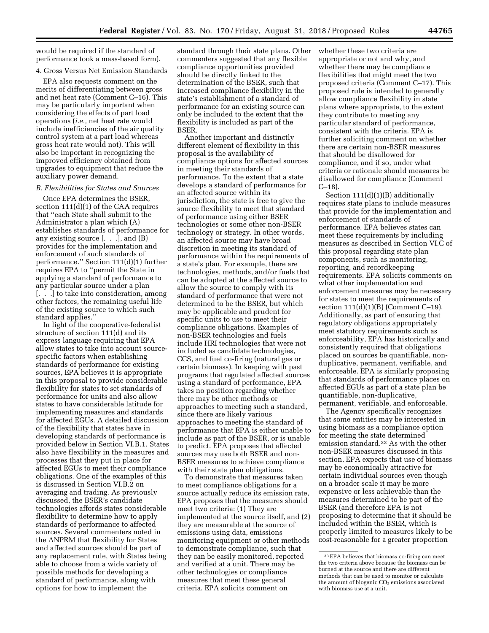would be required if the standard of performance took a mass-based form).

### 4. Gross Versus Net Emission Standards

EPA also requests comment on the merits of differentiating between gross and net heat rate (Comment C–16). This may be particularly important when considering the effects of part load operations (*i.e.,* net heat rate would include inefficiencies of the air quality control system at a part load whereas gross heat rate would not). This will also be important in recognizing the improved efficiency obtained from upgrades to equipment that reduce the auxiliary power demand.

### *B. Flexibilities for States and Sources*

Once EPA determines the BSER, section 111(d)(1) of the CAA requires that ''each State shall submit to the Administrator a plan which (A) establishes standards of performance for any existing source [. . .], and (B) provides for the implementation and enforcement of such standards of performance.'' Section 111(d)(1) further requires EPA to ''permit the State in applying a standard of performance to any particular source under a plan [. . .] to take into consideration, among other factors, the remaining useful life of the existing source to which such standard applies.''

In light of the cooperative-federalist structure of section 111(d) and its express language requiring that EPA allow states to take into account sourcespecific factors when establishing standards of performance for existing sources, EPA believes it is appropriate in this proposal to provide considerable flexibility for states to set standards of performance for units and also allow states to have considerable latitude for implementing measures and standards for affected EGUs. A detailed discussion of the flexibility that states have in developing standards of performance is provided below in Section VI.B.1. States also have flexibility in the measures and processes that they put in place for affected EGUs to meet their compliance obligations. One of the examples of this is discussed in Section VI.B.2 on averaging and trading. As previously discussed, the BSER's candidate technologies affords states considerable flexibility to determine how to apply standards of performance to affected sources. Several commenters noted in the ANPRM that flexibility for States and affected sources should be part of any replacement rule, with States being able to choose from a wide variety of possible methods for developing a standard of performance, along with options for how to implement the

standard through their state plans. Other commenters suggested that any flexible compliance opportunities provided should be directly linked to the determination of the BSER, such that increased compliance flexibility in the state's establishment of a standard of performance for an existing source can only be included to the extent that the flexibility is included as part of the **BSER** 

Another important and distinctly different element of flexibility in this proposal is the availability of compliance options for affected sources in meeting their standards of performance. To the extent that a state develops a standard of performance for an affected source within its jurisdiction, the state is free to give the source flexibility to meet that standard of performance using either BSER technologies or some other non-BSER technology or strategy. In other words, an affected source may have broad discretion in meeting its standard of performance within the requirements of a state's plan. For example, there are technologies, methods, and/or fuels that can be adopted at the affected source to allow the source to comply with its standard of performance that were not determined to be the BSER, but which may be applicable and prudent for specific units to use to meet their compliance obligations. Examples of non-BSER technologies and fuels include HRI technologies that were not included as candidate technologies, CCS, and fuel co-firing (natural gas or certain biomass). In keeping with past programs that regulated affected sources using a standard of performance, EPA takes no position regarding whether there may be other methods or approaches to meeting such a standard, since there are likely various approaches to meeting the standard of performance that EPA is either unable to include as part of the BSER, or is unable to predict. EPA proposes that affected sources may use both BSER and non-BSER measures to achieve compliance with their state plan obligations.

To demonstrate that measures taken to meet compliance obligations for a source actually reduce its emission rate, EPA proposes that the measures should meet two criteria: (1) They are implemented at the source itself, and (2) they are measurable at the source of emissions using data, emissions monitoring equipment or other methods to demonstrate compliance, such that they can be easily monitored, reported and verified at a unit. There may be other technologies or compliance measures that meet these general criteria. EPA solicits comment on

whether these two criteria are appropriate or not and why, and whether there may be compliance flexibilities that might meet the two proposed criteria (Comment C–17). This proposed rule is intended to generally allow compliance flexibility in state plans where appropriate, to the extent they contribute to meeting any particular standard of performance, consistent with the criteria. EPA is further soliciting comment on whether there are certain non-BSER measures that should be disallowed for compliance, and if so, under what criteria or rationale should measures be disallowed for compliance (Comment C–18).

Section 111(d)(1)(B) additionally requires state plans to include measures that provide for the implementation and enforcement of standards of performance. EPA believes states can meet these requirements by including measures as described in Section VI.C of this proposal regarding state plan components, such as monitoring, reporting, and recordkeeping requirements. EPA solicits comments on what other implementation and enforcement measures may be necessary for states to meet the requirements of section 111(d)(1)(B) (Comment C–19). Additionally, as part of ensuring that regulatory obligations appropriately meet statutory requirements such as enforceability, EPA has historically and consistently required that obligations placed on sources be quantifiable, nonduplicative, permanent, verifiable, and enforceable. EPA is similarly proposing that standards of performance places on affected EGUs as part of a state plan be quantifiable, non-duplicative, permanent, verifiable, and enforceable.

The Agency specifically recognizes that some entities may be interested in using biomass as a compliance option for meeting the state determined emission standard.33 As with the other non-BSER measures discussed in this section, EPA expects that use of biomass may be economically attractive for certain individual sources even though on a broader scale it may be more expensive or less achievable than the measures determined to be part of the BSER (and therefore EPA is not proposing to determine that it should be included within the BSER, which is properly limited to measures likely to be cost-reasonable for a greater proportion

<sup>33</sup>EPA believes that biomass co-firing can meet the two criteria above because the biomass can be burned at the source and there are different methods that can be used to monitor or calculate the amount of biogenic  $CO<sub>2</sub>$  emissions associated with biomass use at a unit.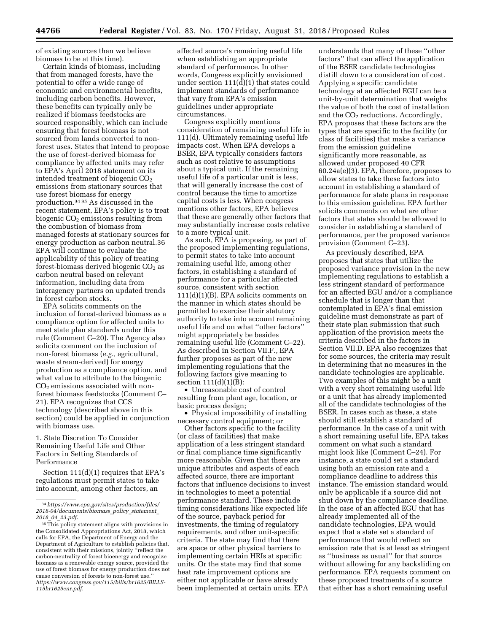of existing sources than we believe biomass to be at this time).

Certain kinds of biomass, including that from managed forests, have the potential to offer a wide range of economic and environmental benefits, including carbon benefits. However, these benefits can typically only be realized if biomass feedstocks are sourced responsibly, which can include ensuring that forest biomass is not sourced from lands converted to nonforest uses. States that intend to propose the use of forest-derived biomass for compliance by affected units may refer to EPA's April 2018 statement on its intended treatment of biogenic  $CO<sub>2</sub>$ emissions from stationary sources that use forest biomass for energy production.34 35 As discussed in the recent statement, EPA's policy is to treat biogenic  $CO<sub>2</sub>$  emissions resulting from the combustion of biomass from managed forests at stationary sources for energy production as carbon neutral.36 EPA will continue to evaluate the applicability of this policy of treating forest-biomass derived biogenic  $CO_2$  as carbon neutral based on relevant information, including data from interagency partners on updated trends in forest carbon stocks.

EPA solicits comments on the inclusion of forest-derived biomass as a compliance option for affected units to meet state plan standards under this rule (Comment C–20). The Agency also solicits comment on the inclusion of non-forest biomass (*e.g.,* agricultural, waste stream-derived) for energy production as a compliance option, and what value to attribute to the biogenic  $CO<sub>2</sub>$  emissions associated with nonforest biomass feedstocks (Comment C– 21). EPA recognizes that CCS technology (described above in this section) could be applied in conjunction with biomass use.

1. State Discretion To Consider Remaining Useful Life and Other Factors in Setting Standards of Performance

Section 111(d)(1) requires that EPA's regulations must permit states to take into account, among other factors, an

affected source's remaining useful life when establishing an appropriate standard of performance. In other words, Congress explicitly envisioned under section 111(d)(1) that states could implement standards of performance that vary from EPA's emission guidelines under appropriate circumstances.

Congress explicitly mentions consideration of remaining useful life in 111(d). Ultimately remaining useful life impacts cost. When EPA develops a BSER, EPA typically considers factors such as cost relative to assumptions about a typical unit. If the remaining useful life of a particular unit is less, that will generally increase the cost of control because the time to amortize capital costs is less. When congress mentions other factors, EPA believes that these are generally other factors that may substantially increase costs relative to a more typical unit.

As such, EPA is proposing, as part of the proposed implementing regulations, to permit states to take into account remaining useful life, among other factors, in establishing a standard of performance for a particular affected source, consistent with section 111(d)(1)(B). EPA solicits comments on the manner in which states should be permitted to exercise their statutory authority to take into account remaining useful life and on what ''other factors'' might appropriately be besides remaining useful life (Comment C–22). As described in Section VII.F., EPA further proposes as part of the new implementing regulations that the following factors give meaning to section  $111(d)(1)(B)$ :

• Unreasonable cost of control resulting from plant age, location, or basic process design;

• Physical impossibility of installing necessary control equipment; or

Other factors specific to the facility (or class of facilities) that make application of a less stringent standard or final compliance time significantly more reasonable. Given that there are unique attributes and aspects of each affected source, there are important factors that influence decisions to invest in technologies to meet a potential performance standard. These include timing considerations like expected life of the source, payback period for investments, the timing of regulatory requirements, and other unit-specific criteria. The state may find that there are space or other physical barriers to implementing certain HRIs at specific units. Or the state may find that some heat rate improvement options are either not applicable or have already been implemented at certain units. EPA

understands that many of these ''other factors'' that can affect the application of the BSER candidate technologies distill down to a consideration of cost. Applying a specific candidate technology at an affected EGU can be a unit-by-unit determination that weighs the value of both the cost of installation and the  $CO<sub>2</sub>$  reductions. Accordingly, EPA proposes that these factors are the types that are specific to the facility (or class of facilities) that make a variance from the emission guideline significantly more reasonable, as allowed under proposed 40 CFR 60.24a(e)(3). EPA, therefore, proposes to allow states to take these factors into account in establishing a standard of performance for state plans in response to this emission guideline. EPA further solicits comments on what are other factors that states should be allowed to consider in establishing a standard of performance, per the proposed variance provision (Comment C–23).

As previously described, EPA proposes that states that utilize the proposed variance provision in the new implementing regulations to establish a less stringent standard of performance for an affected EGU and/or a compliance schedule that is longer than that contemplated in EPA's final emission guideline must demonstrate as part of their state plan submission that such application of the provision meets the criteria described in the factors in Section VII.D. EPA also recognizes that for some sources, the criteria may result in determining that no measures in the candidate technologies are applicable. Two examples of this might be a unit with a very short remaining useful life or a unit that has already implemented all of the candidate technologies of the BSER. In cases such as these, a state should still establish a standard of performance. In the case of a unit with a short remaining useful life, EPA takes comment on what such a standard might look like (Comment C–24). For instance, a state could set a standard using both an emission rate and a compliance deadline to address this instance. The emission standard would only be applicable if a source did not shut down by the compliance deadline. In the case of an affected EGU that has already implemented all of the candidate technologies, EPA would expect that a state set a standard of performance that would reflect an emission rate that is at least as stringent as ''business as usual'' for that source without allowing for any backsliding on performance. EPA requests comment on these proposed treatments of a source that either has a short remaining useful

<sup>34</sup>*[https://www.epa.gov/sites/production/files/](https://www.epa.gov/sites/production/files/2018-04/documents/biomass_policy_statement_2018_04_23.pdf)  [2018-04/documents/biomass](https://www.epa.gov/sites/production/files/2018-04/documents/biomass_policy_statement_2018_04_23.pdf)*\_*policy*\_*statement*\_ *2018*\_*04*\_*[23.pdf.](https://www.epa.gov/sites/production/files/2018-04/documents/biomass_policy_statement_2018_04_23.pdf)* 

<sup>35</sup>This policy statement aligns with provisions in the Consolidated Appropriations Act, 2018, which calls for EPA, the Department of Energy and the Department of Agriculture to establish policies that, consistent with their missions, jointly ''reflect the carbon-neutrality of forest bioenergy and recognize biomass as a renewable energy source, provided the use of forest biomass for energy production does not cause conversion of forests to non-forest use.'' *[https://www.congress.gov/115/bills/hr1625/BILLS-](https://www.congress.gov/115/bills/hr1625/BILLS-115hr1625enr.pdf)[115hr1625enr.pdf.](https://www.congress.gov/115/bills/hr1625/BILLS-115hr1625enr.pdf)*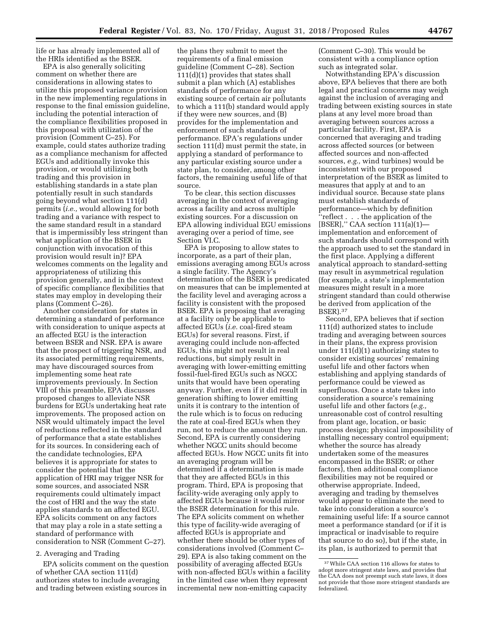life or has already implemented all of the HRIs identified as the BSER.

EPA is also generally soliciting comment on whether there are considerations in allowing states to utilize this proposed variance provision in the new implementing regulations in response to the final emission guideline, including the potential interaction of the compliance flexibilities proposed in this proposal with utilization of the provision (Comment C–25). For example, could states authorize trading as a compliance mechanism for affected EGUs and additionally invoke this provision, or would utilizing both trading and this provision in establishing standards in a state plan potentially result in such standards going beyond what section 111(d) permits (*i.e.,* would allowing for both trading and a variance with respect to the same standard result in a standard that is impermissibly less stringent than what application of the BSER in conjunction with invocation of this provision would result in)? EPA welcomes comments on the legality and appropriateness of utilizing this provision generally, and in the context of specific compliance flexibilities that states may employ in developing their plans (Comment C–26).

Another consideration for states in determining a standard of performance with consideration to unique aspects at an affected EGU is the interaction between BSER and NSR. EPA is aware that the prospect of triggering NSR, and its associated permitting requirements, may have discouraged sources from implementing some heat rate improvements previously. In Section VIII of this preamble, EPA discusses proposed changes to alleviate NSR burdens for EGUs undertaking heat rate improvements. The proposed action on NSR would ultimately impact the level of reductions reflected in the standard of performance that a state establishes for its sources. In considering each of the candidate technologies, EPA believes it is appropriate for states to consider the potential that the application of HRI may trigger NSR for some sources, and associated NSR requirements could ultimately impact the cost of HRI and the way the state applies standards to an affected EGU. EPA solicits comment on any factors that may play a role in a state setting a standard of performance with consideration to NSR (Comment C–27).

### 2. Averaging and Trading

EPA solicits comment on the question of whether CAA section 111(d) authorizes states to include averaging and trading between existing sources in

the plans they submit to meet the requirements of a final emission guideline (Comment C–28). Section 111(d)(1) provides that states shall submit a plan which (A) establishes standards of performance for any existing source of certain air pollutants to which a 111(b) standard would apply if they were new sources, and (B) provides for the implementation and enforcement of such standards of performance. EPA's regulations under section 111(d) must permit the state, in applying a standard of performance to any particular existing source under a state plan, to consider, among other factors, the remaining useful life of that source.

To be clear, this section discusses averaging in the context of averaging across a facility and across multiple existing sources. For a discussion on EPA allowing individual EGU emissions averaging over a period of time, see Section VI.C.

EPA is proposing to allow states to incorporate, as a part of their plan, emissions averaging among EGUs across a single facility. The Agency's determination of the BSER is predicated on measures that can be implemented at the facility level and averaging across a facility is consistent with the proposed BSER. EPA is proposing that averaging at a facility only be applicable to affected EGUs (*i.e.* coal-fired steam EGUs) for several reasons. First, if averaging could include non-affected EGUs, this might not result in real reductions, but simply result in averaging with lower-emitting emitting fossil-fuel-fired EGUs such as NGCC units that would have been operating anyway. Further, even if it did result in generation shifting to lower emitting units it is contrary to the intention of the rule which is to focus on reducing the rate at coal-fired EGUs when they run, not to reduce the amount they run. Second, EPA is currently considering whether NGCC units should become affected EGUs. How NGCC units fit into an averaging program will be determined if a determination is made that they are affected EGUs in this program. Third, EPA is proposing that facility-wide averaging only apply to affected EGUs because it would mirror the BSER determination for this rule. The EPA solicits comment on whether this type of facility-wide averaging of affected EGUs is appropriate and whether there should be other types of considerations involved (Comment C– 29). EPA is also taking comment on the possibility of averaging affected EGUs with non-affected EGUs within a facility in the limited case when they represent incremental new non-emitting capacity

(Comment C–30). This would be consistent with a compliance option such as integrated solar.

Notwithstanding EPA's discussion above, EPA believes that there are both legal and practical concerns may weigh against the inclusion of averaging and trading between existing sources in state plans at any level more broad than averaging between sources across a particular facility. First, EPA is concerned that averaging and trading across affected sources (or between affected sources and non-affected sources, *e.g.,* wind turbines) would be inconsistent with our proposed interpretation of the BSER as limited to measures that apply at and to an individual source. Because state plans must establish standards of performance—which by definition ''reflect . . . the application of the [BSER],'' CAA section 111(a)(1) implementation and enforcement of such standards should correspond with the approach used to set the standard in the first place. Applying a different analytical approach to standard-setting may result in asymmetrical regulation (for example, a state's implementation measures might result in a more stringent standard than could otherwise be derived from application of the BSER).37

Second, EPA believes that if section 111(d) authorized states to include trading and averaging between sources in their plans, the express provision under 111(d)(1) authorizing states to consider existing sources' remaining useful life and other factors when establishing and applying standards of performance could be viewed as superfluous. Once a state takes into consideration a source's remaining useful life and other factors (*e.g.,*  unreasonable cost of control resulting from plant age, location, or basic process design; physical impossibility of installing necessary control equipment; whether the source has already undertaken some of the measures encompassed in the BSER; or other factors), then additional compliance flexibilities may not be required or otherwise appropriate. Indeed, averaging and trading by themselves would appear to eliminate the need to take into consideration a source's remaining useful life: If a source cannot meet a performance standard (or if it is impractical or inadvisable to require that source to do so), but if the state, in its plan, is authorized to permit that

<sup>37</sup>While CAA section 116 allows for states to adopt more stringent state laws, and provides that the CAA does not preempt such state laws, it does not provide that those more stringent standards are federalized.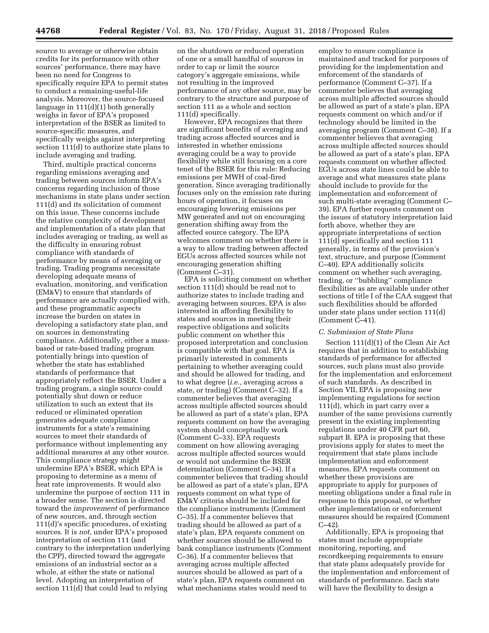source to average or otherwise obtain credits for its performance with other sources' performance, there may have been no need for Congress to specifically require EPA to permit states to conduct a remaining-useful-life analysis. Moreover, the source-focused language in 111(d)(1) both generally weighs in favor of EPA's proposed interpretation of the BSER as limited to source-specific measures, and specifically weighs against interpreting section 111(d) to authorize state plans to include averaging and trading.

Third, multiple practical concerns regarding emissions averaging and trading between sources inform EPA's concerns regarding inclusion of those mechanisms in state plans under section 111(d) and its solicitation of comment on this issue. These concerns include the relative complexity of development and implementation of a state plan that includes averaging or trading, as well as the difficulty in ensuring robust compliance with standards of performance by means of averaging or trading. Trading programs necessitate developing adequate means of evaluation, monitoring, and verification (EM&V) to ensure that standards of performance are actually complied with, and these programmatic aspects increase the burden on states in developing a satisfactory state plan, and on sources in demonstrating compliance. Additionally, either a massbased or rate-based trading program potentially brings into question of whether the state has established standards of performance that appropriately reflect the BSER. Under a trading program, a single source could potentially shut down or reduce utilization to such an extent that its reduced or eliminated operation generates adequate compliance instruments for a state's remaining sources to meet their standards of performance without implementing any additional measures at any other source. This compliance strategy might undermine EPA's BSER, which EPA is proposing to determine as a menu of heat rate improvements. It would also undermine the purpose of section 111 in a broader sense. The section is directed toward the *improvement* of performance of new sources, and, through section 111(d)'s specific procedures, of existing sources. It is *not,* under EPA's proposed interpretation of section 111 (and contrary to the interpretation underlying the CPP), directed toward the aggregate emissions of an industrial sector as a whole, at either the state or national level. Adopting an interpretation of section 111(d) that could lead to relying

on the shutdown or reduced operation of one or a small handful of sources in order to cap or limit the source category's aggregate emissions, while not resulting in the improved performance of any other source, may be contrary to the structure and purpose of section 111 as a whole and section 111(d) specifically.

However, EPA recognizes that there are significant benefits of averaging and trading across affected sources and is interested in whether emissions averaging could be a way to provide flexibility while still focusing on a core tenet of the BSER for this rule: Reducing emissions per MWH of coal-fired generation. Since averaging traditionally focuses only on the emission rate during hours of operation, it focuses on encouraging lowering emissions per MW generated and not on encouraging generation shifting away from the affected source category. The EPA welcomes comment on whether there is a way to allow trading between affected EGUs across affected sources while not encouraging generation shifting (Comment C–31).

EPA is soliciting comment on whether section 111(d) should be read not to authorize states to include trading and averaging between sources, EPA is also interested in affording flexibility to states and sources in meeting their respective obligations and solicits public comment on whether this proposed interpretation and conclusion is compatible with that goal. EPA is primarily interested in comments pertaining to whether averaging could and should be allowed for trading, and to what degree (*i.e.,* averaging across a state, or trading) (Comment C–32). If a commenter believes that averaging across multiple affected sources should be allowed as part of a state's plan, EPA requests comment on how the averaging system should conceptually work (Comment C–33). EPA requests comment on how allowing averaging across multiple affected sources would or would not undermine the BSER determination (Comment C–34). If a commenter believes that trading should be allowed as part of a state's plan, EPA requests comment on what type of EM&V criteria should be included for the compliance instruments (Comment C–35). If a commenter believes that trading should be allowed as part of a state's plan, EPA requests comment on whether sources should be allowed to bank compliance instruments (Comment C–36). If a commenter believes that averaging across multiple affected sources should be allowed as part of a state's plan, EPA requests comment on what mechanisms states would need to

employ to ensure compliance is maintained and tracked for purposes of providing for the implementation and enforcement of the standards of performance (Comment C–37). If a commenter believes that averaging across multiple affected sources should be allowed as part of a state's plan, EPA requests comment on which and/or if technology should be limited in the averaging program (Comment C–38). If a commenter believes that averaging across multiple affected sources should be allowed as part of a state's plan, EPA requests comment on whether affected EGUs across state lines could be able to average and what measures state plans should include to provide for the implementation and enforcement of such multi-state averaging (Comment C– 39). EPA further requests comment on the issues of statutory interpretation laid forth above, whether they are appropriate interpretations of section 111(d) specifically and section 111 generally, in terms of the provision's text, structure, and purpose (Comment C–40). EPA additionally solicits comment on whether such averaging, trading, or ''bubbling'' compliance flexibilities as are available under other sections of title I of the CAA suggest that such flexibilities should be afforded under state plans under section 111(d) (Comment C–41).

#### *C. Submission of State Plans*

Section 111(d)(1) of the Clean Air Act requires that in addition to establishing standards of performance for affected sources, such plans must also provide for the implementation and enforcement of such standards. As described in Section VII, EPA is proposing new implementing regulations for section 111(d), which in part carry over a number of the same provisions currently present in the existing implementing regulations under 40 CFR part 60, subpart B. EPA is proposing that these provisions apply for states to meet the requirement that state plans include implementation and enforcement measures. EPA requests comment on whether these provisions are appropriate to apply for purposes of meeting obligations under a final rule in response to this proposal, or whether other implementation or enforcement measures should be required (Comment C–42).

Additionally, EPA is proposing that states must include appropriate monitoring, reporting, and recordkeeping requirements to ensure that state plans adequately provide for the implementation and enforcement of standards of performance. Each state will have the flexibility to design a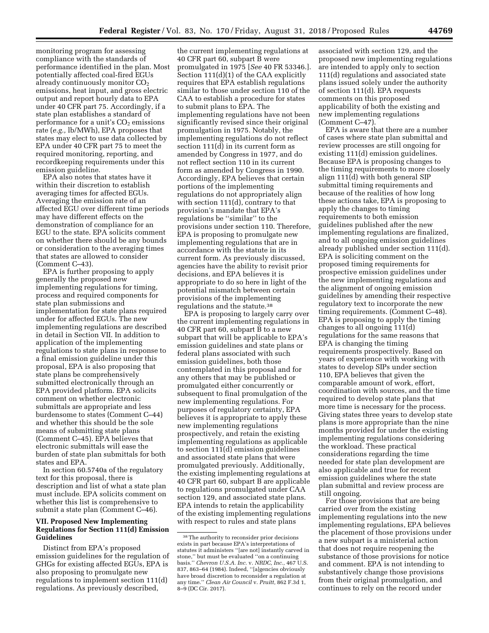monitoring program for assessing compliance with the standards of performance identified in the plan. Most potentially affected coal-fired EGUs already continuously monitor  $CO<sub>2</sub>$ emissions, heat input, and gross electric output and report hourly data to EPA under 40 CFR part 75. Accordingly, if a state plan establishes a standard of performance for a unit's  $CO<sub>2</sub>$  emissions rate (*e.g.,* lb/MWh), EPA proposes that states may elect to use data collected by EPA under 40 CFR part 75 to meet the required monitoring, reporting, and recordkeeping requirements under this emission guideline.

EPA also notes that states have it within their discretion to establish averaging times for affected EGUs. Averaging the emission rate of an affected EGU over different time periods may have different effects on the demonstration of compliance for an EGU to the state. EPA solicits comment on whether there should be any bounds or consideration to the averaging times that states are allowed to consider (Comment C–43).

EPA is further proposing to apply generally the proposed new implementing regulations for timing, process and required components for state plan submissions and implementation for state plans required under for affected EGUs. The new implementing regulations are described in detail in Section VII. In addition to application of the implementing regulations to state plans in response to a final emission guideline under this proposal, EPA is also proposing that state plans be comprehensively submitted electronically through an EPA provided platform. EPA solicits comment on whether electronic submittals are appropriate and less burdensome to states (Comment C–44) and whether this should be the sole means of submitting state plans (Comment C–45). EPA believes that electronic submittals will ease the burden of state plan submittals for both states and EPA.

In section 60.5740a of the regulatory text for this proposal, there is description and list of what a state plan must include. EPA solicits comment on whether this list is comprehensive to submit a state plan (Comment C–46).

### **VII. Proposed New Implementing Regulations for Section 111(d) Emission Guidelines**

Distinct from EPA's proposed emission guidelines for the regulation of GHGs for existing affected EGUs, EPA is also proposing to promulgate new regulations to implement section 111(d) regulations. As previously described,

the current implementing regulations at 40 CFR part 60, subpart B were promulgated in 1975 [*See* 40 FR 53346.]. Section 111(d)(1) of the CAA explicitly requires that EPA establish regulations similar to those under section 110 of the CAA to establish a procedure for states to submit plans to EPA. The implementing regulations have not been significantly revised since their original promulgation in 1975. Notably, the implementing regulations do not reflect section 111(d) in its current form as amended by Congress in 1977, and do not reflect section 110 in its current form as amended by Congress in 1990. Accordingly, EPA believes that certain portions of the implementing regulations do not appropriately align with section 111(d), contrary to that provision's mandate that EPA's regulations be ''similar'' to the provisions under section 110. Therefore, EPA is proposing to promulgate new implementing regulations that are in accordance with the statute in its current form. As previously discussed, agencies have the ability to revisit prior decisions, and EPA believes it is appropriate to do so here in light of the potential mismatch between certain provisions of the implementing regulations and the statute.38

EPA is proposing to largely carry over the current implementing regulations in 40 CFR part 60, subpart B to a new subpart that will be applicable to EPA's emission guidelines and state plans or federal plans associated with such emission guidelines, both those contemplated in this proposal and for any others that may be published or promulgated either concurrently or subsequent to final promulgation of the new implementing regulations. For purposes of regulatory certainty, EPA believes it is appropriate to apply these new implementing regulations prospectively, and retain the existing implementing regulations as applicable to section 111(d) emission guidelines and associated state plans that were promulgated previously. Additionally, the existing implementing regulations at 40 CFR part 60, subpart B are applicable to regulations promulgated under CAA section 129, and associated state plans. EPA intends to retain the applicability of the existing implementing regulations with respect to rules and state plans

associated with section 129, and the proposed new implementing regulations are intended to apply only to section 111(d) regulations and associated state plans issued solely under the authority of section 111(d). EPA requests comments on this proposed applicability of both the existing and new implementing regulations (Comment C–47).

EPA is aware that there are a number of cases where state plan submittal and review processes are still ongoing for existing 111(d) emission guidelines. Because EPA is proposing changes to the timing requirements to more closely align 111(d) with both general SIP submittal timing requirements and because of the realities of how long these actions take, EPA is proposing to apply the changes to timing requirements to both emission guidelines published after the new implementing regulations are finalized, and to all ongoing emission guidelines already published under section 111(d). EPA is soliciting comment on the proposed timing requirements for prospective emission guidelines under the new implementing regulations and the alignment of ongoing emission guidelines by amending their respective regulatory text to incorporate the new timing requirements. (Comment C–48). EPA is proposing to apply the timing changes to all ongoing 111(d) regulations for the same reasons that EPA is changing the timing requirements prospectively. Based on years of experience with working with states to develop SIPs under section 110, EPA believes that given the comparable amount of work, effort, coordination with sources, and the time required to develop state plans that more time is necessary for the process. Giving states three years to develop state plans is more appropriate than the nine months provided for under the existing implementing regulations considering the workload. These practical considerations regarding the time needed for state plan development are also applicable and true for recent emission guidelines where the state plan submittal and review process are still ongoing.

For those provisions that are being carried over from the existing implementing regulations into the new implementing regulations, EPA believes the placement of those provisions under a new subpart is a ministerial action that does not require reopening the substance of those provisions for notice and comment. EPA is not intending to substantively change those provisions from their original promulgation, and continues to rely on the record under

<sup>38</sup>The authority to reconsider prior decisions exists in part because EPA's interpretations of statutes it administers ''[are not] instantly carved in stone,'' but must be evaluated ''on a continuing basis.'' *Chevron U.S.A. Inc.* v. *NRDC, Inc.,* 467 U.S. 837, 863–64 (1984). Indeed, ''[a]gencies obviously have broad discretion to reconsider a regulation at any time.'' *Clean Air Council* v. *Pruitt,* 862 F.3d 1, 8–9 (DC Cir. 2017).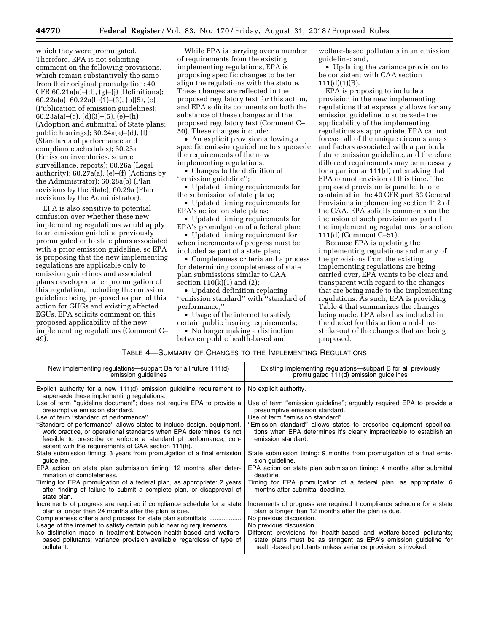which they were promulgated. Therefore, EPA is not soliciting comment on the following provisions, which remain substantively the same from their original promulgation: 40 CFR 60.21a(a)–(d), (g)–(j) (Definitions); 60.22a(a), 60.22a(b)(1)–(3), (b)(5), (c) (Publication of emission guidelines); 60.23a(a)–(c), (d)(3)–(5), (e)–(h) (Adoption and submittal of State plans; public hearings); 60.24a(a)–(d), (f) (Standards of performance and compliance schedules); 60.25a (Emission inventories, source surveillance, reports); 60.26a (Legal authority); 60.27a(a), (e)–(f) (Actions by the Administrator); 60.28a(b) (Plan revisions by the State); 60.29a (Plan revisions by the Administrator).

EPA is also sensitive to potential confusion over whether these new implementing regulations would apply to an emission guideline previously promulgated or to state plans associated with a prior emission guideline, so EPA is proposing that the new implementing regulations are applicable only to emission guidelines and associated plans developed after promulgation of this regulation, including the emission guideline being proposed as part of this action for GHGs and existing affected EGUs. EPA solicits comment on this proposed applicability of the new implementing regulations (Comment C– 49).

While EPA is carrying over a number of requirements from the existing implementing regulations, EPA is proposing specific changes to better align the regulations with the statute. These changes are reflected in the proposed regulatory text for this action, and EPA solicits comments on both the substance of these changes and the proposed regulatory text (Comment C– 50). These changes include:

• An explicit provision allowing a specific emission guideline to supersede the requirements of the new implementing regulations;

• Changes to the definition of ''emission guideline'';

• Updated timing requirements for the submission of state plans;

• Updated timing requirements for EPA's action on state plans;

• Updated timing requirements for EPA's promulgation of a federal plan;

• Updated timing requirement for when increments of progress must be included as part of a state plan;

• Completeness criteria and a process for determining completeness of state plan submissions similar to CAA section  $110(k)(1)$  and  $(2)$ ;

• Updated definition replacing ''emission standard'' with ''standard of performance;''

• Usage of the internet to satisfy certain public hearing requirements;

• No longer making a distinction between public health-based and

welfare-based pollutants in an emission guideline; and,

• Updating the variance provision to be consistent with CAA section  $111(d)(1)(B)$ .

EPA is proposing to include a provision in the new implementing regulations that expressly allows for any emission guideline to supersede the applicability of the implementing regulations as appropriate. EPA cannot foresee all of the unique circumstances and factors associated with a particular future emission guideline, and therefore different requirements may be necessary for a particular 111(d) rulemaking that EPA cannot envision at this time. The proposed provision is parallel to one contained in the 40 CFR part 63 General Provisions implementing section 112 of the CAA. EPA solicits comments on the inclusion of such provision as part of the implementing regulations for section 111(d) (Comment C–51).

Because EPA is updating the implementing regulations and many of the provisions from the existing implementing regulations are being carried over, EPA wants to be clear and transparent with regard to the changes that are being made to the implementing regulations. As such, EPA is providing Table 4 that summarizes the changes being made. EPA also has included in the docket for this action a red-linestrike-out of the changes that are being proposed.

### TABLE 4—SUMMARY OF CHANGES TO THE IMPLEMENTING REGULATIONS

| New implementing regulations—subpart Ba for all future 111(d)                                                                                                                                                                                                             | Existing implementing regulations—subpart B for all previously                                                                                                    |
|---------------------------------------------------------------------------------------------------------------------------------------------------------------------------------------------------------------------------------------------------------------------------|-------------------------------------------------------------------------------------------------------------------------------------------------------------------|
| emission guidelines                                                                                                                                                                                                                                                       | promulgated 111(d) emission guidelines                                                                                                                            |
| Explicit authority for a new 111(d) emission guideline requirement to<br>supersede these implementing regulations.                                                                                                                                                        | No explicit authority.                                                                                                                                            |
| Use of term "guideline document"; does not require EPA to provide a                                                                                                                                                                                                       | Use of term "emission guideline"; arguably required EPA to provide a                                                                                              |
| presumptive emission standard.                                                                                                                                                                                                                                            | presumptive emission standard.                                                                                                                                    |
|                                                                                                                                                                                                                                                                           | Use of term "emission standard".                                                                                                                                  |
| "Standard of performance" allows states to include design, equipment,<br>work practice, or operational standards when EPA determines it's not<br>feasible to prescribe or enforce a standard pf performance, con-<br>sistent with the requirements of CAA section 111(h). | "Emission standard" allows states to prescribe equipment specifica-<br>tions when EPA determines it's clearly impracticable to establish an<br>emission standard. |
| State submission timing: 3 years from promulgation of a final emission                                                                                                                                                                                                    | State submission timing: 9 months from promulgation of a final emis-                                                                                              |
| quideline.                                                                                                                                                                                                                                                                | sion guideline.                                                                                                                                                   |
| EPA action on state plan submission timing: 12 months after deter-                                                                                                                                                                                                        | EPA action on state plan submission timing: 4 months after submittal                                                                                              |
| mination of completeness.                                                                                                                                                                                                                                                 | deadline.                                                                                                                                                         |
| Timing for EPA promulgation of a federal plan, as appropriate: 2 years<br>after finding of failure to submit a complete plan, or disapproval of<br>state plan.                                                                                                            | Timing for EPA promulgation of a federal plan, as appropriate: 6<br>months after submittal deadline.                                                              |
| Increments of progress are required if compliance schedule for a state                                                                                                                                                                                                    | Increments of progress are required if compliance schedule for a state                                                                                            |
| plan is longer than 24 months after the plan is due.                                                                                                                                                                                                                      | plan is longer than 12 months after the plan is due.                                                                                                              |
| Completeness criteria and process for state plan submittals                                                                                                                                                                                                               | No previous discussion.                                                                                                                                           |
| Usage of the internet to satisfy certain public hearing requirements                                                                                                                                                                                                      | No previous discussion.                                                                                                                                           |
| No distinction made in treatment between health-based and welfare-                                                                                                                                                                                                        | Different provisions for health-based and welfare-based pollutants;                                                                                               |
| based pollutants; variance provision available regardless of type of                                                                                                                                                                                                      | state plans must be as stringent as EPA's emission guideline for                                                                                                  |
| pollutant.                                                                                                                                                                                                                                                                | health-based pollutants unless variance provision is invoked.                                                                                                     |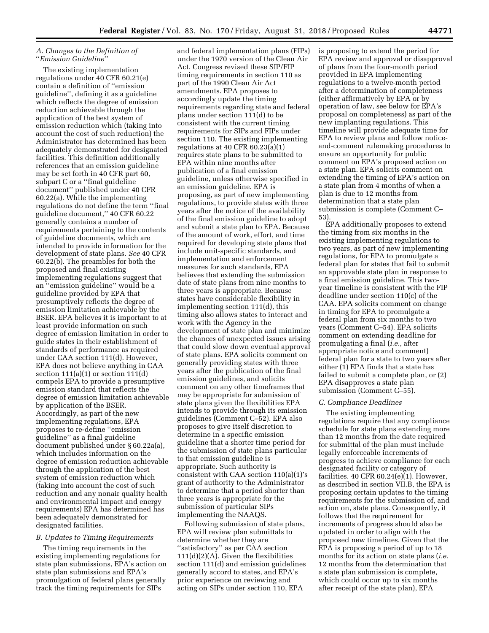### *A. Changes to the Definition of*  ''*Emission Guideline*''

The existing implementation regulations under 40 CFR 60.21(e) contain a definition of ''emission guideline'', defining it as a guideline which reflects the degree of emission reduction achievable through the application of the best system of emission reduction which (taking into account the cost of such reduction) the Administrator has determined has been adequately demonstrated for designated facilities. This definition additionally references that an emission guideline may be set forth in 40 CFR part 60, subpart C or a ''final guideline document'' published under 40 CFR 60.22(a). While the implementing regulations do not define the term ''final guideline document,'' 40 CFR 60.22 generally contains a number of requirements pertaining to the contents of guideline documents, which are intended to provide information for the development of state plans. *See* 40 CFR 60.22(b). The preambles for both the proposed and final existing implementing regulations suggest that an ''emission guideline'' would be a guideline provided by EPA that presumptively reflects the degree of emission limitation achievable by the BSER. EPA believes it is important to at least provide information on such degree of emission limitation in order to guide states in their establishment of standards of performance as required under CAA section 111(d). However, EPA does not believe anything in CAA section  $111(a)(1)$  or section  $111(d)$ compels EPA to provide a presumptive emission standard that reflects the degree of emission limitation achievable by application of the BSER. Accordingly, as part of the new implementing regulations, EPA proposes to re-define ''emission guideline'' as a final guideline document published under § 60.22a(a), which includes information on the degree of emission reduction achievable through the application of the best system of emission reduction which (taking into account the cost of such reduction and any nonair quality health and environmental impact and energy requirements) EPA has determined has been adequately demonstrated for designated facilities.

### *B. Updates to Timing Requirements*

The timing requirements in the existing implementing regulations for state plan submissions, EPA's action on state plan submissions and EPA's promulgation of federal plans generally track the timing requirements for SIPs

and federal implementation plans (FIPs) under the 1970 version of the Clean Air Act. Congress revised these SIP/FIP timing requirements in section 110 as part of the 1990 Clean Air Act amendments. EPA proposes to accordingly update the timing requirements regarding state and federal plans under section 111(d) to be consistent with the current timing requirements for SIPs and FIPs under section 110. The existing implementing regulations at 40 CFR 60.23(a)(1) requires state plans to be submitted to EPA within nine months after publication of a final emission guideline, unless otherwise specified in an emission guideline. EPA is proposing, as part of new implementing regulations, to provide states with three years after the notice of the availability of the final emission guideline to adopt and submit a state plan to EPA. Because of the amount of work, effort, and time required for developing state plans that include unit-specific standards, and implementation and enforcement measures for such standards, EPA believes that extending the submission date of state plans from nine months to three years is appropriate. Because states have considerable flexibility in implementing section 111(d), this timing also allows states to interact and work with the Agency in the development of state plan and minimize the chances of unexpected issues arising that could slow down eventual approval of state plans. EPA solicits comment on generally providing states with three years after the publication of the final emission guidelines, and solicits comment on any other timeframes that may be appropriate for submission of state plans given the flexibilities EPA intends to provide through its emission guidelines (Comment C–52). EPA also proposes to give itself discretion to determine in a specific emission guideline that a shorter time period for the submission of state plans particular to that emission guideline is appropriate. Such authority is consistent with CAA section 110(a)(1)'s grant of authority to the Administrator to determine that a period shorter than three years is appropriate for the submission of particular SIPs implementing the NAAQS.

Following submission of state plans, EPA will review plan submittals to determine whether they are ''satisfactory'' as per CAA section 111(d)(2)(A). Given the flexibilities section 111(d) and emission guidelines generally accord to states, and EPA's prior experience on reviewing and acting on SIPs under section 110, EPA

is proposing to extend the period for EPA review and approval or disapproval of plans from the four-month period provided in EPA implementing regulations to a twelve-month period after a determination of completeness (either affirmatively by EPA or by operation of law, see below for EPA's proposal on completeness) as part of the new implanting regulations. This timeline will provide adequate time for EPA to review plans and follow noticeand-comment rulemaking procedures to ensure an opportunity for public comment on EPA's proposed action on a state plan. EPA solicits comment on extending the timing of EPA's action on a state plan from 4 months of when a plan is due to 12 months from determination that a state plan submission is complete (Comment C– 53).

EPA additionally proposes to extend the timing from six months in the existing implementing regulations to two years, as part of new implementing regulations, for EPA to promulgate a federal plan for states that fail to submit an approvable state plan in response to a final emission guideline. This twoyear timeline is consistent with the FIP deadline under section 110(c) of the CAA. EPA solicits comment on change in timing for EPA to promulgate a federal plan from six months to two years (Comment C–54). EPA solicits comment on extending deadline for promulgating a final (*i.e.,* after appropriate notice and comment) federal plan for a state to two years after either (1) EPA finds that a state has failed to submit a complete plan, or (2) EPA disapproves a state plan submission (Comment C–55).

#### *C. Compliance Deadlines*

The existing implementing regulations require that any compliance schedule for state plans extending more than 12 months from the date required for submittal of the plan must include legally enforceable increments of progress to achieve compliance for each designated facility or category of facilities. 40 CFR 60.24(e)(1). However, as described in section VII.B, the EPA is proposing certain updates to the timing requirements for the submission of, and action on, state plans. Consequently, it follows that the requirement for increments of progress should also be updated in order to align with the proposed new timelines. Given that the EPA is proposing a period of up to 18 months for its action on state plans (*i.e.*  12 months from the determination that a state plan submission is complete, which could occur up to six months after receipt of the state plan), EPA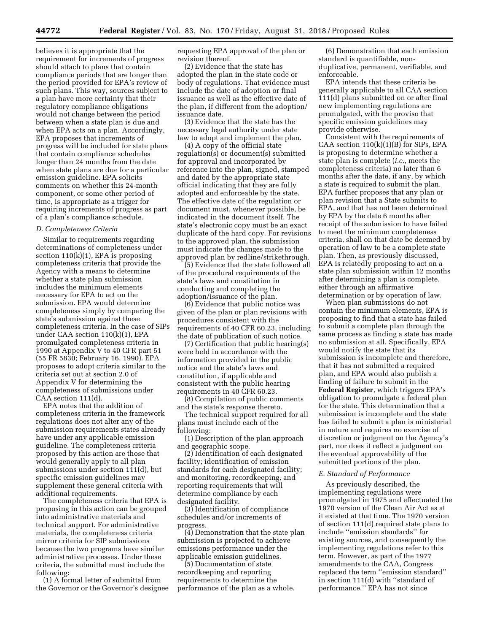believes it is appropriate that the requirement for increments of progress should attach to plans that contain compliance periods that are longer than the period provided for EPA's review of such plans. This way, sources subject to a plan have more certainty that their regulatory compliance obligations would not change between the period between when a state plan is due and when EPA acts on a plan. Accordingly, EPA proposes that increments of progress will be included for state plans that contain compliance schedules longer than 24 months from the date when state plans are due for a particular emission guideline. EPA solicits comments on whether this 24-month component, or some other period of time, is appropriate as a trigger for requiring increments of progress as part of a plan's compliance schedule.

#### *D. Completeness Criteria*

Similar to requirements regarding determinations of completeness under section  $110(k)(1)$ , EPA is proposing completeness criteria that provide the Agency with a means to determine whether a state plan submission includes the minimum elements necessary for EPA to act on the submission. EPA would determine completeness simply by comparing the state's submission against these completeness criteria. In the case of SIPs under CAA section 110(k)(1), EPA promulgated completeness criteria in 1990 at Appendix V to 40 CFR part 51 (55 FR 5830; February 16, 1990). EPA proposes to adopt criteria similar to the criteria set out at section 2.0 of Appendix V for determining the completeness of submissions under CAA section 111(d).

EPA notes that the addition of completeness criteria in the framework regulations does not alter any of the submission requirements states already have under any applicable emission guideline. The completeness criteria proposed by this action are those that would generally apply to all plan submissions under section 111(d), but specific emission guidelines may supplement these general criteria with additional requirements.

The completeness criteria that EPA is proposing in this action can be grouped into administrative materials and technical support. For administrative materials, the completeness criteria mirror criteria for SIP submissions because the two programs have similar administrative processes. Under these criteria, the submittal must include the following:

(1) A formal letter of submittal from the Governor or the Governor's designee requesting EPA approval of the plan or revision thereof.

(2) Evidence that the state has adopted the plan in the state code or body of regulations. That evidence must include the date of adoption or final issuance as well as the effective date of the plan, if different from the adoption/ issuance date.

(3) Evidence that the state has the necessary legal authority under state law to adopt and implement the plan.

(4) A copy of the official state regulation(s) or document(s) submitted for approval and incorporated by reference into the plan, signed, stamped and dated by the appropriate state official indicating that they are fully adopted and enforceable by the state. The effective date of the regulation or document must, whenever possible, be indicated in the document itself. The state's electronic copy must be an exact duplicate of the hard copy. For revisions to the approved plan, the submission must indicate the changes made to the approved plan by redline/strikethrough.

(5) Evidence that the state followed all of the procedural requirements of the state's laws and constitution in conducting and completing the adoption/issuance of the plan.

(6) Evidence that public notice was given of the plan or plan revisions with procedures consistent with the requirements of 40 CFR 60.23, including the date of publication of such notice.

(7) Certification that public hearing(s) were held in accordance with the information provided in the public notice and the state's laws and constitution, if applicable and consistent with the public hearing requirements in 40 CFR 60.23.

(8) Compilation of public comments and the state's response thereto.

The technical support required for all plans must include each of the following:

(1) Description of the plan approach and geographic scope.

(2) Identification of each designated facility; identification of emission standards for each designated facility; and monitoring, recordkeeping, and reporting requirements that will determine compliance by each designated facility.

(3) Identification of compliance schedules and/or increments of progress.

(4) Demonstration that the state plan submission is projected to achieve emissions performance under the applicable emission guidelines.

(5) Documentation of state recordkeeping and reporting requirements to determine the performance of the plan as a whole.

(6) Demonstration that each emission standard is quantifiable, nonduplicative, permanent, verifiable, and enforceable.

EPA intends that these criteria be generally applicable to all CAA section 111(d) plans submitted on or after final new implementing regulations are promulgated, with the proviso that specific emission guidelines may provide otherwise.

Consistent with the requirements of CAA section  $110(k)(1)(B)$  for SIPs, EPA is proposing to determine whether a state plan is complete (*i.e.,* meets the completeness criteria) no later than 6 months after the date, if any, by which a state is required to submit the plan. EPA further proposes that any plan or plan revision that a State submits to EPA, and that has not been determined by EPA by the date 6 months after receipt of the submission to have failed to meet the minimum completeness criteria, shall on that date be deemed by operation of law to be a complete state plan. Then, as previously discussed, EPA is relatedly proposing to act on a state plan submission within 12 months after determining a plan is complete, either through an affirmative determination or by operation of law.

When plan submissions do not contain the minimum elements, EPA is proposing to find that a state has failed to submit a complete plan through the same process as finding a state has made no submission at all. Specifically, EPA would notify the state that its submission is incomplete and therefore, that it has not submitted a required plan, and EPA would also publish a finding of failure to submit in the **Federal Register**, which triggers EPA's obligation to promulgate a federal plan for the state. This determination that a submission is incomplete and the state has failed to submit a plan is ministerial in nature and requires no exercise of discretion or judgment on the Agency's part, nor does it reflect a judgment on the eventual approvability of the submitted portions of the plan.

### *E. Standard of Performance*

As previously described, the implementing regulations were promulgated in 1975 and effectuated the 1970 version of the Clean Air Act as at it existed at that time. The 1970 version of section 111(d) required state plans to include ''emission standards'' for existing sources, and consequently the implementing regulations refer to this term. However, as part of the 1977 amendments to the CAA, Congress replaced the term ''emission standard'' in section 111(d) with ''standard of performance.'' EPA has not since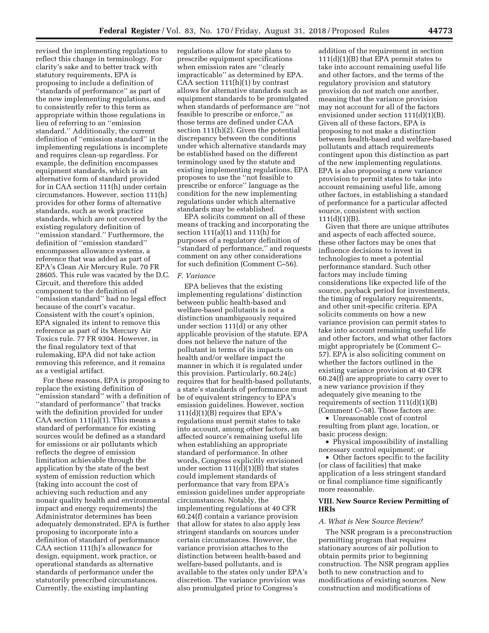revised the implementing regulations to reflect this change in terminology. For clarity's sake and to better track with statutory requirements, EPA is proposing to include a definition of ''standards of performance'' as part of the new implementing regulations, and to consistently refer to this term as appropriate within those regulations in lieu of referring to an ''emission standard.'' Additionally, the current definition of ''emission standard'' in the implementing regulations is incomplete and requires clean-up regardless. For example, the definition encompasses equipment standards, which is an alternative form of standard provided for in CAA section 111(h) under certain circumstances. However, section 111(h) provides for other forms of alternative standards, such as work practice standards, which are not covered by the existing regulatory definition of ''emission standard.'' Furthermore, the definition of ''emission standard'' encompasses allowance systems, a reference that was added as part of EPA's Clean Air Mercury Rule. 70 FR 28605. This rule was vacated by the D.C. Circuit, and therefore this added component to the definition of ''emission standard'' had no legal effect because of the court's vacatur. Consistent with the court's opinion, EPA signaled its intent to remove this reference as part of its Mercury Air Toxics rule. 77 FR 9304. However, in the final regulatory text of that rulemaking, EPA did not take action removing this reference, and it remains as a vestigial artifact.

For these reasons, EPA is proposing to replace the existing definition of ''emission standard'' with a definition of ''standard of performance'' that tracks with the definition provided for under CAA section  $111(a)(1)$ . This means a standard of performance for existing sources would be defined as a standard for emissions or air pollutants which reflects the degree of emission limitation achievable through the application by the state of the best system of emission reduction which (taking into account the cost of achieving such reduction and any nonair quality health and environmental impact and energy requirements) the Administrator determines has been adequately demonstrated. EPA is further proposing to incorporate into a definition of standard of performance CAA section 111(h)'s allowance for design, equipment, work practice, or operational standards as alternative standards of performance under the statutorily prescribed circumstances. Currently, the existing implanting

regulations allow for state plans to prescribe equipment specifications when emission rates are ''clearly impracticable'' as determined by EPA. CAA section  $111(h)(1)$  by contrast allows for alternative standards such as equipment standards to be promulgated when standards of performance are ''not feasible to prescribe or enforce,'' as those terms are defined under CAA section 111(h)(2). Given the potential discrepancy between the conditions under which alternative standards may be established based on the different terminology used by the statute and existing implementing regulations, EPA proposes to use the ''not feasible to prescribe or enforce'' language as the condition for the new implementing regulations under which alternative standards may be established.

EPA solicits comment on all of these means of tracking and incorporating the section 111(a)(1) and 111(h) for purposes of a regulatory definition of ''standard of performance,'' and requests comment on any other considerations for such definition (Comment C–56).

### *F. Variance*

EPA believes that the existing implementing regulations' distinction between public health-based and welfare-based pollutants is not a distinction unambiguously required under section 111(d) or any other applicable provision of the statute. EPA does not believe the nature of the pollutant in terms of its impacts on health and/or welfare impact the manner in which it is regulated under this provision. Particularly, 60.24(c) requires that for health-based pollutants, a state's standards of performance must be of equivalent stringency to EPA's emission guidelines. However, section  $111(d)(1)(B)$  requires that EPA's regulations must permit states to take into account, among other factors, an affected source's remaining useful life when establishing an appropriate standard of performance. In other words, Congress explicitly envisioned under section  $111(d)(1)(B)$  that states could implement standards of performance that vary from EPA's emission guidelines under appropriate circumstances. Notably, the implementing regulations at 40 CFR 60.24(f) contain a variance provision that allow for states to also apply less stringent standards on sources under certain circumstances. However, the variance provision attaches to the distinction between health-based and welfare-based pollutants, and is available to the states only under EPA's discretion. The variance provision was also promulgated prior to Congress's

addition of the requirement in section  $111(d)(1)(B)$  that EPA permit states to take into account remaining useful life and other factors, and the terms of the regulatory provision and statutory provision do not match one another, meaning that the variance provision may not account for all of the factors envisioned under section 111(d)(1)(B). Given all of these factors, EPA is proposing to not make a distinction between health-based and welfare-based pollutants and attach requirements contingent upon this distinction as part of the new implementing regulations. EPA is also proposing a new variance provision to permit states to take into account remaining useful life, among other factors, in establishing a standard of performance for a particular affected source, consistent with section  $111(d)(1)(B)$ .

Given that there are unique attributes and aspects of each affected source, these other factors may be ones that influence decisions to invest in technologies to meet a potential performance standard. Such other factors may include timing considerations like expected life of the source, payback period for investments, the timing of regulatory requirements, and other unit-specific criteria. EPA solicits comments on how a new variance provision can permit states to take into account remaining useful life and other factors, and what other factors might appropriately be (Comment C– 57). EPA is also soliciting comment on whether the factors outlined in the existing variance provision at 40 CFR 60.24(f) are appropriate to carry over to a new variance provision if they adequately give meaning to the requirements of section 111(d)(1)(B) (Comment C–58). Those factors are:

• Unreasonable cost of control resulting from plant age, location, or basic process design;

• Physical impossibility of installing necessary control equipment; or

• Other factors specific to the facility (or class of facilities) that make application of a less stringent standard or final compliance time significantly more reasonable.

### **VIII. New Source Review Permitting of HRIs**

#### *A. What is New Source Review?*

The NSR program is a preconstruction permitting program that requires stationary sources of air pollution to obtain permits prior to beginning construction. The NSR program applies both to new construction and to modifications of existing sources. New construction and modifications of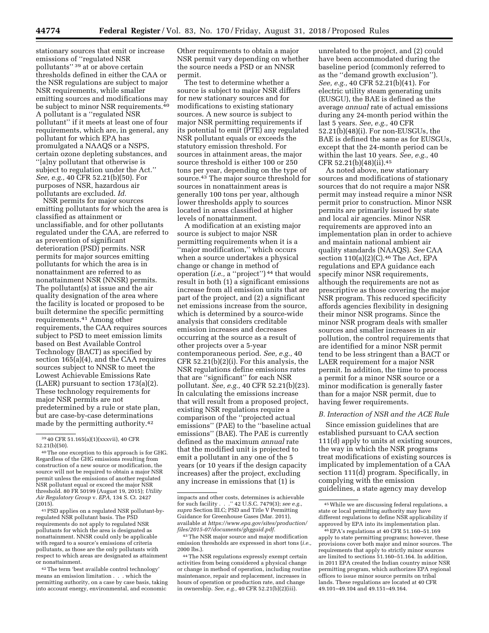stationary sources that emit or increase emissions of ''regulated NSR pollutants'' 39 at or above certain thresholds defined in either the CAA or the NSR regulations are subject to major NSR requirements, while smaller emitting sources and modifications may be subject to minor NSR requirements.40 A pollutant is a ''regulated NSR pollutant'' if it meets at least one of four requirements, which are, in general, any pollutant for which EPA has promulgated a NAAQS or a NSPS, certain ozone depleting substances, and ''[a]ny pollutant that otherwise is subject to regulation under the Act.'' *See, e.g.,* 40 CFR 52.21(b)(50). For purposes of NSR, hazardous air pollutants are excluded. *Id.* 

NSR permits for major sources emitting pollutants for which the area is classified as attainment or unclassifiable, and for other pollutants regulated under the CAA, are referred to as prevention of significant deterioration (PSD) permits. NSR permits for major sources emitting pollutants for which the area is in nonattainment are referred to as nonattainment NSR (NNSR) permits. The pollutant(s) at issue and the air quality designation of the area where the facility is located or proposed to be built determine the specific permitting requirements.41 Among other requirements, the CAA requires sources subject to PSD to meet emission limits based on Best Available Control Technology (BACT) as specified by section 165(a)(4), and the CAA requires sources subject to NNSR to meet the Lowest Achievable Emissions Rate (LAER) pursuant to section 173(a)(2). These technology requirements for major NSR permits are not predetermined by a rule or state plan, but are case-by-case determinations made by the permitting authority.42

41PSD applies on a regulated NSR pollutant-byregulated NSR pollutant basis. The PSD requirements do not apply to regulated NSR pollutants for which the area is designated as nonattainment. NNSR could only be applicable with regard to a source's emissions of criteria pollutants, as those are the only pollutants with respect to which areas are designated as attainment or nonattainment.

42The term 'best available control technology' means an emission limitation . . . which the permitting authority, on a case by case basis, taking into account energy, environmental, and economic

Other requirements to obtain a major NSR permit vary depending on whether the source needs a PSD or an NNSR permit.

The test to determine whether a source is subject to major NSR differs for new stationary sources and for modifications to existing stationary sources. A new source is subject to major NSR permitting requirements if its potential to emit (PTE) any regulated NSR pollutant equals or exceeds the statutory emission threshold. For sources in attainment areas, the major source threshold is either 100 or 250 tons per year, depending on the type of source.43 The major source threshold for sources in nonattainment areas is generally 100 tons per year, although lower thresholds apply to sources located in areas classified at higher levels of nonattainment.

A modification at an existing major source is subject to major NSR permitting requirements when it is a ''major modification,'' which occurs when a source undertakes a physical change or change in method of operation (*i.e.,* a ''project'') 44 that would result in both (1) a significant emissions increase from all emission units that are part of the project, and (2) a significant net emissions increase from the source, which is determined by a source-wide analysis that considers creditable emission increases and decreases occurring at the source as a result of other projects over a 5-year contemporaneous period. *See, e.g.,* 40 CFR 52.21(b)(2)(i). For this analysis, the NSR regulations define emissions rates that are ''significant'' for each NSR pollutant. *See, e.g.,* 40 CFR 52.21(b)(23). In calculating the emissions increase that will result from a proposed project, existing NSR regulations require a comparison of the ''projected actual emissions'' (PAE) to the ''baseline actual emissions'' (BAE). The PAE is currently defined as the maximum *annual* rate that the modified unit is projected to emit a pollutant in any one of the 5 years (or 10 years if the design capacity increases) after the project, excluding any increase in emissions that (1) is

unrelated to the project, and (2) could have been accommodated during the baseline period (commonly referred to as the ''demand growth exclusion''). *See, e.g.,* 40 CFR 52.21(b)(41). For electric utility steam generating units (EUSGU), the BAE is defined as the average *annual* rate of actual emissions during any 24-month period within the last 5 years. *See, e.g.,* 40 CFR 52.21(b)(48)(i). For non-EUSGUs, the BAE is defined the same as for EUSGUs, except that the 24-month period can be within the last 10 years. *See, e.g.,* 40 CFR 52.21(b)(48)(ii).45

As noted above, new stationary sources and modifications of stationary sources that do not require a major NSR permit may instead require a minor NSR permit prior to construction. Minor NSR permits are primarily issued by state and local air agencies. Minor NSR requirements are approved into an implementation plan in order to achieve and maintain national ambient air quality standards (NAAQS). *See* CAA section 110(a)(2)(C).<sup>46</sup> The Act, EPA regulations and EPA guidance each specify minor NSR requirements, although the requirements are not as prescriptive as those covering the major NSR program. This reduced specificity affords agencies flexibility in designing their minor NSR programs. Since the minor NSR program deals with smaller sources and smaller increases in air pollution, the control requirements that are identified for a minor NSR permit tend to be less stringent than a BACT or LAER requirement for a major NSR permit. In addition, the time to process a permit for a minor NSR source or a minor modification is generally faster than for a major NSR permit, due to having fewer requirements.

#### *B. Interaction of NSR and the ACE Rule*

Since emission guidelines that are established pursuant to CAA section 111(d) apply to units at existing sources, the way in which the NSR programs treat modifications of existing sources is implicated by implementation of a CAA section 111(d) program. Specifically, in complying with the emission guidelines, a state agency may develop

<sup>39</sup> 40 CFR 51.165(a)(1)(xxxvii), 40 CFR 52.21(b)(50).

<sup>40</sup>The one exception to this approach is for GHG. Regardless of the GHG emissions resulting from construction of a new source or modification, the source will not be required to obtain a major NSR permit unless the emissions of another regulated NSR pollutant equal or exceed the major NSR threshold. 80 FR 50199 (August 19, 2015); *Utility Air Regulatory Group* v. *EPA,* 134 S. Ct. 2427 (2015).

impacts and other costs, determines is achievable for such facility . . .'' 42 U.S.C. 7479(3); *see e.g., supra* Section III.C; PSD and Title V Permitting Guidance for Greenhouse Gases (Mar. 2011), available at *[https://www.epa.gov/sites/production/](https://www.epa.gov/sites/production/files/2015-07/documents/ghgguid.pdf)  [files/2015-07/documents/ghgguid.pdf.](https://www.epa.gov/sites/production/files/2015-07/documents/ghgguid.pdf)* 

<sup>43</sup>The NSR major source and major modification emission thresholds are expressed in short tons (*i.e.,*  2000 lbs.).

<sup>44</sup>The NSR regulations expressly exempt certain activities from being considered a physical change or change in method of operation, including routine maintenance, repair and replacement, increases in hours of operation or production rate, and change in ownership. *See, e.g.,* 40 CFR 52.21(b)(2)(iii).

<sup>45</sup>While we are discussing federal regulations, a state or local permitting authority may have different regulations to define NSR applicability if approved by EPA into its implementation plan.

<sup>46</sup>EPA's regulations at 40 CFR 51.160–51.169 apply to state permitting programs; however, these provisions cover both major and minor sources. The requirements that apply to strictly minor sources are limited to sections 51.160–51.164. In addition, in 2011 EPA created the Indian country minor NSR permitting program, which authorizes EPA regional offices to issue minor source permits on tribal lands. These regulations are located at 40 CFR 49.101–49.104 and 49.151–49.164.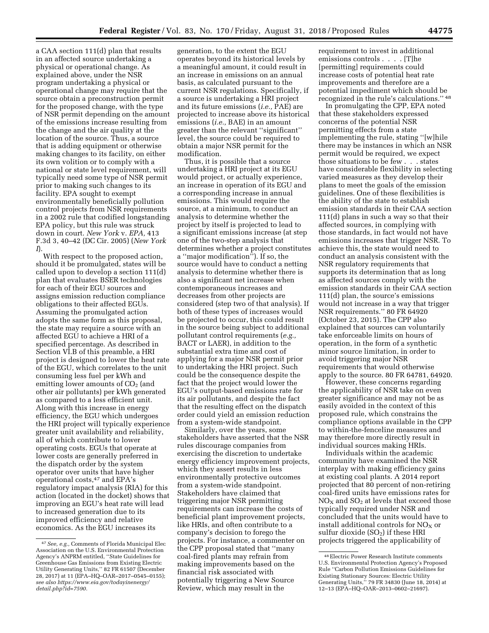a CAA section 111(d) plan that results in an affected source undertaking a physical or operational change. As explained above, under the NSR program undertaking a physical or operational change may require that the source obtain a preconstruction permit for the proposed change, with the type of NSR permit depending on the amount of the emissions increase resulting from the change and the air quality at the location of the source. Thus, a source that is adding equipment or otherwise making changes to its facility, on either its own volition or to comply with a national or state level requirement, will typically need some type of NSR permit prior to making such changes to its facility. EPA sought to exempt environmentally beneficially pollution control projects from NSR requirements in a 2002 rule that codified longstanding EPA policy, but this rule was struck down in court. *New York* v. *EPA,* 413 F.3d 3, 40–42 (DC Cir. 2005) (*New York* 

*I*). With respect to the proposed action, should it be promulgated, states will be called upon to develop a section 111(d) plan that evaluates BSER technologies for each of their EGU sources and assigns emission reduction compliance obligations to their affected EGUs. Assuming the promulgated action adopts the same form as this proposal, the state may require a source with an affected EGU to achieve a HRI of a specified percentage. As described in Section VI.B of this preamble, a HRI project is designed to lower the heat rate of the EGU, which correlates to the unit consuming less fuel per kWh and emitting lower amounts of  $CO<sub>2</sub>$  (and other air pollutants) per kWh generated as compared to a less efficient unit. Along with this increase in energy efficiency, the EGU which undergoes the HRI project will typically experience greater unit availability and reliability, all of which contribute to lower operating costs. EGUs that operate at lower costs are generally preferred in the dispatch order by the system operator over units that have higher operational costs,47 and EPA's regulatory impact analysis (RIA) for this action (located in the docket) shows that improving an EGU's heat rate will lead to increased generation due to its improved efficiency and relative economics. As the EGU increases its

generation, to the extent the EGU operates beyond its historical levels by a meaningful amount, it could result in an increase in emissions on an annual basis, as calculated pursuant to the current NSR regulations. Specifically, if a source is undertaking a HRI project and its future emissions (*i.e.,* PAE) are projected to increase above its historical emissions (*i.e.,* BAE) in an amount greater than the relevant ''significant'' level, the source could be required to obtain a major NSR permit for the modification.

Thus, it is possible that a source undertaking a HRI project at its EGU would project, or actually experience, an increase in operation of its EGU and a corresponding increase in annual emissions. This would require the source, at a minimum, to conduct an analysis to determine whether the project by itself is projected to lead to a significant emissions increase (at step one of the two-step analysis that determines whether a project constitutes a ''major modification''). If so, the source would have to conduct a netting analysis to determine whether there is also a significant net increase when contemporaneous increases and decreases from other projects are considered (step two of that analysis). If both of these types of increases would be projected to occur, this could result in the source being subject to additional pollutant control requirements (*e.g.,*  BACT or LAER), in addition to the substantial extra time and cost of applying for a major NSR permit prior to undertaking the HRI project. Such could be the consequence despite the fact that the project would lower the EGU's output-based emissions rate for its air pollutants, and despite the fact that the resulting effect on the dispatch order could yield an emission reduction from a system-wide standpoint.

Similarly, over the years, some stakeholders have asserted that the NSR rules discourage companies from exercising the discretion to undertake energy efficiency improvement projects, which they assert results in less environmentally protective outcomes from a system-wide standpoint. Stakeholders have claimed that triggering major NSR permitting requirements can increase the costs of beneficial plant improvement projects, like HRIs, and often contribute to a company's decision to forego the projects. For instance, a commenter on the CPP proposal stated that ''many coal-fired plants may refrain from making improvements based on the financial risk associated with potentially triggering a New Source Review, which may result in the

requirement to invest in additional emissions controls . . . . [T]he [permitting] requirements could increase costs of potential heat rate improvements and therefore are a potential impediment which should be recognized in the rule's calculations.'' 48

In promulgating the CPP, EPA noted that these stakeholders expressed concerns of the potential NSR permitting effects from a state implementing the rule, stating ''[w]hile there may be instances in which an NSR permit would be required, we expect those situations to be few . . . states have considerable flexibility in selecting varied measures as they develop their plans to meet the goals of the emission guidelines. One of these flexibilities is the ability of the state to establish emission standards in their CAA section 111(d) plans in such a way so that their affected sources, in complying with those standards, in fact would not have emissions increases that trigger NSR. To achieve this, the state would need to conduct an analysis consistent with the NSR regulatory requirements that supports its determination that as long as affected sources comply with the emission standards in their CAA section 111(d) plan, the source's emissions would not increase in a way that trigger NSR requirements.'' 80 FR 64920 (October 23, 2015). The CPP also explained that sources can voluntarily take enforceable limits on hours of operation, in the form of a synthetic minor source limitation, in order to avoid triggering major NSR requirements that would otherwise apply to the source. 80 FR 64781, 64920.

However, these concerns regarding the applicability of NSR take on even greater significance and may not be as easily avoided in the context of this proposed rule, which constrains the compliance options available in the CPP to within-the-fenceline measures and may therefore more directly result in individual sources making HRIs.

Individuals within the academic community have examined the NSR interplay with making efficiency gains at existing coal plants. A 2014 report projected that 80 percent of non-retiring coal-fired units have emissions rates for  $NO<sub>X</sub>$  and  $SO<sub>2</sub>$  at levels that exceed those typically required under NSR and concluded that the units would have to install additional controls for  $NO<sub>x</sub>$  or sulfur dioxide  $(SO<sub>2</sub>)$  if these HRI projects triggered the applicability of

<sup>47</sup>*See, e.g.,* Comments of Florida Municipal Elec Association on the U.S. Environmental Protection Agency's ANPRM entitled, ''State Guidelines for Greenhouse Gas Emissions from Existing Electric Utility Generating Units,'' 82 FR 61507 (December 28, 2017) at 11 (EPA–HQ–OAR–2017–0545–0155); *see also [https://www.eia.gov/todayinenergy/](https://www.eia.gov/todayinenergy/detail.php?id=7590) [detail.php?id=7590.](https://www.eia.gov/todayinenergy/detail.php?id=7590)* 

<sup>48</sup>Electric Power Research Institute comments U.S. Environmental Protection Agency's Proposed Rule ''Carbon Pollution Emissions Guidelines for Existing Stationary Sources: Electric Utility Generating Units,'' 79 FR 34830 (June 18, 2014) at 12–13 (EPA–HQ–OAR–2013–0602–21697).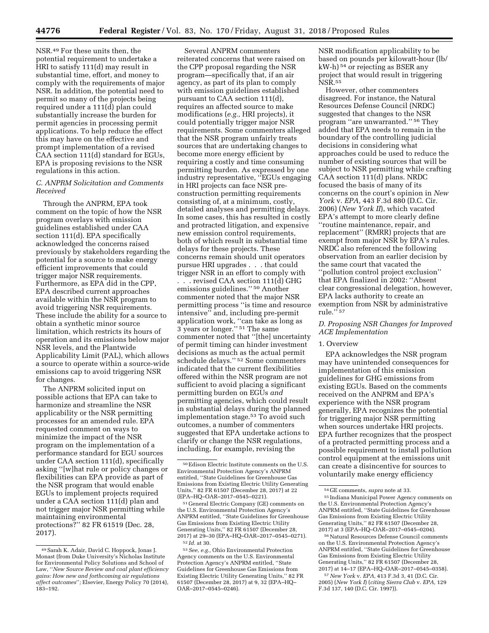NSR.49 For these units then, the potential requirement to undertake a HRI to satisfy 111(d) may result in substantial time, effort, and money to comply with the requirements of major NSR. In addition, the potential need to permit so many of the projects being required under a 111(d) plan could substantially increase the burden for permit agencies in processing permit applications. To help reduce the effect this may have on the effective and prompt implementation of a revised CAA section 111(d) standard for EGUs, EPA is proposing revisions to the NSR regulations in this action.

### *C. ANPRM Solicitation and Comments Received*

Through the ANPRM, EPA took comment on the topic of how the NSR program overlays with emission guidelines established under CAA section 111(d). EPA specifically acknowledged the concerns raised previously by stakeholders regarding the potential for a source to make energy efficient improvements that could trigger major NSR requirements. Furthermore, as EPA did in the CPP, EPA described current approaches available within the NSR program to avoid triggering NSR requirements. These include the ability for a source to obtain a synthetic minor source limitation, which restricts its hours of operation and its emissions below major NSR levels, and the Plantwide Applicability Limit (PAL), which allows a source to operate within a source-wide emissions cap to avoid triggering NSR for changes.

The ANPRM solicited input on possible actions that EPA can take to harmonize and streamline the NSR applicability or the NSR permitting processes for an amended rule. EPA requested comment on ways to minimize the impact of the NSR program on the implementation of a performance standard for EGU sources under CAA section 111(d), specifically asking ''[w]hat rule or policy changes or flexibilities can EPA provide as part of the NSR program that would enable EGUs to implement projects required under a CAA section 111(d) plan and not trigger major NSR permitting while maintaining environmental protections?'' 82 FR 61519 (Dec. 28, 2017).

Several ANPRM commenters reiterated concerns that were raised on the CPP proposal regarding the NSR program—specifically that, if an air agency, as part of its plan to comply with emission guidelines established pursuant to CAA section 111(d), requires an affected source to make modifications (*e.g.,* HRI projects), it could potentially trigger major NSR requirements. Some commenters alleged that the NSR program unfairly treats sources that are undertaking changes to become more energy efficient by requiring a costly and time consuming permitting burden. As expressed by one industry representative, ''EGUs engaging in HRI projects can face NSR preconstruction permitting requirements consisting of, at a minimum, costly, detailed analyses and permitting delays. In some cases, this has resulted in costly and protracted litigation, and expensive new emission control requirements, both of which result in substantial time delays for these projects. These concerns remain should unit operators pursue HRI upgrades . . . that could trigger NSR in an effort to comply with

. . . revised CAA section 111(d) GHG emissions guidelines.'' 50 Another commenter noted that the major NSR permitting process ''is time and resource intensive'' and, including pre-permit application work, ''can take as long as 3 years or longer.'' 51 The same commenter noted that ''[the] uncertainty of permit timing can hinder investment decisions as much as the actual permit schedule delays.'' 52 Some commenters indicated that the current flexibilities offered within the NSR program are not sufficient to avoid placing a significant permitting burden on EGUs *and*  permitting agencies, which could result in substantial delays during the planned implementation stage.53 To avoid such outcomes, a number of commenters suggested that EPA undertake actions to clarify or change the NSR regulations, including, for example, revising the

51 General Electric Company (GE) comments on the U.S. Environmental Protection Agency's ANPRM entitled, ''State Guidelines for Greenhouse Gas Emissions from Existing Electric Utility Generating Units,'' 82 FR 61507 (December 28, 2017) at 29–30 (EPA–HQ–OAR–2017–0545–0271). 52 *Id.* at 30.

53*See, e.g.,* Ohio Environmental Protection Agency comments on the U.S. Environmental Protection Agency's ANPRM entitled, ''State Guidelines for Greenhouse Gas Emissions from Existing Electric Utility Generating Units,'' 82 FR 61507 (December 28, 2017) at 9, 32 (EPA–HQ– OAR–2017–0545–0246).

NSR modification applicability to be based on pounds per kilowatt-hour (lb/ kW-h) 54 or rejecting as BSER any project that would result in triggering NSR.55

However, other commenters disagreed. For instance, the Natural Resources Defense Council (NRDC) suggested that changes to the NSR program ''are unwarranted.'' 56 They added that EPA needs to remain in the boundary of the controlling judicial decisions in considering what approaches could be used to reduce the number of existing sources that will be subject to NSR permitting while crafting CAA section 111(d) plans. NRDC focused the basis of many of its concerns on the court's opinion in *New York* v. *EPA,* 443 F.3d 880 (D.C. Cir. 2006) (*New York II*), which vacated EPA's attempt to more clearly define ''routine maintenance, repair, and replacement'' (RMRR) projects that are exempt from major NSR by EPA's rules. NRDC also referenced the following observation from an earlier decision by the same court that vacated the ''pollution control project exclusion'' that EPA finalized in 2002: ''Absent clear congressional delegation, however, EPA lacks authority to create an exemption from NSR by administrative rule."<sup>57</sup>

### *D. Proposing NSR Changes for Improved ACE Implementation*

### 1. Overview

EPA acknowledges the NSR program may have unintended consequences for implementation of this emission guidelines for GHG emissions from existing EGUs. Based on the comments received on the ANPRM and EPA's experience with the NSR program generally, EPA recognizes the potential for triggering major NSR permitting when sources undertake HRI projects. EPA further recognizes that the prospect of a protracted permitting process and a possible requirement to install pollution control equipment at the emissions unit can create a disincentive for sources to voluntarily make energy efficiency

56Natural Resources Defense Council comments on the U.S. Environmental Protection Agency's ANPRM entitled, ''State Guidelines for Greenhouse Gas Emissions from Existing Electric Utility Generating Units,'' 82 FR 61507 (December 28, 2017) at 14–17 (EPA–HQ–OAR–2017–0545–0358).

57*New York* v. *EPA,* 413 F.3d 3, 41 (D.C. Cir. 2005) (*New York I*) (*citing Sierra Club* v. *EPA,* 129 F.3d 137, 140 (D.C. Cir. 1997)).

<sup>49</sup>Sarah K. Adair, David C. Hoppock, Jonas J. Monast (from Duke University's Nicholas Institute for Environmental Policy Solutions and School of Law, ''*New Source Review and coal plant efficiency gains: How new and forthcoming air regulations affect outcomes*''*;* Elsevier, Energy Policy 70 (2014), 183–192.

 $^{50}\rm{E}$  Edison Electric Institute comments on the U.S. Environmental Protection Agency's ANPRM entitled, ''State Guidelines for Greenhouse Gas Emissions from Existing Electric Utility Generating Units,'' 82 FR 61507 (December 28, 2017) at 22 (EPA–HQ–OAR–2017–0545–0221).

<sup>54</sup> GE comments, *supra* note at 33.

<sup>55</sup> Indiana Municipal Power Agency comments on the U.S. Environmental Protection Agency's ANPRM entitled, ''State Guidelines for Greenhouse Gas Emissions from Existing Electric Utility Generating Units,'' 82 FR 61507 (December 28, 2017) at 3 (EPA–HQ–OAR–2017–0545–0204).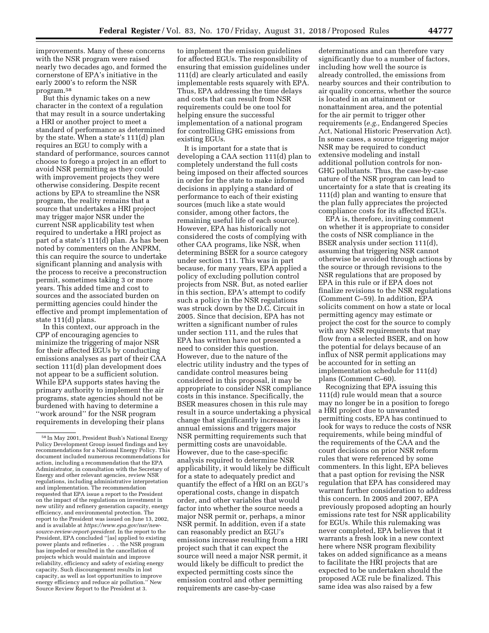improvements. Many of these concerns with the NSR program were raised nearly two decades ago, and formed the cornerstone of EPA's initiative in the early 2000's to reform the NSR program.58

But this dynamic takes on a new character in the context of a regulation that may result in a source undertaking a HRI or another project to meet a standard of performance as determined by the state. When a state's 111(d) plan requires an EGU to comply with a standard of performance, sources cannot choose to forego a project in an effort to avoid NSR permitting as they could with improvement projects they were otherwise considering. Despite recent actions by EPA to streamline the NSR program, the reality remains that a source that undertakes a HRI project may trigger major NSR under the current NSR applicability test when required to undertake a HRI project as part of a state's 111(d) plan. As has been noted by commenters on the ANPRM, this can require the source to undertake significant planning and analysis with the process to receive a preconstruction permit, sometimes taking 3 or more years. This added time and cost to sources and the associated burden on permitting agencies could hinder the effective and prompt implementation of state 111(d) plans.

In this context, our approach in the CPP of encouraging agencies to minimize the triggering of major NSR for their affected EGUs by conducting emissions analyses as part of their CAA section 111(d) plan development does not appear to be a sufficient solution. While EPA supports states having the primary authority to implement the air programs, state agencies should not be burdened with having to determine a ''work around'' for the NSR program requirements in developing their plans

to implement the emission guidelines for affected EGUs. The responsibility of ensuring that emission guidelines under 111(d) are clearly articulated and easily implementable rests squarely with EPA. Thus, EPA addressing the time delays and costs that can result from NSR requirements could be one tool for helping ensure the successful implementation of a national program for controlling GHG emissions from existing EGUs.

It is important for a state that is developing a CAA section 111(d) plan to completely understand the full costs being imposed on their affected sources in order for the state to make informed decisions in applying a standard of performance to each of their existing sources (much like a state would consider, among other factors, the remaining useful life of each source). However, EPA has historically not considered the costs of complying with other CAA programs, like NSR, when determining BSER for a source category under section 111. This was in part because, for many years, EPA applied a policy of excluding pollution control projects from NSR. But, as noted earlier in this section, EPA's attempt to codify such a policy in the NSR regulations was struck down by the D.C. Circuit in 2005. Since that decision, EPA has not written a significant number of rules under section 111, and the rules that EPA has written have not presented a need to consider this question. However, due to the nature of the electric utility industry and the types of candidate control measures being considered in this proposal, it may be appropriate to consider NSR compliance costs in this instance. Specifically, the BSER measures chosen in this rule may result in a source undertaking a physical change that significantly increases its annual emissions and triggers major NSR permitting requirements such that permitting costs are unavoidable. However, due to the case-specific analysis required to determine NSR applicability, it would likely be difficult for a state to adequately predict and quantify the effect of a HRI on an EGU's operational costs, change in dispatch order, and other variables that would factor into whether the source needs a major NSR permit or, perhaps, a minor NSR permit. In addition, even if a state can reasonably predict an EGU's emissions increase resulting from a HRI project such that it can expect the source will need a major NSR permit, it would likely be difficult to predict the expected permitting costs since the emission control and other permitting requirements are case-by-case

determinations and can therefore vary significantly due to a number of factors, including how well the source is already controlled, the emissions from nearby sources and their contribution to air quality concerns, whether the source is located in an attainment or nonattainment area, and the potential for the air permit to trigger other requirements (*e.g.,* Endangered Species Act, National Historic Preservation Act). In some cases, a source triggering major NSR may be required to conduct extensive modeling and install additional pollution controls for non-GHG pollutants. Thus, the case-by-case nature of the NSR program can lead to uncertainty for a state that is creating its 111(d) plan and wanting to ensure that the plan fully appreciates the projected compliance costs for its affected EGUs.

EPA is, therefore, inviting comment on whether it is appropriate to consider the costs of NSR compliance in the BSER analysis under section 111(d), assuming that triggering NSR cannot otherwise be avoided through actions by the source or through revisions to the NSR regulations that are proposed by EPA in this rule or if EPA does not finalize revisions to the NSR regulations (Comment C–59). In addition, EPA solicits comment on how a state or local permitting agency may estimate or project the cost for the source to comply with any NSR requirements that may flow from a selected BSER, and on how the potential for delays because of an influx of NSR permit applications may be accounted for in setting an implementation schedule for 111(d) plans (Comment C–60).

Recognizing that EPA issuing this 111(d) rule would mean that a source may no longer be in a position to forego a HRI project due to unwanted permitting costs, EPA has continued to look for ways to reduce the costs of NSR requirements, while being mindful of the requirements of the CAA and the court decisions on prior NSR reform rules that were referenced by some commenters. In this light, EPA believes that a past option for revising the NSR regulation that EPA has considered may warrant further consideration to address this concern. In 2005 and 2007, EPA previously proposed adopting an hourly emissions rate test for NSR applicability for EGUs. While this rulemaking was never completed, EPA believes that it warrants a fresh look in a new context here where NSR program flexibility takes on added significance as a means to facilitate the HRI projects that are expected to be undertaken should the proposed ACE rule be finalized. This same idea was also raised by a few

<sup>58</sup> In May 2001, President Bush's National Energy Policy Development Group issued findings and key recommendations for a National Energy Policy. This document included numerous recommendations for action, including a recommendation that the EPA Administrator, in consultation with the Secretary of Energy and other relevant agencies, review NSR regulations, including administrative interpretation and implementation. The recommendation requested that EPA issue a report to the President on the impact of the regulations on investment in new utility and refinery generation capacity, energy efficiency, and environmental protection. The report to the President was issued on June 13, 2002, and is available at *[https://www.epa.gov/nsr/new](https://www.epa.gov/nsr/new-source-review-report-president)[source-review-report-president.](https://www.epa.gov/nsr/new-source-review-report-president)* In the report to the President, EPA concluded ''[as] applied to existing power plants and refineries . . . the NSR program has impeded or resulted in the cancellation of projects which would maintain and improve reliability, efficiency and safety of existing energy capacity. Such discouragement results in lost capacity, as well as lost opportunities to improve energy efficiency and reduce air pollution.'' New Source Review Report to the President at 3.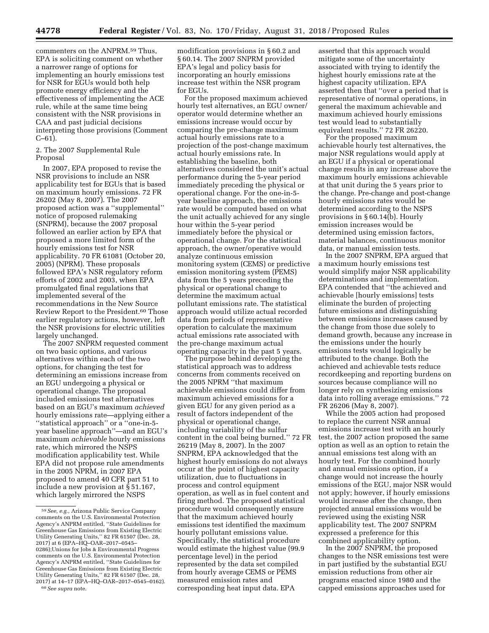commenters on the ANPRM.59 Thus, EPA is soliciting comment on whether a narrower range of options for implementing an hourly emissions test for NSR for EGUs would both help promote energy efficiency and the effectiveness of implementing the ACE rule, while at the same time being consistent with the NSR provisions in CAA and past judicial decisions

interpreting those provisions (Comment

2. The 2007 Supplemental Rule Proposal

In 2007, EPA proposed to revise the NSR provisions to include an NSR applicability test for EGUs that is based on maximum hourly emissions. 72 FR 26202 (May 8, 2007). The 2007 proposed action was a ''supplemental'' notice of proposed rulemaking (SNPRM), because the 2007 proposal followed an earlier action by EPA that proposed a more limited form of the hourly emissions test for NSR applicability. 70 FR 61081 (October 20, 2005) (NPRM). These proposals followed EPA's NSR regulatory reform efforts of 2002 and 2003, when EPA promulgated final regulations that implemented several of the recommendations in the New Source Review Report to the President.<sup>60</sup> Those earlier regulatory actions, however, left the NSR provisions for electric utilities largely unchanged.

The 2007 SNPRM requested comment on two basic options, and various alternatives within each of the two options, for changing the test for determining an emissions increase from an EGU undergoing a physical or operational change. The proposal included emissions test alternatives based on an EGU's maximum *achieved*  hourly emissions rate—applying either a ''statistical approach'' or a ''one-in-5 year baseline approach''—and an EGU's maximum *achievable* hourly emissions rate, which mirrored the NSPS modification applicability test. While EPA did not propose rule amendments in the 2005 NPRM, in 2007 EPA proposed to amend 40 CFR part 51 to include a new provision at § 51.167, which largely mirrored the NSPS

modification provisions in § 60.2 and § 60.14. The 2007 SNPRM provided EPA's legal and policy basis for incorporating an hourly emissions increase test within the NSR program  $for EGIIs$ 

For the proposed maximum achieved hourly test alternatives, an EGU owner/ operator would determine whether an emissions increase would occur by comparing the pre-change maximum actual hourly emissions rate to a projection of the post-change maximum actual hourly emissions rate. In establishing the baseline, both alternatives considered the unit's actual performance during the 5-year period immediately preceding the physical or operational change. For the one-in-5 year baseline approach, the emissions rate would be computed based on what the unit actually achieved for any single hour within the 5-year period immediately before the physical or operational change. For the statistical approach, the owner/operative would analyze continuous emission monitoring system (CEMS) or predictive emission monitoring system (PEMS) data from the 5 years preceding the physical or operational change to determine the maximum actual pollutant emissions rate. The statistical approach would utilize actual recorded data from periods of representative operation to calculate the maximum actual emissions rate associated with the pre-change maximum actual operating capacity in the past 5 years.

The purpose behind developing the statistical approach was to address concerns from comments received on the 2005 NPRM ''that maximum achievable emissions could differ from maximum achieved emissions for a given EGU for any given period as a result of factors independent of the physical or operational change, including variability of the sulfur content in the coal being burned.'' 72 FR 26219 (May 8, 2007). In the 2007 SNPRM, EPA acknowledged that the highest hourly emissions do not always occur at the point of highest capacity utilization, due to fluctuations in process and control equipment operation, as well as in fuel content and firing method. The proposed statistical procedure would consequently ensure that the maximum achieved hourly emissions test identified the maximum hourly pollutant emissions value. Specifically, the statistical procedure would estimate the highest value (99.9 percentage level) in the period represented by the data set compiled from hourly average CEMS or PEMS measured emission rates and corresponding heat input data. EPA

asserted that this approach would mitigate some of the uncertainty associated with trying to identify the highest hourly emissions rate at the highest capacity utilization. EPA asserted then that ''over a period that is representative of normal operations, in general the maximum achievable and maximum achieved hourly emissions test would lead to substantially equivalent results.'' 72 FR 26220.

For the proposed maximum achievable hourly test alternatives, the major NSR regulations would apply at an EGU if a physical or operational change results in any increase above the maximum hourly emissions achievable at that unit during the 5 years prior to the change. Pre-change and post-change hourly emissions rates would be determined according to the NSPS provisions in § 60.14(b). Hourly emission increases would be determined using emission factors, material balances, continuous monitor data, or manual emission tests.

In the 2007 SNPRM, EPA argued that a maximum hourly emissions test would simplify major NSR applicability determinations and implementation. EPA contended that ''the achieved and achievable [hourly emissions] tests eliminate the burden of projecting future emissions and distinguishing between emissions increases caused by the change from those due solely to demand growth, because any increase in the emissions under the hourly emissions tests would logically be attributed to the change. Both the achieved and achievable tests reduce recordkeeping and reporting burdens on sources because compliance will no longer rely on synthesizing emissions data into rolling average emissions.'' 72 FR 26206 (May 8, 2007).

While the 2005 action had proposed to replace the current NSR annual emissions increase test with an hourly test, the 2007 action proposed the same option as well as an option to retain the annual emissions test along with an hourly test. For the combined hourly and annual emissions option, if a change would not increase the hourly emissions of the EGU, major NSR would not apply; however, if hourly emissions would increase after the change, then projected annual emissions would be reviewed using the existing NSR applicability test. The 2007 SNPRM expressed a preference for this combined applicability option.

In the 2007 SNPRM, the proposed changes to the NSR emissions test were in part justified by the substantial EGU emission reductions from other air programs enacted since 1980 and the capped emissions approaches used for

C–61).

<sup>59</sup>*See, e.g.,* Arizona Public Service Company comments on the U.S. Environmental Protection Agency's ANPRM entitled, ''State Guidelines for Greenhouse Gas Emissions from Existing Electric Utility Generating Units,'' 82 FR 61507 (Dec. 28, 2017) at 6 (EPA–HQ–OAR–2017–0545– 0286);Unions for Jobs & Environmental Progress comments on the U.S. Environmental Protection Agency's ANPRM entitled, ''State Guidelines for Greenhouse Gas Emissions from Existing Electric Utility Generating Units,'' 82 FR 61507 (Dec. 28, 2017) at 14–17 (EPA–HQ–OAR–2017–0545–0162). 60*See supra* note.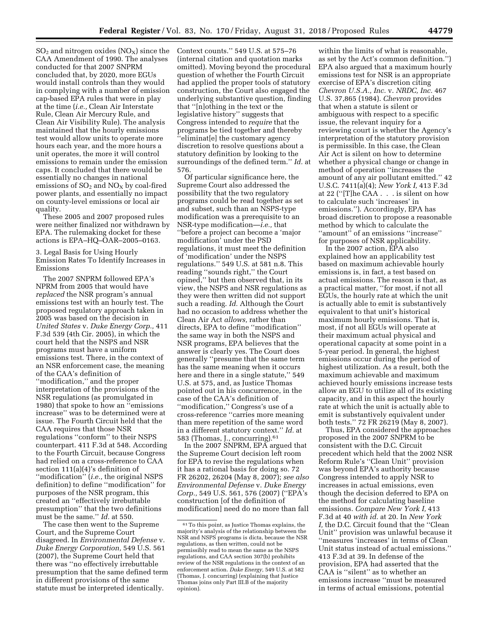$SO<sub>2</sub>$  and nitrogen oxides (NO<sub>X</sub>) since the CAA Amendment of 1990. The analyses conducted for that 2007 SNPRM concluded that, by 2020, more EGUs would install controls than they would in complying with a number of emission cap-based EPA rules that were in play at the time (*i.e.,* Clean Air Interstate Rule, Clean Air Mercury Rule, and Clean Air Visibility Rule). The analysis maintained that the hourly emissions test would allow units to operate more hours each year, and the more hours a unit operates, the more it will control emissions to remain under the emission caps. It concluded that there would be essentially no changes in national emissions of  $SO_2$  and  $NO_X$  by coal-fired power plants, and essentially no impact on county-level emissions or local air quality.

These 2005 and 2007 proposed rules were neither finalized nor withdrawn by EPA. The rulemaking docket for these actions is EPA–HQ–OAR–2005–0163.

3. Legal Basis for Using Hourly Emission Rates To Identify Increases in Emissions

The 2007 SNPRM followed EPA's NPRM from 2005 that would have *replaced* the NSR program's annual emissions test with an hourly test. The proposed regulatory approach taken in 2005 was based on the decision in *United States* v. *Duke Energy Corp.,* 411 F.3d 539 (4th Cir. 2005), in which the court held that the NSPS and NSR programs must have a uniform emissions test. There, in the context of an NSR enforcement case, the meaning of the CAA's definition of ''modification,'' and the proper interpretation of the provisions of the NSR regulations (as promulgated in 1980) that spoke to how an ''emissions increase'' was to be determined were at issue. The Fourth Circuit held that the CAA requires that those NSR regulations ''conform'' to their NSPS counterpart. 411 F.3d at 548. According to the Fourth Circuit, because Congress had relied on a cross-reference to CAA section 111(a)(4)'s definition of ''modification'' (*i.e.,* the original NSPS definition) to define ''modification'' for purposes of the NSR program, this created an ''effectively irrebuttable presumption'' that the two definitions must be the same.'' *Id.* at 550.

The case then went to the Supreme Court, and the Supreme Court disagreed. In *Environmental Defense* v. *Duke Energy Corporation,* 549 U.S. 561 (2007), the Supreme Court held that there was ''no effectively irrebuttable presumption that the same defined term in different provisions of the same statute must be interpreted identically.

Context counts.'' 549 U.S. at 575–76 (internal citation and quotation marks omitted). Moving beyond the procedural question of whether the Fourth Circuit had applied the proper tools of statutory construction, the Court also engaged the underlying substantive question, finding that ''[n]othing in the text or the legislative history'' suggests that Congress intended to *require* that the programs be tied together and thereby ''eliminat[e] the customary agency discretion to resolve questions about a statutory definition by looking to the surroundings of the defined term.'' *Id.* at 576.

Of particular significance here, the Supreme Court also addressed the possibility that the two regulatory programs could be read together as set and subset, such than an NSPS-type modification was a prerequisite to an NSR-type modification—*i.e.,* that ''before a project can become a 'major modification' under the PSD regulations, it must meet the definition of 'modification' under the NSPS regulations.'' 549 U.S. at 581 n.8. This reading ''sounds right,'' the Court opined,'' but then observed that, in its view, the NSPS and NSR regulations as they were then written did not support such a reading. *Id.* Although the Court had no occasion to address whether the Clean Air Act *allows,* rather than directs, EPA to define ''modification'' the same way in both the NSPS and NSR programs, EPA believes that the answer is clearly yes. The Court does generally ''presume that the same term has the same meaning when it occurs here and there in a single statute," 549 U.S. at 575, and, as Justice Thomas pointed out in his concurrence, in the case of the CAA's definition of ''modification,'' Congress's use of a cross-reference ''carries more meaning than mere repetition of the same word in a different statutory context.'' *Id.* at 583 (Thomas, J., concurring).61

In the 2007 SNPRM, EPA argued that the Supreme Court decision left room for EPA to revise the regulations when it has a rational basis for doing so. 72 FR 26202, 26204 (May 8, 2007); *see also Environmental Defense* v. *Duke Energy Corp.,* 549 U.S. 561, 576 (2007) (''EPA's construction [of the definition of modification] need do no more than fall

within the limits of what is reasonable, as set by the Act's common definition.'') EPA also argued that a maximum hourly emissions test for NSR is an appropriate exercise of EPA's discretion citing *Chevron U.S.A., Inc.* v. *NRDC, Inc.* 467 U.S. 37,865 (1984). *Chevron* provides that when a statute is silent or ambiguous with respect to a specific issue, the relevant inquiry for a reviewing court is whether the Agency's interpretation of the statutory provision is permissible. In this case, the Clean Air Act is silent on how to determine whether a physical change or change in method of operation ''increases the amount of any air pollutant emitted.'' 42 U.S.C. 7411(a)(4); *New York I,* 413 F.3d at 22 (''[T]he CAA . . . is silent on how to calculate such 'increases' in emissions.''). Accordingly, EPA has broad discretion to propose a reasonable method by which to calculate the ''amount'' of an emissions ''increase'' for purposes of NSR applicability.

In the 2007 action, EPA also explained how an applicability test based on maximum achievable hourly emissions is, in fact, a test based on actual emissions. The reason is that, as a practical matter, ''for most, if not all EGUs, the hourly rate at which the unit is actually able to emit is substantively equivalent to that unit's historical maximum hourly emissions. That is, most, if not all EGUs will operate at their maximum actual physical and operational capacity at some point in a 5-year period. In general, the highest emissions occur during the period of highest utilization. As a result, both the maximum achievable and maximum achieved hourly emissions increase tests allow an EGU to utilize all of its existing capacity, and in this aspect the hourly rate at which the unit is actually able to emit is substantively equivalent under both tests.'' 72 FR 26219 (May 8, 2007).

Thus, EPA considered the approaches proposed in the 2007 SNPRM to be consistent with the D.C. Circuit precedent which held that the 2002 NSR Reform Rule's ''Clean Unit'' provision was beyond EPA's authority because Congress intended to apply NSR to increases in actual emissions, even though the decision deferred to EPA on the method for calculating baseline emissions. *Compare New York I,* 413 F.3d at 40 *with id.* at 20. In *New York I,* the D.C. Circuit found that the ''Clean Unit'' provision was unlawful because it ''measures 'increases' in terms of Clean Unit status instead of actual emissions.'' 413 F.3d at 39. In defense of the provision, EPA had asserted that the CAA is ''silent'' as to whether an emissions increase ''must be measured in terms of actual emissions, potential

<sup>61</sup>To this point, as Justice Thomas explains, the majority's analysis of the relationship between the NSR and NSPS programs is dicta, because the NSR regulations, as then written, could not be permissibly read to mean the same as the NSPS regulations, and CAA section 307(b) prohibits review of the NSR regulations in the context of an enforcement action. *Duke Energy,* 549 U.S. at 582 (Thomas, J. concurring) (explaining that Justice Thomas joins only Part III.B of the majority opinion).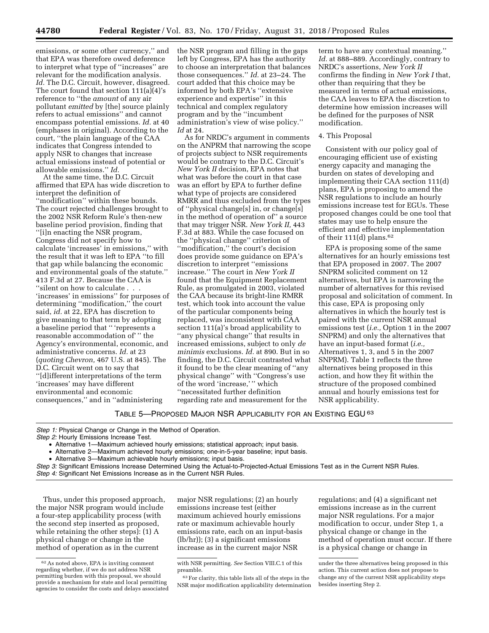emissions, or some other currency,'' and that EPA was therefore owed deference to interpret what type of ''increases'' are relevant for the modification analysis. *Id.* The D.C. Circuit, however, disagreed. The court found that section 111(a)(4)'s reference to ''the *amount* of any air pollutant *emitted* by [the] source plainly refers to actual emissions'' and cannot encompass potential emissions. *Id.* at 40 (emphases in original). According to the court, ''the plain language of the CAA indicates that Congress intended to apply NSR to changes that increase actual emissions instead of potential or allowable emissions.'' *Id.* 

At the same time, the D.C. Circuit affirmed that EPA has wide discretion to interpret the definition of ''modification'' within these bounds. The court rejected challenges brought to the 2002 NSR Reform Rule's then-new baseline period provision, finding that ''[i]n enacting the NSR program, Congress did not specify how to calculate 'increases' in emissions,'' with the result that it was left to EPA ''to fill that gap while balancing the economic and environmental goals of the statute.'' 413 F.3d at 27. Because the CAA is ''silent on how to calculate . . . 'increases' in emissions'' for purposes of determining ''modification,'' the court said, *id.* at 22, EPA has discretion to give meaning to that term by adopting a baseline period that '' 'represents a reasonable accommodation of' '' the Agency's environmental, economic, and administrative concerns. *Id.* at 23 (*quoting Chevron,* 467 U.S. at 845). The D.C. Circuit went on to say that ''[d]ifferent interpretations of the term 'increases' may have different environmental and economic consequences,'' and in ''administering

the NSR program and filling in the gaps left by Congress, EPA has the authority to choose an interpretation that balances those consequences.'' *Id.* at 23–24. The court added that this choice may be informed by both EPA's ''extensive experience and expertise'' in this technical and complex regulatory program and by the ''incumbent administration's view of wise policy.'' *Id* at 24.

As for NRDC's argument in comments on the ANPRM that narrowing the scope of projects subject to NSR requirements would be contrary to the D.C. Circuit's *New York II* decision, EPA notes that what was before the court in that case was an effort by EPA to further define what type of projects are considered RMRR and thus excluded from the types of ''physical change[s] in, or change[s] in the method of operation of'' a source that may trigger NSR. *New York II,* 443 F.3d at 883. While the case focused on the ''physical change'' criterion of ''modification,'' the court's decision does provide some guidance on EPA's discretion to interpret ''emissions increase.'' The court in *New York II*  found that the Equipment Replacement Rule, as promulgated in 2003, violated the CAA because its bright-line RMRR test, which took into account the value of the particular components being replaced, was inconsistent with CAA section 111(a)'s broad applicability to ''any physical change'' that results in increased emissions, subject to only *de minimis* exclusions. *Id.* at 890. But in so finding, the D.C. Circuit contrasted what it found to be the clear meaning of ''any physical change'' with ''Congress's use of the word 'increase,' '' which ''necessitated further definition regarding rate and measurement for the

term to have any contextual meaning.'' *Id.* at 888–889. Accordingly, contrary to NRDC's assertions, *New York II*  confirms the finding in *New York I* that, other than requiring that they be measured in terms of actual emissions, the CAA leaves to EPA the discretion to determine how emission increases will be defined for the purposes of NSR modification.

### 4. This Proposal

Consistent with our policy goal of encouraging efficient use of existing energy capacity and managing the burden on states of developing and implementing their CAA section 111(d) plans, EPA is proposing to amend the NSR regulations to include an hourly emissions increase test for EGUs. These proposed changes could be one tool that states may use to help ensure the efficient and effective implementation of their  $111(d)$  plans.<sup>62</sup>

EPA is proposing some of the same alternatives for an hourly emissions test that EPA proposed in 2007. The 2007 SNPRM solicited comment on 12 alternatives, but EPA is narrowing the number of alternatives for this revised proposal and solicitation of comment. In this case, EPA is proposing only alternatives in which the hourly test is paired with the current NSR annual emissions test (*i.e.,* Option 1 in the 2007 SNPRM) and only the alternatives that have an input-based format (*i.e.,*  Alternatives 1, 3, and 5 in the 2007 SNPRM). Table 1 reflects the three alternatives being proposed in this action, and how they fit within the structure of the proposed combined annual and hourly emissions test for NSR applicability.

### TABLE 5—PROPOSED MAJOR NSR APPLICABILITY FOR AN EXISTING EGU 63

*Step 1:* Physical Change or Change in the Method of Operation. *Step 2:* Hourly Emissions Increase Test.

• Alternative 1—Maximum achieved hourly emissions; statistical approach; input basis.

• Alternative 2—Maximum achieved hourly emissions; one-in-5-year baseline; input basis.

• Alternative 3—Maximum achievable hourly emissions; input basis.

*Step 3:* Significant Emissions Increase Determined Using the Actual-to-Projected-Actual Emissions Test as in the Current NSR Rules. *Step 4:* Significant Net Emissions Increase as in the Current NSR Rules.

Thus, under this proposed approach, the major NSR program would include a four-step applicability process (with the second step inserted as proposed, while retaining the other steps): (1) A physical change or change in the method of operation as in the current

major NSR regulations; (2) an hourly emissions increase test (either maximum achieved hourly emissions rate or maximum achievable hourly emissions rate, each on an input-basis (lb/hr)); (3) a significant emissions increase as in the current major NSR

regulations; and (4) a significant net emissions increase as in the current major NSR regulations. For a major modification to occur, under Step 1, a physical change or change in the method of operation must occur. If there is a physical change or change in

<sup>62</sup>As noted above, EPA is inviting comment regarding whether, if we do not address NSR permitting burden with this proposal, we should provide a mechanism for state and local permitting agencies to consider the costs and delays associated

with NSR permitting. *See* Section VIII.C.1 of this preamble.

<sup>63</sup>For clarity, this table lists all of the steps in the NSR major modification applicability determination

under the three alternatives being proposed in this action. This current action does not propose to change any of the current NSR applicability steps besides inserting Step 2.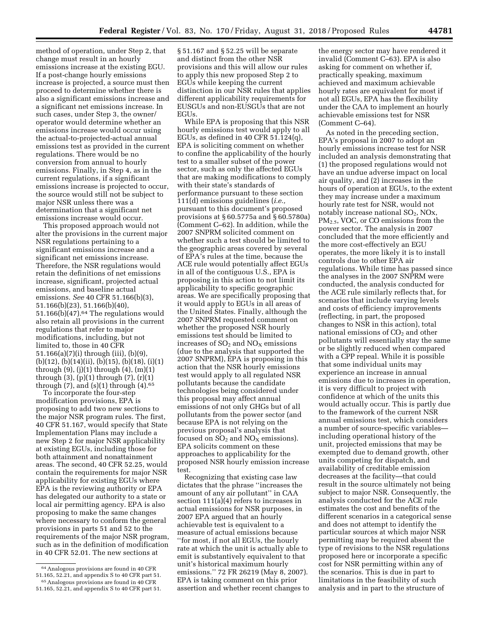method of operation, under Step 2, that change must result in an hourly emissions increase at the existing EGU. If a post-change hourly emissions increase is projected, a source must then proceed to determine whether there is also a significant emissions increase and a significant net emissions increase. In such cases, under Step 3, the owner/ operator would determine whether an emissions increase would occur using the actual-to-projected-actual annual emissions test as provided in the current regulations. There would be no conversion from annual to hourly emissions. Finally, in Step 4, as in the current regulations, if a significant emissions increase is projected to occur, the source would still not be subject to major NSR unless there was a determination that a significant net emissions increase would occur.

This proposed approach would not alter the provisions in the current major NSR regulations pertaining to a significant emissions increase and a significant net emissions increase. Therefore, the NSR regulations would retain the definitions of net emissions increase, significant, projected actual emissions, and baseline actual emissions. *See* 40 CFR 51.166(b)(3), 51.166(b)(23), 51.166(b)(40),  $51.166(b)(47).<sup>64</sup>$  The regulations would also retain all provisions in the current regulations that refer to major modifications, including, but not limited to, those in 40 CFR 51.166(a)(7)(i) through (iii), (b)(9), (b)(12), (b)(14)(ii), (b)(15), (b)(18), (i)(1) through (9), (j)(1) through (4), (m)(1) through  $(3)$ ,  $(p)(1)$  through  $(7)$ ,  $(r)(1)$ through  $(7)$ , and  $(s)(1)$  through  $(4)$ .<sup>65</sup>

To incorporate the four-step modification provisions, EPA is proposing to add two new sections to the major NSR program rules. The first, 40 CFR 51.167, would specify that State Implementation Plans may include a new Step 2 for major NSR applicability at existing EGUs, including those for both attainment and nonattainment areas. The second, 40 CFR 52.25, would contain the requirements for major NSR applicability for existing EGUs where EPA is the reviewing authority or EPA has delegated our authority to a state or local air permitting agency. EPA is also proposing to make the same changes where necessary to conform the general provisions in parts 51 and 52 to the requirements of the major NSR program, such as in the definition of modification in 40 CFR 52.01. The new sections at

§ 51.167 and § 52.25 will be separate and distinct from the other NSR provisions and this will allow our rules to apply this new proposed Step 2 to EGUs while keeping the current distinction in our NSR rules that applies different applicability requirements for EUSGUs and non-EUSGUs that are not EGUs.

While EPA is proposing that this NSR hourly emissions test would apply to all EGUs, as defined in 40 CFR  $51.124(q)$ , EPA is soliciting comment on whether to confine the applicability of the hourly test to a smaller subset of the power sector, such as only the affected EGUs that are making modifications to comply with their state's standards of performance pursuant to these section 111(d) emissions guidelines (*i.e.,*  pursuant to this document's proposed provisions at § 60.5775a and § 60.5780a) (Comment C–62). In addition, while the 2007 SNPRM solicited comment on whether such a test should be limited to the geographic areas covered by several of EPA's rules at the time, because the ACE rule would potentially affect EGUs in all of the contiguous U.S., EPA is proposing in this action to not limit its applicability to specific geographic areas. We are specifically proposing that it would apply to EGUs in all areas of the United States. Finally, although the 2007 SNPRM requested comment on whether the proposed NSR hourly emissions test should be limited to increases of  $SO<sub>2</sub>$  and  $NO<sub>X</sub>$  emissions (due to the analysis that supported the 2007 SNPRM), EPA is proposing in this action that the NSR hourly emissions test would apply to all regulated NSR pollutants because the candidate technologies being considered under this proposal may affect annual emissions of not only GHGs but of all pollutants from the power sector (and because EPA is not relying on the previous proposal's analysis that focused on  $SO_2$  and  $NO<sub>X</sub>$  emissions). EPA solicits comment on these approaches to applicability for the proposed NSR hourly emission increase test.

Recognizing that existing case law dictates that the phrase ''increases the amount of any air pollutant'' in CAA section 111(a)(4) refers to increases in actual emissions for NSR purposes, in 2007 EPA argued that an hourly achievable test is equivalent to a measure of actual emissions because ''for most, if not all EGUs, the hourly rate at which the unit is actually able to emit is substantively equivalent to that unit's historical maximum hourly emissions.'' 72 FR 26219 (May 8, 2007). EPA is taking comment on this prior assertion and whether recent changes to

the energy sector may have rendered it invalid (Comment C–63). EPA is also asking for comment on whether if, practically speaking, maximum achieved and maximum achievable hourly rates are equivalent for most if not all EGUs, EPA has the flexibility under the CAA to implement an hourly achievable emissions test for NSR (Comment C–64).

As noted in the preceding section, EPA's proposal in 2007 to adopt an hourly emissions increase test for NSR included an analysis demonstrating that (1) the proposed regulations would not have an undue adverse impact on local air quality, and (2) increases in the hours of operation at EGUs, to the extent they may increase under a maximum hourly rate test for NSR, would not notably increase national  $SO_2$ ,  $NOx$ , PM2.5, VOC, or CO emissions from the power sector. The analysis in 2007 concluded that the more efficiently and the more cost-effectively an EGU operates, the more likely it is to install controls due to other EPA air regulations. While time has passed since the analyses in the 2007 SNPRM were conducted, the analysis conducted for the ACE rule similarly reflects that, for scenarios that include varying levels and costs of efficiency improvements (reflecting, in part, the proposed changes to NSR in this action), total national emissions of  $CO<sub>2</sub>$  and other pollutants will essentially stay the same or be slightly reduced when compared with a CPP repeal. While it is possible that some individual units may experience an increase in annual emissions due to increases in operation, it is very difficult to project with confidence at which of the units this would actually occur. This is partly due to the framework of the current NSR annual emissions test, which considers a number of source-specific variables including operational history of the unit, projected emissions that may be exempted due to demand growth, other units competing for dispatch, and availability of creditable emission decreases at the facility—that could result in the source ultimately not being subject to major NSR. Consequently, the analysis conducted for the ACE rule estimates the cost and benefits of the different scenarios in a categorical sense and does not attempt to identify the particular sources at which major NSR permitting may be required absent the type of revisions to the NSR regulations proposed here or incorporate a specific cost for NSR permitting within any of the scenarios. This is due in part to limitations in the feasibility of such analysis and in part to the structure of

<sup>64</sup>Analogous provisions are found in 40 CFR 51.165, 52.21, and appendix S to 40 CFR part 51. 65Analogous provisions are found in 40 CFR

<sup>51.165, 52.21,</sup> and appendix S to 40 CFR part 51.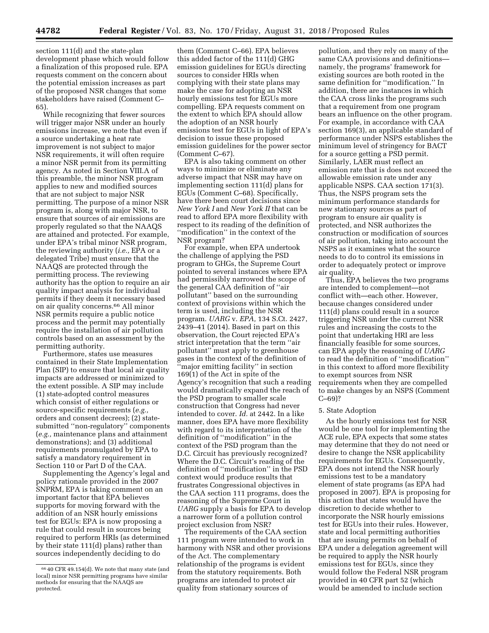section 111(d) and the state-plan development phase which would follow a finalization of this proposed rule. EPA requests comment on the concern about the potential emission increases as part of the proposed NSR changes that some stakeholders have raised (Comment C– 65).

While recognizing that fewer sources will trigger major NSR under an hourly emissions increase, we note that even if a source undertaking a heat rate improvement is not subject to major NSR requirements, it will often require a minor NSR permit from its permitting agency. As noted in Section VIII.A of this preamble, the minor NSR program applies to new and modified sources that are not subject to major NSR permitting. The purpose of a minor NSR program is, along with major NSR, to ensure that sources of air emissions are properly regulated so that the NAAQS are attained and protected. For example, under EPA's tribal minor NSR program, the reviewing authority (*i.e.,* EPA or a delegated Tribe) must ensure that the NAAQS are protected through the permitting process. The reviewing authority has the option to require an air quality impact analysis for individual permits if they deem it necessary based on air quality concerns.66 All minor NSR permits require a public notice process and the permit may potentially require the installation of air pollution controls based on an assessment by the permitting authority.

Furthermore, states use measures contained in their State Implementation Plan (SIP) to ensure that local air quality impacts are addressed or minimized to the extent possible. A SIP may include (1) state-adopted control measures which consist of either regulations or source-specific requirements (*e.g.,*  orders and consent decrees); (2) statesubmitted ''non-regulatory'' components (*e.g.,* maintenance plans and attainment demonstrations); and (3) additional requirements promulgated by EPA to satisfy a mandatory requirement in Section 110 or Part D of the CAA.

Supplementing the Agency's legal and policy rationale provided in the 2007 SNPRM, EPA is taking comment on an important factor that EPA believes supports for moving forward with the addition of an NSR hourly emissions test for EGUs: EPA is now proposing a rule that could result in sources being required to perform HRIs (as determined by their state 111(d) plans) rather than sources independently deciding to do

them (Comment C–66). EPA believes this added factor of the 111(d) GHG emission guidelines for EGUs directing sources to consider HRIs when complying with their state plans may make the case for adopting an NSR hourly emissions test for EGUs more compelling. EPA requests comment on the extent to which EPA should allow the adoption of an NSR hourly emissions test for EGUs in light of EPA's decision to issue these proposed emission guidelines for the power sector (Comment C–67).

EPA is also taking comment on other ways to minimize or eliminate any adverse impact that NSR may have on implementing section 111(d) plans for EGUs (Comment C–68). Specifically, have there been court decisions since *New York I* and *New York II* that can be read to afford EPA more flexibility with respect to its reading of the definition of ''modification'' in the context of the NSR program?

For example, when EPA undertook the challenge of applying the PSD program to GHGs, the Supreme Court pointed to several instances where EPA had permissibly narrowed the scope of the general CAA definition of ''air pollutant'' based on the surrounding context of provisions within which the term is used, including the NSR program. *UARG* v. *EPA,* 134 S.Ct. 2427, 2439–41 (2014). Based in part on this observation, the Court rejected EPA's strict interpretation that the term ''air pollutant'' must apply to greenhouse gases in the context of the definition of ''major emitting facility'' in section 169(1) of the Act in spite of the Agency's recognition that such a reading would dramatically expand the reach of the PSD program to smaller scale construction that Congress had never intended to cover. *Id.* at 2442. In a like manner, does EPA have more flexibility with regard to its interpretation of the definition of ''modification'' in the context of the PSD program than the D.C. Circuit has previously recognized? Where the D.C. Circuit's reading of the definition of ''modification'' in the PSD context would produce results that frustrates Congressional objectives in the CAA section 111 programs, does the reasoning of the Supreme Court in *UARG* supply a basis for EPA to develop a narrower form of a pollution control project exclusion from NSR?

The requirements of the CAA section 111 program were intended to work in harmony with NSR and other provisions of the Act. The complementary relationship of the programs is evident from the statutory requirements. Both programs are intended to protect air quality from stationary sources of

pollution, and they rely on many of the same CAA provisions and definitions namely, the programs' framework for existing sources are both rooted in the same definition for ''modification.'' In addition, there are instances in which the CAA cross links the programs such that a requirement from one program bears an influence on the other program. For example, in accordance with CAA section 169(3), an applicable standard of performance under NSPS establishes the minimum level of stringency for BACT for a source getting a PSD permit. Similarly, LAER must reflect an emission rate that is does not exceed the allowable emission rate under any applicable NSPS. CAA section 171(3). Thus, the NSPS program sets the minimum performance standards for new stationary sources as part of program to ensure air quality is protected, and NSR authorizes the construction or modification of sources of air pollution, taking into account the NSPS as it examines what the source needs to do to control its emissions in order to adequately protect or improve air quality.

Thus, EPA believes the two programs are intended to complement—not conflict with—each other. However, because changes considered under 111(d) plans could result in a source triggering NSR under the current NSR rules and increasing the costs to the point that undertaking HRI are less financially feasible for some sources, can EPA apply the reasoning of *UARG*  to read the definition of ''modification'' in this context to afford more flexibility to exempt sources from NSR requirements when they are compelled to make changes by an NSPS (Comment C–69)?

#### 5. State Adoption

As the hourly emissions test for NSR would be one tool for implementing the ACE rule, EPA expects that some states may determine that they do not need or desire to change the NSR applicability requirements for EGUs. Consequently, EPA does not intend the NSR hourly emissions test to be a mandatory element of state programs (as EPA had proposed in 2007). EPA is proposing for this action that states would have the discretion to decide whether to incorporate the NSR hourly emissions test for EGUs into their rules. However, state and local permitting authorities that are issuing permits on behalf of EPA under a delegation agreement will be required to apply the NSR hourly emissions test for EGUs, since they would follow the Federal NSR program provided in 40 CFR part 52 (which would be amended to include section

<sup>66</sup> 40 CFR 49.154(d). We note that many state (and local) minor NSR permitting programs have similar methods for ensuring that the NAAQS are protected.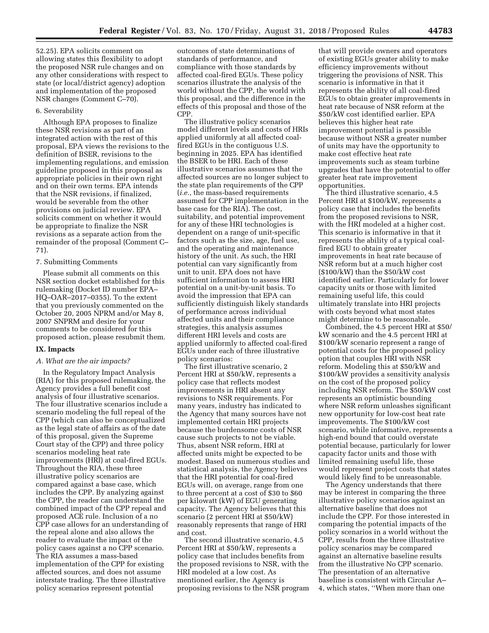52.25). EPA solicits comment on allowing states this flexibility to adopt the proposed NSR rule changes and on any other considerations with respect to state (or local/district agency) adoption and implementation of the proposed NSR changes (Comment C–70).

#### 6. Severability

Although EPA proposes to finalize these NSR revisions as part of an integrated action with the rest of this proposal, EPA views the revisions to the definition of BSER, revisions to the implementing regulations, and emission guideline proposed in this proposal as appropriate policies in their own right and on their own terms. EPA intends that the NSR revisions, if finalized, would be severable from the other provisions on judicial review. EPA solicits comment on whether it would be appropriate to finalize the NSR revisions as a separate action from the remainder of the proposal (Comment C– 71).

#### 7. Submitting Comments

Please submit all comments on this NSR section docket established for this rulemaking (Docket ID number EPA– HQ–OAR–2017–0355). To the extent that you previously commented on the October 20, 2005 NPRM and/or May 8, 2007 SNPRM and desire for your comments to be considered for this proposed action, please resubmit them.

#### **IX. Impacts**

### *A. What are the air impacts?*

In the Regulatory Impact Analysis (RIA) for this proposed rulemaking, the Agency provides a full benefit cost analysis of four illustrative scenarios. The four illustrative scenarios include a scenario modeling the full repeal of the CPP (which can also be conceptualized as the legal state of affairs as of the date of this proposal, given the Supreme Court stay of the CPP) and three policy scenarios modeling heat rate improvements (HRI) at coal-fired EGUs. Throughout the RIA, these three illustrative policy scenarios are compared against a base case, which includes the CPP. By analyzing against the CPP, the reader can understand the combined impact of the CPP repeal and proposed ACE rule. Inclusion of a no CPP case allows for an understanding of the repeal alone and also allows the reader to evaluate the impact of the policy cases against a no CPP scenario. The RIA assumes a mass-based implementation of the CPP for existing affected sources, and does not assume interstate trading. The three illustrative policy scenarios represent potential

outcomes of state determinations of standards of performance, and compliance with those standards by affected coal-fired EGUs. These policy scenarios illustrate the analysis of the world without the CPP, the world with this proposal, and the difference in the effects of this proposal and those of the CPP.

The illustrative policy scenarios model different levels and costs of HRIs applied uniformly at all affected coalfired EGUs in the contiguous U.S. beginning in 2025. EPA has identified the BSER to be HRI. Each of these illustrative scenarios assumes that the affected sources are no longer subject to the state plan requirements of the CPP (*i.e.,* the mass-based requirements assumed for CPP implementation in the base case for the RIA). The cost, suitability, and potential improvement for any of these HRI technologies is dependent on a range of unit-specific factors such as the size, age, fuel use, and the operating and maintenance history of the unit. As such, the HRI potential can vary significantly from unit to unit. EPA does not have sufficient information to assess HRI potential on a unit-by-unit basis. To avoid the impression that EPA can sufficiently distinguish likely standards of performance across individual affected units and their compliance strategies, this analysis assumes different HRI levels and costs are applied uniformly to affected coal-fired EGUs under each of three illustrative policy scenarios:

The first illustrative scenario, 2 Percent HRI at \$50/kW, represents a policy case that reflects modest improvements in HRI absent any revisions to NSR requirements. For many years, industry has indicated to the Agency that many sources have not implemented certain HRI projects because the burdensome costs of NSR cause such projects to not be viable. Thus, absent NSR reform, HRI at affected units might be expected to be modest. Based on numerous studies and statistical analysis, the Agency believes that the HRI potential for coal-fired EGUs will, on average, range from one to three percent at a cost of \$30 to \$60 per kilowatt (kW) of EGU generating capacity. The Agency believes that this scenario (2 percent HRI at \$50/kW) reasonably represents that range of HRI and cost.

The second illustrative scenario, 4.5 Percent HRI at \$50/kW, represents a policy case that includes benefits from the proposed revisions to NSR, with the HRI modeled at a low cost. As mentioned earlier, the Agency is proposing revisions to the NSR program

that will provide owners and operators of existing EGUs greater ability to make efficiency improvements without triggering the provisions of NSR. This scenario is informative in that it represents the ability of all coal-fired EGUs to obtain greater improvements in heat rate because of NSR reform at the \$50/kW cost identified earlier. EPA believes this higher heat rate improvement potential is possible because without NSR a greater number of units may have the opportunity to make cost effective heat rate improvements such as steam turbine upgrades that have the potential to offer greater heat rate improvement opportunities.

The third illustrative scenario, 4.5 Percent HRI at \$100/kW, represents a policy case that includes the benefits from the proposed revisions to NSR, with the HRI modeled at a higher cost. This scenario is informative in that it represents the ability of a typical coalfired EGU to obtain greater improvements in heat rate because of NSR reform but at a much higher cost (\$100/kW) than the \$50/kW cost identified earlier. Particularly for lower capacity units or those with limited remaining useful life, this could ultimately translate into HRI projects with costs beyond what most states might determine to be reasonable.

Combined, the 4.5 percent HRI at \$50/ kW scenario and the 4.5 percent HRI at \$100/kW scenario represent a range of potential costs for the proposed policy option that couples HRI with NSR reform. Modeling this at \$50/kW and \$100/kW provides a sensitivity analysis on the cost of the proposed policy including NSR reform. The \$50/kW cost represents an optimistic bounding where NSR reform unleashes significant new opportunity for low-cost heat rate improvements. The \$100/kW cost scenario, while informative, represents a high-end bound that could overstate potential because, particularly for lower capacity factor units and those with limited remaining useful life, these would represent project costs that states would likely find to be unreasonable.

The Agency understands that there may be interest in comparing the three illustrative policy scenarios against an alternative baseline that does not include the CPP. For those interested in comparing the potential impacts of the policy scenarios in a world without the CPP, results from the three illustrative policy scenarios may be compared against an alternative baseline results from the illustrative No CPP scenario. The presentation of an alternative baseline is consistent with Circular A– 4, which states, ''When more than one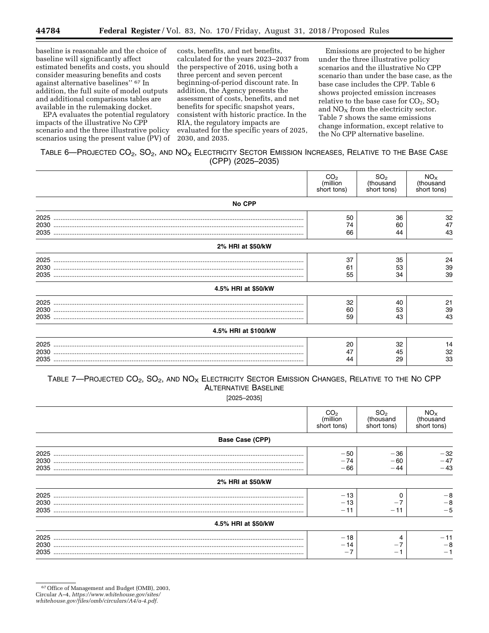baseline is reasonable and the choice of baseline will significantly affect estimated benefits and costs, you should consider measuring benefits and costs against alternative baselines'' 67 In addition, the full suite of model outputs and additional comparisons tables are available in the rulemaking docket.

EPA evaluates the potential regulatory impacts of the illustrative No CPP scenario and the three illustrative policy scenarios using the present value (PV) of

costs, benefits, and net benefits, calculated for the years 2023–2037 from the perspective of 2016, using both a three percent and seven percent beginning-of-period discount rate. In addition, the Agency presents the assessment of costs, benefits, and net benefits for specific snapshot years, consistent with historic practice. In the RIA, the regulatory impacts are evaluated for the specific years of 2025, 2030, and 2035.

Emissions are projected to be higher under the three illustrative policy scenarios and the illustrative No CPP scenario than under the base case, as the base case includes the CPP. Table 6 shows projected emission increases relative to the base case for  $CO<sub>2</sub>$ ,  $SO<sub>2</sub>$ and  $NO<sub>X</sub>$  from the electricity sector. Table 7 shows the same emissions change information, except relative to the No CPP alternative baseline.

### TABLE 6-PROJECTED CO<sub>2</sub>, SO<sub>2</sub>, AND NO<sub>X</sub> ELECTRICITY SECTOR EMISSION INCREASES, RELATIVE TO THE BASE CASE (CPP) (2025–2035)

|                      | CO <sub>2</sub><br>(million<br>short tons) | SO <sub>2</sub><br>(thousand<br>short tons) | NO <sub>x</sub><br>(thousand<br>short tons) |
|----------------------|--------------------------------------------|---------------------------------------------|---------------------------------------------|
| <b>No CPP</b>        |                                            |                                             |                                             |
| 2025                 | 50                                         | 36                                          | 32                                          |
| 2030                 | 74                                         | 60                                          | 47                                          |
| 2035                 | 66                                         | 44                                          | 43                                          |
| 2% HRI at \$50/kW    |                                            |                                             |                                             |
| 2025                 | 37                                         | 35                                          | 24                                          |
| 2030                 | 61                                         | 53                                          | 39                                          |
| 2035                 | 55                                         | 34                                          | 39                                          |
| 4.5% HRI at \$50/kW  |                                            |                                             |                                             |
| 2025                 | 32                                         | 40                                          | 21                                          |
| 2030                 | 60                                         | 53                                          | 39                                          |
| 2035                 | 59                                         | 43                                          | 43                                          |
| 4.5% HRI at \$100/kW |                                            |                                             |                                             |
| 2025                 | 20                                         | 32                                          | 14                                          |
| 2030                 | 47                                         | 45                                          | 32                                          |
| 2035                 | 44                                         | 29                                          | 33                                          |

# TABLE 7-PROJECTED CO<sub>2</sub>, SO<sub>2</sub>, AND NO<sub>X</sub> ELECTRICITY SECTOR EMISSION CHANGES, RELATIVE TO THE NO CPP ALTERNATIVE BASELINE

[2025–2035]

|                        | CO <sub>2</sub><br>(million<br>short tons) | SO <sub>2</sub><br>(thousand<br>short tons) | $NOx$ (thousand<br>short tons) |
|------------------------|--------------------------------------------|---------------------------------------------|--------------------------------|
| <b>Base Case (CPP)</b> |                                            |                                             |                                |
| 2025<br>2030<br>2035   | $-50$<br>$-74$<br>$-66$                    | $-36$<br>- 60<br>- 44                       | $-32$<br>$-47$<br>$-43$        |
| 2% HRI at \$50/kW      |                                            |                                             |                                |
| 2025<br>2030<br>2035   | $-13$<br>$-13$<br>$-11$                    | $-11$                                       | $-8$<br>$-8$<br>$-5$           |
| 4.5% HRI at \$50/kW    |                                            |                                             |                                |
| 2025<br>2030<br>2035   | $-18$<br>$-14$<br>— 1                      | $\overline{\phantom{m}}$                    | $-11$<br>$-8$<br>— 1           |

<sup>67</sup>Office of Management and Budget (OMB), 2003,

Circular A–4, *[https://www.whitehouse.gov/sites/](https://www.whitehouse.gov/sites/whitehouse.gov/files/omb/circulars/A4/a-4.pdf)* 

*[whitehouse.gov/files/omb/circulars/A4/a-4.pdf.](https://www.whitehouse.gov/sites/whitehouse.gov/files/omb/circulars/A4/a-4.pdf)*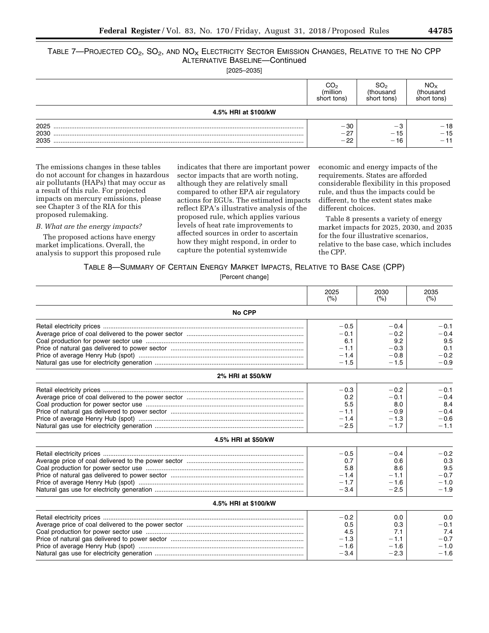# TABLE 7—PROJECTED  $CO_2$ ,  $SO_2$ , and  $NO_X$  Electricity Sector Emission Changes, Relative to the No CPP ALTERNATIVE BASELINE—Continued

[2025–2035]

|                      | ıllıor<br>tons | SO2<br>housand<br>short tons) | NO <sub>X</sub><br>งบรลทด<br>short tons) |  |  |  |  |  |  |  |
|----------------------|----------------|-------------------------------|------------------------------------------|--|--|--|--|--|--|--|
| 4.5% HRI at \$100/kW |                |                               |                                          |  |  |  |  |  |  |  |
| 2025                 | $-30$          | $\overline{\phantom{0}}$      | $-18$                                    |  |  |  |  |  |  |  |
| 2030<br>2035         | $-27$<br>$-22$ | - 15<br>$-16$                 | $-15$<br>$\overline{\phantom{0}}$        |  |  |  |  |  |  |  |

The emissions changes in these tables do not account for changes in hazardous air pollutants (HAPs) that may occur as a result of this rule. For projected impacts on mercury emissions, please see Chapter 3 of the RIA for this proposed rulemaking.

### *B. What are the energy impacts?*

The proposed actions have energy market implications. Overall, the analysis to support this proposed rule

indicates that there are important power sector impacts that are worth noting, although they are relatively small compared to other EPA air regulatory actions for EGUs. The estimated impacts reflect EPA's illustrative analysis of the proposed rule, which applies various levels of heat rate improvements to affected sources in order to ascertain how they might respond, in order to capture the potential systemwide

economic and energy impacts of the requirements. States are afforded considerable flexibility in this proposed rule, and thus the impacts could be different, to the extent states make different choices.

Table 8 presents a variety of energy market impacts for 2025, 2030, and 2035 for the four illustrative scenarios, relative to the base case, which includes the CPP.

### TABLE 8—SUMMARY OF CERTAIN ENERGY MARKET IMPACTS, RELATIVE TO BASE CASE (CPP)

[Percent change]

|                      | 2025   | 2030   | 2035   |
|----------------------|--------|--------|--------|
|                      | (% )   | (% )   | (% )   |
| No CPP               |        |        |        |
|                      | $-0.5$ | $-0.4$ | $-0.1$ |
|                      | $-0.1$ | $-0.2$ | $-0.4$ |
|                      | 6.1    | 9.2    | 9.5    |
|                      | $-1.1$ | $-0.3$ | 0.1    |
|                      | $-1.4$ | $-0.8$ | $-0.2$ |
|                      | $-1.5$ | $-1.5$ | $-0.9$ |
| 2% HRI at \$50/kW    |        |        |        |
|                      | $-0.3$ | $-0.2$ | $-0.1$ |
|                      | 0.2    | $-0.1$ | $-0.4$ |
|                      | 5.5    | 8.0    | 8.4    |
|                      | $-1.1$ | $-0.9$ | $-0.4$ |
|                      | $-1.4$ | $-1.3$ | $-0.6$ |
|                      | $-2.5$ | $-1.7$ | $-1.1$ |
| 4.5% HRI at \$50/kW  |        |        |        |
|                      | $-0.5$ | $-0.4$ | $-0.2$ |
|                      | 0.7    | 0.6    | 0.3    |
|                      | 5.8    | 8.6    | 9.5    |
|                      | $-1.4$ | $-1.1$ | $-0.7$ |
|                      | $-1.7$ | $-1.6$ | $-1.0$ |
|                      | $-3.4$ | $-2.5$ | $-1.9$ |
| 4.5% HRI at \$100/kW |        |        |        |
|                      | $-0.2$ | 0.0    | 0.0    |
|                      | 0.5    | 0.3    | $-0.1$ |
|                      | 4.5    | 7.1    | 7.4    |
|                      | $-1.3$ | $-1.1$ | $-0.7$ |
|                      | $-1.6$ | $-1.6$ | $-1.0$ |
|                      | $-3.4$ | $-2.3$ | $-1.6$ |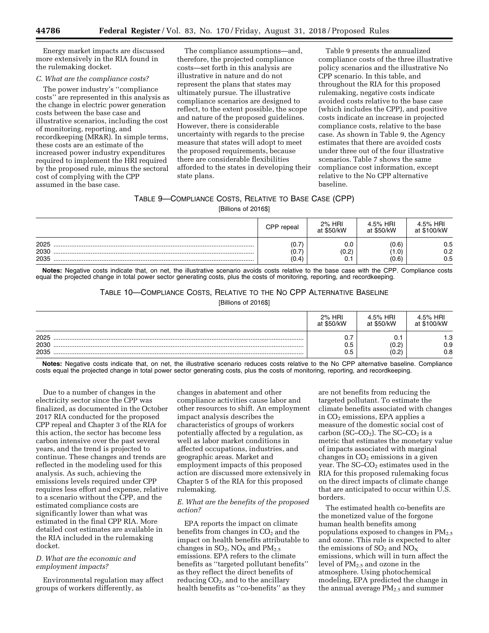Energy market impacts are discussed more extensively in the RIA found in the rulemaking docket.

### *C. What are the compliance costs?*

The power industry's ''compliance costs'' are represented in this analysis as the change in electric power generation costs between the base case and illustrative scenarios, including the cost of monitoring, reporting, and recordkeeping (MR&R). In simple terms, these costs are an estimate of the increased power industry expenditures required to implement the HRI required by the proposed rule, minus the sectoral cost of complying with the CPP assumed in the base case.

The compliance assumptions—and, therefore, the projected compliance costs—set forth in this analysis are illustrative in nature and do not represent the plans that states may ultimately pursue. The illustrative compliance scenarios are designed to reflect, to the extent possible, the scope and nature of the proposed guidelines. However, there is considerable uncertainty with regards to the precise measure that states will adopt to meet the proposed requirements, because there are considerable flexibilities afforded to the states in developing their state plans.

Table 9 presents the annualized compliance costs of the three illustrative policy scenarios and the illustrative No CPP scenario. In this table, and throughout the RIA for this proposed rulemaking, negative costs indicate avoided costs relative to the base case (which includes the CPP), and positive costs indicate an increase in projected compliance costs, relative to the base case. As shown in Table 9, the Agency estimates that there are avoided costs under three out of the four illustrative scenarios. Table 7 shows the same compliance cost information, except relative to the No CPP alternative baseline.

## TABLE 9—COMPLIANCE COSTS, RELATIVE TO BASE CASE (CPP)

[Billions of 2016\$]

|                      | CPP repeal               | 2% HRI<br>at \$50/kW | 4.5% HRI<br>at \$50/kW  | 4.5% HRI<br>at \$100/kW |
|----------------------|--------------------------|----------------------|-------------------------|-------------------------|
| 2025<br>2030<br>2035 | (0.<br>⇁<br>(0.<br>(0.4) | 0.0<br>(0.2)<br>v.   | (0.6)<br>(0.1)<br>(0.6) | 0.5<br>0.2<br>0.5       |

**Notes:** Negative costs indicate that, on net, the illustrative scenario avoids costs relative to the base case with the CPP. Compliance costs equal the projected change in total power sector generating costs, plus the costs of monitoring, reporting, and recordkeeping.

# TABLE 10—COMPLIANCE COSTS, RELATIVE TO THE NO CPP ALTERNATIVE BASELINE

[Billions of 2016\$]

|      | 2% HRI<br>at \$50/kW | 4.5% HRI<br>at \$50/kW | 4.5% HRI<br>at \$100/kW |
|------|----------------------|------------------------|-------------------------|
| 2025 | υ.,                  | ັ.                     | 1.3                     |
| 2030 | 0.5                  | (0.2)                  | 0.9                     |
| 2035 | 0.5                  | (0.2)                  | 0.8                     |

**Notes:** Negative costs indicate that, on net, the illustrative scenario reduces costs relative to the No CPP alternative baseline. Compliance costs equal the projected change in total power sector generating costs, plus the costs of monitoring, reporting, and recordkeeping.

Due to a number of changes in the electricity sector since the CPP was finalized, as documented in the October 2017 RIA conducted for the proposed CPP repeal and Chapter 3 of the RIA for this action, the sector has become less carbon intensive over the past several years, and the trend is projected to continue. These changes and trends are reflected in the modeling used for this analysis. As such, achieving the emissions levels required under CPP requires less effort and expense, relative to a scenario without the CPP, and the estimated compliance costs are significantly lower than what was estimated in the final CPP RIA. More detailed cost estimates are available in the RIA included in the rulemaking docket.

### *D. What are the economic and employment impacts?*

Environmental regulation may affect groups of workers differently, as

changes in abatement and other compliance activities cause labor and other resources to shift. An employment impact analysis describes the characteristics of groups of workers potentially affected by a regulation, as well as labor market conditions in affected occupations, industries, and geographic areas. Market and employment impacts of this proposed action are discussed more extensively in Chapter 5 of the RIA for this proposed rulemaking.

### *E. What are the benefits of the proposed action?*

EPA reports the impact on climate benefits from changes in  $CO<sub>2</sub>$  and the impact on health benefits attributable to changes in  $SO_2$ ,  $NO<sub>X</sub>$  and  $PM<sub>2.5</sub>$ emissions. EPA refers to the climate benefits as ''targeted pollutant benefits'' as they reflect the direct benefits of reducing  $CO<sub>2</sub>$ , and to the ancillary health benefits as ''co-benefits'' as they

are not benefits from reducing the targeted pollutant. To estimate the climate benefits associated with changes in CO<sub>2</sub> emissions, EPA applies a measure of the domestic social cost of carbon (SC–CO<sub>2</sub>). The SC–CO<sub>2</sub> is a metric that estimates the monetary value of impacts associated with marginal changes in  $CO<sub>2</sub>$  emissions in a given year. The  $SC$ – $CO<sub>2</sub>$  estimates used in the RIA for this proposed rulemaking focus on the direct impacts of climate change that are anticipated to occur within U.S. borders.

The estimated health co-benefits are the monetized value of the forgone human health benefits among populations exposed to changes in  $PM_{2.5}$ and ozone. This rule is expected to alter the emissions of  $SO_2$  and  $\overline{NO_X}$ emissions, which will in turn affect the level of PM2.5 and ozone in the atmosphere. Using photochemical modeling, EPA predicted the change in the annual average PM2.5 and summer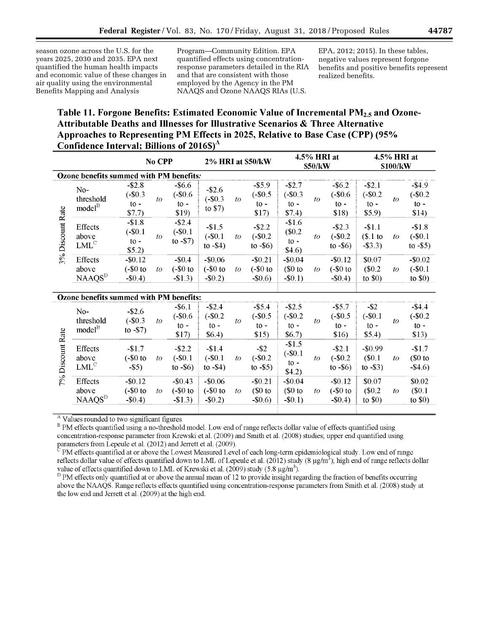season ozone across the U.S. for the years 2025, 2030 and 2035. EPA next quantified the human health impacts and economic value of these changes in air quality using the environmental Benefits Mapping and Analysis

Program—Community Edition. EPA quantified effects using concentrationresponse parameters detailed in the RIA and that are consistent with those employed by the Agency in the PM NAAQS and Ozone NAAQS RIAs (U.S.

EPA, 2012; 2015). In these tables, negative values represent forgone benefits and positive benefits represent realized benefits.

# **Table 11. Forgone Benefits: Estimated Economic Value of Incremental PM2.5 and Ozone-Attributable Deaths and Illnesses for Illustrative Scenarios & Three Alternative Approaches to Representing PM Effects in 2025, Relative to Base Case (CPP) (95% Confidence Interval; Billions of 2016\$)**<sup>A</sup>

|                  |                                          |                                                     | No CPP         |                                                      | 2% HRI at \$50/kW                      |                |                                                      |                                                  | 4.5% HRI at<br>\$50/kW |                                                      |                                                         | 4.5% HRI at<br>\$100/kW |                                                       |  |
|------------------|------------------------------------------|-----------------------------------------------------|----------------|------------------------------------------------------|----------------------------------------|----------------|------------------------------------------------------|--------------------------------------------------|------------------------|------------------------------------------------------|---------------------------------------------------------|-------------------------|-------------------------------------------------------|--|
|                  | Ozone benefits summed with PM benefits:  |                                                     |                |                                                      |                                        |                |                                                      |                                                  |                        |                                                      |                                                         |                         |                                                       |  |
|                  | $No-$<br>threshold<br>model <sup>B</sup> | $- $2.8$<br>$(-\$0.3)$<br>$to -$<br>\$7.7)          | $\iota$        | $-$ \$6.6<br>$(-\$0.6)$<br>$\mathfrak{g}$ -<br>\$19) | $-$ \$2.6<br>$(-\$0.3)$<br>to $$7)$    | $\iota$        | $-$ \$5.9<br>$(-\$0.5)$<br>$\mathfrak{g}$ -<br>\$17) | $-$2.7$<br>$(-\$0.3)$<br>to $-$<br>\$7.4)        | $\iota$                | $-$ \$6.2<br>$(-\$0.6)$<br>$\mathfrak{g}$ -<br>\$18) | $-52.1$<br>$(-\$0.2)$<br>$\mathfrak{t}$ o -<br>$$5.9$ ) | to                      | $-$ \$4.9<br>$(-$0.2)$<br>$\mathfrak{t}$ o -<br>\$14) |  |
| 3% Discount Rate | Effects<br>above<br>LML <sup>C</sup>     | $-$1.8$<br>$(-\$0.1)$<br>$\mathfrak{g}$ -<br>\$5.2) | to             | $-$ \$2.4<br>$(-$0.1$<br>to $-57$ )                  | $-$1.5$<br>$(-\$0.1)$<br>to $-$ \$4)   | $\mathfrak{t}$ | $-$ \$2.2<br>$(-\$0.2)$<br>to $-$ \$6)               | $-$1.6$<br>(\$0.2\$<br>$\mathbf{to}$ -<br>\$4.6) | to                     | $-$ \$2.3<br>$(-$0.2)$<br>to $-$ \$6)                | $-1.1$<br>$(S.1)$ to<br>$-$ \$3.3)                      | to                      | $-$1.8$<br>$(-$0.1)$<br>to $-$ \$5)                   |  |
|                  | Effects<br>above<br>NAAQS <sup>D</sup>   | $-$ \$0.12<br>$(-\$0$ to<br>$-$0.4)$                | $\mathfrak{t}$ | $-$0.4$<br>$(-\$0$ to<br>$-\$1.3)$                   | $-$ \$0.06<br>$(-\$0$ to<br>$-$ \$0.2) | $\mathfrak{t}$ | $-$ \$0.21<br>$(-\$0$ to<br>$-$ \$0.6)               | $-$0.04$<br>$\$0$ to<br>$-50.1$                  | $\mathfrak{t}o$        | $-$ \$0.12<br>$(-\$0$ to<br>$-$ \$0.4)               | \$0.07<br>\$0.2\$<br>to $$0)$                           | $\iota$                 | $-$0.02$<br>$(-\$0.1)$<br>to $$0)$                    |  |
|                  |                                          |                                                     |                |                                                      |                                        |                |                                                      |                                                  |                        |                                                      |                                                         |                         |                                                       |  |
|                  | Ozone benefits summed with PM benefits:  |                                                     |                |                                                      |                                        |                |                                                      |                                                  |                        |                                                      |                                                         |                         |                                                       |  |
|                  | No-<br>threshold<br>model <sup>B</sup>   | $-$ \$2.6<br>$(-\$0.3)$<br>to $-57$ )               | to             | $-$ \$6.1<br>$(-\$0.6)$<br>$10 -$                    | $-$ \$2.4<br>$(-\$0.2)$<br>$to -$      | to             | $-$ \$5.4<br>$(-\$0.5)$<br>$\mathfrak{t}$ -          | $-$2.5$<br>$(-$0.2)$<br>$to -$                   | to                     | $-$ \$5.7<br>$(-\$0.5)$<br>$\mathfrak{g}$ -          | $-$ \$2<br>$(-$0.1$<br>$to -$                           | to                      | $-$4.4$<br>$(-$0.2)$<br>$\mathfrak{g}$ -              |  |
|                  |                                          |                                                     |                | \$17)                                                | \$6.4)                                 |                | \$15)                                                | \$6.7)                                           |                        | \$16)                                                | \$5.4)                                                  |                         | \$13)                                                 |  |
| 7% Discount Rate | Effects<br>above<br>LML <sup>C</sup>     | $-$1.7$<br>$(-\$0$ to<br>$-$ \$5)                   | to             | $-$ \$2.2<br>$(-\$0.1)$<br>to $-$ \$6)               | $-$1.4$<br>$(-$0.1)$<br>to $-$ \$4)    | to             | $-$ \$2<br>$(-\$0.2)$<br>to $-$ \$5)                 | $-$1.5$<br>$(-\$0.1)$<br>$10 -$<br>\$4.2)        | to                     | $- $2.1$<br>$(-$0.2)$<br>to $-$ \$6)                 | $-$0.99$<br>(\$0.1<br>to $-$ \$3)                       | to                      | $-$1.7$<br>$$0$ to<br>$-$ \$4.6)                      |  |
|                  | Effects<br>above<br>NAAQS <sup>D</sup>   | $-$ \$0.12<br>$(-\$0$ to<br>$-$ \$0.4)              | $\iota$        | $-$ \$0.43<br>$(-\$0$ to<br>$-\$1.3)$                | $-$ \$0.06<br>$(-\$0$ to<br>$-$ \$0.2) | to             | $-$ \$0.21<br>$$0$ to<br>$-$ \$0.6)                  | $-$ \$0.04<br>$$0$ to<br>$-$ \$0.1)              | to                     | $-$ \$0.12<br>$(-\$0$ to<br>$-$0.4$                  | \$0.07<br>\$0.2\$<br>to $$0)$                           | to                      | \$0.02<br>(S0.1)<br>to $$0)$                          |  |

<sup>A</sup> Values rounded to two significant figures

B PM effects quantified using a no-threshold model. Low end of range reflects dollar value of effects quantified using concentration-response parameter from Krewski et al. (2009) and Smith et al. (2008) studies; upper end quantified using parameters from Lepeule et al.  $(2012)$  and Jerrett et al.  $(2009)$ .

PM effects quantified at or above the Lowest Measured Level of each long-term epidemiological study. Low end of range reflects dollar value of effects quantified down to LML of Lepeule et al. (2012) study (8  $\mu$ g/m<sup>3</sup>); high end of range reflects dollar value of effects quantified down to LML of Krewski et al. (2009) study (5.8  $\mu$ g/m<sup>3</sup>).

DPM effects only quantified at or above the annual mean of 12 to provide insight regarding the fraction of benefits occurring above the NAAQS. Range reflects effects quantified using concentration-response parameters from Smith et al. (2008) study at the low end and Jerrett et al. (2009) at the high end.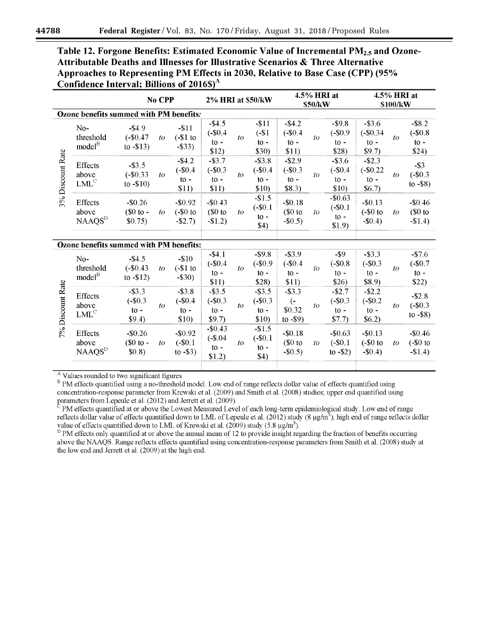| Table 12. Forgone Benefits: Estimated Economic Value of Incremental PM <sub>2.5</sub> and Ozone- |
|--------------------------------------------------------------------------------------------------|
| <b>Attributable Deaths and Illnesses for Illustrative Scenarios &amp; Three Alternative</b>      |
| Approaches to Representing PM Effects in 2030, Relative to Base Case (CPP) (95%                  |
| Confidence Interval; Billions of $2016\$ <sup>A</sup>                                            |

| $-$ \$3.6<br>$-$ \$8.2<br>$-11$<br>$-$ \$4.2<br>$-$ \$9.8<br>$(-\$1)$<br>$(-\$0.4)$<br>$(-\$0.9)$<br>$(-\$0.34)$<br>$(-\$0.8)$                                                                                                                                             |
|----------------------------------------------------------------------------------------------------------------------------------------------------------------------------------------------------------------------------------------------------------------------------|
|                                                                                                                                                                                                                                                                            |
| to<br>to<br>$to -$<br>$to -$<br>$to -$<br>$10 -$<br>$\mathfrak{g}$ -<br>\$30)<br>\$11)<br>\$24)<br>\$28)<br>\$9.7                                                                                                                                                          |
| $-$ \$2.9<br>$-$ \$2.3<br>$- $3.8$<br>$-$ \$3.6<br>$-$ \$3<br>$(-\$0.4)$<br>$(-\$0.3)$<br>$(-\$0.4)$<br>$(-$0.22)$<br>$(-\$0.3)$<br>$\iota$<br>$\iota$<br>$\mathfrak{g}_0$ -<br>$to -$<br>$to -$<br>$\mathfrak{g}_0$ -<br>to $-$ \$8)<br>\$10)<br>\$10)<br>\$8.3)<br>\$6.7 |
| $-$1.5$<br>$-$0.63$<br>$-$0.18$<br>$-$ \$0.13<br>$-$0.46$<br>$(-\$0.1)$<br>$(-\$0.1)$<br>$\$0$ to<br>$(-\$0$ to<br>$$0$ to<br>$\mathfrak{t}$<br>to<br>$\mathfrak{g}$ -<br>$\mathfrak{g}$ -<br>$-$ \$0.5)<br>$-$0.4)$<br>$-\$1.4)$<br>\$4)<br>\$1.9                         |
|                                                                                                                                                                                                                                                                            |
| $-$ \$9.8<br>$-$ \$3.9<br>$-$ \$9<br>$-$ \$3.3<br>$-$7.6$<br>$(-\$0.9)$<br>$(-$0.4)$<br>$(-\$0.3)$<br>$(-$0.7)$<br>$(-\$0.8)$<br>to<br>to<br>$to -$<br>$to -$<br>$\mathbf{to}$ -<br>$to -$<br>$to -$<br>\$28)<br>\$11)<br>\$26)<br>\$8.9<br>\$22)                          |
| $-$ \$3.5<br>$-$ \$3.3<br>$-$2.7$<br>$-$ \$2.2<br>$-$ \$2.8<br>$(-$0.2)$<br>$(-\$0.3)$<br>$(-\$0.3)$<br>$\left($ -<br>$(-\$0.3)$<br>to<br>to<br>\$0.32<br>$to -$<br>$\mathfrak{g}$ -<br>$\mathfrak{g}$ -<br>to $-$ \$8)<br>\$10)<br>\$7.7<br>\$6.2)<br>to $-$ \$9)         |
| $-$1.5$<br>$-$0.18$<br>$-$0.13$<br>$-$0.63$<br>$-$0.46$<br>$(-\$0.1)$<br>$\$0$ to<br>$(-\$0.1)$<br>$(-\$0$ to<br>$(-\$0$ to<br>to<br>to<br>$\mathfrak{g}$ -<br>$-$0.5)$<br>to $-$ \$2)<br>$-$ \$0.4)<br>$-$1.4)$<br>\$4)                                                   |
|                                                                                                                                                                                                                                                                            |

 $A$  Values rounded to two significant figures

B PM effects quantified using a no-threshold model. Low end of range reflects dollar value of effects quantified using concentration-response parameter from Krewski et al. (2009) and Smith et al. (2008) studies; upper end quantified using parameters from Lepeule et al. (2012) and Jerrett et al. (2009).

 $\rm^C$  PM effects quantified at or above the Lowest Measured Level of each long-term epidemiological study. Low end of range reflects dollar value of effects quantified down to LML of Lepeule et al. (2012) study (8  $\mu$ g/m<sup>3</sup>); high end of range reflects dollar value of effects quantified down to LML of Krewski et al.  $(2009)$  study  $(5.8 \text{ µg/m}^3)$ .

 $D$  PM effects only quantified at or above the annual mean of 12 to provide insight regarding the fraction of benefits occurring above the NAAQS. Range reflects effects quantified using concentration-response parameters from Smith et al. (2008) study at the low end and Jerrett et al. (2009) at the high end.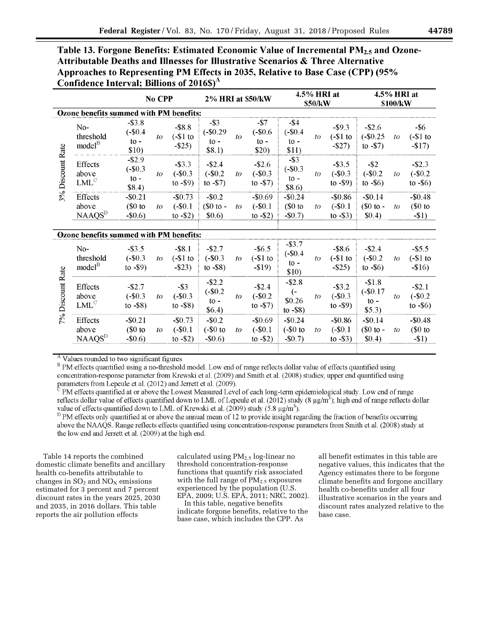| Table 13. Forgone Benefits: Estimated Economic Value of Incremental PM <sub>2.5</sub> and Ozone- |
|--------------------------------------------------------------------------------------------------|
| <b>Attributable Deaths and Illnesses for Illustrative Scenarios &amp; Three Alternative</b>      |
| Approaches to Representing PM Effects in 2035, Relative to Base Case (CPP) (95%                  |
| Confidence Interval; Billions of $2016\$ <sup>A</sup>                                            |

|                  |                                               |                                                       | No CPP |                                        | <b>2% HRI at \$50/kW</b>                   |    |                                                     |                                                    | 4.5% HRI at<br>\$50/kW |                                         |                                                    | 4.5% HRI at<br>\$100/kW |                                        |
|------------------|-----------------------------------------------|-------------------------------------------------------|--------|----------------------------------------|--------------------------------------------|----|-----------------------------------------------------|----------------------------------------------------|------------------------|-----------------------------------------|----------------------------------------------------|-------------------------|----------------------------------------|
|                  | Ozone benefits summed with PM benefits:       |                                                       |        |                                        |                                            |    |                                                     |                                                    |                        |                                         |                                                    |                         |                                        |
|                  | No-<br>threshold<br>model <sup>B</sup>        | $-$ \$3.8<br>$(-\$0.4)$<br>$to -$<br>\$10)            | to     | $-$ \$8.8<br>$(-\$1$ to<br>$-$ \$25)   | $-$ \$3<br>$(-\$0.29)$<br>$to -$<br>\$8.1) | to | $-$ \$7<br>$(-\$0.6)$<br>$\mathfrak{to}$ -<br>\$20) | $-$ \$4<br>$(-\$0.4)$<br>$\mathbf{to}$ -<br>\$11)  | to                     | $-$ \$9.3<br>$(-\$1$ to<br>$-$ \$27)    | $-$ \$2.6<br>$(-\$0.25)$<br>to $-57$ )             | to                      | $-$ \$6<br>$(-\$1$ to<br>$-17$         |
| 3% Discount Rate | <b>Effects</b><br>above<br>LML <sup>C</sup>   | $-$ \$2.9<br>$(-\$0.3)$<br>$\mathfrak{t}$ .<br>\$8.4) | to     | $-$ \$3.3<br>$(-\$0.3)$<br>to $-$ \$9) | $-$ \$2.4<br>$(-\$0.2)$<br>to $-57$ )      | to | $-$ \$2.6<br>$(-\$0.3)$<br>to $-57$ )               | $-$ \$3<br>$(-\$0.3)$<br>$\mathfrak{g}$ -<br>\$8.6 | to                     | $-$ \$3.5<br>$(-\$0.3)$<br>to $-$ \$9)  | $-$ \$2<br>$(-\$0.2)$<br>to $-$ \$6)               | to                      | $-$ \$2.3<br>$(-\$0.2)$<br>to $-$ \$6) |
|                  | Effects<br>above<br><b>NAAQS</b> <sup>D</sup> | $-$0.21$<br>$$0$ to<br>$-$ \$0.6)                     | to     | $-$0.73$<br>$(-\$0.1)$<br>to $-$ \$2)  | $-$ \$0.2<br>$$0 to -$<br>\$0.6)           | to | $-$0.69$<br>$(-\$0.1)$<br>to $-52$ )                | $-$0.24$<br>$$0$ to<br>$-$0.7$                     | to                     | $-$ \$0.86<br>$(-\$0.1)$<br>to $-$ \$3) | $-$0.14$<br>$\$0$ to -<br>\$0.4)                   | to                      | $-$0.48$<br>$$0$ to<br>$-11$           |
|                  | Ozone benefits summed with PM benefits:       |                                                       |        |                                        |                                            |    |                                                     |                                                    |                        |                                         |                                                    |                         |                                        |
|                  | $No-$<br>threshold<br>model <sup>B</sup>      | $-$ \$3.5<br>$(-\$0.3)$<br>to $-$ \$9)                | to     | $-$ \$8.1<br>$(-\$1$ to<br>$-$ \$23)   | $-$ \$2.7<br>$(-\$0.3)$<br>to $-$ \$8)     | to | $-$ \$6.5<br>$(-\$1$ to<br>$-519$                   | $-$ \$3.7<br>$(-\$0.4)$<br>$to -$<br>\$10)         | to                     | $-$ \$8.6<br>$(-\$1$ to<br>$-$ \$25)    | $-$ \$2.4<br>$(-\$0.2)$<br>to $-$ \$6)             | to                      | $-$ \$5.5<br>$(-\$1$ to<br>$-\$16)$    |
| 7% Discount Rate | <b>Effects</b><br>above<br>LML <sup>C</sup>   | $-$ \$2.7<br>$(-\$0.3)$<br>to $-$ \$8)                | to     | $-$ \$3<br>$(-\$0.3)$<br>to $-$ \$8)   | $-$ \$2.2<br>$(-$0.2)$<br>$to -$<br>\$6.4) | to | $-$ \$2.4<br>$(-$0.2)$<br>to $-57$ )                | $-$ \$2.8<br>$(-$<br>\$0.26<br>to $-$ \$8)         | $\iota$                | $-$ \$3.2<br>$(-\$0.3)$<br>to $-$ \$9)  | $-1.8$<br>$(-$0.17)$<br>$\mathfrak{g}$ -<br>\$5.3) | to                      | $-$ \$2.1<br>$(-\$0.2)$<br>to $-$ \$6) |
|                  | Effects<br>above<br><b>NAAQS</b> <sup>D</sup> | $-$ \$0.21<br>$\$0$ to<br>$-$ \$0.6)                  | to     | $-$0.73$<br>$(-\$0.1)$<br>to $-$ \$2)  | $-$ \$0.2<br>$(-\$0$ to<br>$-$ \$0.6)      | to | $-$ \$0.69<br>$(-\$0.1)$<br>to $-52$ )              | $-$0.24$<br>$(-\$0$ to<br>$-$ \$0.7)               | to                     | $-$ \$0.86<br>$(-\$0.1)$<br>to $-$ \$3) | $-$0.14$<br>$(S0 to -$<br>\$0.4)                   | to                      | $-$0.48$<br>$$0$ to<br>$-11$           |
|                  |                                               |                                                       |        |                                        |                                            |    |                                                     |                                                    |                        |                                         |                                                    |                         |                                        |

<sup>A</sup> Values rounded to two significant figures

<sup>B</sup> PM effects quantified using a no-threshold model. Low end of range reflects dollar value of effects quantified using concentration-response parameter from Krewski et al. (2009) and Smith et al. (2008) studies; upper end quantified using parameters from Lepeule et al. (2012) and Jerrett et al. (2009).<br><sup>C</sup> PM effects quantified at or above the Lowest Measured Level of each long-term epidemiological study. Low end of range

reflects dollar value of effects quantified down to LML of Lepeule et al.  $(2012)$  study  $(8 \text{ µg/m}^3)$ ; high end of range reflects dollar value of effects quantified down to LML of Krewski et al.  $(2009)$  study  $(5.8 \text{ µg/m}^3)$ .

<sup>D</sup> PM effects only quantified at or above the annual mean of 12 to provide insight regarding the fraction of benefits occurring above the NAAQS. Range reflects effects quantified using concentration-response parameters from Smith et al. (2008) study at the low end and Jerrett et al. (2009) at the high end.

Table 14 reports the combined domestic climate benefits and ancillary health co-benefits attributable to changes in  $SO<sub>2</sub>$  and  $NO<sub>x</sub>$  emissions estimated for 3 percent and 7 percent discount rates in the years 2025, 2030 and 2035, in 2016 dollars. This table reports the air pollution effects

calculated using PM2.5 log-linear no threshold concentration-response functions that quantify risk associated with the full range of  $PM_{2.5}$  exposures experienced by the population (U.S. EPA, 2009; U.S. EPA, 2011; NRC, 2002).

In this table, negative benefits indicate forgone benefits, relative to the base case, which includes the CPP. As

all benefit estimates in this table are negative values, this indicates that the Agency estimates there to be forgone climate benefits and forgone ancillary health co-benefits under all four illustrative scenarios in the years and discount rates analyzed relative to the base case.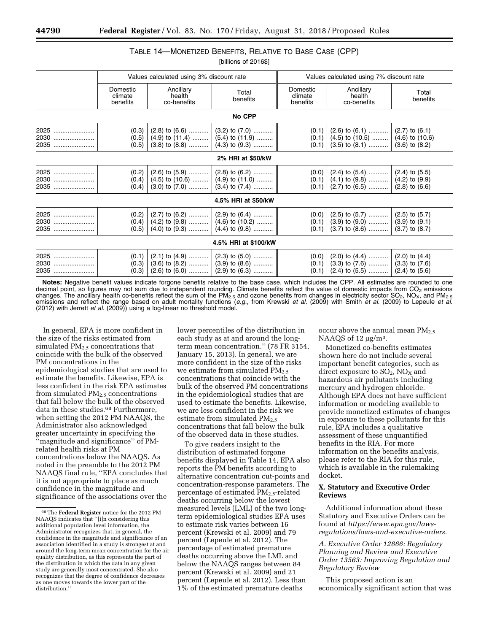### TABLE 14—MONETIZED BENEFITS, RELATIVE TO BASE CASE (CPP) [billions of 2016\$]

|                         |                                 | Values calculated using 3% discount rate        |                                                                                                                           |                                 | Values calculated using 7% discount rate                                                                                          |                   |
|-------------------------|---------------------------------|-------------------------------------------------|---------------------------------------------------------------------------------------------------------------------------|---------------------------------|-----------------------------------------------------------------------------------------------------------------------------------|-------------------|
|                         | Domestic<br>climate<br>benefits | Ancillary<br>health<br>co-benefits              | Total<br>benefits                                                                                                         | Domestic<br>climate<br>benefits | Ancillary<br>health<br>co-benefits                                                                                                | Total<br>benefits |
|                         |                                 |                                                 | No CPP                                                                                                                    |                                 |                                                                                                                                   |                   |
| 2025   <br>2030<br>2035 | (0.3)<br>(0.5)                  | $(0.5)$ $(4.9)$ to $(11.4)$ $(5.4)$ to $(11.9)$ | $(2.8)$ to $(6.6)$ $(3.2)$ to $(7.0)$<br>$(3.8)$ to $(8.8)$ $(4.3)$ to $(9.3)$                                            | (0.1)<br>(0.1)                  | $(2.6)$ to $(6.1)$ $(2.7)$ to $(6.1)$<br>$(0.1)$ $(4.5)$ to $(10.5)$ $(4.6)$ to $(10.6)$<br>$(3.5)$ to $(8.1)$ $(3.6)$ to $(8.2)$ |                   |
|                         |                                 |                                                 | 2% HRI at \$50/kW                                                                                                         |                                 |                                                                                                                                   |                   |
| 2025   <br>2030<br>2035 | (0.2)<br>(0.4)<br>(0.4)         |                                                 | $(2.6)$ to $(5.9)$ $(2.8)$ to $(6.2)$<br>$(4.5)$ to $(10.6)$ $(4.9)$ to $(11.0)$<br>$(3.0)$ to $(7.0)$ $(3.4)$ to $(7.4)$ | (0.0)<br>(0.1)<br>(0.1)         | $(2.4)$ to $(5.4)$ $(2.4)$ to $(5.5)$<br>$(4.1)$ to $(9.8)$ $(4.2)$ to $(9.9)$<br>$(2.7)$ to $(6.5)$ $(2.8)$ to $(6.6)$           |                   |
|                         |                                 |                                                 | 4.5% HRI at \$50/kW                                                                                                       |                                 |                                                                                                                                   |                   |
| 2025 !<br>2030<br>2035  | (0.2)<br>(0.5)                  | $(0.4)$ $(4.2)$ to $(9.8)$ $(4.6)$ to $(10.2)$  | $(2.7)$ to $(6.2)$ $(2.9)$ to $(6.4)$<br>$(4.0)$ to $(9.3)$ $(4.4)$ to $(9.8)$                                            | (0.0)<br>(0.1)<br>(0.1)         | $(2.5)$ to $(5.7)$ $(2.5)$ to $(5.7)$<br>$(3.9)$ to $(9.0)$ $(3.9)$ to $(9.1)$<br>$(3.7)$ to $(8.6)$ $(3.7)$ to $(8.7)$           |                   |
|                         |                                 |                                                 | 4.5% HRI at \$100/kW                                                                                                      |                                 |                                                                                                                                   |                   |
| 2025<br>2030<br>2035    | (0.1)<br>(0.3)<br>(0.3)         | $(2.6)$ to $(6.0)$ $(2.9)$ to $(6.3)$           | $(2.1)$ to $(4.9)$ $(2.3)$ to $(5.0)$<br>$(3.6)$ to $(8.2)$ $(3.9)$ to $(8.6)$                                            | (0.0)<br>(0.1)                  | $(2.0)$ to $(4.4)$ $(2.0)$ to $(4.4)$<br>$(3.3)$ to $(7.6)$ $(3.3)$ to $(7.6)$<br>$(0.1)$ $(2.4)$ to $(5.5)$ $(2.4)$ to $(5.6)$   |                   |

**Notes:** Negative benefit values indicate forgone benefits relative to the base case, which includes the CPP. All estimates are rounded to one decimal point, so figures may not sum due to independent rounding. Climate benefits reflect the value of domestic impacts from CO<sub>2</sub> emissions changes. The ancillary health co-benefits reflect the sum of the PM<sub>2.5</sub> and ozone benefits from changes in electricity sector SO<sub>2</sub>, NO<sub>X</sub>, and PM<sub>2.5</sub><br>emissions and reflect the range based on adult mortality functions ( (2012) with Jerrett *et al.* (2009)) using a log-linear no threshold model.

In general, EPA is more confident in the size of the risks estimated from simulated  $PM<sub>2.5</sub>$  concentrations that coincide with the bulk of the observed PM concentrations in the epidemiological studies that are used to estimate the benefits. Likewise, EPA is less confident in the risk EPA estimates from simulated  $PM<sub>2.5</sub>$  concentrations that fall below the bulk of the observed data in these studies.<sup>68</sup> Furthermore, when setting the 2012 PM NAAQS, the Administrator also acknowledged greater uncertainty in specifying the ''magnitude and significance'' of PMrelated health risks at PM concentrations below the NAAQS. As noted in the preamble to the 2012 PM NAAQS final rule, ''EPA concludes that it is not appropriate to place as much confidence in the magnitude and significance of the associations over the

lower percentiles of the distribution in each study as at and around the longterm mean concentration.'' (78 FR 3154, January 15, 2013). In general, we are more confident in the size of the risks we estimate from simulated  $PM_{2.5}$ concentrations that coincide with the bulk of the observed PM concentrations in the epidemiological studies that are used to estimate the benefits. Likewise, we are less confident in the risk we estimate from simulated  $PM<sub>2.5</sub>$ concentrations that fall below the bulk of the observed data in these studies.

To give readers insight to the distribution of estimated forgone benefits displayed in Table 14, EPA also reports the PM benefits according to alternative concentration cut-points and concentration-response parameters. The percentage of estimated PM<sub>2.5</sub>-related deaths occurring below the lowest measured levels (LML) of the two longterm epidemiological studies EPA uses to estimate risk varies between 16 percent (Krewski et al. 2009) and 79 percent (Lepeule et al. 2012). The percentage of estimated premature deaths occurring above the LML and below the NAAQS ranges between 84 percent (Krewski et al. 2009) and 21 percent (Lepeule et al. 2012). Less than 1% of the estimated premature deaths

occur above the annual mean PM<sub>2.5</sub> NAAQS of 12  $\mu$ g/m<sup>3</sup>.

Monetized co-benefits estimates shown here do not include several important benefit categories, such as direct exposure to  $SO_2$ ,  $NO_X$  and hazardous air pollutants including mercury and hydrogen chloride. Although EPA does not have sufficient information or modeling available to provide monetized estimates of changes in exposure to these pollutants for this rule, EPA includes a qualitative assessment of these unquantified benefits in the RIA. For more information on the benefits analysis, please refer to the RIA for this rule, which is available in the rulemaking docket.

### **X. Statutory and Executive Order Reviews**

Additional information about these Statutory and Executive Orders can be found at *[https://www.epa.gov/laws](https://www.epa.gov/laws-regulations/laws-and-executive-orders)[regulations/laws-and-executive-orders.](https://www.epa.gov/laws-regulations/laws-and-executive-orders)* 

*A. Executive Order 12866: Regulatory Planning and Review and Executive Order 13563: Improving Regulation and Regulatory Review* 

This proposed action is an economically significant action that was

<sup>68</sup>The **Federal Register** notice for the 2012 PM NAAQS indicates that ''[i]n considering this additional population level information, the Administrator recognizes that, in general, the confidence in the magnitude and significance of an association identified in a study is strongest at and around the long-term mean concentration for the air quality distribution, as this represents the part of the distribution in which the data in any given study are generally most concentrated. She also recognizes that the degree of confidence decreases as one moves towards the lower part of the distribution.''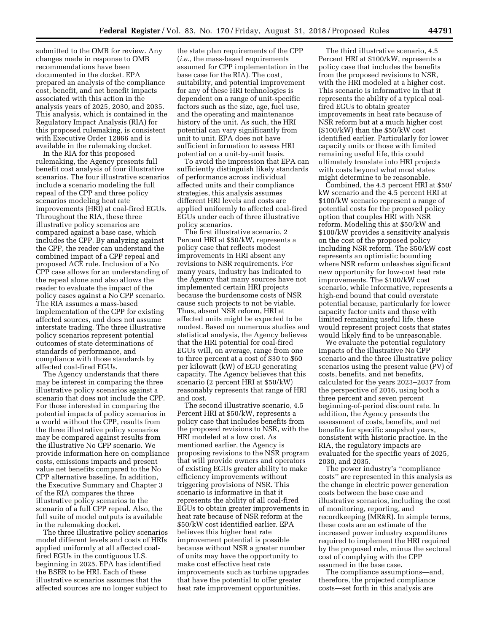submitted to the OMB for review. Any changes made in response to OMB recommendations have been documented in the docket. EPA prepared an analysis of the compliance cost, benefit, and net benefit impacts associated with this action in the analysis years of 2025, 2030, and 2035. This analysis, which is contained in the Regulatory Impact Analysis (RIA) for this proposed rulemaking, is consistent with Executive Order 12866 and is available in the rulemaking docket.

In the RIA for this proposed rulemaking, the Agency presents full benefit cost analysis of four illustrative scenarios. The four illustrative scenarios include a scenario modeling the full repeal of the CPP and three policy scenarios modeling heat rate improvements (HRI) at coal-fired EGUs. Throughout the RIA, these three illustrative policy scenarios are compared against a base case, which includes the CPP. By analyzing against the CPP, the reader can understand the combined impact of a CPP repeal and proposed ACE rule. Inclusion of a No CPP case allows for an understanding of the repeal alone and also allows the reader to evaluate the impact of the policy cases against a No CPP scenario. The RIA assumes a mass-based implementation of the CPP for existing affected sources, and does not assume interstate trading. The three illustrative policy scenarios represent potential outcomes of state determinations of standards of performance, and compliance with those standards by affected coal-fired EGUs.

The Agency understands that there may be interest in comparing the three illustrative policy scenarios against a scenario that does not include the CPP. For those interested in comparing the potential impacts of policy scenarios in a world without the CPP, results from the three illustrative policy scenarios may be compared against results from the illustrative No CPP scenario. We provide information here on compliance costs, emissions impacts and present value net benefits compared to the No CPP alternative baseline. In addition, the Executive Summary and Chapter 3 of the RIA compares the three illustrative policy scenarios to the scenario of a full CPP repeal. Also, the full suite of model outputs is available in the rulemaking docket.

The three illustrative policy scenarios model different levels and costs of HRIs applied uniformly at all affected coalfired EGUs in the contiguous U.S. beginning in 2025. EPA has identified the BSER to be HRI. Each of these illustrative scenarios assumes that the affected sources are no longer subject to

the state plan requirements of the CPP (*i.e.,* the mass-based requirements assumed for CPP implementation in the base case for the RIA). The cost, suitability, and potential improvement for any of these HRI technologies is dependent on a range of unit-specific factors such as the size, age, fuel use, and the operating and maintenance history of the unit. As such, the HRI potential can vary significantly from unit to unit. EPA does not have sufficient information to assess HRI potential on a unit-by-unit basis.

To avoid the impression that EPA can sufficiently distinguish likely standards of performance across individual affected units and their compliance strategies, this analysis assumes different HRI levels and costs are applied uniformly to affected coal-fired EGUs under each of three illustrative policy scenarios.

The first illustrative scenario, 2 Percent HRI at \$50/kW, represents a policy case that reflects modest improvements in HRI absent any revisions to NSR requirements. For many years, industry has indicated to the Agency that many sources have not implemented certain HRI projects because the burdensome costs of NSR cause such projects to not be viable. Thus, absent NSR reform, HRI at affected units might be expected to be modest. Based on numerous studies and statistical analysis, the Agency believes that the HRI potential for coal-fired EGUs will, on average, range from one to three percent at a cost of \$30 to \$60 per kilowatt (kW) of EGU generating capacity. The Agency believes that this scenario (2 percent HRI at \$50/kW) reasonably represents that range of HRI and cost.

The second illustrative scenario, 4.5 Percent HRI at \$50/kW, represents a policy case that includes benefits from the proposed revisions to NSR, with the HRI modeled at a low cost. As mentioned earlier, the Agency is proposing revisions to the NSR program that will provide owners and operators of existing EGUs greater ability to make efficiency improvements without triggering provisions of NSR. This scenario is informative in that it represents the ability of all coal-fired EGUs to obtain greater improvements in heat rate because of NSR reform at the \$50/kW cost identified earlier. EPA believes this higher heat rate improvement potential is possible because without NSR a greater number of units may have the opportunity to make cost effective heat rate improvements such as turbine upgrades that have the potential to offer greater heat rate improvement opportunities.

The third illustrative scenario, 4.5 Percent HRI at \$100/kW, represents a policy case that includes the benefits from the proposed revisions to NSR, with the HRI modeled at a higher cost. This scenario is informative in that it represents the ability of a typical coalfired EGUs to obtain greater improvements in heat rate because of NSR reform but at a much higher cost (\$100/kW) than the \$50/kW cost identified earlier. Particularly for lower capacity units or those with limited remaining useful life, this could ultimately translate into HRI projects with costs beyond what most states might determine to be reasonable.

Combined, the 4.5 percent HRI at \$50/ kW scenario and the 4.5 percent HRI at \$100/kW scenario represent a range of potential costs for the proposed policy option that couples HRI with NSR reform. Modeling this at \$50/kW and \$100/kW provides a sensitivity analysis on the cost of the proposed policy including NSR reform. The \$50/kW cost represents an optimistic bounding where NSR reform unleashes significant new opportunity for low-cost heat rate improvements. The \$100/kW cost scenario, while informative, represents a high-end bound that could overstate potential because, particularly for lower capacity factor units and those with limited remaining useful life, these would represent project costs that states would likely find to be unreasonable.

We evaluate the potential regulatory impacts of the illustrative No CPP scenario and the three illustrative policy scenarios using the present value (PV) of costs, benefits, and net benefits, calculated for the years 2023–2037 from the perspective of 2016, using both a three percent and seven percent beginning-of-period discount rate. In addition, the Agency presents the assessment of costs, benefits, and net benefits for specific snapshot years, consistent with historic practice. In the RIA, the regulatory impacts are evaluated for the specific years of 2025, 2030, and 2035.

The power industry's ''compliance costs'' are represented in this analysis as the change in electric power generation costs between the base case and illustrative scenarios, including the cost of monitoring, reporting, and recordkeeping (MR&R). In simple terms, these costs are an estimate of the increased power industry expenditures required to implement the HRI required by the proposed rule, minus the sectoral cost of complying with the CPP assumed in the base case.

The compliance assumptions—and, therefore, the projected compliance costs—set forth in this analysis are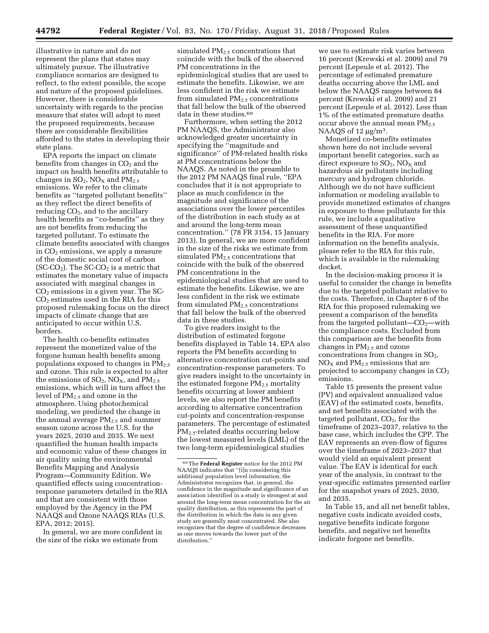illustrative in nature and do not represent the plans that states may ultimately pursue. The illustrative compliance scenarios are designed to reflect, to the extent possible, the scope and nature of the proposed guidelines. However, there is considerable uncertainty with regards to the precise measure that states will adopt to meet the proposed requirements, because there are considerable flexibilities afforded to the states in developing their state plans.

EPA reports the impact on climate benefits from changes in  $CO<sub>2</sub>$  and the impact on health benefits attributable to changes in  $SO_2$ ,  $NO<sub>X</sub>$  and  $PM<sub>2.5</sub>$ emissions. We refer to the climate benefits as ''targeted pollutant benefits'' as they reflect the direct benefits of reducing  $CO<sub>2</sub>$ , and to the ancillary health benefits as ''co-benefits'' as they are not benefits from reducing the targeted pollutant. To estimate the climate benefits associated with changes in  $CO<sub>2</sub>$  emissions, we apply a measure of the domestic social cost of carbon (SC-CO<sub>2</sub>). The SC-CO<sub>2</sub> is a metric that estimates the monetary value of impacts associated with marginal changes in  $CO<sub>2</sub>$  emissions in a given year. The SC- $CO<sub>2</sub>$  estimates used in the RIA for this proposed rulemaking focus on the direct impacts of climate change that are anticipated to occur within U.S. borders.

The health co-benefits estimates represent the monetized value of the forgone human health benefits among populations exposed to changes in  $PM_{2.5}$ and ozone. This rule is expected to alter the emissions of  $SO_2$ ,  $NO_X$ , and  $PM_{2.5}$ emissions, which will in turn affect the level of PM2.5 and ozone in the atmosphere. Using photochemical modeling, we predicted the change in the annual average  $PM_{2.5}$  and summer season ozone across the U.S. for the years 2025, 2030 and 2035. We next quantified the human health impacts and economic value of these changes in air quality using the environmental Benefits Mapping and Analysis Program—Community Edition. We quantified effects using concentrationresponse parameters detailed in the RIA and that are consistent with those employed by the Agency in the PM NAAQS and Ozone NAAQS RIAs (U.S. EPA, 2012; 2015).

In general, we are more confident in the size of the risks we estimate from

simulated PM<sub>2.5</sub> concentrations that coincide with the bulk of the observed PM concentrations in the epidemiological studies that are used to estimate the benefits. Likewise, we are less confident in the risk we estimate from simulated  $PM<sub>2.5</sub>$  concentrations that fall below the bulk of the observed data in these studies.<sup>69</sup>

Furthermore, when setting the 2012 PM NAAQS, the Administrator also acknowledged greater uncertainty in specifying the ''magnitude and significance'' of PM-related health risks at PM concentrations below the NAAQS. As noted in the preamble to the 2012 PM NAAQS final rule, ''EPA concludes that it is not appropriate to place as much confidence in the magnitude and significance of the associations over the lower percentiles of the distribution in each study as at and around the long-term mean concentration.'' (78 FR 3154, 15 January 2013). In general, we are more confident in the size of the risks we estimate from simulated  $PM<sub>2.5</sub>$  concentrations that coincide with the bulk of the observed PM concentrations in the epidemiological studies that are used to estimate the benefits. Likewise, we are less confident in the risk we estimate from simulated  $PM<sub>2.5</sub>$  concentrations that fall below the bulk of the observed data in these studies.

To give readers insight to the distribution of estimated forgone benefits displayed in Table 14, EPA also reports the PM benefits according to alternative concentration cut-points and concentration-response parameters. To give readers insight to the uncertainty in the estimated forgone  $PM_{2.5}$  mortality benefits occurring at lower ambient levels, we also report the PM benefits according to alternative concentration cut-points and concentration-response parameters. The percentage of estimated PM2.5-related deaths occurring below the lowest measured levels (LML) of the two long-term epidemiological studies

we use to estimate risk varies between 16 percent (Krewski et al. 2009) and 79 percent (Lepeule et al. 2012). The percentage of estimated premature deaths occurring above the LML and below the NAAQS ranges between 84 percent (Krewski et al. 2009) and 21 percent (Lepeule et al. 2012). Less than 1% of the estimated premature deaths occur above the annual mean PM<sub>2.5</sub> NAAQS of 12  $\mu$ g/m<sup>3</sup>.

Monetized co-benefits estimates shown here do not include several important benefit categories, such as direct exposure to  $SO_2$ ,  $NO<sub>X</sub>$  and hazardous air pollutants including mercury and hydrogen chloride. Although we do not have sufficient information or modeling available to provide monetized estimates of changes in exposure to these pollutants for this rule, we include a qualitative assessment of these unquantified benefits in the RIA. For more information on the benefits analysis, please refer to the RIA for this rule, which is available in the rulemaking docket.

In the decision-making process it is useful to consider the change in benefits due to the targeted pollutant relative to the costs. Therefore, in Chapter 6 of the RIA for this proposed rulemaking we present a comparison of the benefits from the targeted pollutant— $CO<sub>2</sub>$ —with the compliance costs. Excluded from this comparison are the benefits from changes in  $PM<sub>2.5</sub>$  and ozone concentrations from changes in  $SO<sub>2</sub>$ ,  $NO<sub>X</sub>$  and  $PM<sub>2.5</sub>$  emissions that are projected to accompany changes in  $CO<sub>2</sub>$ emissions.

Table 15 presents the present value (PV) and equivalent annualized value (EAV) of the estimated costs, benefits, and net benefits associated with the targeted pollutant,  $CO<sub>2</sub>$ , for the timeframe of 2023–2037, relative to the base case, which includes the CPP. The EAV represents an even-flow of figures over the timeframe of 2023–2037 that would yield an equivalent present value. The EAV is identical for each year of the analysis, in contrast to the year-specific estimates presented earlier for the snapshot years of 2025, 2030, and 2035.

In Table 15, and all net benefit tables, negative costs indicate avoided costs, negative benefits indicate forgone benefits, and negative net benefits indicate forgone net benefits.

<sup>69</sup>The **Federal Register** notice for the 2012 PM NAAQS indicates that ''[i]n considering this additional population level information, the Administrator recognizes that, in general, the confidence in the magnitude and significance of an association identified in a study is strongest at and around the long-term mean concentration for the air quality distribution, as this represents the part of the distribution in which the data in any given study are generally most concentrated. She also recognizes that the degree of confidence decreases as one moves towards the lower part of the distribution.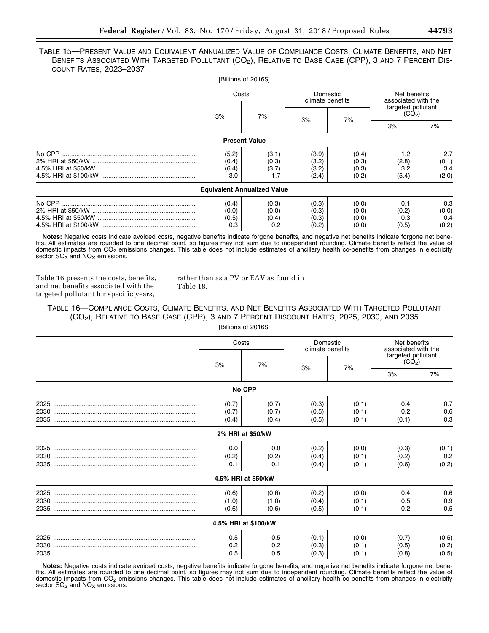TABLE 15—PRESENT VALUE AND EQUIVALENT ANNUALIZED VALUE OF COMPLIANCE COSTS, CLIMATE BENEFITS, AND NET BENEFITS ASSOCIATED WITH TARGETED POLLUTANT (CO<sub>2</sub>), RELATIVE TO BASE CASE (CPP), 3 AND 7 PERCENT DIS-COUNT RATES, 2023–2037

|                                    | [Billions of 2016\$]           |                                  |                                  |                                     |                                          |  |
|------------------------------------|--------------------------------|----------------------------------|----------------------------------|-------------------------------------|------------------------------------------|--|
| Costs                              |                                | Domestic<br>climate benefits     |                                  | Net benefits<br>associated with the |                                          |  |
| 3%<br>7%                           |                                | 3%                               |                                  | 7%                                  | targeted pollutant<br>(CO <sub>2</sub> ) |  |
|                                    |                                |                                  |                                  | 3%                                  | 7%                                       |  |
|                                    | <b>Present Value</b>           |                                  |                                  |                                     |                                          |  |
| (5.2)<br>(0.4)<br>(6.4)<br>3.0     | (3.1)<br>(0.3)<br>(3.7)        | (3.9)<br>(3.2)<br>(3.2)<br>(2.4) | (0.4)<br>(0.3)<br>(0.3)<br>(0.2) | 1.2<br>(2.8)<br>3.2<br>(5.4)        | 2.7<br>(0.1)<br>3.4<br>(2.0)             |  |
| <b>Equivalent Annualized Value</b> |                                |                                  |                                  |                                     |                                          |  |
| (0.4)<br>(0.0)<br>(0.5)<br>0.3     | (0.3)<br>(0.0)<br>(0.4)<br>0.2 | (0.3)<br>(0.3)<br>(0.3)<br>(0.2) | (0.0)<br>(0.0)<br>(0.0)<br>(0.0) | 0.1<br>(0.2)<br>0.3<br>(0.5)        | 0.3<br>(0.0)<br>0.4<br>(0.2)             |  |

**Notes:** Negative costs indicate avoided costs, negative benefits indicate forgone benefits, and negative net benefits indicate forgone net benefits. All estimates are rounded to one decimal point, so figures may not sum due to independent rounding. Climate benefits reflect the value of domestic impacts from CO<sub>2</sub> emissions changes. This table does not include estimates of ancillary health co-benefits from changes in electricity sector  $SO_2$  and  $NO<sub>x</sub>$  emissions.

Table 16 presents the costs, benefits, and net benefits associated with the targeted pollutant for specific years,

rather than as a PV or EAV as found in Table 18.

TABLE 16—COMPLIANCE COSTS, CLIMATE BENEFITS, AND NET BENEFITS ASSOCIATED WITH TARGETED POLLUTANT (CO2), RELATIVE TO BASE CASE (CPP), 3 AND 7 PERCENT DISCOUNT RATES, 2025, 2030, AND 2035 [Billions of 2016\$]

| Costs             |                      | Domestic<br>climate benefits |       | Net benefits<br>associated with the      |       |
|-------------------|----------------------|------------------------------|-------|------------------------------------------|-------|
| 3%                | 7%                   | 3%                           | 7%    | targeted pollutant<br>(CO <sub>2</sub> ) |       |
|                   |                      |                              |       | 3%                                       | 7%    |
|                   | No CPP               |                              |       |                                          |       |
| (0.7)             | (0.7)                | (0.3)                        | (0.1) | 0.4                                      | 0.7   |
| (0.7)             | (0.7)                | (0.5)                        | (0.1) | 0.2                                      | 0.6   |
| (0.4)             | (0.4)                | (0.5)                        | (0.1) | (0.1)                                    | 0.3   |
| 2% HRI at \$50/kW |                      |                              |       |                                          |       |
| 0.0               | 0.0                  | (0.2)                        | (0.0) | (0.3)                                    | (0.1) |
| (0.2)             | (0.2)                | (0.4)                        | (0.1) | (0.2)                                    | 0.2   |
| 0.1               | 0.1                  | (0.4)                        | (0.1) | (0.6)                                    | (0.2) |
|                   | 4.5% HRI at \$50/kW  |                              |       |                                          |       |
| (0.6)             | (0.6)                | (0.2)                        | (0.0) | 0.4                                      | 0.6   |
| (1.0)             | (1.0)                | (0.4)                        | (0.1) | 0.5                                      | 0.9   |
| (0.6)             | (0.6)                | (0.5)                        | (0.1) | 0.2                                      | 0.5   |
|                   | 4.5% HRI at \$100/kW |                              |       |                                          |       |
| 0.5               | 0.5                  | (0.1)                        | (0.0) | (0.7)                                    | (0.5) |
| 0.2               | 0.2                  | (0.3)                        | (0.1) | (0.5)                                    | (0.2) |
| 0.5               | 0.5                  | (0.3)                        | (0.1) | (0.8)                                    | (0.5) |

**Notes:** Negative costs indicate avoided costs, negative benefits indicate forgone benefits, and negative net benefits indicate forgone net benefits. All estimates are rounded to one decimal point, so figures may not sum due to independent rounding. Climate benefits reflect the value of domestic impacts from  $CO<sub>2</sub>$  emissions changes. This table does not include estimates of ancillary health co-benefits from changes in electricity sector  $SO<sub>2</sub>$  and  $NO<sub>X</sub>$  emissions.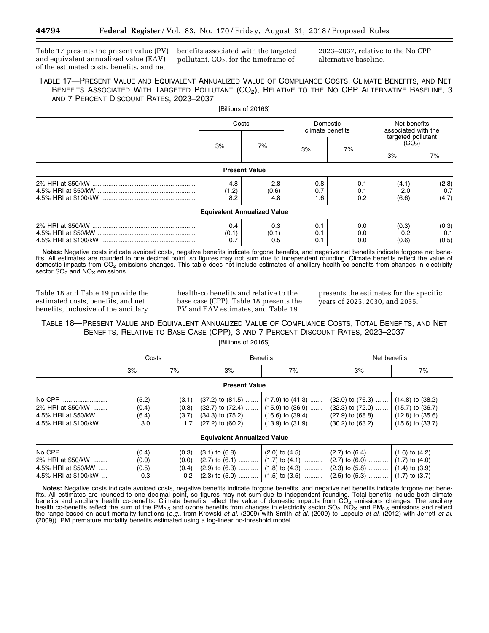Table 17 presents the present value (PV) benefits associated with the targeted and equivalent annualized value (EAV) of the estimated costs, benefits, and net

pollutant,  $CO<sub>2</sub>$ , for the timeframe of

2023–2037, relative to the No CPP alternative baseline.

### TABLE 17—PRESENT VALUE AND EQUIVALENT ANNUALIZED VALUE OF COMPLIANCE COSTS, CLIMATE BENEFITS, AND NET BENEFITS ASSOCIATED WITH TARGETED POLLUTANT (CO<sub>2</sub>), RELATIVE TO THE NO CPP ALTERNATIVE BASELINE, 3 AND 7 PERCENT DISCOUNT RATES, 2023–2037

[Billions of 2016\$]

| Costs |                                    | Domestic<br>climate benefits |     | Net benefits<br>associated with the      |       |  |
|-------|------------------------------------|------------------------------|-----|------------------------------------------|-------|--|
| 3%    | 7%                                 |                              | 7%  | targeted pollutant<br>(CO <sub>2</sub> ) |       |  |
|       |                                    | 3%                           |     | 3%                                       | 7%    |  |
|       | <b>Present Value</b>               |                              |     |                                          |       |  |
| 4.8   | 2.8                                | 0.8                          | 0.1 | (4.1)                                    | (2.8) |  |
| (1.2) | (0.6)                              | 0.7                          | 0.1 | 2.0                                      | 0.7   |  |
| 8.2   | 4.8                                | 1.6                          | 0.2 | (6.6)                                    | (4.7) |  |
|       | <b>Equivalent Annualized Value</b> |                              |     |                                          |       |  |
| 0.4   | 0.3                                | 0.1                          | 0.0 | (0.3)                                    | (0.3) |  |
| (0.1) | (0.1)                              | 0.1                          | 0.0 | 0.2                                      | 0.1   |  |
| 0.7   | 0.5                                | 0.1                          | 0.0 | (0.6)                                    | (0.5) |  |

**Notes:** Negative costs indicate avoided costs, negative benefits indicate forgone benefits, and negative net benefits indicate forgone net benefits. All estimates are rounded to one decimal point, so figures may not sum due to independent rounding. Climate benefits reflect the value of domestic impacts from  $CO<sub>2</sub>$  emissions changes. This table does not include estimates of ancillary health co-benefits from changes in electricity sector  $SO<sub>2</sub>$  and  $NO<sub>X</sub>$  emissions.

Table 18 and Table 19 provide the estimated costs, benefits, and net benefits, inclusive of the ancillary

health-co benefits and relative to the base case (CPP). Table 18 presents the PV and EAV estimates, and Table 19

presents the estimates for the specific years of 2025, 2030, and 2035.

# TABLE 18—PRESENT VALUE AND EQUIVALENT ANNUALIZED VALUE OF COMPLIANCE COSTS, TOTAL BENEFITS, AND NET BENEFITS, RELATIVE TO BASE CASE (CPP), 3 AND 7 PERCENT DISCOUNT RATES, 2023–2037

| [Billions of 2016\$] |  |
|----------------------|--|
|----------------------|--|

|                                                                            | Costs                          |    |                                    | <b>Benefits</b> | Net benefits                                                                                                                                                                                                                                                                                                                                                                      |    |  |
|----------------------------------------------------------------------------|--------------------------------|----|------------------------------------|-----------------|-----------------------------------------------------------------------------------------------------------------------------------------------------------------------------------------------------------------------------------------------------------------------------------------------------------------------------------------------------------------------------------|----|--|
|                                                                            | 3%                             | 7% | 3%                                 | 7%              | 3%                                                                                                                                                                                                                                                                                                                                                                                | 7% |  |
|                                                                            |                                |    | <b>Present Value</b>               |                 |                                                                                                                                                                                                                                                                                                                                                                                   |    |  |
| No CPP<br>2% HRI at \$50/kW<br>4.5% HRI at \$50/kW<br>4.5% HRI at \$100/kW | (5.2)<br>(0.4)<br>(6.4)<br>3.0 |    |                                    |                 | $(3.1)$ $(37.2)$ to $(81.5)$ $(17.9)$ to $(41.3)$ $(32.0)$ to $(76.3)$ $(14.8)$ to $(38.2)$<br>$(0.3)$ $(32.7)$ to $(72.4)$ $(15.9)$ to $(36.9)$ $(32.3)$ to $(72.0)$ $(15.7)$ to $(36.7)$<br>$(3.7)$ (34.3) to (75.2)  (16.6) to (39.4)  (27.9) to (68.8)  (12.8) to (35.6)<br>1.7 $\parallel$ (27.2) to (60.2)  (13.9) to (31.9) $\parallel$ (30.2) to (63.2)  (15.6) to (33.7) |    |  |
|                                                                            |                                |    | <b>Equivalent Annualized Value</b> |                 |                                                                                                                                                                                                                                                                                                                                                                                   |    |  |
| No CPP<br>2% HRI at \$50/kW<br>4.5% HRI at \$50/kW<br>4.5% HRI at \$100/kW | (0.4)<br>(0.0)<br>(0.5)<br>0.3 |    |                                    |                 | $(0.3)$ $(3.1)$ to $(6.8)$ $(2.0)$ to $(4.5)$ $(2.7)$ to $(6.4)$ $(1.6)$ to $(4.2)$<br>$(0.0)$ $(2.7)$ to $(6.1)$ $(1.7)$ to $(4.1)$ $(2.7)$ to $(6.0)$ $(1.7)$ to $(4.0)$<br>0.2 $\parallel$ (2.3) to (5.0)  (1.5) to (3.5)  (2.5) to (5.3)  (1.7) to (3.7)                                                                                                                      |    |  |

**Notes:** Negative costs indicate avoided costs, negative benefits indicate forgone benefits, and negative net benefits indicate forgone net benefits. All estimates are rounded to one decimal point, so figures may not sum due to independent rounding. Total benefits include both climate benefits and ancillary health co-benefits. Climate benefits reflect the value of domestic impacts from CO<sub>2</sub> emissions changes. The ancillary health co-benefits reflect the sum of the PM<sub>2.5</sub> and ozone benefits from changes in electricity sector SO<sub>2</sub>, NO<sub>X</sub> and PM<sub>2.5</sub> emissions and reflect the range based on adult mortality functions (*e.g.,* from Krewski *et al.* (2009) with Smith *et al.* (2009) to Lepeule *et al.* (2012) with Jerrett *et al.*  (2009)). PM premature mortality benefits estimated using a log-linear no-threshold model.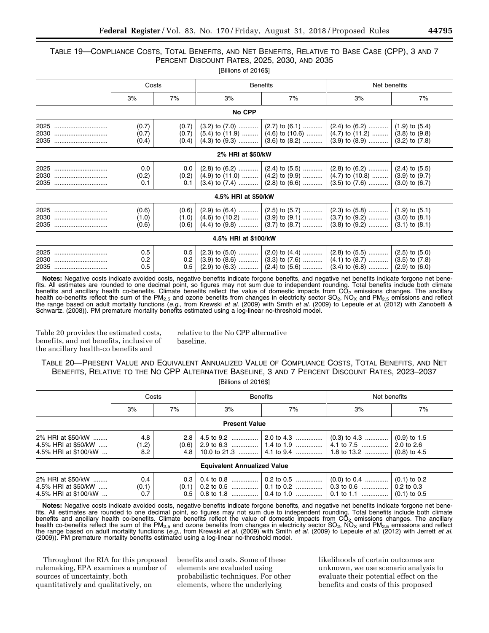### TABLE 19—COMPLIANCE COSTS, TOTAL BENEFITS, AND NET BENEFITS, RELATIVE TO BASE CASE (CPP), 3 AND 7 PERCENT DISCOUNT RATES, 2025, 2030, AND 2035 [Billions of 2016\$]

|                      | Costs                   |       |                      | <b>Benefits</b> | Net benefits                                                                                                                                                                                                                                                                                                                          |                                          |  |
|----------------------|-------------------------|-------|----------------------|-----------------|---------------------------------------------------------------------------------------------------------------------------------------------------------------------------------------------------------------------------------------------------------------------------------------------------------------------------------------|------------------------------------------|--|
|                      | 3%                      | 7%    | 3%                   | 7%              | 3%                                                                                                                                                                                                                                                                                                                                    | 7%                                       |  |
|                      |                         |       | No CPP               |                 |                                                                                                                                                                                                                                                                                                                                       |                                          |  |
| 2025<br>2030<br>2035 | (0.7)<br>(0.7)<br>(0.4) | (0.7) |                      |                 | $(3.2)$ to $(7.0)$ $ (2.7)$ to $(6.1)$ $ (2.4)$ to $(6.2)$<br>$(0.7)$ $(5.4)$ to $(11.9)$ $(4.6)$ to $(10.6)$ $(4.7)$ to $(11.2)$ $(3.8)$ to $(9.8)$<br>$(0.4)$ $(4.3)$ to $(9.3)$ $(3.6)$ to $(8.2)$ $(3.9)$ to $(8.9)$                                                                                                              | $(1.9)$ to $(5.4)$<br>$(3.2)$ to $(7.8)$ |  |
|                      |                         |       | 2% HRI at \$50/kW    |                 |                                                                                                                                                                                                                                                                                                                                       |                                          |  |
| 2025<br>2030<br>2035 | 0.0<br>(0.2)<br>0.1     | 0.1   |                      |                 | $(0.2)$ $(4.9)$ to $(11.0)$ $(4.2)$ to $(9.9)$ $(4.7)$ to $(10.8)$ $(3.9)$ to $(9.7)$<br>$(3.4)$ to $(7.4)$ $ (2.8)$ to $(6.6)$ $ (3.5)$ to $(7.6)$                                                                                                                                                                                   | $(3.0)$ to $(6.7)$                       |  |
|                      |                         |       | 4.5% HRI at \$50/kW  |                 |                                                                                                                                                                                                                                                                                                                                       |                                          |  |
| 2025<br>2030<br>2035 | (0.6)<br>(1.0)<br>(0.6) |       |                      |                 | $(1.0)$ (4.6) to (10.2)  (3.9) to (9.1)  (3.7) to (9.2)  (3.0) to (8.1)                                                                                                                                                                                                                                                               | $(3.1)$ to $(8.1)$                       |  |
|                      |                         |       | 4.5% HRI at \$100/kW |                 |                                                                                                                                                                                                                                                                                                                                       |                                          |  |
| 2025<br>2030<br>2035 | 0.5<br>0.2<br>0.5       |       |                      |                 | $0.5 \parallel (2.3)$ to $(5.0)$ $\parallel (2.0)$ to $(4.4)$ $\parallel (2.8)$ to $(5.5)$ $\parallel (2.5)$ to $(5.0)$<br>0.2 $\parallel$ (3.9) to (8.6)  (3.3) to (7.6) $\parallel$ (4.1) to (8.7)  (3.5) to (7.8)<br>$0.5 \parallel (2.9)$ to $(6.3)$ $\mid (2.4)$ to $(5.6)$ $\parallel (3.4)$ to $(6.8)$ $\mid (2.9)$ to $(6.0)$ |                                          |  |

**Notes:** Negative costs indicate avoided costs, negative benefits indicate forgone benefits, and negative net benefits indicate forgone net benefits. All estimates are rounded to one decimal point, so figures may not sum due to independent rounding. Total benefits include both climate benefits and ancillary health co-benefits. Climate benefits reflect the value of domestic impacts from  $CO<sub>2</sub>$  emissions changes. The ancillary health co-benefits reflect the sum of the PM<sub>2.5</sub> and ozone benefits from changes in electricity sector SO<sub>2</sub>, NO<sub>x</sub> and PM<sub>2.5</sub> emissions and reflect<br>the range based on adult mortality functions (*e.g.,* from Krewski *et* Schwartz. (2008)). PM premature mortality benefits estimated using a log-linear no-threshold model.

Table 20 provides the estimated costs, benefits, and net benefits, inclusive of the ancillary health-co benefits and

relative to the No CPP alternative baseline.

### TABLE 20—PRESENT VALUE AND EQUIVALENT ANNUALIZED VALUE OF COMPLIANCE COSTS, TOTAL BENEFITS, AND NET BENEFITS, RELATIVE TO THE NO CPP ALTERNATIVE BASELINE, 3 AND 7 PERCENT DISCOUNT RATES, 2023–2037 [Billions of 2016\$]

|                                                                  | Costs               |    |                                    | <b>Benefits</b> | Net benefits                                                           |    |  |  |  |
|------------------------------------------------------------------|---------------------|----|------------------------------------|-----------------|------------------------------------------------------------------------|----|--|--|--|
|                                                                  | 3%                  | 7% | 3%                                 | 7%              | 3%                                                                     | 7% |  |  |  |
| <b>Present Value</b>                                             |                     |    |                                    |                 |                                                                        |    |  |  |  |
| 2% HRI at \$50/kW<br>4.5% HRI at \$50/kW<br>4.5% HRI at \$100/kW | 4.8<br>(1.2)<br>8.2 |    |                                    |                 | 4.8    10.0 to 21.3     4.1 to 9.4     1.8 to 13.2     (0.8) to 4.5    |    |  |  |  |
|                                                                  |                     |    | <b>Equivalent Annualized Value</b> |                 |                                                                        |    |  |  |  |
| 2% HRI at \$50/kW<br>4.5% HRI at \$50/kW<br>4.5% HRI at \$100/kW | 0.4<br>(0.1)<br>0.7 |    |                                    |                 | 0.5 0.8 to 1.8 , 0.4 to 1.0 , 0.1 to 1.1 , 0.1 to 1.1 , $(0.1)$ to 0.5 |    |  |  |  |

**Notes:** Negative costs indicate avoided costs, negative benefits indicate forgone benefits, and negative net benefits indicate forgone net benefits. All estimates are rounded to one decimal point, so figures may not sum due to independent rounding. Total benefits include both climate benefits and ancillary health co-benefits. Climate benefits reflect the value of domestic impacts from  $CO<sub>2</sub>$  emissions changes. The ancillary health co-benefits reflect the sum of the PM<sub>2.5</sub> and ozone benefits from changes in electricity sector SO<sub>2</sub>, NO<sub>X</sub> and PM<sub>2.5</sub> emissions and reflect the range based on adult mortality functions (*e.g.,* from Krewski *et al.* (2009) with Smith *et al.* (2009) to Lepeule *et al.* (2012) with Jerrett *et al.*  (2009)). PM premature mortality benefits estimated using a log-linear no-threshold model.

Throughout the RIA for this proposed rulemaking, EPA examines a number of sources of uncertainty, both quantitatively and qualitatively, on

benefits and costs. Some of these elements are evaluated using probabilistic techniques. For other elements, where the underlying

likelihoods of certain outcomes are unknown, we use scenario analysis to evaluate their potential effect on the benefits and costs of this proposed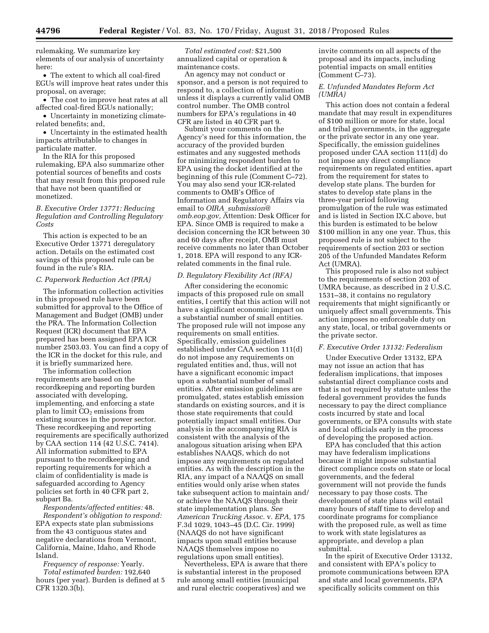rulemaking. We summarize key elements of our analysis of uncertainty here:

• The extent to which all coal-fired EGUs will improve heat rates under this proposal, on average;

• The cost to improve heat rates at all affected coal-fired EGUs nationally;

• Uncertainty in monetizing climaterelated benefits; and,

• Uncertainty in the estimated health impacts attributable to changes in particulate matter.

In the RIA for this proposed rulemaking, EPA also summarize other potential sources of benefits and costs that may result from this proposed rule that have not been quantified or monetized.

### *B. Executive Order 13771: Reducing Regulation and Controlling Regulatory Costs*

This action is expected to be an Executive Order 13771 deregulatory action. Details on the estimated cost savings of this proposed rule can be found in the rule's RIA.

#### *C. Paperwork Reduction Act (PRA)*

The information collection activities in this proposed rule have been submitted for approval to the Office of Management and Budget (OMB) under the PRA. The Information Collection Request (ICR) document that EPA prepared has been assigned EPA ICR number 2503.03. You can find a copy of the ICR in the docket for this rule, and it is briefly summarized here.

The information collection requirements are based on the recordkeeping and reporting burden associated with developing, implementing, and enforcing a state plan to limit  $CO<sub>2</sub>$  emissions from existing sources in the power sector. These recordkeeping and reporting requirements are specifically authorized by CAA section 114 (42 U.S.C. 7414). All information submitted to EPA pursuant to the recordkeeping and reporting requirements for which a claim of confidentiality is made is safeguarded according to Agency policies set forth in 40 CFR part 2, subpart Ba.

*Respondents/affected entities:* 48. *Respondent's obligation to respond:*  EPA expects state plan submissions from the 43 contiguous states and negative declarations from Vermont, California, Maine, Idaho, and Rhode Island.

*Frequency of response:* Yearly. *Total estimated burden:* 192,640 hours (per year). Burden is defined at 5 CFR 1320.3(b).

*Total estimated cost:* \$21,500 annualized capital or operation & maintenance costs.

An agency may not conduct or sponsor, and a person is not required to respond to, a collection of information unless it displays a currently valid OMB control number. The OMB control numbers for EPA's regulations in 40 CFR are listed in 40 CFR part 9.

Submit your comments on the Agency's need for this information, the accuracy of the provided burden estimates and any suggested methods for minimizing respondent burden to EPA using the docket identified at the beginning of this rule (Comment C–72). You may also send your ICR-related comments to OMB's Office of Information and Regulatory Affairs via email to *OIRA*\_*[submission@](mailto:OIRA_submission@omb.eop.gov) [omb.eop.gov,](mailto:OIRA_submission@omb.eop.gov)* Attention: Desk Officer for EPA. Since OMB is required to make a decision concerning the ICR between 30 and 60 days after receipt, OMB must receive comments no later than October 1, 2018. EPA will respond to any ICRrelated comments in the final rule.

### *D. Regulatory Flexibility Act (RFA)*

After considering the economic impacts of this proposed rule on small entities, I certify that this action will not have a significant economic impact on a substantial number of small entities. The proposed rule will not impose any requirements on small entities. Specifically, emission guidelines established under CAA section 111(d) do not impose any requirements on regulated entities and, thus, will not have a significant economic impact upon a substantial number of small entities. After emission guidelines are promulgated, states establish emission standards on existing sources, and it is those state requirements that could potentially impact small entities. Our analysis in the accompanying RIA is consistent with the analysis of the analogous situation arising when EPA establishes NAAQS, which do not impose any requirements on regulated entities. As with the description in the RIA, any impact of a NAAQS on small entities would only arise when states take subsequent action to maintain and/ or achieve the NAAQS through their state implementation plans. *See American Trucking Assoc.* v. *EPA,* 175 F.3d 1029, 1043–45 (D.C. Cir. 1999) (NAAQS do not have significant impacts upon small entities because NAAQS themselves impose no regulations upon small entities).

Nevertheless, EPA is aware that there is substantial interest in the proposed rule among small entities (municipal and rural electric cooperatives) and we

invite comments on all aspects of the proposal and its impacts, including potential impacts on small entities (Comment C–73).

### *E. Unfunded Mandates Reform Act (UMRA)*

This action does not contain a federal mandate that may result in expenditures of \$100 million or more for state, local and tribal governments, in the aggregate or the private sector in any one year. Specifically, the emission guidelines proposed under CAA section 111(d) do not impose any direct compliance requirements on regulated entities, apart from the requirement for states to develop state plans. The burden for states to develop state plans in the three-year period following promulgation of the rule was estimated and is listed in Section IX.C above, but this burden is estimated to be below \$100 million in any one year. Thus, this proposed rule is not subject to the requirements of section 203 or section 205 of the Unfunded Mandates Reform Act (UMRA).

This proposed rule is also not subject to the requirements of section 203 of UMRA because, as described in 2 U.S.C. 1531–38, it contains no regulatory requirements that might significantly or uniquely affect small governments. This action imposes no enforceable duty on any state, local, or tribal governments or the private sector.

### *F. Executive Order 13132: Federalism*

Under Executive Order 13132, EPA may not issue an action that has federalism implications, that imposes substantial direct compliance costs and that is not required by statute unless the federal government provides the funds necessary to pay the direct compliance costs incurred by state and local governments, or EPA consults with state and local officials early in the process of developing the proposed action.

EPA has concluded that this action may have federalism implications because it might impose substantial direct compliance costs on state or local governments, and the federal government will not provide the funds necessary to pay those costs. The development of state plans will entail many hours of staff time to develop and coordinate programs for compliance with the proposed rule, as well as time to work with state legislatures as appropriate, and develop a plan submittal.

In the spirit of Executive Order 13132, and consistent with EPA's policy to promote communications between EPA and state and local governments, EPA specifically solicits comment on this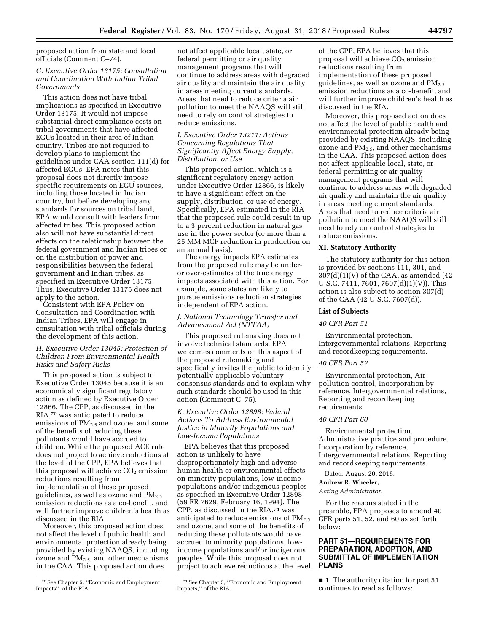proposed action from state and local officials (Comment C–74).

### *G. Executive Order 13175: Consultation and Coordination With Indian Tribal Governments*

This action does not have tribal implications as specified in Executive Order 13175. It would not impose substantial direct compliance costs on tribal governments that have affected EGUs located in their area of Indian country. Tribes are not required to develop plans to implement the guidelines under CAA section 111(d) for affected EGUs. EPA notes that this proposal does not directly impose specific requirements on EGU sources, including those located in Indian country, but before developing any standards for sources on tribal land, EPA would consult with leaders from affected tribes. This proposed action also will not have substantial direct effects on the relationship between the federal government and Indian tribes or on the distribution of power and responsibilities between the federal government and Indian tribes, as specified in Executive Order 13175. Thus, Executive Order 13175 does not apply to the action.

Consistent with EPA Policy on Consultation and Coordination with Indian Tribes, EPA will engage in consultation with tribal officials during the development of this action.

### *H. Executive Order 13045: Protection of Children From Environmental Health Risks and Safety Risks*

This proposed action is subject to Executive Order 13045 because it is an economically significant regulatory action as defined by Executive Order 12866. The CPP, as discussed in the RIA,70 was anticipated to reduce emissions of PM<sub>2.5</sub> and ozone, and some of the benefits of reducing these pollutants would have accrued to children. While the proposed ACE rule does not project to achieve reductions at the level of the CPP, EPA believes that this proposal will achieve  $CO<sub>2</sub>$  emission reductions resulting from implementation of these proposed guidelines, as well as ozone and  $PM_{2.5}$ emission reductions as a co-benefit, and will further improve children's health as discussed in the RIA.

Moreover, this proposed action does not affect the level of public health and environmental protection already being provided by existing NAAQS, including ozone and PM2.5, and other mechanisms in the CAA. This proposed action does

not affect applicable local, state, or federal permitting or air quality management programs that will continue to address areas with degraded air quality and maintain the air quality in areas meeting current standards. Areas that need to reduce criteria air pollution to meet the NAAQS will still need to rely on control strategies to reduce emissions.

### *I. Executive Order 13211: Actions Concerning Regulations That Significantly Affect Energy Supply, Distribution, or Use*

This proposed action, which is a significant regulatory energy action under Executive Order 12866, is likely to have a significant effect on the supply, distribution, or use of energy. Specifically, EPA estimated in the RIA that the proposed rule could result in up to a 3 percent reduction in natural gas use in the power sector (or more than a 25 MM MCF reduction in production on an annual basis).

The energy impacts EPA estimates from the proposed rule may be underor over-estimates of the true energy impacts associated with this action. For example, some states are likely to pursue emissions reduction strategies independent of EPA action.

### *J. National Technology Transfer and Advancement Act (NTTAA)*

This proposed rulemaking does not involve technical standards. EPA welcomes comments on this aspect of the proposed rulemaking and specifically invites the public to identify potentially-applicable voluntary consensus standards and to explain why such standards should be used in this action (Comment C–75).

### *K. Executive Order 12898: Federal Actions To Address Environmental Justice in Minority Populations and Low-Income Populations*

EPA believes that this proposed action is unlikely to have disproportionately high and adverse human health or environmental effects on minority populations, low-income populations and/or indigenous peoples as specified in Executive Order 12898 (59 FR 7629, February 16, 1994). The CPP, as discussed in the RIA,71 was anticipated to reduce emissions of  $PM_{2.5}$ and ozone, and some of the benefits of reducing these pollutants would have accrued to minority populations, lowincome populations and/or indigenous peoples. While this proposal does not project to achieve reductions at the level

of the CPP, EPA believes that this proposal will achieve  $CO<sub>2</sub>$  emission reductions resulting from implementation of these proposed guidelines, as well as ozone and  $PM_{2.5}$ emission reductions as a co-benefit, and will further improve children's health as discussed in the RIA.

Moreover, this proposed action does not affect the level of public health and environmental protection already being provided by existing NAAQS, including ozone and  $PM<sub>2.5</sub>$ , and other mechanisms in the CAA. This proposed action does not affect applicable local, state, or federal permitting or air quality management programs that will continue to address areas with degraded air quality and maintain the air quality in areas meeting current standards. Areas that need to reduce criteria air pollution to meet the NAAQS will still need to rely on control strategies to reduce emissions.

### **XI. Statutory Authority**

The statutory authority for this action is provided by sections 111, 301, and  $307(d)(1)(V)$  of the CAA, as amended (42) U.S.C. 7411, 7601, 7607(d)(1)(V)). This action is also subject to section 307(d) of the CAA (42 U.S.C. 7607(d)).

#### **List of Subjects**

### *40 CFR Part 51*

Environmental protection, Intergovernmental relations, Reporting and recordkeeping requirements.

### *40 CFR Part 52*

Environmental protection, Air pollution control, Incorporation by reference, Intergovernmental relations, Reporting and recordkeeping requirements.

#### *40 CFR Part 60*

Environmental protection, Administrative practice and procedure, Incorporation by reference, Intergovernmental relations, Reporting and recordkeeping requirements.

Dated: August 20, 2018.

#### **Andrew R. Wheeler,**

*Acting Administrator.* 

For the reasons stated in the preamble, EPA proposes to amend 40 CFR parts 51, 52, and 60 as set forth below:

### **PART 51—REQUIREMENTS FOR PREPARATION, ADOPTION, AND SUBMITTAL OF IMPLEMENTATION PLANS**

■ 1. The authority citation for part 51 continues to read as follows:

<sup>70</sup>See Chapter 5, ''Economic and Employment Impacts'', of the RIA.

<sup>71</sup>See Chapter 5, ''Economic and Employment Impacts,'' of the RIA.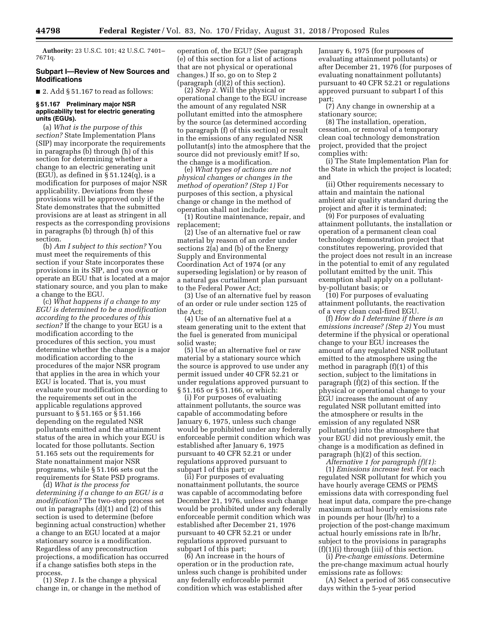**Authority:** 23 U.S.C. 101; 42 U.S.C. 7401– 7671q.

### **Subpart I—Review of New Sources and Modifications**

 $\blacksquare$  2. Add § 51.167 to read as follows:

### **§ 51.167 Preliminary major NSR applicability test for electric generating units (EGUs).**

(a) *What is the purpose of this section?* State Implementation Plans (SIP) may incorporate the requirements in paragraphs (b) through (h) of this section for determining whether a change to an electric generating unit (EGU), as defined in  $\overline{\S}$  51.124(q), is a modification for purposes of major NSR applicability. Deviations from these provisions will be approved only if the State demonstrates that the submitted provisions are at least as stringent in all respects as the corresponding provisions in paragraphs (b) through (h) of this section.

(b) *Am I subject to this section?* You must meet the requirements of this section if your State incorporates these provisions in its SIP, and you own or operate an EGU that is located at a major stationary source, and you plan to make a change to the EGU.

(c) *What happens if a change to my EGU is determined to be a modification according to the procedures of this section?* If the change to your EGU is a modification according to the procedures of this section, you must determine whether the change is a major modification according to the procedures of the major NSR program that applies in the area in which your EGU is located. That is, you must evaluate your modification according to the requirements set out in the applicable regulations approved pursuant to § 51.165 or § 51.166 depending on the regulated NSR pollutants emitted and the attainment status of the area in which your EGU is located for those pollutants. Section 51.165 sets out the requirements for State nonattainment major NSR programs, while § 51.166 sets out the requirements for State PSD programs.

(d) *What is the process for determining if a change to an EGU is a modification?* The two-step process set out in paragraphs (d)(1) and (2) of this section is used to determine (before beginning actual construction) whether a change to an EGU located at a major stationary source is a modification. Regardless of any preconstruction projections, a modification has occurred if a change satisfies both steps in the process.

(1) *Step 1.* Is the change a physical change in, or change in the method of operation of, the EGU? (See paragraph (e) of this section for a list of actions that are not physical or operational changes.) If so, go on to Step 2 (paragraph (d)(2) of this section).

(2) *Step 2.* Will the physical or operational change to the EGU increase the amount of any regulated NSR pollutant emitted into the atmosphere by the source (as determined according to paragraph (f) of this section) or result in the emissions of any regulated NSR pollutant(s) into the atmosphere that the source did not previously emit? If so, the change is a modification.

(e) *What types of actions are not physical changes or changes in the method of operation? (Step 1)* For purposes of this section, a physical change or change in the method of operation shall not include:

(1) Routine maintenance, repair, and replacement;

(2) Use of an alternative fuel or raw material by reason of an order under sections 2(a) and (b) of the Energy Supply and Environmental Coordination Act of 1974 (or any superseding legislation) or by reason of a natural gas curtailment plan pursuant to the Federal Power Act;

(3) Use of an alternative fuel by reason of an order or rule under section 125 of the Act;

(4) Use of an alternative fuel at a steam generating unit to the extent that the fuel is generated from municipal solid waste;

(5) Use of an alternative fuel or raw material by a stationary source which the source is approved to use under any permit issued under 40 CFR 52.21 or under regulations approved pursuant to § 51.165 or § 51.166, or which:

(i) For purposes of evaluating attainment pollutants, the source was capable of accommodating before January 6, 1975, unless such change would be prohibited under any federally enforceable permit condition which was established after January 6, 1975 pursuant to 40 CFR 52.21 or under regulations approved pursuant to subpart I of this part; or

(ii) For purposes of evaluating nonattainment pollutants, the source was capable of accommodating before December 21, 1976, unless such change would be prohibited under any federally enforceable permit condition which was established after December 21, 1976 pursuant to 40 CFR 52.21 or under regulations approved pursuant to subpart I of this part;

(6) An increase in the hours of operation or in the production rate, unless such change is prohibited under any federally enforceable permit condition which was established after

January 6, 1975 (for purposes of evaluating attainment pollutants) or after December 21, 1976 (for purposes of evaluating nonattainment pollutants) pursuant to 40 CFR 52.21 or regulations approved pursuant to subpart I of this part;

(7) Any change in ownership at a stationary source;

(8) The installation, operation, cessation, or removal of a temporary clean coal technology demonstration project, provided that the project complies with:

(i) The State Implementation Plan for the State in which the project is located; and

(ii) Other requirements necessary to attain and maintain the national ambient air quality standard during the project and after it is terminated;

(9) For purposes of evaluating attainment pollutants, the installation or operation of a permanent clean coal technology demonstration project that constitutes repowering, provided that the project does not result in an increase in the potential to emit of any regulated pollutant emitted by the unit. This exemption shall apply on a pollutantby-pollutant basis; or

(10) For purposes of evaluating attainment pollutants, the reactivation of a very clean coal-fired EGU.

(f) *How do I determine if there is an emissions increase? (Step 2)* You must determine if the physical or operational change to your EGU increases the amount of any regulated NSR pollutant emitted to the atmosphere using the method in paragraph (f)(1) of this section, subject to the limitations in paragraph (f)(2) of this section. If the physical or operational change to your EGU increases the amount of any regulated NSR pollutant emitted into the atmosphere or results in the emission of any regulated NSR pollutant(s) into the atmosphere that your EGU did not previously emit, the change is a modification as defined in paragraph (h)(2) of this section.

*Alternative 1 for paragraph (f)(1):*  (1) *Emissions increase test.* For each regulated NSR pollutant for which you have hourly average CEMS or PEMS emissions data with corresponding fuel heat input data, compare the pre-change maximum actual hourly emissions rate in pounds per hour (lb/hr) to a projection of the post-change maximum actual hourly emissions rate in lb/hr, subject to the provisions in paragraphs (f)(1)(i) through (iii) of this section.

(i) *Pre-change emissions.* Determine the pre-change maximum actual hourly emissions rate as follows:

(A) Select a period of 365 consecutive days within the 5-year period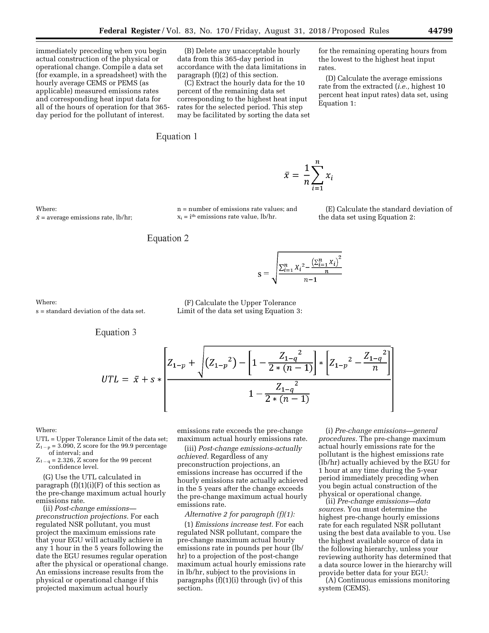immediately preceding when you begin actual construction of the physical or operational change. Compile a data set (for example, in a spreadsheet) with the hourly average CEMS or PEMS (as applicable) measured emissions rates and corresponding heat input data for all of the hours of operation for that 365 day period for the pollutant of interest.

(B) Delete any unacceptable hourly data from this 365-day period in accordance with the data limitations in paragraph (f)(2) of this section.

(C) Extract the hourly data for the 10 percent of the remaining data set corresponding to the highest heat input rates for the selected period. This step may be facilitated by sorting the data set

Equation 1

for the remaining operating hours from the lowest to the highest heat input rates.

(D) Calculate the average emissions rate from the extracted (*i.e.,* highest 10 percent heat input rates) data set, using Equation 1:

 $\bar{x}$  = average emissions rate, lb/hr;

n = number of emissions rate values; and  $x_i = i$ <sup>th</sup> emissions rate value, lb/hr.

(E) Calculate the standard deviation of the data set using Equation 2:

Equation 2

$$
= \sqrt{\frac{\sum_{i=1}^{n} X_i^2 - \frac{(\sum_{i=1}^{n} X_i)^2}{n}}{n-1}}
$$

 $\bar{x} = \frac{1}{n} \sum_{i=1}^{n} x_i$ 

### (F) Calculate the Upper Tolerance Limit of the data set using Equation 3:

S

### Where:

Where:

s = standard deviation of the data set.

Equation 3

$$
UTL = \bar{x} + s * \left[\frac{Z_{1-p} + \sqrt{(Z_{1-p}^2) - \left[1 - \frac{Z_{1-q}^2}{2*(n-1)}\right] * \left[Z_{1-p}^2 - \frac{Z_{1-q}^2}{n}\right]}}{1 - \frac{Z_{1-q}^2}{2*(n-1)}}\right]
$$

#### Where:

UTL = Upper Tolerance Limit of the data set;  $Z_{1-p} = 3.090$ , Z score for the 99.9 percentage

of interval; and  $Z_{1-q} = 2.326$ , Z score for the 99 percent confidence level.

(G) Use the UTL calculated in paragraph  $(f)(1)(i)(F)$  of this section as the pre-change maximum actual hourly emissions rate.

(ii) *Post-change emissions preconstruction projections.* For each regulated NSR pollutant, you must project the maximum emissions rate that your EGU will actually achieve in any 1 hour in the 5 years following the date the EGU resumes regular operation after the physical or operational change. An emissions increase results from the physical or operational change if this projected maximum actual hourly

emissions rate exceeds the pre-change maximum actual hourly emissions rate.

(iii) *Post-change emissions-actually achieved.* Regardless of any preconstruction projections, an emissions increase has occurred if the hourly emissions rate actually achieved in the 5 years after the change exceeds the pre-change maximum actual hourly emissions rate.

### *Alternative 2 for paragraph (f)(1):*

(1) *Emissions increase test.* For each regulated NSR pollutant, compare the pre-change maximum actual hourly emissions rate in pounds per hour (lb/ hr) to a projection of the post-change maximum actual hourly emissions rate in lb/hr, subject to the provisions in paragraphs (f)(1)(i) through (iv) of this section.

(i) *Pre-change emissions—general procedures.* The pre-change maximum actual hourly emissions rate for the pollutant is the highest emissions rate (lb/hr) actually achieved by the EGU for 1 hour at any time during the 5-year period immediately preceding when you begin actual construction of the physical or operational change.

(ii) *Pre-change emissions—data sources.* You must determine the highest pre-change hourly emissions rate for each regulated NSR pollutant using the best data available to you. Use the highest available source of data in the following hierarchy, unless your reviewing authority has determined that a data source lower in the hierarchy will provide better data for your EGU:

(A) Continuous emissions monitoring system (CEMS).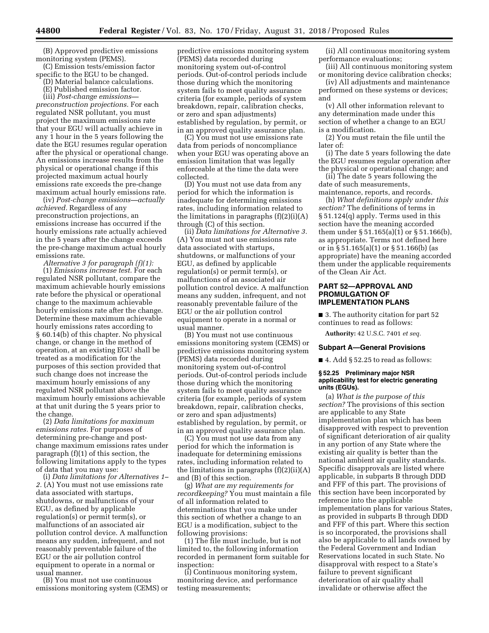(B) Approved predictive emissions monitoring system (PEMS).

(C) Emission tests/emission factor specific to the EGU to be changed.

(D) Material balance calculations.

(E) Published emission factor.

(iii) *Post-change emissions preconstruction projections.* For each regulated NSR pollutant, you must project the maximum emissions rate that your EGU will actually achieve in any 1 hour in the 5 years following the date the EGU resumes regular operation after the physical or operational change. An emissions increase results from the physical or operational change if this projected maximum actual hourly emissions rate exceeds the pre-change maximum actual hourly emissions rate.

(iv) *Post-change emissions—actually achieved.* Regardless of any preconstruction projections, an emissions increase has occurred if the hourly emissions rate actually achieved in the 5 years after the change exceeds the pre-change maximum actual hourly emissions rate.

*Alternative 3 for paragraph (f)(1):*  (1) *Emissions increase test.* For each regulated NSR pollutant, compare the maximum achievable hourly emissions rate before the physical or operational change to the maximum achievable hourly emissions rate after the change. Determine these maximum achievable hourly emissions rates according to § 60.14(b) of this chapter. No physical change, or change in the method of operation, at an existing EGU shall be treated as a modification for the purposes of this section provided that such change does not increase the maximum hourly emissions of any regulated NSR pollutant above the maximum hourly emissions achievable at that unit during the 5 years prior to the change.

(2) *Data limitations for maximum emissions rates.* For purposes of determining pre-change and postchange maximum emissions rates under paragraph (f)(1) of this section, the following limitations apply to the types of data that you may use:

(i) *Data limitations for Alternatives 1– 2.* (A) You must not use emissions rate data associated with startups, shutdowns, or malfunctions of your EGU, as defined by applicable regulation(s) or permit term(s), or malfunctions of an associated air pollution control device. A malfunction means any sudden, infrequent, and not reasonably preventable failure of the EGU or the air pollution control equipment to operate in a normal or usual manner.

(B) You must not use continuous emissions monitoring system (CEMS) or predictive emissions monitoring system (PEMS) data recorded during monitoring system out-of-control periods. Out-of-control periods include those during which the monitoring system fails to meet quality assurance criteria (for example, periods of system breakdown, repair, calibration checks, or zero and span adjustments) established by regulation, by permit, or in an approved quality assurance plan.

(C) You must not use emissions rate data from periods of noncompliance when your EGU was operating above an emission limitation that was legally enforceable at the time the data were collected.

(D) You must not use data from any period for which the information is inadequate for determining emissions rates, including information related to the limitations in paragraphs  $(f)(2)(i)(A)$ through (C) of this section.

(ii) *Data limitations for Alternative 3.*  (A) You must not use emissions rate data associated with startups, shutdowns, or malfunctions of your EGU, as defined by applicable regulation(s) or permit term(s), or malfunctions of an associated air pollution control device. A malfunction means any sudden, infrequent, and not reasonably preventable failure of the EGU or the air pollution control equipment to operate in a normal or usual manner.

(B) You must not use continuous emissions monitoring system (CEMS) or predictive emissions monitoring system (PEMS) data recorded during monitoring system out-of-control periods. Out-of-control periods include those during which the monitoring system fails to meet quality assurance criteria (for example, periods of system breakdown, repair, calibration checks, or zero and span adjustments) established by regulation, by permit, or in an approved quality assurance plan.

(C) You must not use data from any period for which the information is inadequate for determining emissions rates, including information related to the limitations in paragraphs  $(f)(2)(ii)(A)$ and (B) of this section.

(g) *What are my requirements for recordkeeping?* You must maintain a file of all information related to determinations that you make under this section of whether a change to an EGU is a modification, subject to the following provisions:

(1) The file must include, but is not limited to, the following information recorded in permanent form suitable for inspection:

(i) Continuous monitoring system, monitoring device, and performance testing measurements;

(ii) All continuous monitoring system performance evaluations;

(iii) All continuous monitoring system or monitoring device calibration checks;

(iv) All adjustments and maintenance performed on these systems or devices; and

(v) All other information relevant to any determination made under this section of whether a change to an EGU is a modification.

(2) You must retain the file until the later of:

(i) The date 5 years following the date the EGU resumes regular operation after the physical or operational change; and

(ii) The date 5 years following the date of such measurements, maintenance, reports, and records.

(h) *What definitions apply under this section?* The definitions of terms in § 51.124(q) apply. Terms used in this section have the meaning accorded them under § 51.165(a)(1) or § 51.166(b), as appropriate. Terms not defined here or in § 51.165(a)(1) or § 51.166(b) (as appropriate) have the meaning accorded them under the applicable requirements of the Clean Air Act.

### **PART 52—APPROVAL AND PROMULGATION OF IMPLEMENTATION PLANS**

■ 3. The authority citation for part 52 continues to read as follows:

**Authority:** 42 U.S.C. 7401 *et seq.* 

#### **Subpart A—General Provisions**

 $\blacksquare$  4. Add § 52.25 to read as follows:

#### **§ 52.25 Preliminary major NSR applicability test for electric generating units (EGUs).**

(a) *What is the purpose of this section?* The provisions of this section are applicable to any State implementation plan which has been disapproved with respect to prevention of significant deterioration of air quality in any portion of any State where the existing air quality is better than the national ambient air quality standards. Specific disapprovals are listed where applicable, in subparts B through DDD and FFF of this part. The provisions of this section have been incorporated by reference into the applicable implementation plans for various States, as provided in subparts B through DDD and FFF of this part. Where this section is so incorporated, the provisions shall also be applicable to all lands owned by the Federal Government and Indian Reservations located in such State. No disapproval with respect to a State's failure to prevent significant deterioration of air quality shall invalidate or otherwise affect the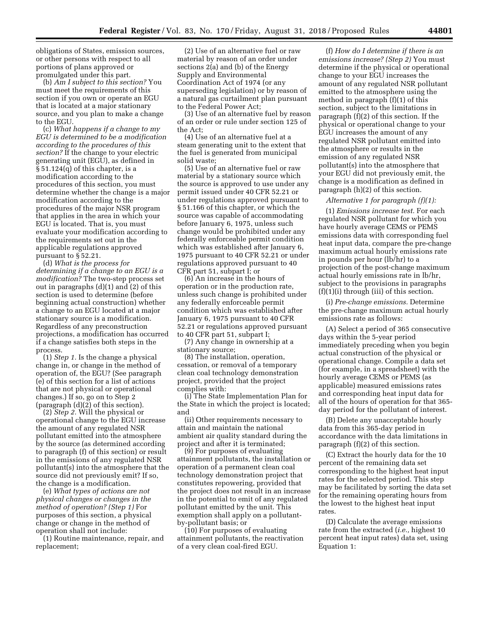obligations of States, emission sources, or other persons with respect to all portions of plans approved or promulgated under this part.

(b) *Am I subject to this section?* You must meet the requirements of this section if you own or operate an EGU that is located at a major stationary source, and you plan to make a change to the EGU.

(c) *What happens if a change to my EGU is determined to be a modification according to the procedures of this section?* If the change to your electric generating unit (EGU), as defined in § 51.124(q) of this chapter, is a modification according to the procedures of this section, you must determine whether the change is a major modification according to the procedures of the major NSR program that applies in the area in which your EGU is located. That is, you must evaluate your modification according to the requirements set out in the applicable regulations approved pursuant to § 52.21.

(d) *What is the process for determining if a change to an EGU is a modification?* The two-step process set out in paragraphs (d)(1) and (2) of this section is used to determine (before beginning actual construction) whether a change to an EGU located at a major stationary source is a modification. Regardless of any preconstruction projections, a modification has occurred if a change satisfies both steps in the process.

(1) *Step 1.* Is the change a physical change in, or change in the method of operation of, the EGU? (See paragraph (e) of this section for a list of actions that are not physical or operational changes.) If so, go on to Step 2 (paragraph (d)(2) of this section).

(2) *Step 2.* Will the physical or operational change to the EGU increase the amount of any regulated NSR pollutant emitted into the atmosphere by the source (as determined according to paragraph (f) of this section) or result in the emissions of any regulated NSR pollutant(s) into the atmosphere that the source did not previously emit? If so, the change is a modification.

(e) *What types of actions are not physical changes or changes in the method of operation? (Step 1)* For purposes of this section, a physical change or change in the method of operation shall not include:

(1) Routine maintenance, repair, and replacement;

(2) Use of an alternative fuel or raw material by reason of an order under sections 2(a) and (b) of the Energy Supply and Environmental Coordination Act of 1974 (or any superseding legislation) or by reason of a natural gas curtailment plan pursuant to the Federal Power Act;

(3) Use of an alternative fuel by reason of an order or rule under section 125 of the Act;

(4) Use of an alternative fuel at a steam generating unit to the extent that the fuel is generated from municipal solid waste;

(5) Use of an alternative fuel or raw material by a stationary source which the source is approved to use under any permit issued under 40 CFR 52.21 or under regulations approved pursuant to § 51.166 of this chapter, or which the source was capable of accommodating before January 6, 1975, unless such change would be prohibited under any federally enforceable permit condition which was established after January 6, 1975 pursuant to 40 CFR 52.21 or under regulations approved pursuant to 40 CFR part 51, subpart I; or

(6) An increase in the hours of operation or in the production rate, unless such change is prohibited under any federally enforceable permit condition which was established after January 6, 1975 pursuant to 40 CFR 52.21 or regulations approved pursuant to 40 CFR part 51, subpart I;

(7) Any change in ownership at a stationary source;

(8) The installation, operation, cessation, or removal of a temporary clean coal technology demonstration project, provided that the project complies with:

(i) The State Implementation Plan for the State in which the project is located; and

(ii) Other requirements necessary to attain and maintain the national ambient air quality standard during the project and after it is terminated;

(9) For purposes of evaluating attainment pollutants, the installation or operation of a permanent clean coal technology demonstration project that constitutes repowering, provided that the project does not result in an increase in the potential to emit of any regulated pollutant emitted by the unit. This exemption shall apply on a pollutantby-pollutant basis; or

(10) For purposes of evaluating attainment pollutants, the reactivation of a very clean coal-fired EGU.

(f) *How do I determine if there is an emissions increase? (Step 2)* You must determine if the physical or operational change to your EGU increases the amount of any regulated NSR pollutant emitted to the atmosphere using the method in paragraph (f)(1) of this section, subject to the limitations in paragraph (f)(2) of this section. If the physical or operational change to your EGU increases the amount of any regulated NSR pollutant emitted into the atmosphere or results in the emission of any regulated NSR pollutant(s) into the atmosphere that your EGU did not previously emit, the change is a modification as defined in paragraph (h)(2) of this section.

#### *Alternative 1 for paragraph (f)(1):*

(1) *Emissions increase test.* For each regulated NSR pollutant for which you have hourly average CEMS or PEMS emissions data with corresponding fuel heat input data, compare the pre-change maximum actual hourly emissions rate in pounds per hour (lb/hr) to a projection of the post-change maximum actual hourly emissions rate in lb/hr, subject to the provisions in paragraphs (f)(1)(i) through (iii) of this section.

(i) *Pre-change emissions.* Determine the pre-change maximum actual hourly emissions rate as follows:

(A) Select a period of 365 consecutive days within the 5-year period immediately preceding when you begin actual construction of the physical or operational change. Compile a data set (for example, in a spreadsheet) with the hourly average CEMS or PEMS (as applicable) measured emissions rates and corresponding heat input data for all of the hours of operation for that 365 day period for the pollutant of interest.

(B) Delete any unacceptable hourly data from this 365-day period in accordance with the data limitations in paragraph (f)(2) of this section.

(C) Extract the hourly data for the 10 percent of the remaining data set corresponding to the highest heat input rates for the selected period. This step may be facilitated by sorting the data set for the remaining operating hours from the lowest to the highest heat input rates.

(D) Calculate the average emissions rate from the extracted (*i.e.,* highest 10 percent heat input rates) data set, using Equation 1: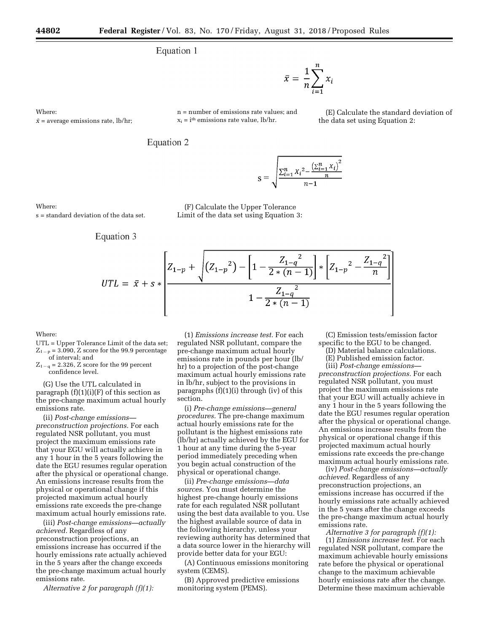n = number of emissions rate values; and  $x_i = i$ <sup>th</sup> emissions rate value, lb/hr.

### Equation 1

 $\bar{x} = \frac{1}{n} \sum_{i=1}^{n} x_i$ 

Where:

 $\bar{x}$  = average emissions rate, lb/hr;



$$
s = \sqrt{\frac{\sum_{i=1}^{n} X_i^2 - \frac{\left(\sum_{i=1}^{n} X_i\right)^2}{n}}{n-1}}
$$

Where:

s = standard deviation of the data set.

Equation 3

(F) Calculate the Upper Tolerance Limit of the data set using Equation 3:

$$
UTL = \bar{x} + s * \left[\frac{Z_{1-p} + \sqrt{(Z_{1-p}^2) - \left[1 - \frac{Z_{1-q}^2}{2*(n-1)}\right] * \left[Z_{1-p}^2 - \frac{Z_{1-q}^2}{n}\right]}}{1 - \frac{Z_{1-q}^2}{2*(n-1)}}\right]
$$

### Where:

UTL = Upper Tolerance Limit of the data set;  $Z_{1-p} = 3.090$ , Z score for the 99.9 percentage of interval; and

 $Z_{1-q} = 2.326$ , Z score for the 99 percent confidence level.

(G) Use the UTL calculated in paragraph  $(f)(1)(i)(F)$  of this section as the pre-change maximum actual hourly emissions rate.

(ii) *Post-change emissions preconstruction projections.* For each regulated NSR pollutant, you must project the maximum emissions rate that your EGU will actually achieve in any 1 hour in the 5 years following the date the EGU resumes regular operation after the physical or operational change. An emissions increase results from the physical or operational change if this projected maximum actual hourly emissions rate exceeds the pre-change maximum actual hourly emissions rate.

(iii) *Post-change emissions—actually achieved.* Regardless of any preconstruction projections, an emissions increase has occurred if the hourly emissions rate actually achieved in the 5 years after the change exceeds the pre-change maximum actual hourly emissions rate.

*Alternative 2 for paragraph (f)(1):* 

(1) *Emissions increase test.* For each regulated NSR pollutant, compare the pre-change maximum actual hourly emissions rate in pounds per hour (lb/ hr) to a projection of the post-change maximum actual hourly emissions rate in lb/hr, subject to the provisions in paragraphs (f)(1)(i) through (iv) of this section.

(i) *Pre-change emissions—general procedures.* The pre-change maximum actual hourly emissions rate for the pollutant is the highest emissions rate (lb/hr) actually achieved by the EGU for 1 hour at any time during the 5-year period immediately preceding when you begin actual construction of the physical or operational change.

(ii) *Pre-change emissions—data sources.* You must determine the highest pre-change hourly emissions rate for each regulated NSR pollutant using the best data available to you. Use the highest available source of data in the following hierarchy, unless your reviewing authority has determined that a data source lower in the hierarchy will provide better data for your EGU:

(A) Continuous emissions monitoring system (CEMS).

(B) Approved predictive emissions monitoring system (PEMS).

(C) Emission tests/emission factor specific to the EGU to be changed.

(E) Calculate the standard deviation of

the data set using Equation 2:

(D) Material balance calculations.

(E) Published emission factor.

(iii) *Post-change emissions preconstruction projections.* For each regulated NSR pollutant, you must project the maximum emissions rate that your EGU will actually achieve in any 1 hour in the 5 years following the date the EGU resumes regular operation after the physical or operational change. An emissions increase results from the physical or operational change if this projected maximum actual hourly emissions rate exceeds the pre-change maximum actual hourly emissions rate.

(iv) *Post-change emissions—actually achieved.* Regardless of any preconstruction projections, an emissions increase has occurred if the hourly emissions rate actually achieved in the 5 years after the change exceeds the pre-change maximum actual hourly emissions rate.

*Alternative 3 for paragraph (f)(1):* 

(1) *Emissions increase test.* For each regulated NSR pollutant, compare the maximum achievable hourly emissions rate before the physical or operational change to the maximum achievable hourly emissions rate after the change. Determine these maximum achievable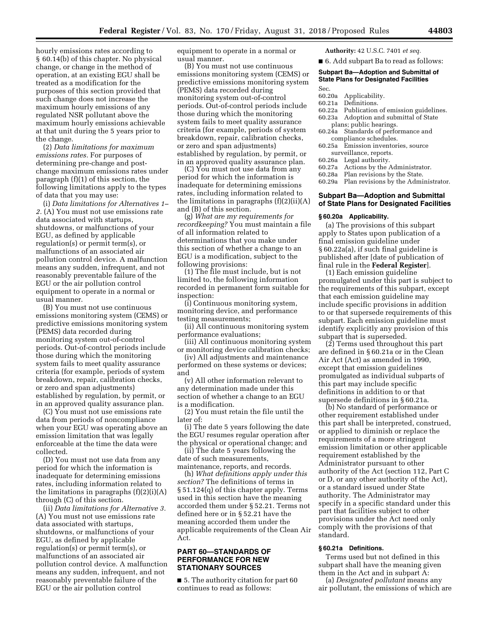hourly emissions rates according to § 60.14(b) of this chapter. No physical change, or change in the method of operation, at an existing EGU shall be treated as a modification for the purposes of this section provided that such change does not increase the maximum hourly emissions of any regulated NSR pollutant above the maximum hourly emissions achievable at that unit during the 5 years prior to the change.

(2) *Data limitations for maximum emissions rates.* For purposes of determining pre-change and postchange maximum emissions rates under paragraph (f)(1) of this section, the following limitations apply to the types of data that you may use:

(i) *Data limitations for Alternatives 1– 2.* (A) You must not use emissions rate data associated with startups, shutdowns, or malfunctions of your EGU, as defined by applicable regulation(s) or permit term(s), or malfunctions of an associated air pollution control device. A malfunction means any sudden, infrequent, and not reasonably preventable failure of the EGU or the air pollution control equipment to operate in a normal or usual manner.

(B) You must not use continuous emissions monitoring system (CEMS) or predictive emissions monitoring system (PEMS) data recorded during monitoring system out-of-control periods. Out-of-control periods include those during which the monitoring system fails to meet quality assurance criteria (for example, periods of system breakdown, repair, calibration checks, or zero and span adjustments) established by regulation, by permit, or in an approved quality assurance plan.

(C) You must not use emissions rate data from periods of noncompliance when your EGU was operating above an emission limitation that was legally enforceable at the time the data were collected.

(D) You must not use data from any period for which the information is inadequate for determining emissions rates, including information related to the limitations in paragraphs (f)(2)(i)(A) through (C) of this section.

(ii) *Data limitations for Alternative 3.*  (A) You must not use emissions rate data associated with startups, shutdowns, or malfunctions of your EGU, as defined by applicable regulation(s) or permit term(s), or malfunctions of an associated air pollution control device. A malfunction means any sudden, infrequent, and not reasonably preventable failure of the EGU or the air pollution control

equipment to operate in a normal or usual manner.

(B) You must not use continuous emissions monitoring system (CEMS) or predictive emissions monitoring system (PEMS) data recorded during monitoring system out-of-control periods. Out-of-control periods include those during which the monitoring system fails to meet quality assurance criteria (for example, periods of system breakdown, repair, calibration checks, or zero and span adjustments) established by regulation, by permit, or in an approved quality assurance plan.

(C) You must not use data from any period for which the information is inadequate for determining emissions rates, including information related to the limitations in paragraphs  $(f)(2)(ii)(A)$ and (B) of this section.

(g) *What are my requirements for recordkeeping?* You must maintain a file of all information related to determinations that you make under this section of whether a change to an EGU is a modification, subject to the following provisions:

(1) The file must include, but is not limited to, the following information recorded in permanent form suitable for inspection:

(i) Continuous monitoring system, monitoring device, and performance testing measurements;

(ii) All continuous monitoring system performance evaluations;

(iii) All continuous monitoring system or monitoring device calibration checks;

(iv) All adjustments and maintenance performed on these systems or devices; and

(v) All other information relevant to any determination made under this section of whether a change to an EGU is a modification.

(2) You must retain the file until the later of:

(i) The date 5 years following the date the EGU resumes regular operation after the physical or operational change; and

(ii) The date 5 years following the date of such measurements, maintenance, reports, and records.

(h) *What definitions apply under this section?* The definitions of terms in § 51.124(q) of this chapter apply. Terms used in this section have the meaning accorded them under § 52.21. Terms not defined here or in § 52.21 have the meaning accorded them under the applicable requirements of the Clean Air Act.

### **PART 60—STANDARDS OF PERFORMANCE FOR NEW STATIONARY SOURCES**

■ 5. The authority citation for part 60 continues to read as follows:

**Authority:** 42 U.S.C. 7401 *et seq.* 

■ 6. Add subpart Ba to read as follows:

### **Subpart Ba—Adoption and Submittal of State Plans for Designated Facilities**

- Sec.
- 60.20a Applicability.
- 60.21a Definitions.
- 60.22a Publication of emission guidelines.<br>60.23a Adoption and submittal of State Adoption and submittal of State
- plans; public hearings. 60.24a Standards of performance and
- compliance schedules. 60.25a Emission inventories, source
- surveillance, reports.
- 60.26a Legal authority.<br>60.27a Actions by the  $\ell$
- 60.27a Actions by the Administrator.<br>60.28a Plan revisions by the State. Plan revisions by the State.
- 60.29a Plan revisions by the Administrator.

### **Subpart Ba—Adoption and Submittal of State Plans for Designated Facilities**

#### **§ 60.20a Applicability.**

(a) The provisions of this subpart apply to States upon publication of a final emission guideline under § 60.22a(a), if such final guideline is published after [date of publication of final rule in the **Federal Register**].

(1) Each emission guideline promulgated under this part is subject to the requirements of this subpart, except that each emission guideline may include specific provisions in addition to or that supersede requirements of this subpart. Each emission guideline must identify explicitly any provision of this subpart that is superseded.

(2) Terms used throughout this part are defined in § 60.21a or in the Clean Air Act (Act) as amended in 1990, except that emission guidelines promulgated as individual subparts of this part may include specific definitions in addition to or that supersede definitions in § 60.21a.

(b) No standard of performance or other requirement established under this part shall be interpreted, construed, or applied to diminish or replace the requirements of a more stringent emission limitation or other applicable requirement established by the Administrator pursuant to other authority of the Act (section 112, Part C or D, or any other authority of the Act), or a standard issued under State authority. The Administrator may specify in a specific standard under this part that facilities subject to other provisions under the Act need only comply with the provisions of that standard.

#### **§ 60.21a Definitions.**

Terms used but not defined in this subpart shall have the meaning given them in the Act and in subpart A:

(a) *Designated pollutant* means any air pollutant, the emissions of which are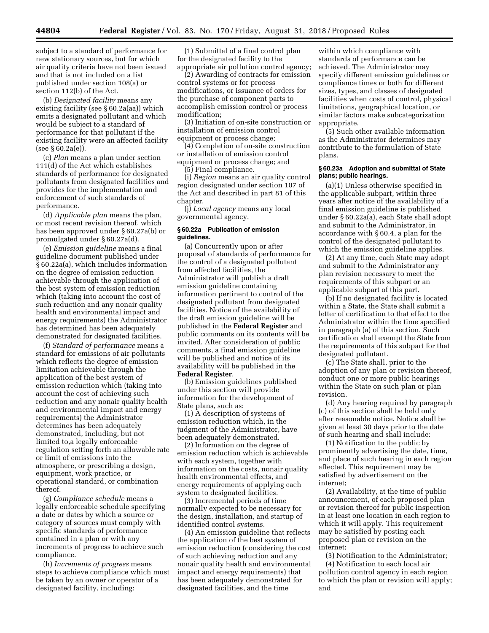subject to a standard of performance for new stationary sources, but for which air quality criteria have not been issued and that is not included on a list published under section 108(a) or section 112(b) of the Act.

(b) *Designated facility* means any existing facility (see § 60.2a(aa)) which emits a designated pollutant and which would be subject to a standard of performance for that pollutant if the existing facility were an affected facility (see § 60.2a(e)).

(c) *Plan* means a plan under section 111(d) of the Act which establishes standards of performance for designated pollutants from designated facilities and provides for the implementation and enforcement of such standards of performance.

(d) *Applicable plan* means the plan, or most recent revision thereof, which has been approved under § 60.27a(b) or promulgated under § 60.27a(d).

(e) *Emission guideline* means a final guideline document published under § 60.22a(a), which includes information on the degree of emission reduction achievable through the application of the best system of emission reduction which (taking into account the cost of such reduction and any nonair quality health and environmental impact and energy requirements) the Administrator has determined has been adequately demonstrated for designated facilities.

(f) *Standard of performance* means a standard for emissions of air pollutants which reflects the degree of emission limitation achievable through the application of the best system of emission reduction which (taking into account the cost of achieving such reduction and any nonair quality health and environmental impact and energy requirements) the Administrator determines has been adequately demonstrated, including, but not limited to,a legally enforceable regulation setting forth an allowable rate or limit of emissions into the atmosphere, or prescribing a design, equipment, work practice, or operational standard, or combination thereof.

(g) *Compliance schedule* means a legally enforceable schedule specifying a date or dates by which a source or category of sources must comply with specific standards of performance contained in a plan or with any increments of progress to achieve such compliance.

(h) *Increments of progress* means steps to achieve compliance which must be taken by an owner or operator of a designated facility, including:

(1) Submittal of a final control plan for the designated facility to the appropriate air pollution control agency;

(2) Awarding of contracts for emission control systems or for process modifications, or issuance of orders for the purchase of component parts to accomplish emission control or process modification;

(3) Initiation of on-site construction or installation of emission control equipment or process change;

(4) Completion of on-site construction or installation of emission control equipment or process change; and

(5) Final compliance.

(i) *Region* means an air quality control region designated under section 107 of the Act and described in part 81 of this chapter.

(j) *Local agency* means any local governmental agency.

#### **§ 60.22a Publication of emission guidelines.**

(a) Concurrently upon or after proposal of standards of performance for the control of a designated pollutant from affected facilities, the Administrator will publish a draft emission guideline containing information pertinent to control of the designated pollutant from designated facilities. Notice of the availability of the draft emission guideline will be published in the **Federal Register** and public comments on its contents will be invited. After consideration of public comments, a final emission guideline will be published and notice of its availability will be published in the **Federal Register**.

(b) Emission guidelines published under this section will provide information for the development of State plans, such as:

(1) A description of systems of emission reduction which, in the judgment of the Administrator, have been adequately demonstrated.

(2) Information on the degree of emission reduction which is achievable with each system, together with information on the costs, nonair quality health environmental effects, and energy requirements of applying each system to designated facilities.

(3) Incremental periods of time normally expected to be necessary for the design, installation, and startup of identified control systems.

(4) An emission guideline that reflects the application of the best system of emission reduction (considering the cost of such achieving reduction and any nonair quality health and environmental impact and energy requirements) that has been adequately demonstrated for designated facilities, and the time

within which compliance with standards of performance can be achieved. The Administrator may specify different emission guidelines or compliance times or both for different sizes, types, and classes of designated facilities when costs of control, physical limitations, geographical location, or similar factors make subcategorization appropriate.

(5) Such other available information as the Administrator determines may contribute to the formulation of State plans.

#### **§ 60.23a Adoption and submittal of State plans; public hearings.**

(a)(1) Unless otherwise specified in the applicable subpart, within three years after notice of the availability of a final emission guideline is published under § 60.22a(a), each State shall adopt and submit to the Administrator, in accordance with § 60.4, a plan for the control of the designated pollutant to which the emission guideline applies.

(2) At any time, each State may adopt and submit to the Administrator any plan revision necessary to meet the requirements of this subpart or an applicable subpart of this part.

(b) If no designated facility is located within a State, the State shall submit a letter of certification to that effect to the Administrator within the time specified in paragraph (a) of this section. Such certification shall exempt the State from the requirements of this subpart for that designated pollutant.

(c) The State shall, prior to the adoption of any plan or revision thereof, conduct one or more public hearings within the State on such plan or plan revision.

(d) Any hearing required by paragraph (c) of this section shall be held only after reasonable notice. Notice shall be given at least 30 days prior to the date of such hearing and shall include:

(1) Notification to the public by prominently advertising the date, time, and place of such hearing in each region affected. This requirement may be satisfied by advertisement on the internet;

(2) Availability, at the time of public announcement, of each proposed plan or revision thereof for public inspection in at least one location in each region to which it will apply. This requirement may be satisfied by posting each proposed plan or revision on the internet;

(3) Notification to the Administrator; (4) Notification to each local air pollution control agency in each region to which the plan or revision will apply; and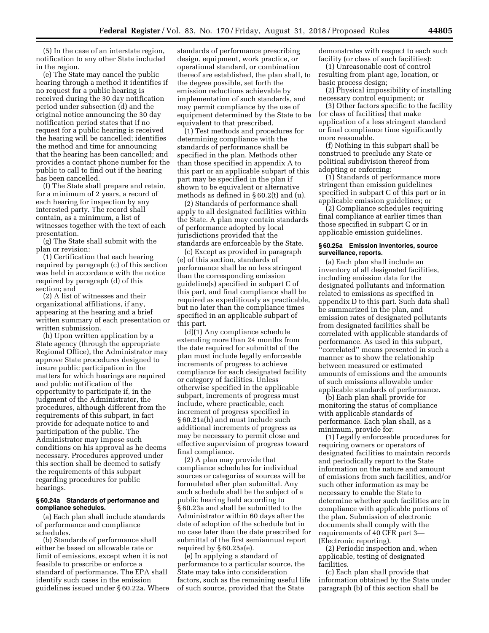(5) In the case of an interstate region, notification to any other State included in the region.

(e) The State may cancel the public hearing through a method it identifies if no request for a public hearing is received during the 30 day notification period under subsection (d) and the original notice announcing the 30 day notification period states that if no request for a public hearing is received the hearing will be cancelled; identifies the method and time for announcing that the hearing has been cancelled; and provides a contact phone number for the public to call to find out if the hearing has been cancelled.

(f) The State shall prepare and retain, for a minimum of 2 years, a record of each hearing for inspection by any interested party. The record shall contain, as a minimum, a list of witnesses together with the text of each presentation.

(g) The State shall submit with the plan or revision:

(1) Certification that each hearing required by paragraph (c) of this section was held in accordance with the notice required by paragraph (d) of this section; and

(2) A list of witnesses and their organizational affiliations, if any, appearing at the hearing and a brief written summary of each presentation or written submission.

(h) Upon written application by a State agency (through the appropriate Regional Office), the Administrator may approve State procedures designed to insure public participation in the matters for which hearings are required and public notification of the opportunity to participate if, in the judgment of the Administrator, the procedures, although different from the requirements of this subpart, in fact provide for adequate notice to and participation of the public. The Administrator may impose such conditions on his approval as he deems necessary. Procedures approved under this section shall be deemed to satisfy the requirements of this subpart regarding procedures for public hearings.

### **§ 60.24a Standards of performance and compliance schedules.**

(a) Each plan shall include standards of performance and compliance schedules.

(b) Standards of performance shall either be based on allowable rate or limit of emissions, except when it is not feasible to prescribe or enforce a standard of performance. The EPA shall identify such cases in the emission guidelines issued under § 60.22a. Where

standards of performance prescribing design, equipment, work practice, or operational standard, or combination thereof are established, the plan shall, to the degree possible, set forth the emission reductions achievable by implementation of such standards, and may permit compliance by the use of equipment determined by the State to be equivalent to that prescribed.

(1) Test methods and procedures for determining compliance with the standards of performance shall be specified in the plan. Methods other than those specified in appendix A to this part or an applicable subpart of this part may be specified in the plan if shown to be equivalent or alternative methods as defined in § 60.2(t) and (u).

(2) Standards of performance shall apply to all designated facilities within the State. A plan may contain standards of performance adopted by local jurisdictions provided that the standards are enforceable by the State.

(c) Except as provided in paragraph (e) of this section, standards of performance shall be no less stringent than the corresponding emission guideline(s) specified in subpart C of this part, and final compliance shall be required as expeditiously as practicable, but no later than the compliance times specified in an applicable subpart of this part.

(d)(1) Any compliance schedule extending more than 24 months from the date required for submittal of the plan must include legally enforceable increments of progress to achieve compliance for each designated facility or category of facilities. Unless otherwise specified in the applicable subpart, increments of progress must include, where practicable, each increment of progress specified in § 60.21a(h) and must include such additional increments of progress as may be necessary to permit close and effective supervision of progress toward final compliance.

(2) A plan may provide that compliance schedules for individual sources or categories of sources will be formulated after plan submittal. Any such schedule shall be the subject of a public hearing held according to § 60.23a and shall be submitted to the Administrator within 60 days after the date of adoption of the schedule but in no case later than the date prescribed for submittal of the first semiannual report required by § 60.25a(e).

(e) In applying a standard of performance to a particular source, the State may take into consideration factors, such as the remaining useful life of such source, provided that the State

demonstrates with respect to each such facility (or class of such facilities):

(1) Unreasonable cost of control resulting from plant age, location, or basic process design;

(2) Physical impossibility of installing necessary control equipment; or

(3) Other factors specific to the facility (or class of facilities) that make application of a less stringent standard or final compliance time significantly more reasonable.

(f) Nothing in this subpart shall be construed to preclude any State or political subdivision thereof from adopting or enforcing:

(1) Standards of performance more stringent than emission guidelines specified in subpart C of this part or in applicable emission guidelines; or

(2) Compliance schedules requiring final compliance at earlier times than those specified in subpart C or in applicable emission guidelines.

### **§ 60.25a Emission inventories, source surveillance, reports.**

(a) Each plan shall include an inventory of all designated facilities, including emission data for the designated pollutants and information related to emissions as specified in appendix D to this part. Such data shall be summarized in the plan, and emission rates of designated pollutants from designated facilities shall be correlated with applicable standards of performance. As used in this subpart, ''correlated'' means presented in such a manner as to show the relationship between measured or estimated amounts of emissions and the amounts of such emissions allowable under applicable standards of performance.

(b) Each plan shall provide for monitoring the status of compliance with applicable standards of performance. Each plan shall, as a minimum, provide for:

(1) Legally enforceable procedures for requiring owners or operators of designated facilities to maintain records and periodically report to the State information on the nature and amount of emissions from such facilities, and/or such other information as may be necessary to enable the State to determine whether such facilities are in compliance with applicable portions of the plan. Submission of electronic documents shall comply with the requirements of 40 CFR part 3— (Electronic reporting).

(2) Periodic inspection and, when applicable, testing of designated facilities.

(c) Each plan shall provide that information obtained by the State under paragraph (b) of this section shall be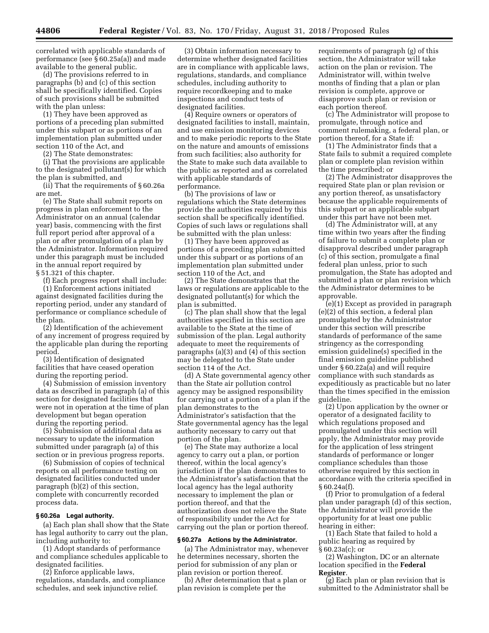correlated with applicable standards of performance (see § 60.25a(a)) and made available to the general public.

(d) The provisions referred to in paragraphs (b) and (c) of this section shall be specifically identified. Copies of such provisions shall be submitted with the plan unless:

(1) They have been approved as portions of a preceding plan submitted under this subpart or as portions of an implementation plan submitted under section 110 of the Act, and

(2) The State demonstrates:

(i) That the provisions are applicable to the designated pollutant(s) for which the plan is submitted, and

(ii) That the requirements of § 60.26a are met.

(e) The State shall submit reports on progress in plan enforcement to the Administrator on an annual (calendar year) basis, commencing with the first full report period after approval of a plan or after promulgation of a plan by the Administrator. Information required under this paragraph must be included in the annual report required by § 51.321 of this chapter.

(f) Each progress report shall include:

(1) Enforcement actions initiated against designated facilities during the reporting period, under any standard of performance or compliance schedule of the plan.

(2) Identification of the achievement of any increment of progress required by the applicable plan during the reporting period.

(3) Identification of designated facilities that have ceased operation during the reporting period.

(4) Submission of emission inventory data as described in paragraph (a) of this section for designated facilities that were not in operation at the time of plan development but began operation during the reporting period.

(5) Submission of additional data as necessary to update the information submitted under paragraph (a) of this section or in previous progress reports.

(6) Submission of copies of technical reports on all performance testing on designated facilities conducted under paragraph (b)(2) of this section, complete with concurrently recorded process data.

#### **§ 60.26a Legal authority.**

(a) Each plan shall show that the State has legal authority to carry out the plan, including authority to:

(1) Adopt standards of performance and compliance schedules applicable to designated facilities.

(2) Enforce applicable laws, regulations, standards, and compliance schedules, and seek injunctive relief.

(3) Obtain information necessary to determine whether designated facilities are in compliance with applicable laws, regulations, standards, and compliance schedules, including authority to require recordkeeping and to make inspections and conduct tests of designated facilities.

(4) Require owners or operators of designated facilities to install, maintain, and use emission monitoring devices and to make periodic reports to the State on the nature and amounts of emissions from such facilities; also authority for the State to make such data available to the public as reported and as correlated with applicable standards of performance.

(b) The provisions of law or regulations which the State determines provide the authorities required by this section shall be specifically identified. Copies of such laws or regulations shall be submitted with the plan unless:

(1) They have been approved as portions of a preceding plan submitted under this subpart or as portions of an implementation plan submitted under section 110 of the Act, and

(2) The State demonstrates that the laws or regulations are applicable to the designated pollutant(s) for which the plan is submitted.

(c) The plan shall show that the legal authorities specified in this section are available to the State at the time of submission of the plan. Legal authority adequate to meet the requirements of paragraphs (a)(3) and (4) of this section may be delegated to the State under section 114 of the Act.

(d) A State governmental agency other than the State air pollution control agency may be assigned responsibility for carrying out a portion of a plan if the plan demonstrates to the Administrator's satisfaction that the State governmental agency has the legal authority necessary to carry out that portion of the plan.

(e) The State may authorize a local agency to carry out a plan, or portion thereof, within the local agency's jurisdiction if the plan demonstrates to the Administrator's satisfaction that the local agency has the legal authority necessary to implement the plan or portion thereof, and that the authorization does not relieve the State of responsibility under the Act for carrying out the plan or portion thereof.

#### **§ 60.27a Actions by the Administrator.**

(a) The Administrator may, whenever he determines necessary, shorten the period for submission of any plan or plan revision or portion thereof.

(b) After determination that a plan or plan revision is complete per the

requirements of paragraph (g) of this section, the Administrator will take action on the plan or revision. The Administrator will, within twelve months of finding that a plan or plan revision is complete, approve or disapprove such plan or revision or each portion thereof.

(c) The Administrator will propose to promulgate, through notice and comment rulemaking, a federal plan, or portion thereof, for a State if:

(1) The Administrator finds that a State fails to submit a required complete plan or complete plan revision within the time prescribed; or

(2) The Administrator disapproves the required State plan or plan revision or any portion thereof, as unsatisfactory because the applicable requirements of this subpart or an applicable subpart under this part have not been met.

(d) The Administrator will, at any time within two years after the finding of failure to submit a complete plan or disapproval described under paragraph (c) of this section, promulgate a final federal plan unless, prior to such promulgation, the State has adopted and submitted a plan or plan revision which the Administrator determines to be approvable.

(e)(1) Except as provided in paragraph (e)(2) of this section, a federal plan promulgated by the Administrator under this section will prescribe standards of performance of the same stringency as the corresponding emission guideline(s) specified in the final emission guideline published under § 60.22a(a) and will require compliance with such standards as expeditiously as practicable but no later than the times specified in the emission guideline.

(2) Upon application by the owner or operator of a designated facility to which regulations proposed and promulgated under this section will apply, the Administrator may provide for the application of less stringent standards of performance or longer compliance schedules than those otherwise required by this section in accordance with the criteria specified in § 60.24a(f).

(f) Prior to promulgation of a federal plan under paragraph (d) of this section, the Administrator will provide the opportunity for at least one public hearing in either:

(1) Each State that failed to hold a public hearing as required by § 60.23a(c); or

(2) Washington, DC or an alternate location specified in the **Federal Register**.

(g) Each plan or plan revision that is submitted to the Administrator shall be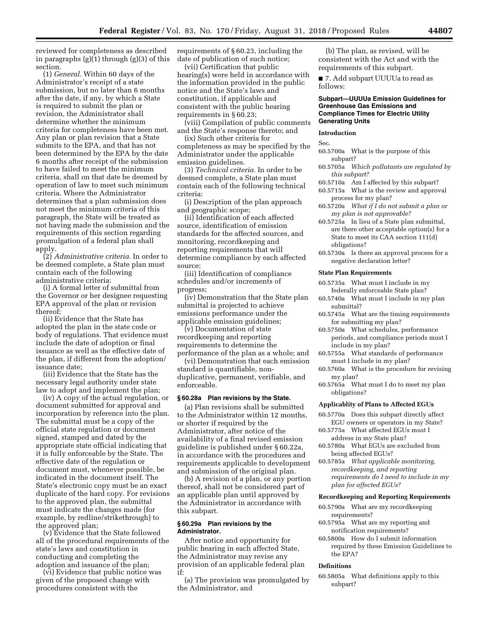reviewed for completeness as described in paragraphs (g)(1) through (g)(3) of this section.

(1) *General.* Within 60 days of the Administrator's receipt of a state submission, but no later than 6 months after the date, if any, by which a State is required to submit the plan or revision, the Administrator shall determine whether the minimum criteria for completeness have been met. Any plan or plan revision that a State submits to the EPA, and that has not been determined by the EPA by the date 6 months after receipt of the submission to have failed to meet the minimum criteria, shall on that date be deemed by operation of law to meet such minimum criteria. Where the Administrator determines that a plan submission does not meet the minimum criteria of this paragraph, the State will be treated as not having made the submission and the requirements of this section regarding promulgation of a federal plan shall apply.

(2) *Administrative criteria.* In order to be deemed complete, a State plan must contain each of the following administrative criteria:

(i) A formal letter of submittal from the Governor or her designee requesting EPA approval of the plan or revision thereof;

(ii) Evidence that the State has adopted the plan in the state code or body of regulations. That evidence must include the date of adoption or final issuance as well as the effective date of the plan, if different from the adoption/ issuance date;

(iii) Evidence that the State has the necessary legal authority under state law to adopt and implement the plan;

(iv) A copy of the actual regulation, or document submitted for approval and incorporation by reference into the plan. The submittal must be a copy of the official state regulation or document signed, stamped and dated by the appropriate state official indicating that it is fully enforceable by the State. The effective date of the regulation or document must, whenever possible, be indicated in the document itself. The State's electronic copy must be an exact duplicate of the hard copy. For revisions to the approved plan, the submittal must indicate the changes made (for example, by redline/strikethrough) to the approved plan;

(v) Evidence that the State followed all of the procedural requirements of the state's laws and constitution in conducting and completing the adoption and issuance of the plan;

(vi) Evidence that public notice was given of the proposed change with procedures consistent with the

requirements of § 60.23, including the date of publication of such notice;

(vii) Certification that public hearing(s) were held in accordance with the information provided in the public notice and the State's laws and constitution, if applicable and consistent with the public hearing requirements in § 60.23;

(viii) Compilation of public comments and the State's response thereto; and

(ix) Such other criteria for completeness as may be specified by the Administrator under the applicable emission guidelines.

(3) *Technical criteria.* In order to be deemed complete, a State plan must contain each of the following technical criteria:

(i) Description of the plan approach and geographic scope;

(ii) Identification of each affected source, identification of emission standards for the affected sources, and monitoring, recordkeeping and reporting requirements that will determine compliance by each affected source;

(iii) Identification of compliance schedules and/or increments of progress;

(iv) Demonstration that the State plan submittal is projected to achieve emissions performance under the applicable emission guidelines;

(v) Documentation of state recordkeeping and reporting requirements to determine the performance of the plan as a whole; and

(vi) Demonstration that each emission standard is quantifiable, nonduplicative, permanent, verifiable, and enforceable.

#### **§ 60.28a Plan revisions by the State.**

(a) Plan revisions shall be submitted to the Administrator within 12 months, or shorter if required by the Administrator, after notice of the availability of a final revised emission guideline is published under § 60.22a, in accordance with the procedures and requirements applicable to development and submission of the original plan.

(b) A revision of a plan, or any portion thereof, shall not be considered part of an applicable plan until approved by the Administrator in accordance with this subpart.

### **§ 60.29a Plan revisions by the Administrator.**

After notice and opportunity for public hearing in each affected State, the Administrator may revise any provision of an applicable federal plan if:

(a) The provision was promulgated by the Administrator, and

(b) The plan, as revised, will be consistent with the Act and with the requirements of this subpart.

■ 7. Add subpart UUUUa to read as follows:

#### **Subpart—UUUUa Emission Guidelines for Greenhouse Gas Emissions and Compliance Times for Electric Utility Generating Units**

#### **Introduction**

Sec.

60.5700a What is the purpose of this subpart?

- 60.5705a *Which pollutants are regulated by this subpart?*
- 60.5710a Am I affected by this subpart?
- 60.5715a What is the review and approval process for my plan?
- 60.5720a *What if I do not submit a plan or my plan is not approvable?*
- 60.5725a In lieu of a State plan submittal, are there other acceptable option(s) for a State to meet its CAA section 111(d) obligations?
- 60.5730a Is there an approval process for a negative declaration letter?

#### **State Plan Requirements**

- 60.5735a What must I include in my federally enforceable State plan?
- 60.5740a What must I include in my plan submittal?
- 60.5745a What are the timing requirements for submitting my plan?
- 60.5750a What schedules, performance periods, and compliance periods must I include in my plan?
- 60.5755a What standards of performance must I include in my plan?
- 60.5760a What is the procedure for revising my plan?
- 60.5765a What must I do to meet my plan obligations?

#### **Applicablity of Plans to Affected EGUs**

- 60.5770a Does this subpart directly affect EGU owners or operators in my State?
- 60.5775a What affected EGUs must I address in my State plan?
- 60.5780a What EGUs are excluded from being affected EGUs?
- 60.5785a *What applicable monitoring, recordkeeping, and reporting requirements do I need to include in my plan for affected EGUs?*

#### **Recordkeeping and Reporting Requirements**

- 60.5790a What are my recordkeeping requirements?
- 60.5795a What are my reporting and notification requirements?
- 60.5800a How do I submit information required by these Emission Guidelines to the EPA?

#### **Definitions**

60.5805a What definitions apply to this subpart?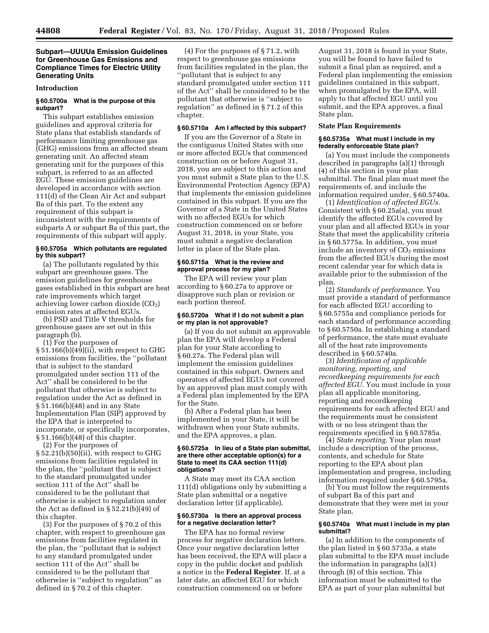### **Subpart—UUUUa Emission Guidelines for Greenhouse Gas Emissions and Compliance Times for Electric Utility Generating Units**

#### **Introduction**

### **§ 60.5700a What is the purpose of this subpart?**

This subpart establishes emission guidelines and approval criteria for State plans that establish standards of performance limiting greenhouse gas (GHG) emissions from an affected steam generating unit. An affected steam generating unit for the purposes of this subpart, is referred to as an affected EGU. These emission guidelines are developed in accordance with section 111(d) of the Clean Air Act and subpart Ba of this part. To the extent any requirement of this subpart is inconsistent with the requirements of subparts A or subpart Ba of this part, the requirements of this subpart will apply.

#### **§ 60.5705a Which pollutants are regulated by this subpart?**

(a) The pollutants regulated by this subpart are greenhouse gases. The emission guidelines for greenhouse gases established in this subpart are heat rate improvements which target achieving lower carbon dioxide  $(CO<sub>2</sub>)$ emission rates at affected EGUs.

(b) PSD and Title V thresholds for greenhouse gases are set out in this paragraph (b).

(1) For the purposes of § 51.166(b)(49)(ii), with respect to GHG emissions from facilities, the ''pollutant that is subject to the standard promulgated under section 111 of the Act'' shall be considered to be the pollutant that otherwise is subject to

regulation under the Act as defined in § 51.166(b)(48) and in any State Implementation Plan (SIP) approved by the EPA that is interpreted to incorporate, or specifically incorporates, § 51.166(b)(48) of this chapter.

(2) For the purposes of § 52.21(b)(50)(ii), with respect to GHG emissions from facilities regulated in the plan, the ''pollutant that is subject to the standard promulgated under section 111 of the Act'' shall be considered to be the pollutant that otherwise is subject to regulation under the Act as defined in § 52.21(b)(49) of this chapter.

(3) For the purposes of § 70.2 of this chapter, with respect to greenhouse gas emissions from facilities regulated in the plan, the ''pollutant that is subject to any standard promulgated under section 111 of the Act'' shall be considered to be the pollutant that otherwise is ''subject to regulation'' as defined in § 70.2 of this chapter.

(4) For the purposes of § 71.2, with respect to greenhouse gas emissions from facilities regulated in the plan, the ''pollutant that is subject to any standard promulgated under section 111 of the Act'' shall be considered to be the pollutant that otherwise is ''subject to regulation'' as defined in § 71.2 of this chapter.

#### **§ 60.5710a Am I affected by this subpart?**

If you are the Governor of a State in the contiguous United States with one or more affected EGUs that commenced construction on or before August 31, 2018, you are subject to this action and you must submit a State plan to the U.S. Environmental Protection Agency (EPA) that implements the emission guidelines contained in this subpart. If you are the Governor of a State in the United States with no affected EGUs for which construction commenced on or before August 31, 2018, in your State, you must submit a negative declaration letter in place of the State plan.

#### **§ 60.5715a What is the review and approval process for my plan?**

The EPA will review your plan according to § 60.27a to approve or disapprove such plan or revision or each portion thereof.

#### **§ 60.5720a What if I do not submit a plan or my plan is not approvable?**

(a) If you do not submit an approvable plan the EPA will develop a Federal plan for your State according to § 60.27a. The Federal plan will implement the emission guidelines contained in this subpart. Owners and operators of affected EGUs not covered by an approved plan must comply with a Federal plan implemented by the EPA for the State.

(b) After a Federal plan has been implemented in your State, it will be withdrawn when your State submits, and the EPA approves, a plan.

#### **§ 60.5725a In lieu of a State plan submittal, are there other acceptable option(s) for a State to meet its CAA section 111(d) obligations?**

A State may meet its CAA section 111(d) obligations only by submitting a State plan submittal or a negative declaration letter (if applicable).

#### **§ 60.5730a Is there an approval process for a negative declaration letter?**

The EPA has no formal review process for negative declaration letters. Once your negative declaration letter has been received, the EPA will place a copy in the public docket and publish a notice in the **Federal Register**. If, at a later date, an affected EGU for which construction commenced on or before

August 31, 2018 is found in your State, you will be found to have failed to submit a final plan as required, and a Federal plan implementing the emission guidelines contained in this subpart, when promulgated by the EPA, will apply to that affected EGU until you submit, and the EPA approves, a final State plan.

### **State Plan Requirements**

#### **§ 60.5735a What must I include in my federally enforceable State plan?**

(a) You must include the components described in paragraphs (a)(1) through (4) of this section in your plan submittal. The final plan must meet the requirements of, and include the information required under, § 60.5740a.

(1) *Identification of affected EGUs.*  Consistent with § 60.25a(a), you must identify the affected EGUs covered by your plan and all affected EGUs in your State that meet the applicability criteria in § 60.5775a. In addition, you must include an inventory of  $CO<sub>2</sub>$  emissions from the affected EGUs during the most recent calendar year for which data is available prior to the submission of the plan.

(2) *Standards of performance.* You must provide a standard of performance for each affected EGU according to § 60.5755a and compliance periods for each standard of performance according to § 60.5750a. In establishing a standard of performance, the state must evaluate all of the heat rate improvements described in § 60.5740a.

(3) *Identification of applicable monitoring, reporting, and recordkeeping requirements for each affected EGU.* You must include in your plan all applicable monitoring, reporting and recordkeeping requirements for each affected EGU and the requirements must be consistent with or no less stringent than the requirements specified in § 60.5785a.

(4) *State reporting.* Your plan must include a description of the process, contents, and schedule for State reporting to the EPA about plan implementation and progress, including information required under § 60.5795a.

(b) You must follow the requirements of subpart Ba of this part and demonstrate that they were met in your State plan.

#### **§ 60.5740a What must I include in my plan submittal?**

(a) In addition to the components of the plan listed in § 60.5735a, a state plan submittal to the EPA must include the information in paragraphs (a)(1) through (8) of this section. This information must be submitted to the EPA as part of your plan submittal but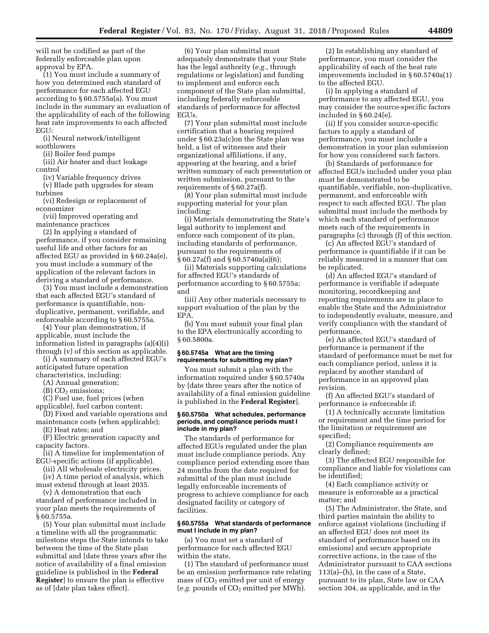will not be codified as part of the federally enforceable plan upon approval by EPA.

(1) You must include a summary of how you determined each standard of performance for each affected EGU according to § 60.5755a(a). You must include in the summary an evaluation of the applicability of each of the following heat rate improvements to each affected EGU:

(i) Neural network/intelligent sootblowers

(ii) Boiler feed pumps

(iii) Air heater and duct leakage control

(iv) Variable frequency drives

(v) Blade path upgrades for steam turbines

(vi) Redesign or replacement of economizer

(vii) Improved operating and maintenance practices

(2) In applying a standard of performance, if you consider remaining useful life and other factors for an affected EGU as provided in § 60.24a(e), you must include a summary of the application of the relevant factors in deriving a standard of performance.

(3) You must include a demonstration that each affected EGU's standard of performance is quantifiable, nonduplicative, permanent, verifiable, and enforceable according to § 60.5755a.

(4) Your plan demonstration, if applicable, must include the information listed in paragraphs (a)(4)(i) through (v) of this section as applicable.

(i) A summary of each affected EGU's anticipated future operation

characteristics, including:

(A) Annual generation;

 $(B)$  CO<sub>2</sub> emissions;

(C) Fuel use, fuel prices (when applicable), fuel carbon content;

(D) Fixed and variable operations and maintenance costs (when applicable);

(E) Heat rates; and

(F) Electric generation capacity and capacity factors.

(ii) A timeline for implementation of EGU-specific actions (if applicable).

(iii) All wholesale electricity prices. (iv) A time period of analysis, which

must extend through at least 2035.

(v) A demonstration that each standard of performance included in your plan meets the requirements of § 60.5755a.

(5) Your plan submittal must include a timeline with all the programmatic milestone steps the State intends to take between the time of the State plan submittal and [date three years after the notice of availability of a final emission guideline is published in the **Federal Register**] to ensure the plan is effective as of [date plan takes effect].

(6) Your plan submittal must adequately demonstrate that your State has the legal authority (*e.g.,* through regulations or legislation) and funding to implement and enforce each component of the State plan submittal, including federally enforceable standards of performance for affected EGUs.

(7) Your plan submittal must include certification that a hearing required under § 60.23a(c)on the State plan was held, a list of witnesses and their organizational affiliations, if any, appearing at the hearing, and a brief written summary of each presentation or written submission, pursuant to the requirements of § 60.27a(f).

(8) Your plan submittal must include supporting material for your plan including:

(i) Materials demonstrating the State's legal authority to implement and enforce each component of its plan, including standards of performance, pursuant to the requirements of § 60.27a(f) and § 60.5740a(a)(6);

(ii) Materials supporting calculations for affected EGU's standards of performance according to § 60.5755a; and

(iii) Any other materials necessary to support evaluation of the plan by the EPA.

(b) You must submit your final plan to the EPA electronically according to § 60.5800a.

#### **§ 60.5745a What are the timing requirements for submitting my plan?**

You must submit a plan with the information required under § 60.5740a by [date three years after the notice of availability of a final emission guideline is published in the **Federal Register**].

#### **§ 60.5750a What schedules, performance periods, and compliance periods must I include in my plan?**

The standards of performance for affected EGUs regulated under the plan must include compliance periods. Any compliance period extending more than 24 months from the date required for submittal of the plan must include legally enforceable increments of progress to achieve compliance for each designated facility or category of facilities.

### **§ 60.5755a What standards of performance must I include in my plan?**

(a) You must set a standard of performance for each affected EGU within the state.

(1) The standard of performance must be an emission performance rate relating mass of  $CO<sub>2</sub>$  emitted per unit of energy (*e.g.* pounds of CO<sub>2</sub> emitted per MWh).

(2) In establishing any standard of performance, you must consider the applicability of each of the heat rate improvements included in § 60.5740a(1) to the affected EGU.

(i) In applying a standard of performance to any affected EGU, you may consider the source-specific factors included in § 60.24(e).

(ii) If you consider source-specific factors to apply a standard of performance, you must include a demonstration in your plan submission for how you considered such factors.

(b) Standards of performance for affected EGUs included under your plan must be demonstrated to be quantifiable, verifiable, non-duplicative, permanent, and enforceable with respect to each affected EGU. The plan submittal must include the methods by which each standard of performance meets each of the requirements in paragraphs (c) through (f) of this section.

(c) An affected EGU's standard of performance is quantifiable if it can be reliably measured in a manner that can be replicated.

(d) An affected EGU's standard of performance is verifiable if adequate monitoring, recordkeeping and reporting requirements are in place to enable the State and the Administrator to independently evaluate, measure, and verify compliance with the standard of performance.

(e) An affected EGU's standard of performance is permanent if the standard of performance must be met for each compliance period, unless it is replaced by another standard of performance in an approved plan revision.

(f) An affected EGU's standard of performance is enforceable if:

(1) A technically accurate limitation or requirement and the time period for the limitation or requirement are specified;

(2) Compliance requirements are clearly defined;

(3) The affected EGU responsible for compliance and liable for violations can be identified;

(4) Each compliance activity or measure is enforceable as a practical matter; and

(5) The Administrator, the State, and third parties maintain the ability to enforce against violations (including if an affected EGU does not meet its standard of performance based on its emissions) and secure appropriate corrective actions, in the case of the Administrator pursuant to CAA sections 113(a)–(h), in the case of a State, pursuant to its plan, State law or CAA section 304, as applicable, and in the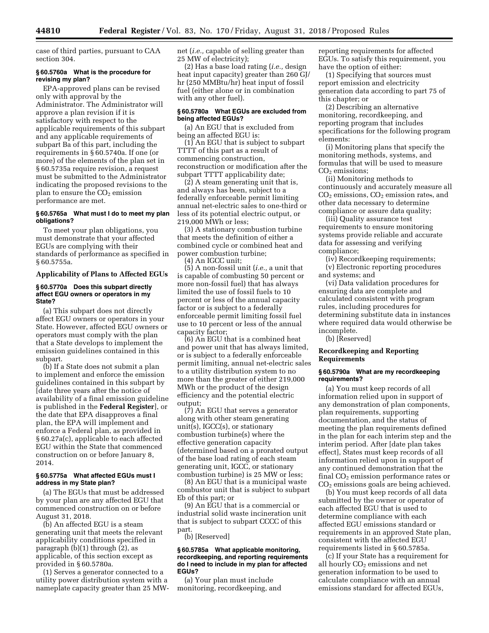case of third parties, pursuant to CAA section 304.

#### **§ 60.5760a What is the procedure for revising my plan?**

EPA-approved plans can be revised only with approval by the Administrator. The Administrator will approve a plan revision if it is satisfactory with respect to the applicable requirements of this subpart and any applicable requirements of subpart Ba of this part, including the requirements in § 60.5740a. If one (or more) of the elements of the plan set in § 60.5735a require revision, a request must be submitted to the Administrator indicating the proposed revisions to the plan to ensure the  $CO<sub>2</sub>$  emission performance are met.

### **§ 60.5765a What must I do to meet my plan obligations?**

To meet your plan obligations, you must demonstrate that your affected EGUs are complying with their standards of performance as specified in § 60.5755a.

### **Applicability of Plans to Affected EGUs**

#### **§ 60.5770a Does this subpart directly affect EGU owners or operators in my State?**

(a) This subpart does not directly affect EGU owners or operators in your State. However, affected EGU owners or operators must comply with the plan that a State develops to implement the emission guidelines contained in this subpart.

(b) If a State does not submit a plan to implement and enforce the emission guidelines contained in this subpart by [date three years after the notice of availability of a final emission guideline is published in the **Federal Register**], or the date that EPA disapproves a final plan, the EPA will implement and enforce a Federal plan, as provided in § 60.27a(c), applicable to each affected EGU within the State that commenced construction on or before January 8, 2014.

### **§ 60.5775a What affected EGUs must I address in my State plan?**

(a) The EGUs that must be addressed by your plan are any affected EGU that commenced construction on or before August 31, 2018.

(b) An affected EGU is a steam generating unit that meets the relevant applicability conditions specified in paragraph (b)(1) through (2), as applicable, of this section except as provided in § 60.5780a.

(1) Serves a generator connected to a utility power distribution system with a nameplate capacity greater than 25 MW- net (*i.e.,* capable of selling greater than 25 MW of electricity);

(2) Has a base load rating (*i.e.,* design heat input capacity) greater than 260 GJ/ hr (250 MMBtu/hr) heat input of fossil fuel (either alone or in combination with any other fuel).

#### **§ 60.5780a What EGUs are excluded from being affected EGUs?**

(a) An EGU that is excluded from being an affected EGU is:

(1) An EGU that is subject to subpart TTTT of this part as a result of commencing construction, reconstruction or modification after the subpart TTTT applicability date;

(2) A steam generating unit that is, and always has been, subject to a federally enforceable permit limiting annual net-electric sales to one-third or less of its potential electric output, or 219,000 MWh or less;

(3) A stationary combustion turbine that meets the definition of either a combined cycle or combined heat and power combustion turbine;

(4) An IGCC unit;

(5) A non-fossil unit (*i.e.,* a unit that is capable of combusting 50 percent or more non-fossil fuel) that has always limited the use of fossil fuels to 10 percent or less of the annual capacity factor or is subject to a federally enforceable permit limiting fossil fuel use to 10 percent or less of the annual capacity factor;

(6) An EGU that is a combined heat and power unit that has always limited, or is subject to a federally enforceable permit limiting, annual net-electric sales to a utility distribution system to no more than the greater of either 219,000 MWh or the product of the design efficiency and the potential electric output;

(7) An EGU that serves a generator along with other steam generating unit(s), IGCC(s), or stationary combustion turbine(s) where the effective generation capacity (determined based on a prorated output of the base load rating of each steam generating unit, IGCC, or stationary combustion turbine) is 25 MW or less;

(8) An EGU that is a municipal waste combustor unit that is subject to subpart Eb of this part; or

(9) An EGU that is a commercial or industrial solid waste incineration unit that is subject to subpart CCCC of this part.

(b) [Reserved]

#### **§ 60.5785a What applicable monitoring, recordkeeping, and reporting requirements do I need to include in my plan for affected EGUs?**

(a) Your plan must include monitoring, recordkeeping, and reporting requirements for affected EGUs. To satisfy this requirement, you have the option of either:

(1) Specifying that sources must report emission and electricity generation data according to part 75 of this chapter; or

(2) Describing an alternative monitoring, recordkeeping, and reporting program that includes specifications for the following program elements:

(i) Monitoring plans that specify the monitoring methods, systems, and formulas that will be used to measure CO<sub>2</sub> emissions;

(ii) Monitoring methods to continuously and accurately measure all  $CO<sub>2</sub>$  emissions,  $CO<sub>2</sub>$  emission rates, and other data necessary to determine compliance or assure data quality;

(iii) Quality assurance test requirements to ensure monitoring systems provide reliable and accurate data for assessing and verifying compliance;

(iv) Recordkeeping requirements;

(v) Electronic reporting procedures and systems; and

(vi) Data validation procedures for ensuring data are complete and calculated consistent with program rules, including procedures for determining substitute data in instances where required data would otherwise be incomplete.

(b) [Reserved]

### **Recordkeeping and Reporting Requirements**

### **§ 60.5790a What are my recordkeeping requirements?**

(a) You must keep records of all information relied upon in support of any demonstration of plan components, plan requirements, supporting documentation, and the status of meeting the plan requirements defined in the plan for each interim step and the interim period. After [date plan takes effect], States must keep records of all information relied upon in support of any continued demonstration that the final  $CO<sub>2</sub>$  emission performance rates or CO2 emissions goals are being achieved.

(b) You must keep records of all data submitted by the owner or operator of each affected EGU that is used to determine compliance with each affected EGU emissions standard or requirements in an approved State plan, consistent with the affected EGU requirements listed in § 60.5785a.

(c) If your State has a requirement for all hourly  $CO<sub>2</sub>$  emissions and net generation information to be used to calculate compliance with an annual emissions standard for affected EGUs,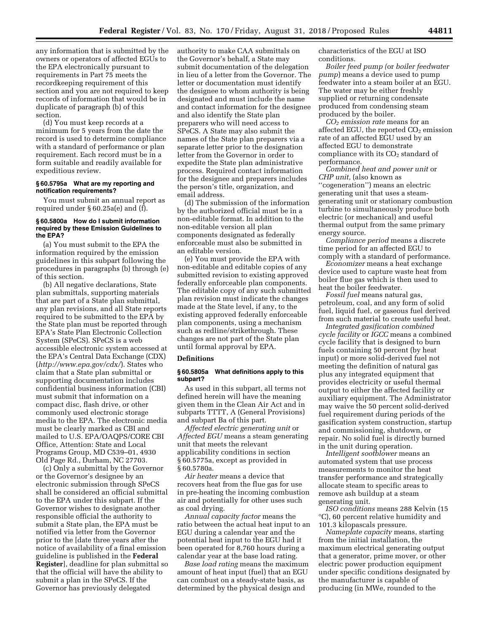any information that is submitted by the owners or operators of affected EGUs to the EPA electronically pursuant to requirements in Part 75 meets the recordkeeping requirement of this section and you are not required to keep records of information that would be in duplicate of paragraph (b) of this section.

(d) You must keep records at a minimum for 5 years from the date the record is used to determine compliance with a standard of performance or plan requirement. Each record must be in a form suitable and readily available for expeditious review.

### **§ 60.5795a What are my reporting and notification requirements?**

You must submit an annual report as required under § 60.25a(e) and (f).

#### **§ 60.5800a How do I submit information required by these Emission Guidelines to the EPA?**

(a) You must submit to the EPA the information required by the emission guidelines in this subpart following the procedures in paragraphs (b) through (e) of this section.

(b) All negative declarations, State plan submittals, supporting materials that are part of a State plan submittal, any plan revisions, and all State reports required to be submitted to the EPA by the State plan must be reported through EPA's State Plan Electronic Collection System (SPeCS). SPeCS is a web accessible electronic system accessed at the EPA's Central Data Exchange (CDX) (*<http://www.epa.gov/cdx/>*). States who claim that a State plan submittal or supporting documentation includes confidential business information (CBI) must submit that information on a compact disc, flash drive, or other commonly used electronic storage media to the EPA. The electronic media must be clearly marked as CBI and mailed to U.S. EPA/OAQPS/CORE CBI Office, Attention: State and Local Programs Group, MD C539–01, 4930 Old Page Rd., Durham, NC 27703.

(c) Only a submittal by the Governor or the Governor's designee by an electronic submission through SPeCS shall be considered an official submittal to the EPA under this subpart. If the Governor wishes to designate another responsible official the authority to submit a State plan, the EPA must be notified via letter from the Governor prior to the [date three years after the notice of availability of a final emission guideline is published in the **Federal Register**], deadline for plan submittal so that the official will have the ability to submit a plan in the SPeCS. If the Governor has previously delegated

authority to make CAA submittals on the Governor's behalf, a State may submit documentation of the delegation in lieu of a letter from the Governor. The letter or documentation must identify the designee to whom authority is being designated and must include the name and contact information for the designee and also identify the State plan preparers who will need access to SPeCS. A State may also submit the names of the State plan preparers via a separate letter prior to the designation letter from the Governor in order to expedite the State plan administrative process. Required contact information for the designee and preparers includes the person's title, organization, and email address.

(d) The submission of the information by the authorized official must be in a non-editable format. In addition to the non-editable version all plan components designated as federally enforceable must also be submitted in an editable version.

(e) You must provide the EPA with non-editable and editable copies of any submitted revision to existing approved federally enforceable plan components. The editable copy of any such submitted plan revision must indicate the changes made at the State level, if any, to the existing approved federally enforceable plan components, using a mechanism such as redline/strikethrough. These changes are not part of the State plan until formal approval by EPA.

### **Definitions**

#### **§ 60.5805a What definitions apply to this subpart?**

As used in this subpart, all terms not defined herein will have the meaning given them in the Clean Air Act and in subparts TTTT, A (General Provisions) and subpart Ba of this part.

*Affected electric generating unit* or *Affected EGU* means a steam generating unit that meets the relevant applicability conditions in section § 60.5775a, except as provided in § 60.5780a.

*Air heater* means a device that recovers heat from the flue gas for use in pre-heating the incoming combustion air and potentially for other uses such as coal drying.

*Annual capacity factor* means the ratio between the actual heat input to an EGU during a calendar year and the potential heat input to the EGU had it been operated for 8,760 hours during a calendar year at the base load rating.

*Base load rating* means the maximum amount of heat input (fuel) that an EGU can combust on a steady-state basis, as determined by the physical design and

characteristics of the EGU at ISO conditions.

*Boiler feed pump (*or *boiler feedwater pump*) means a device used to pump feedwater into a steam boiler at an EGU. The water may be either freshly supplied or returning condensate produced from condensing steam produced by the boiler.

*CO2 emission rate* means for an affected EGU, the reported  $CO<sub>2</sub>$  emission rate of an affected EGU used by an affected EGU to demonstrate compliance with its  $CO<sub>2</sub>$  standard of performance.

*Combined heat and power unit* or *CHP unit,* (also known as

''cogeneration'') means an electric generating unit that uses a steamgenerating unit or stationary combustion turbine to simultaneously produce both electric (or mechanical) and useful thermal output from the same primary energy source.

*Compliance period* means a discrete time period for an affected EGU to comply with a standard of performance.

*Economizer* means a heat exchange device used to capture waste heat from boiler flue gas which is then used to heat the boiler feedwater.

*Fossil fuel* means natural gas, petroleum, coal, and any form of solid fuel, liquid fuel, or gaseous fuel derived from such material to create useful heat.

*Integrated gasification combined cycle facility* or *IGCC* means a combined cycle facility that is designed to burn fuels containing 50 percent (by heat input) or more solid-derived fuel not meeting the definition of natural gas plus any integrated equipment that provides electricity or useful thermal output to either the affected facility or auxiliary equipment. The Administrator may waive the 50 percent solid-derived fuel requirement during periods of the gasification system construction, startup and commissioning, shutdown, or repair. No solid fuel is directly burned in the unit during operation.

*Intelligent sootblower* means an automated system that use process measurements to monitor the heat transfer performance and strategically allocate steam to specific areas to remove ash buildup at a steam generating unit.

*ISO conditions* means 288 Kelvin (15 °C), 60 percent relative humidity and 101.3 kilopascals pressure.

*Nameplate capacity* means, starting from the initial installation, the maximum electrical generating output that a generator, prime mover, or other electric power production equipment under specific conditions designated by the manufacturer is capable of producing (in MWe, rounded to the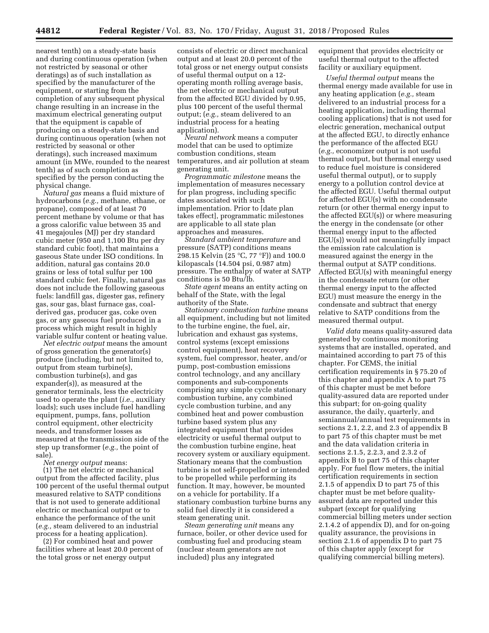nearest tenth) on a steady-state basis and during continuous operation (when not restricted by seasonal or other deratings) as of such installation as specified by the manufacturer of the equipment, or starting from the completion of any subsequent physical change resulting in an increase in the maximum electrical generating output that the equipment is capable of producing on a steady-state basis and during continuous operation (when not restricted by seasonal or other deratings), such increased maximum amount (in MWe, rounded to the nearest tenth) as of such completion as specified by the person conducting the physical change.

*Natural gas* means a fluid mixture of hydrocarbons (*e.g.,* methane, ethane, or propane), composed of at least 70 percent methane by volume or that has a gross calorific value between 35 and 41 megajoules (MJ) per dry standard cubic meter (950 and 1,100 Btu per dry standard cubic foot), that maintains a gaseous State under ISO conditions. In addition, natural gas contains 20.0 grains or less of total sulfur per 100 standard cubic feet. Finally, natural gas does not include the following gaseous fuels: landfill gas, digester gas, refinery gas, sour gas, blast furnace gas, coalderived gas, producer gas, coke oven gas, or any gaseous fuel produced in a process which might result in highly variable sulfur content or heating value.

*Net electric output* means the amount of gross generation the generator(s) produce (including, but not limited to, output from steam turbine(s), combustion turbine(s), and gas expander(s)), as measured at the generator terminals, less the electricity used to operate the plant (*i.e.,* auxiliary loads); such uses include fuel handling equipment, pumps, fans, pollution control equipment, other electricity needs, and transformer losses as measured at the transmission side of the step up transformer (*e.g.,* the point of sale).

*Net energy output* means:

(1) The net electric or mechanical output from the affected facility, plus 100 percent of the useful thermal output measured relative to SATP conditions that is not used to generate additional electric or mechanical output or to enhance the performance of the unit (*e.g.,* steam delivered to an industrial process for a heating application).

(2) For combined heat and power facilities where at least 20.0 percent of the total gross or net energy output

consists of electric or direct mechanical output and at least 20.0 percent of the total gross or net energy output consists of useful thermal output on a 12 operating month rolling average basis, the net electric or mechanical output from the affected EGU divided by 0.95, plus 100 percent of the useful thermal output; (*e.g.,* steam delivered to an industrial process for a heating application).

*Neural network* means a computer model that can be used to optimize combustion conditions, steam temperatures, and air pollution at steam generating unit.

*Programmatic milestone* means the implementation of measures necessary for plan progress, including specific dates associated with such implementation. Prior to [date plan takes effect], programmatic milestones are applicable to all state plan approaches and measures.

*Standard ambient temperature* and pressure (SATP) conditions means 298.15 Kelvin (25 °C, 77 °F)) and 100.0 kilopascals (14.504 psi, 0.987 atm) pressure. The enthalpy of water at SATP conditions is 50 Btu/lb.

*State agent* means an entity acting on behalf of the State, with the legal authority of the State.

*Stationary combustion turbine* means all equipment, including but not limited to the turbine engine, the fuel, air, lubrication and exhaust gas systems, control systems (except emissions control equipment), heat recovery system, fuel compressor, heater, and/or pump, post-combustion emissions control technology, and any ancillary components and sub-components comprising any simple cycle stationary combustion turbine, any combined cycle combustion turbine, and any combined heat and power combustion turbine based system plus any integrated equipment that provides electricity or useful thermal output to the combustion turbine engine, heat recovery system or auxiliary equipment. Stationary means that the combustion turbine is not self-propelled or intended to be propelled while performing its function. It may, however, be mounted on a vehicle for portability. If a stationary combustion turbine burns any solid fuel directly it is considered a steam generating unit.

*Steam generating unit* means any furnace, boiler, or other device used for combusting fuel and producing steam (nuclear steam generators are not included) plus any integrated

equipment that provides electricity or useful thermal output to the affected facility or auxiliary equipment.

*Useful thermal output* means the thermal energy made available for use in any heating application (*e.g.,* steam delivered to an industrial process for a heating application, including thermal cooling applications) that is not used for electric generation, mechanical output at the affected EGU, to directly enhance the performance of the affected EGU (*e.g.,* economizer output is not useful thermal output, but thermal energy used to reduce fuel moisture is considered useful thermal output), or to supply energy to a pollution control device at the affected EGU. Useful thermal output for affected EGU(s) with no condensate return (or other thermal energy input to the affected EGU(s)) or where measuring the energy in the condensate (or other thermal energy input to the affected EGU(s)) would not meaningfully impact the emission rate calculation is measured against the energy in the thermal output at SATP conditions. Affected EGU(s) with meaningful energy in the condensate return (or other thermal energy input to the affected EGU) must measure the energy in the condensate and subtract that energy relative to SATP conditions from the measured thermal output.

*Valid data* means quality-assured data generated by continuous monitoring systems that are installed, operated, and maintained according to part 75 of this chapter. For CEMS, the initial certification requirements in § 75.20 of this chapter and appendix A to part 75 of this chapter must be met before quality-assured data are reported under this subpart; for on-going quality assurance, the daily, quarterly, and semiannual/annual test requirements in sections 2.1, 2.2, and 2.3 of appendix B to part 75 of this chapter must be met and the data validation criteria in sections 2.1.5, 2.2.3, and 2.3.2 of appendix B to part 75 of this chapter apply. For fuel flow meters, the initial certification requirements in section 2.1.5 of appendix D to part 75 of this chapter must be met before qualityassured data are reported under this subpart (except for qualifying commercial billing meters under section 2.1.4.2 of appendix D), and for on-going quality assurance, the provisions in section 2.1.6 of appendix D to part 75 of this chapter apply (except for qualifying commercial billing meters).